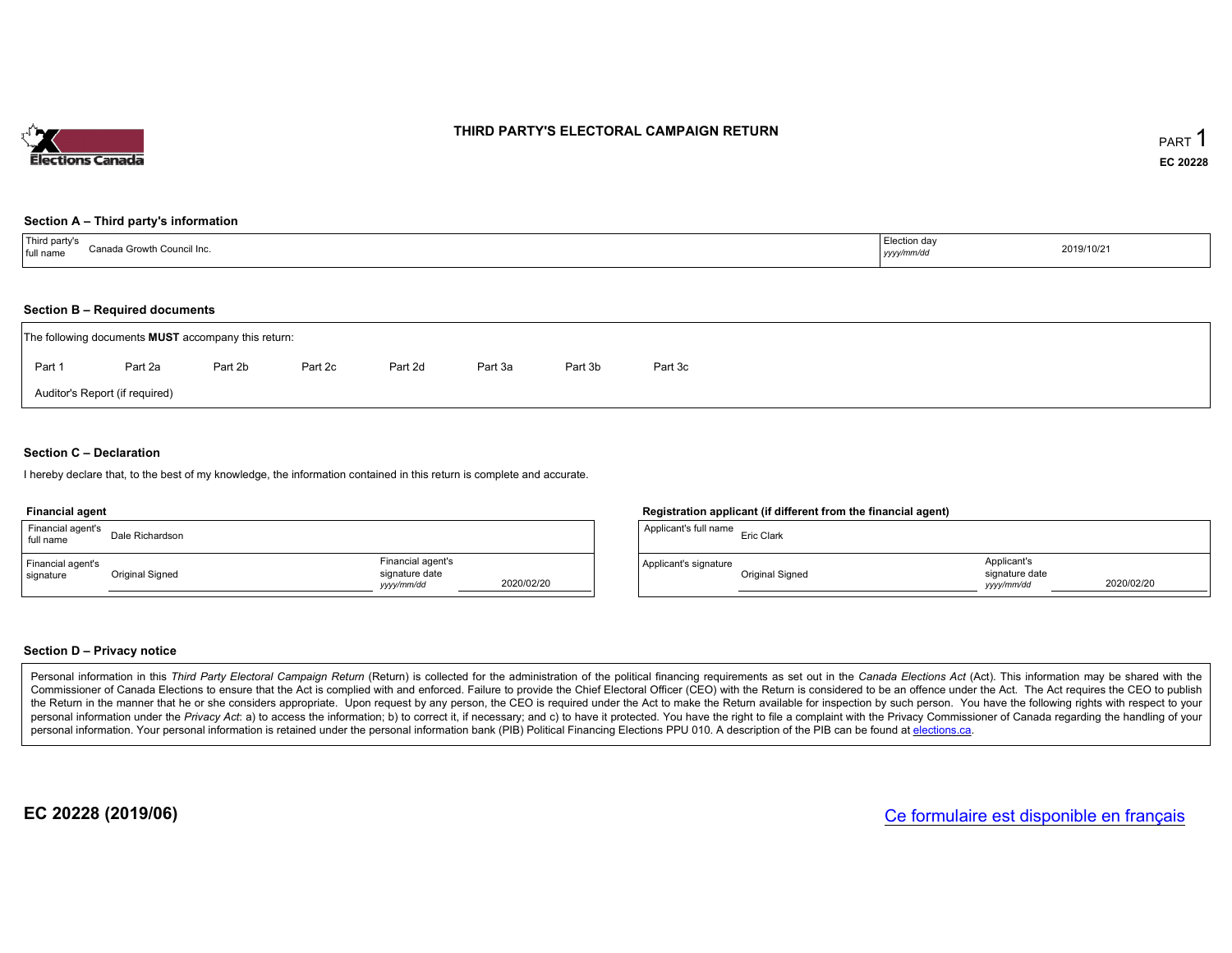

# THIRD PARTY'S ELECTORAL CAMPAIGN RETURN

# Section <sup>A</sup> – Third party's information

| <sup>1</sup> Third party's | , Election day |            |
|----------------------------|----------------|------------|
| Canada Growth Council Inc. |                | 2019/10/21 |
| full name                  | yyyy/mm/dd     |            |

# Section <sup>B</sup> – Required documents

|        | The following documents <b>MUST</b> accompany this return: |         |         |         |         |         |         |  |
|--------|------------------------------------------------------------|---------|---------|---------|---------|---------|---------|--|
| Part 1 | Part 2a                                                    | Part 2b | Part 2c | Part 2d | Part 3a | Part 3b | Part 3c |  |
|        | Auditor's Report (if required)                             |         |         |         |         |         |         |  |

# Section <sup>C</sup> – Declaration

hereby declare that, to the best of my knowledge, the information contained in this return is complete and accurate.

#### Financial agent

| Financial agent's<br>full name | Dale Richardson |                                                  |            | Applicant's full name | <b>Eric Clark</b> |
|--------------------------------|-----------------|--------------------------------------------------|------------|-----------------------|-------------------|
| Financial agent's<br>signature | Original Signed | Financial agent's<br>signature date<br>vyy/mm/dd | 2020/02/20 | Applicant's signature | Original S        |

# Registration applicant (if different from the financial agent)

| Applicant's full name | Eric Clark      |                                             |            |
|-----------------------|-----------------|---------------------------------------------|------------|
| Applicant's signature | Original Signed | Applicant's<br>signature date<br>vyyy/mm/dd | 2020/02/20 |

# Section <sup>D</sup> – Privacy notice

Personal information in this Third Party Electoral Campaign Return (Return) is collected for the administration of the political financing requirements as set out in the Canada Elections Act (Act). This information may be Commissioner of Canada Elections to ensure that the Act is complied with and enforced. Failure to provide the Chief Electoral Officer (CEO) with the Return is considered to be an offence under the Act. The Act requires the the Return in the manner that he or she considers appropriate. Upon request by any person, the CEO is required under the Act to make the Return available for inspection by such person. You have the capacity with respect to personal information under the Privacy Act. a) to access the information; b) to correct it, if necessary; and c) to have it protected. You have the right to file a complaint with the Privacy Commissioner of Canada regardin personal information. Your personal information is retained under the personal information bank (PIB) Political Financing Elections PPU 010. A description of the PIB can be found at <u>elections.ca</u>.

EC 20228 (2019/06)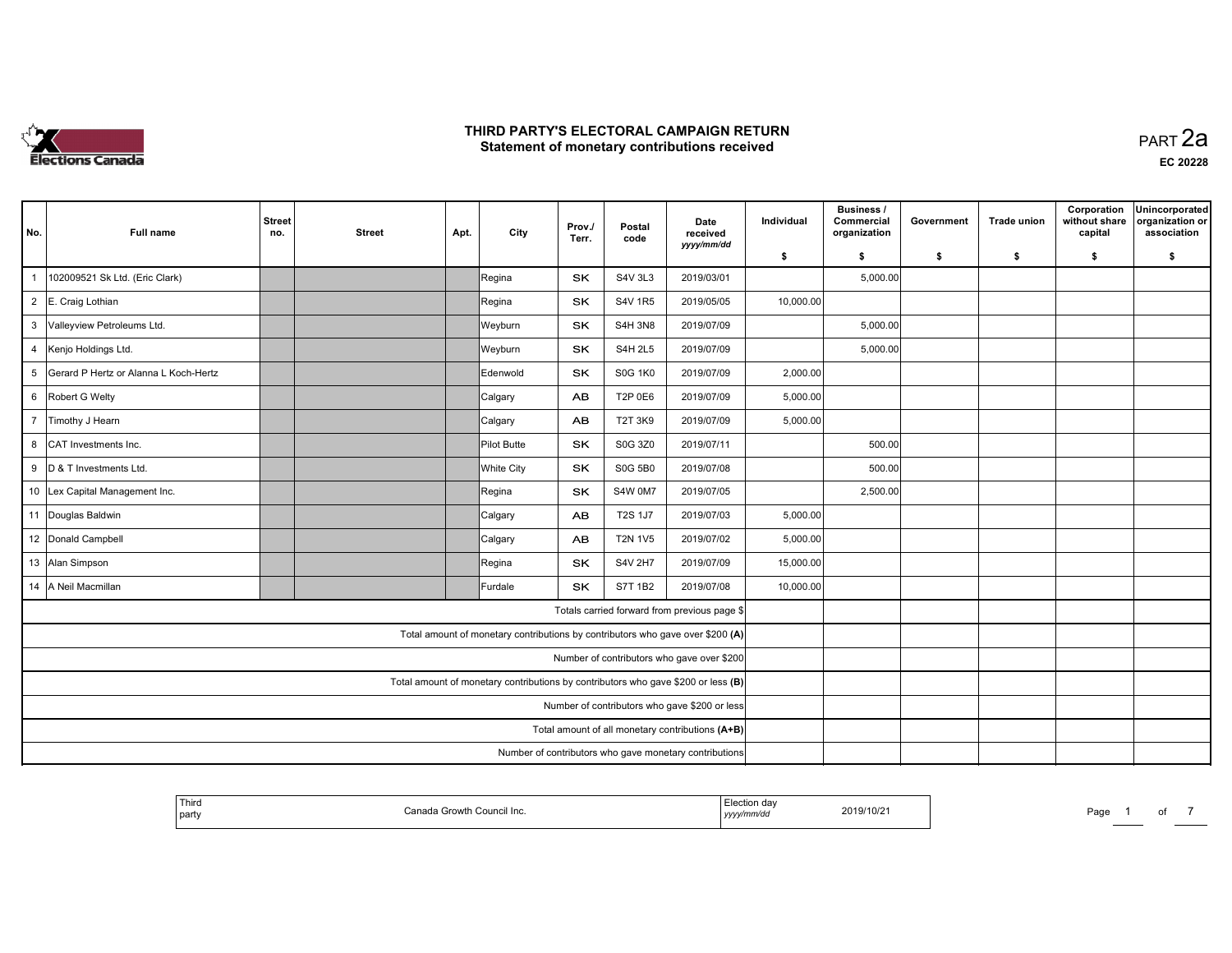

 PART 2aEC <sup>20228</sup>

| No.                     | Full name                                                                         | <b>Street</b><br>no.                          | <b>Street</b> | Apt. | City            | Prov./<br>Terr. | Postal<br>code | Date<br>received<br>yyyy/mm/dd                                                 | Individual | <b>Business /</b><br>Commercial<br>organization | Government | <b>Trade union</b> | Corporation<br>without share<br>capital | Unincorporated<br>organization or<br>association |
|-------------------------|-----------------------------------------------------------------------------------|-----------------------------------------------|---------------|------|-----------------|-----------------|----------------|--------------------------------------------------------------------------------|------------|-------------------------------------------------|------------|--------------------|-----------------------------------------|--------------------------------------------------|
|                         |                                                                                   |                                               |               |      |                 |                 |                |                                                                                | \$         | \$                                              | \$         | \$                 | \$                                      | \$                                               |
| $\overline{\mathbf{1}}$ | 102009521 Sk Ltd. (Eric Clark)                                                    |                                               |               |      | Regina          | SK              | <b>S4V 3L3</b> | 2019/03/01                                                                     |            | 5,000.00                                        |            |                    |                                         |                                                  |
|                         | 2 E. Craig Lothian                                                                |                                               |               |      | Regina          | SK              | <b>S4V 1R5</b> | 2019/05/05                                                                     | 10,000.00  |                                                 |            |                    |                                         |                                                  |
| 3                       | Valleyview Petroleums Ltd.                                                        |                                               |               |      | Weyburn         | SK              | <b>S4H 3N8</b> | 2019/07/09                                                                     |            | 5,000.00                                        |            |                    |                                         |                                                  |
| $\overline{4}$          | Kenjo Holdings Ltd.                                                               |                                               |               |      | Weyburn         | <b>SK</b>       | <b>S4H 2L5</b> | 2019/07/09                                                                     |            | 5,000.00                                        |            |                    |                                         |                                                  |
| 5                       | Gerard P Hertz or Alanna L Koch-Hertz                                             |                                               |               |      | <b>Edenwold</b> | <b>SK</b>       | <b>S0G 1K0</b> | 2019/07/09                                                                     | 2,000.00   |                                                 |            |                    |                                         |                                                  |
|                         | 6 Robert G Welty                                                                  |                                               |               |      | Calgary         | AB              | T2P 0E6        | 2019/07/09                                                                     | 5,000.00   |                                                 |            |                    |                                         |                                                  |
| $\overline{7}$          | Timothy J Hearn                                                                   |                                               |               |      | Calgary         | <b>AB</b>       | T2T 3K9        | 2019/07/09                                                                     | 5,000.00   |                                                 |            |                    |                                         |                                                  |
| 8                       | CAT Investments Inc.                                                              |                                               |               |      | Pilot Butte     | <b>SK</b>       | S0G 3Z0        | 2019/07/11                                                                     |            | 500.00                                          |            |                    |                                         |                                                  |
|                         | 9 D & T Investments Ltd.                                                          |                                               |               |      | White City      | SK.             | <b>S0G 5B0</b> | 2019/07/08                                                                     |            | 500.00                                          |            |                    |                                         |                                                  |
|                         | 10 Lex Capital Management Inc.                                                    |                                               |               |      | Regina          | SK              | S4W 0M7        | 2019/07/05                                                                     |            | 2,500.00                                        |            |                    |                                         |                                                  |
|                         | 11 Douglas Baldwin                                                                |                                               |               |      | Calgary         | <b>AB</b>       | <b>T2S 1J7</b> | 2019/07/03                                                                     | 5,000.00   |                                                 |            |                    |                                         |                                                  |
|                         | 12 Donald Campbell                                                                |                                               |               |      | Calgary         | AB              | <b>T2N 1V5</b> | 2019/07/02                                                                     | 5,000.00   |                                                 |            |                    |                                         |                                                  |
|                         | 13 Alan Simpson                                                                   |                                               |               |      | Regina          | SK              | S4V 2H7        | 2019/07/09                                                                     | 15,000.00  |                                                 |            |                    |                                         |                                                  |
|                         | 14 A Neil Macmillan                                                               |                                               |               |      | Furdale         | <b>SK</b>       | <b>S7T 1B2</b> | 2019/07/08                                                                     | 10,000.00  |                                                 |            |                    |                                         |                                                  |
|                         |                                                                                   |                                               |               |      |                 |                 |                | Totals carried forward from previous page \$                                   |            |                                                 |            |                    |                                         |                                                  |
|                         |                                                                                   |                                               |               |      |                 |                 |                | Total amount of monetary contributions by contributors who gave over \$200 (A) |            |                                                 |            |                    |                                         |                                                  |
|                         |                                                                                   |                                               |               |      |                 |                 |                | Number of contributors who gave over \$200                                     |            |                                                 |            |                    |                                         |                                                  |
|                         | Total amount of monetary contributions by contributors who gave \$200 or less (B) |                                               |               |      |                 |                 |                |                                                                                |            |                                                 |            |                    |                                         |                                                  |
|                         |                                                                                   | Number of contributors who gave \$200 or less |               |      |                 |                 |                |                                                                                |            |                                                 |            |                    |                                         |                                                  |
|                         |                                                                                   |                                               |               |      |                 |                 |                | Total amount of all monetary contributions (A+B)                               |            |                                                 |            |                    |                                         |                                                  |
|                         |                                                                                   |                                               |               |      |                 |                 |                | Number of contributors who gave monetary contributions                         |            |                                                 |            |                    |                                         |                                                  |

| <sup>I</sup> Third<br>È Council Inc.<br>$-$<br>anada Growtr<br>party | Election day<br>2019/10/2<br>yyyy/mm/dd | Page |
|----------------------------------------------------------------------|-----------------------------------------|------|
|----------------------------------------------------------------------|-----------------------------------------|------|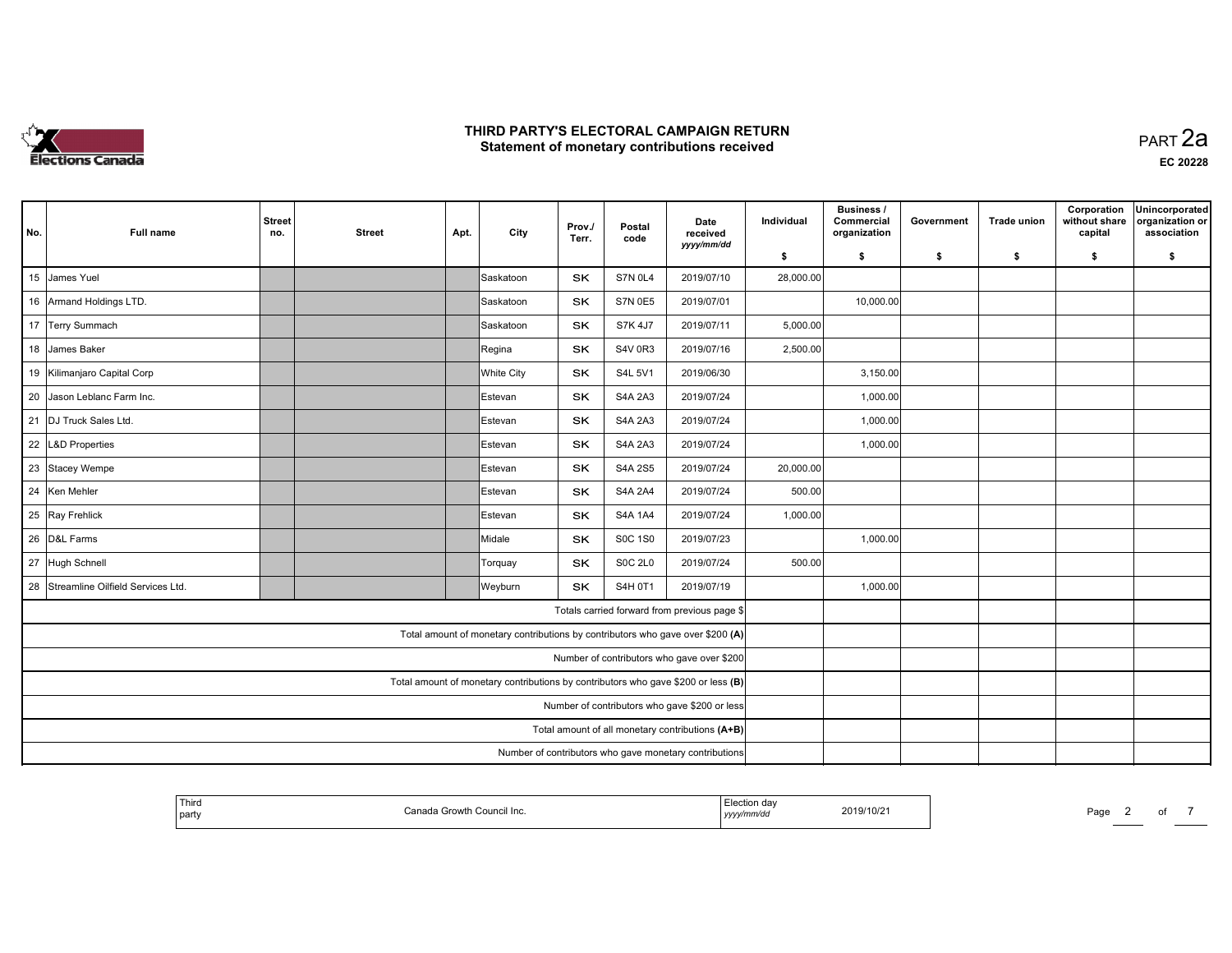

| No. | <b>Full name</b>                  | <b>Street</b><br>no. | <b>Street</b> | Apt. | City                                                                              | Prov./<br>Terr. | Postal<br>code | Date<br>received<br>yyyy/mm/dd                         | Individual | <b>Business /</b><br>Commercial<br>organization | Government | <b>Trade union</b> | Corporation<br>without share<br>capital | Unincorporated<br>organization or<br>association |
|-----|-----------------------------------|----------------------|---------------|------|-----------------------------------------------------------------------------------|-----------------|----------------|--------------------------------------------------------|------------|-------------------------------------------------|------------|--------------------|-----------------------------------------|--------------------------------------------------|
|     |                                   |                      |               |      |                                                                                   |                 |                |                                                        | \$         | \$                                              | - \$       | \$                 | \$                                      | \$                                               |
| 15  | James Yuel                        |                      |               |      | Saskatoon                                                                         | SK              | <b>S7N 0L4</b> | 2019/07/10                                             | 28,000.00  |                                                 |            |                    |                                         |                                                  |
|     | 16 Armand Holdings LTD.           |                      |               |      | İSaskatoon                                                                        | SK              | <b>S7N 0E5</b> | 2019/07/01                                             |            | 10,000.00                                       |            |                    |                                         |                                                  |
|     | 17 Terry Summach                  |                      |               |      | Saskatoon                                                                         | SK              | S7K 4J7        | 2019/07/11                                             | 5,000.00   |                                                 |            |                    |                                         |                                                  |
|     | 18 James Baker                    |                      |               |      | Regina                                                                            | <b>SK</b>       | <b>S4V 0R3</b> | 2019/07/16                                             | 2,500.00   |                                                 |            |                    |                                         |                                                  |
|     | 19 Kilimanjaro Capital Corp       |                      |               |      | White City                                                                        | SK              | S4L 5V1        | 2019/06/30                                             |            | 3,150.00                                        |            |                    |                                         |                                                  |
| 20  | Jason Leblanc Farm Inc.           |                      |               |      | Estevan                                                                           | SK              | <b>S4A 2A3</b> | 2019/07/24                                             |            | 1,000.00                                        |            |                    |                                         |                                                  |
| 21  | DJ Truck Sales Ltd.               |                      |               |      | Estevan                                                                           | SK              | <b>S4A 2A3</b> | 2019/07/24                                             |            | 1,000.00                                        |            |                    |                                         |                                                  |
|     | 22 L&D Properties                 |                      |               |      | Estevan                                                                           | SK              | <b>S4A 2A3</b> | 2019/07/24                                             |            | 1,000.00                                        |            |                    |                                         |                                                  |
|     | 23 Stacey Wempe                   |                      |               |      | <b>IEstevan</b>                                                                   | SK              | S4A 2S5        | 2019/07/24                                             | 20,000.00  |                                                 |            |                    |                                         |                                                  |
| 24  | Ken Mehler                        |                      |               |      | Estevan                                                                           | SK              | <b>S4A 2A4</b> | 2019/07/24                                             | 500.00     |                                                 |            |                    |                                         |                                                  |
| 25  | Ray Frehlick                      |                      |               |      | Estevan                                                                           | <b>SK</b>       | <b>S4A 1A4</b> | 2019/07/24                                             | 1,000.00   |                                                 |            |                    |                                         |                                                  |
| 26  | D&L Farms                         |                      |               |      | Midale                                                                            | <b>SK</b>       | <b>S0C 1S0</b> | 2019/07/23                                             |            | 1,000.00                                        |            |                    |                                         |                                                  |
| 27  | Hugh Schnell                      |                      |               |      | Torquay                                                                           | SK              | <b>SOC 2L0</b> | 2019/07/24                                             | 500.00     |                                                 |            |                    |                                         |                                                  |
| 28  | Streamline Oilfield Services Ltd. |                      |               |      | Weyburn                                                                           | <b>SK</b>       | S4H 0T1        | 2019/07/19                                             |            | 1,000.00                                        |            |                    |                                         |                                                  |
|     |                                   |                      |               |      |                                                                                   |                 |                | Totals carried forward from previous page \$           |            |                                                 |            |                    |                                         |                                                  |
|     |                                   |                      |               |      | Total amount of monetary contributions by contributors who gave over \$200 (A)    |                 |                |                                                        |            |                                                 |            |                    |                                         |                                                  |
|     |                                   |                      |               |      |                                                                                   |                 |                | Number of contributors who gave over \$200             |            |                                                 |            |                    |                                         |                                                  |
|     |                                   |                      |               |      | Total amount of monetary contributions by contributors who gave \$200 or less (B) |                 |                |                                                        |            |                                                 |            |                    |                                         |                                                  |
|     |                                   |                      |               |      |                                                                                   |                 |                | Number of contributors who gave \$200 or less          |            |                                                 |            |                    |                                         |                                                  |
|     |                                   |                      |               |      |                                                                                   |                 |                | Total amount of all monetary contributions (A+B)       |            |                                                 |            |                    |                                         |                                                  |
|     |                                   |                      |               |      |                                                                                   |                 |                | Number of contributors who gave monetary contributions |            |                                                 |            |                    |                                         |                                                  |

| <sup>1</sup> Third<br>` partv | ੇ Council Inc.<br>. Growth '<br>`anada | da<br>$1$ <i>yyyy</i> | 2019/10/2 | Page |  | o |  |
|-------------------------------|----------------------------------------|-----------------------|-----------|------|--|---|--|
|-------------------------------|----------------------------------------|-----------------------|-----------|------|--|---|--|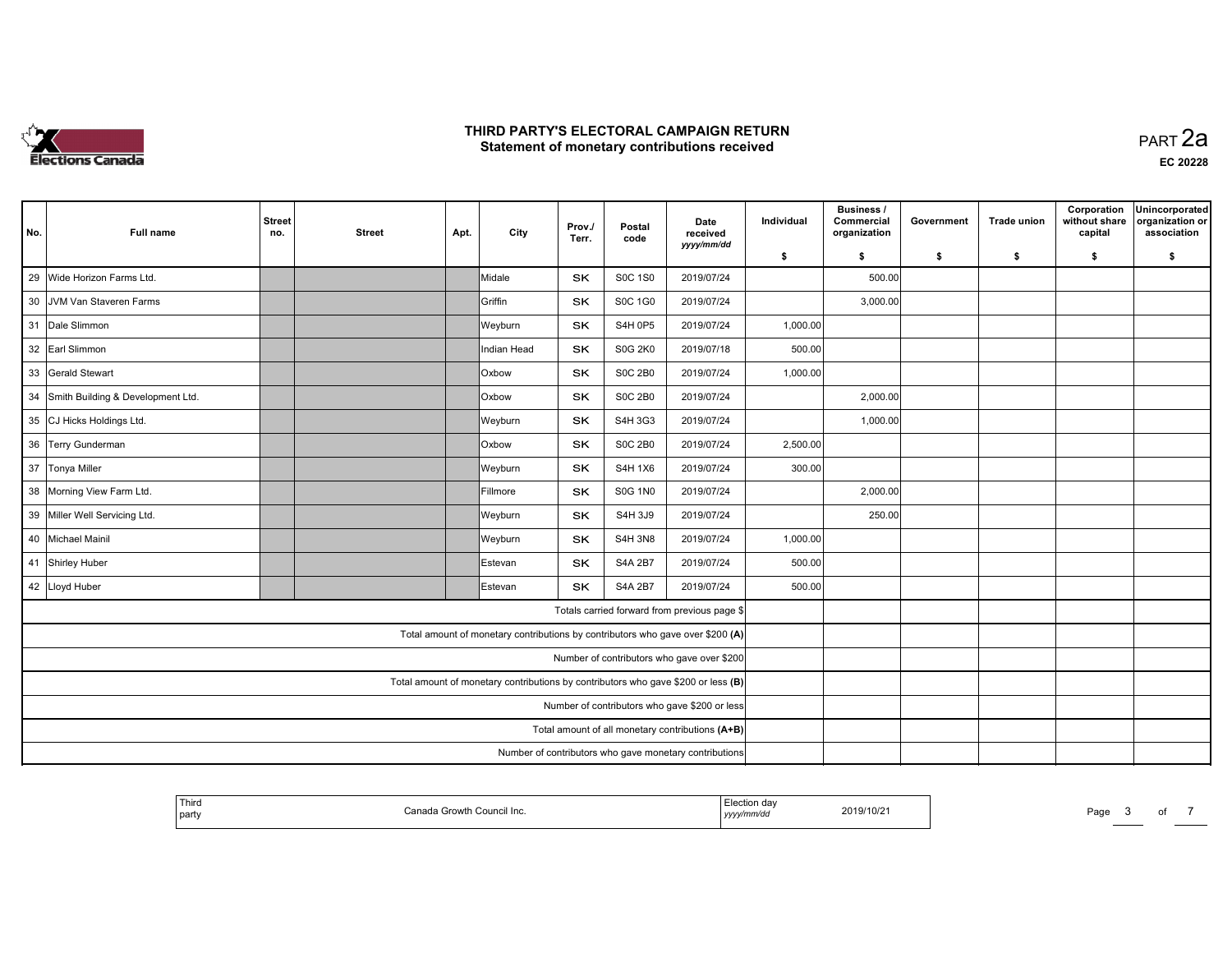

 PART 2aEC <sup>20228</sup>

| No. | <b>Full name</b>                                                                  | <b>Street</b><br>no. | <b>Street</b> | Apt. | City            | Prov./<br>Terr. | Postal<br>code | Date<br>received<br>yyyy/mm/dd                         | Individual | <b>Business /</b><br>Commercial<br>organization | Government | <b>Trade union</b> | Corporation<br>without share<br>capital | Unincorporated<br>organization or<br>association |
|-----|-----------------------------------------------------------------------------------|----------------------|---------------|------|-----------------|-----------------|----------------|--------------------------------------------------------|------------|-------------------------------------------------|------------|--------------------|-----------------------------------------|--------------------------------------------------|
|     |                                                                                   |                      |               |      |                 |                 |                |                                                        | \$         | \$                                              | \$         | \$                 | \$                                      | \$                                               |
| 29  | Wide Horizon Farms Ltd.                                                           |                      |               |      | Midale          | <b>SK</b>       | <b>S0C 1S0</b> | 2019/07/24                                             |            | 500.00                                          |            |                    |                                         |                                                  |
|     | 30 JVM Van Staveren Farms                                                         |                      |               |      | Griffin         | <b>SK</b>       | S0C 1G0        | 2019/07/24                                             |            | 3,000.00                                        |            |                    |                                         |                                                  |
|     | 31 Dale Slimmon                                                                   |                      |               |      | Weyburn         | SK              | <b>S4H 0P5</b> | 2019/07/24                                             | 1,000.00   |                                                 |            |                    |                                         |                                                  |
|     | 32 Earl Slimmon                                                                   |                      |               |      | Indian Head     | SK              | <b>S0G 2K0</b> | 2019/07/18                                             | 500.00     |                                                 |            |                    |                                         |                                                  |
|     | 33 Gerald Stewart                                                                 |                      |               |      | Oxbow           | <b>SK</b>       | <b>S0C 2B0</b> | 2019/07/24                                             | 1,000.00   |                                                 |            |                    |                                         |                                                  |
|     | 34 Smith Building & Development Ltd.                                              |                      |               |      | Oxbow           | <b>SK</b>       | <b>S0C 2B0</b> | 2019/07/24                                             |            | 2,000.00                                        |            |                    |                                         |                                                  |
|     | 35 CJ Hicks Holdings Ltd.                                                         |                      |               |      | Weyburn         | <b>SK</b>       | S4H 3G3        | 2019/07/24                                             |            | 1,000.00                                        |            |                    |                                         |                                                  |
|     | 36 Terry Gunderman                                                                |                      |               |      | <b>Oxbow</b>    | SK              | <b>S0C 2B0</b> | 2019/07/24                                             | 2,500.00   |                                                 |            |                    |                                         |                                                  |
|     | 37 Tonya Miller                                                                   |                      |               |      | Weyburn         | SK              | S4H 1X6        | 2019/07/24                                             | 300.00     |                                                 |            |                    |                                         |                                                  |
|     | 38 Morning View Farm Ltd.                                                         |                      |               |      | Fillmore        | <b>SK</b>       | <b>S0G 1N0</b> | 2019/07/24                                             |            | 2,000.00                                        |            |                    |                                         |                                                  |
|     | 39 Miller Well Servicing Ltd.                                                     |                      |               |      | Weyburn         | SK              | S4H 3J9        | 2019/07/24                                             |            | 250.00                                          |            |                    |                                         |                                                  |
|     | 40 Michael Mainil                                                                 |                      |               |      | Weyburn         | SK              | <b>S4H 3N8</b> | 2019/07/24                                             | 1,000.00   |                                                 |            |                    |                                         |                                                  |
|     | 41 Shirley Huber                                                                  |                      |               |      | Estevan         | <b>SK</b>       | <b>S4A 2B7</b> | 2019/07/24                                             | 500.00     |                                                 |            |                    |                                         |                                                  |
|     | 42 Lloyd Huber                                                                    |                      |               |      | <b>IEstevan</b> | <b>SK</b>       | <b>S4A 2B7</b> | 2019/07/24                                             | 500.00     |                                                 |            |                    |                                         |                                                  |
|     |                                                                                   |                      |               |      |                 |                 |                | Totals carried forward from previous page \$           |            |                                                 |            |                    |                                         |                                                  |
|     | Total amount of monetary contributions by contributors who gave over \$200 (A)    |                      |               |      |                 |                 |                |                                                        |            |                                                 |            |                    |                                         |                                                  |
|     |                                                                                   |                      |               |      |                 |                 |                | Number of contributors who gave over \$200             |            |                                                 |            |                    |                                         |                                                  |
|     | Total amount of monetary contributions by contributors who gave \$200 or less (B) |                      |               |      |                 |                 |                |                                                        |            |                                                 |            |                    |                                         |                                                  |
|     |                                                                                   |                      |               |      |                 |                 |                | Number of contributors who gave \$200 or less          |            |                                                 |            |                    |                                         |                                                  |
|     |                                                                                   |                      |               |      |                 |                 |                | Total amount of all monetary contributions (A+B)       |            |                                                 |            |                    |                                         |                                                  |
|     |                                                                                   |                      |               |      |                 |                 |                | Number of contributors who gave monetary contributions |            |                                                 |            |                    |                                         |                                                  |

| ' Thira<br>. <del>. .</del><br>Council Inc.<br>Canar<br>Growth<br>l party | rion de:<br>2019/10/21<br>yyyy/mm/dd | Page<br>o |
|---------------------------------------------------------------------------|--------------------------------------|-----------|
|---------------------------------------------------------------------------|--------------------------------------|-----------|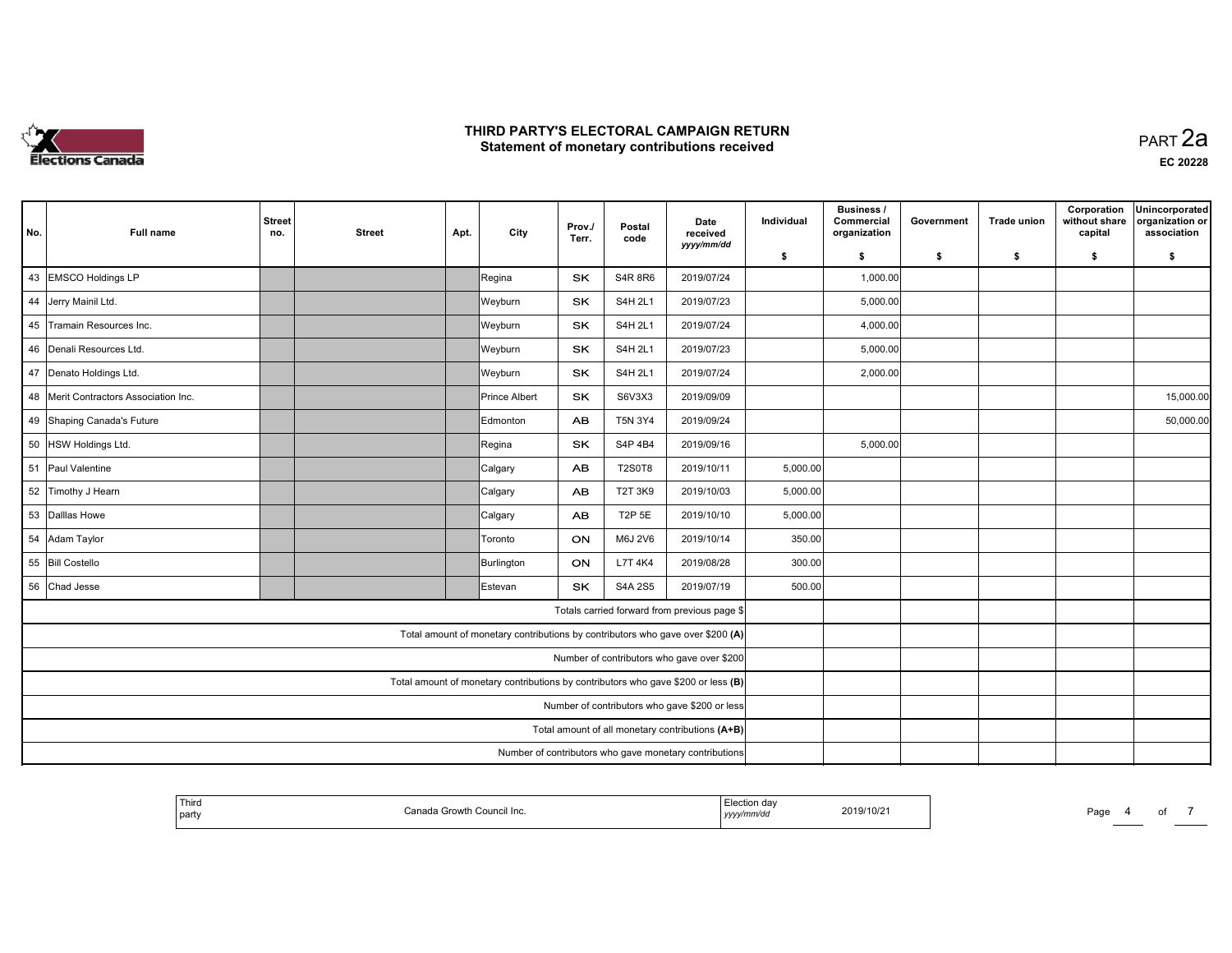

 PART 2aEC <sup>20228</sup>

| No. | <b>Full name</b>                        | <b>Street</b><br>no. | <b>Street</b> | Apt. | City            | Prov./<br>Terr. | Postal<br>code | Date<br>received                                                                  | Individual | <b>Business /</b><br>Commercial<br>organization | Government | <b>Trade union</b> | Corporation<br>without share<br>capital | Unincorporated<br>organization or<br>association |
|-----|-----------------------------------------|----------------------|---------------|------|-----------------|-----------------|----------------|-----------------------------------------------------------------------------------|------------|-------------------------------------------------|------------|--------------------|-----------------------------------------|--------------------------------------------------|
|     |                                         |                      |               |      |                 |                 |                | yyyy/mm/dd                                                                        | \$         | \$                                              | \$         | \$                 | \$                                      | \$                                               |
|     | 43 EMSCO Holdings LP                    |                      |               |      | Regina          | SK              | <b>S4R 8R6</b> | 2019/07/24                                                                        |            | 1,000.00                                        |            |                    |                                         |                                                  |
|     | 44 Jerry Mainil Ltd.                    |                      |               |      | Weyburn         | SK              | S4H 2L1        | 2019/07/23                                                                        |            | 5,000.00                                        |            |                    |                                         |                                                  |
|     | 45 Tramain Resources Inc.               |                      |               |      | Weyburn         | SK              | S4H 2L1        | 2019/07/24                                                                        |            | 4,000.00                                        |            |                    |                                         |                                                  |
|     | 46 Denali Resources Ltd.                |                      |               |      | Weyburn         | <b>SK</b>       | S4H 2L1        | 2019/07/23                                                                        |            | 5,000.00                                        |            |                    |                                         |                                                  |
|     | 47 Denato Holdings Ltd.                 |                      |               |      | Weyburn         | <b>SK</b>       | S4H 2L1        | 2019/07/24                                                                        |            | 2,000.00                                        |            |                    |                                         |                                                  |
|     | 48   Merit Contractors Association Inc. |                      |               |      | Prince Albert   | SK              | S6V3X3         | 2019/09/09                                                                        |            |                                                 |            |                    |                                         | 15,000.00                                        |
|     | 49 Shaping Canada's Future              |                      |               |      | <b>Edmonton</b> | <b>AB</b>       | T5N 3Y4        | 2019/09/24                                                                        |            |                                                 |            |                    |                                         | 50,000.00                                        |
|     | 50 HSW Holdings Ltd.                    |                      |               |      | Regina          | <b>SK</b>       | S4P 4B4        | 2019/09/16                                                                        |            | 5,000.00                                        |            |                    |                                         |                                                  |
|     | 51 Paul Valentine                       |                      |               |      | Calgary         | AB              | <b>T2S0T8</b>  | 2019/10/11                                                                        | 5,000.00   |                                                 |            |                    |                                         |                                                  |
|     | 52 Timothy J Hearn                      |                      |               |      | Calgary         | <b>AB</b>       | <b>T2T 3K9</b> | 2019/10/03                                                                        | 5,000.00   |                                                 |            |                    |                                         |                                                  |
|     | 53 Dalllas Howe                         |                      |               |      | Calgary         | <b>AB</b>       | T2P 5E         | 2019/10/10                                                                        | 5,000.00   |                                                 |            |                    |                                         |                                                  |
|     | 54 Adam Taylor                          |                      |               |      | Toronto         | ON              | M6J 2V6        | 2019/10/14                                                                        | 350.00     |                                                 |            |                    |                                         |                                                  |
|     | 55 Bill Costello                        |                      |               |      | Burlington      | ON              | L7T 4K4        | 2019/08/28                                                                        | 300.00     |                                                 |            |                    |                                         |                                                  |
|     | 56 Chad Jesse                           |                      |               |      | Estevan         | <b>SK</b>       | S4A 2S5        | 2019/07/19                                                                        | 500.00     |                                                 |            |                    |                                         |                                                  |
|     |                                         |                      |               |      |                 |                 |                | Totals carried forward from previous page \$                                      |            |                                                 |            |                    |                                         |                                                  |
|     |                                         |                      |               |      |                 |                 |                | Total amount of monetary contributions by contributors who gave over \$200 (A)    |            |                                                 |            |                    |                                         |                                                  |
|     |                                         |                      |               |      |                 |                 |                | Number of contributors who gave over \$200                                        |            |                                                 |            |                    |                                         |                                                  |
|     |                                         |                      |               |      |                 |                 |                | Total amount of monetary contributions by contributors who gave \$200 or less (B) |            |                                                 |            |                    |                                         |                                                  |
|     |                                         |                      |               |      |                 |                 |                | Number of contributors who gave \$200 or less                                     |            |                                                 |            |                    |                                         |                                                  |
|     |                                         |                      |               |      |                 |                 |                | Total amount of all monetary contributions (A+B)                                  |            |                                                 |            |                    |                                         |                                                  |
|     |                                         |                      |               |      |                 |                 |                | Number of contributors who gave monetary contributions                            |            |                                                 |            |                    |                                         |                                                  |

| ' Thiro<br>. <del>. .</del><br>Council Inc.<br>Canar<br>Growth<br>l party | rion de:<br>2019/10/21<br>yyyy/mm/dd | Page<br>വ |
|---------------------------------------------------------------------------|--------------------------------------|-----------|
|---------------------------------------------------------------------------|--------------------------------------|-----------|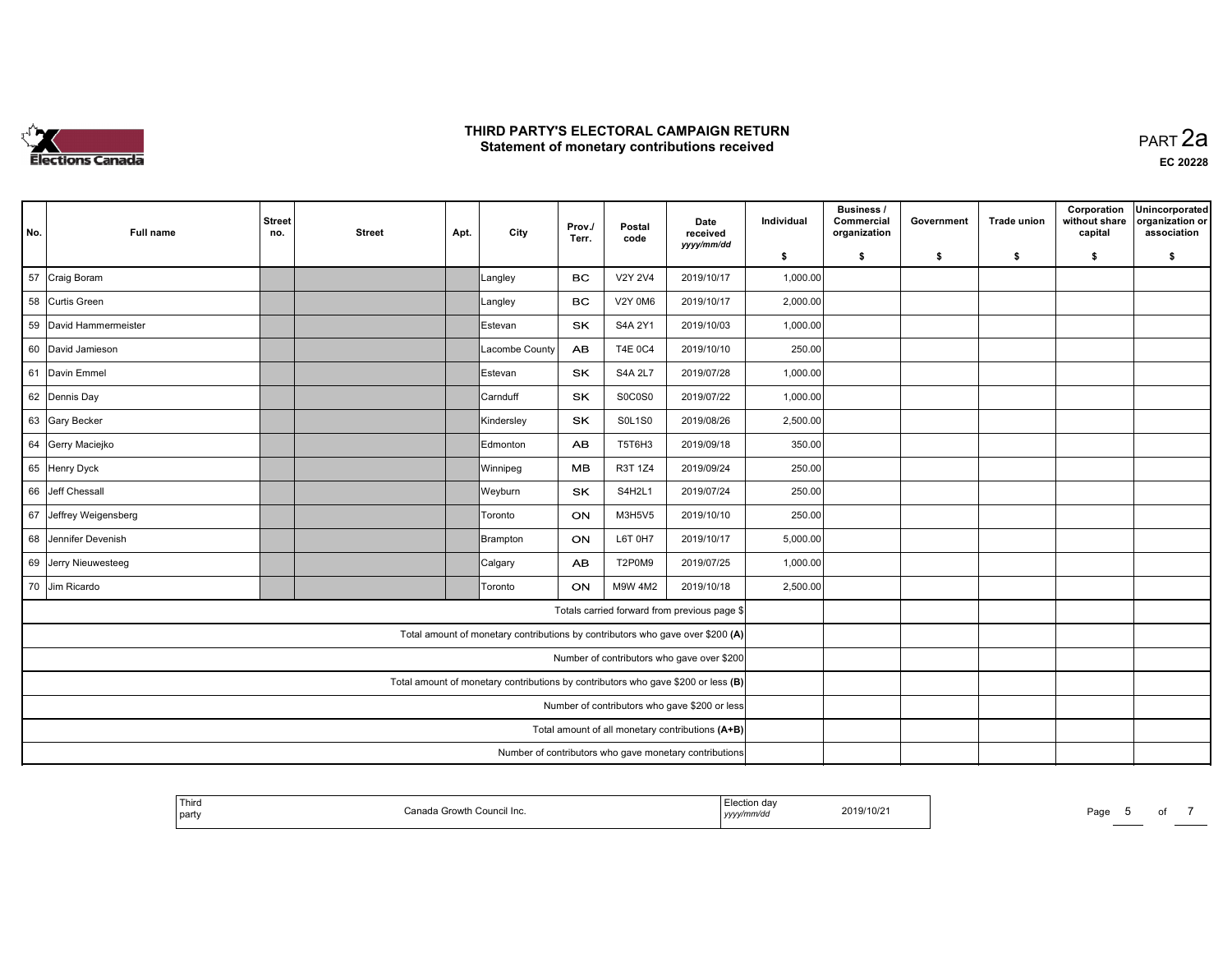

| No.                                                                               | <b>Full name</b>       | <b>Street</b><br>no.                             | <b>Street</b>                                          | Apt. | City                                                                           | Prov./<br>Terr. | Postal<br>code | Date<br>received<br>yyyy/mm/dd               | Individual | Business /<br>Commercial<br>organization | Government | <b>Trade union</b> | Corporation<br>without share<br>capital | Unincorporated<br>organization or<br>association |
|-----------------------------------------------------------------------------------|------------------------|--------------------------------------------------|--------------------------------------------------------|------|--------------------------------------------------------------------------------|-----------------|----------------|----------------------------------------------|------------|------------------------------------------|------------|--------------------|-----------------------------------------|--------------------------------------------------|
|                                                                                   |                        |                                                  |                                                        |      |                                                                                |                 |                |                                              | \$         | \$                                       | \$         | \$                 | \$                                      | \$                                               |
|                                                                                   | 57 Craig Boram         |                                                  |                                                        |      | Langley                                                                        | <b>BC</b>       | <b>V2Y 2V4</b> | 2019/10/17                                   | 1,000.00   |                                          |            |                    |                                         |                                                  |
|                                                                                   | 58 Curtis Green        |                                                  |                                                        |      | Langley                                                                        | <b>BC</b>       | <b>V2Y 0M6</b> | 2019/10/17                                   | 2,000.00   |                                          |            |                    |                                         |                                                  |
|                                                                                   | 59 David Hammermeister |                                                  |                                                        |      | Estevan                                                                        | <b>SK</b>       | S4A 2Y1        | 2019/10/03                                   | 1,000.00   |                                          |            |                    |                                         |                                                  |
|                                                                                   | 60 David Jamieson      |                                                  |                                                        |      | Lacombe County                                                                 | <b>AB</b>       | <b>T4E 0C4</b> | 2019/10/10                                   | 250.00     |                                          |            |                    |                                         |                                                  |
|                                                                                   | 61 Davin Emmel         |                                                  |                                                        |      | Estevan                                                                        | <b>SK</b>       | <b>S4A 2L7</b> | 2019/07/28                                   | 1,000.00   |                                          |            |                    |                                         |                                                  |
|                                                                                   | 62 Dennis Day          |                                                  |                                                        |      | Carnduff                                                                       | <b>SK</b>       | S0C0S0         | 2019/07/22                                   | 1,000.00   |                                          |            |                    |                                         |                                                  |
|                                                                                   | 63 Gary Becker         |                                                  |                                                        |      | Kindersley                                                                     | SK              | <b>S0L1S0</b>  | 2019/08/26                                   | 2,500.00   |                                          |            |                    |                                         |                                                  |
|                                                                                   | 64 Gerry Maciejko      |                                                  |                                                        |      | Edmonton                                                                       | <b>AB</b>       | T5T6H3         | 2019/09/18                                   | 350.00     |                                          |            |                    |                                         |                                                  |
|                                                                                   | 65 Henry Dyck          |                                                  |                                                        |      | Winnipeg                                                                       | MВ              | R3T 1Z4        | 2019/09/24                                   | 250.00     |                                          |            |                    |                                         |                                                  |
|                                                                                   | 66 Jeff Chessall       |                                                  |                                                        |      | Weyburn                                                                        | <b>SK</b>       | S4H2L1         | 2019/07/24                                   | 250.00     |                                          |            |                    |                                         |                                                  |
|                                                                                   | 67 Jeffrey Weigensberg |                                                  |                                                        |      | Toronto                                                                        | ON              | M3H5V5         | 2019/10/10                                   | 250.00     |                                          |            |                    |                                         |                                                  |
|                                                                                   | 68 Jennifer Devenish   |                                                  |                                                        |      | Brampton                                                                       | ON              | L6T 0H7        | 2019/10/17                                   | 5,000.00   |                                          |            |                    |                                         |                                                  |
|                                                                                   | 69 Jerry Nieuwesteeg   |                                                  |                                                        |      | Calgary                                                                        | <b>AB</b>       | T2P0M9         | 2019/07/25                                   | 1,000.00   |                                          |            |                    |                                         |                                                  |
|                                                                                   | 70 Jim Ricardo         |                                                  |                                                        |      | <b>Toronto</b>                                                                 | <b>ON</b>       | M9W 4M2        | 2019/10/18                                   | 2,500.00   |                                          |            |                    |                                         |                                                  |
|                                                                                   |                        |                                                  |                                                        |      |                                                                                |                 |                | Totals carried forward from previous page \$ |            |                                          |            |                    |                                         |                                                  |
|                                                                                   |                        |                                                  |                                                        |      | Total amount of monetary contributions by contributors who gave over \$200 (A) |                 |                |                                              |            |                                          |            |                    |                                         |                                                  |
| Number of contributors who gave over \$200                                        |                        |                                                  |                                                        |      |                                                                                |                 |                |                                              |            |                                          |            |                    |                                         |                                                  |
| Total amount of monetary contributions by contributors who gave \$200 or less (B) |                        |                                                  |                                                        |      |                                                                                |                 |                |                                              |            |                                          |            |                    |                                         |                                                  |
| Number of contributors who gave \$200 or less                                     |                        |                                                  |                                                        |      |                                                                                |                 |                |                                              |            |                                          |            |                    |                                         |                                                  |
|                                                                                   |                        | Total amount of all monetary contributions (A+B) |                                                        |      |                                                                                |                 |                |                                              |            |                                          |            |                    |                                         |                                                  |
|                                                                                   |                        |                                                  | Number of contributors who gave monetary contributions |      |                                                                                |                 |                |                                              |            |                                          |            |                    |                                         |                                                  |

| l Thira<br>Growth Council<br>nnn<br>Council Inc.<br>l party<br>-201 | on dav<br>$\sim$ $\sim$ $\sim$ $\sim$ $\sim$<br>-019/10/21<br>,,,,, | Page |
|---------------------------------------------------------------------|---------------------------------------------------------------------|------|
|---------------------------------------------------------------------|---------------------------------------------------------------------|------|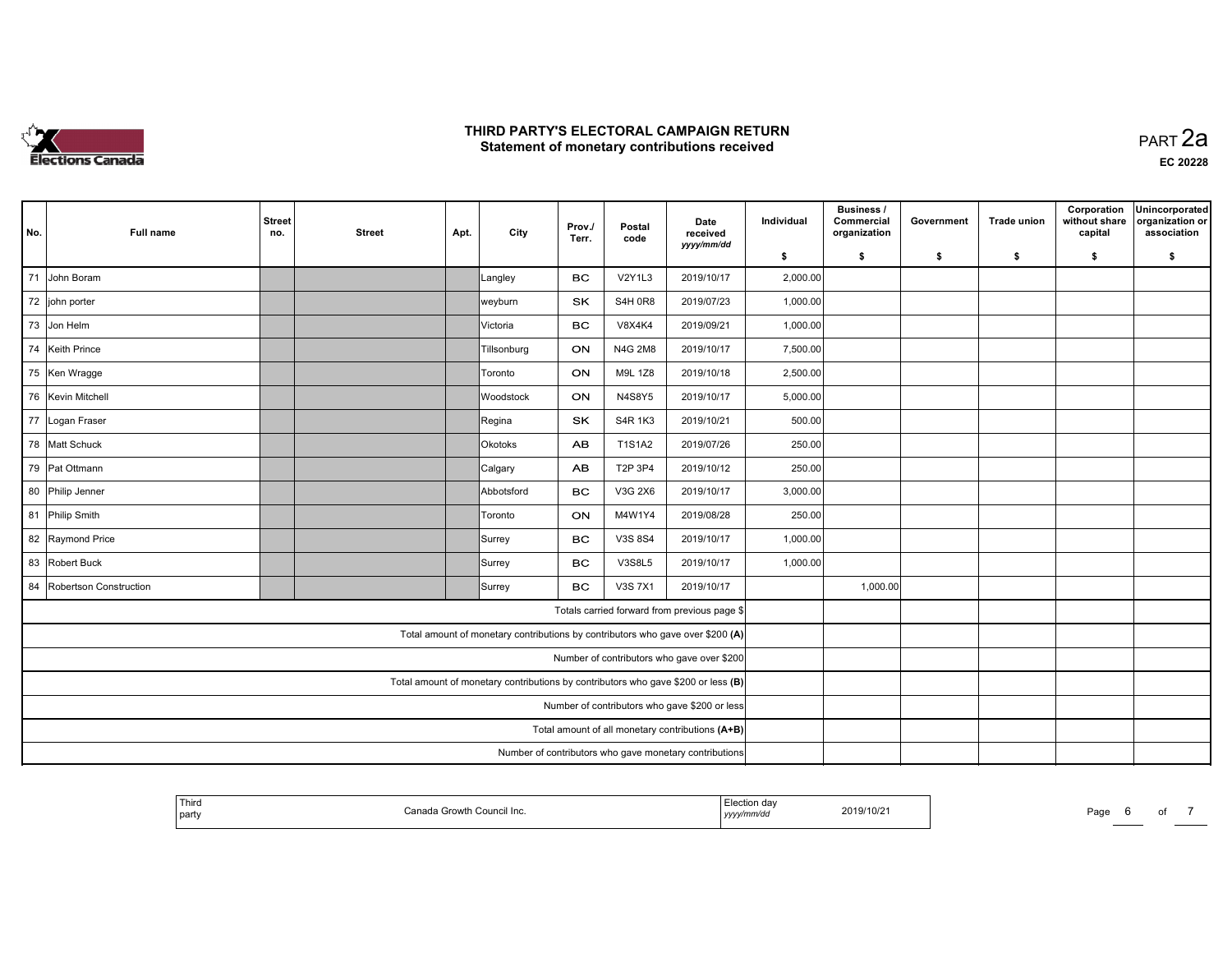

| No.                                                                               | <b>Full name</b>       | <b>Street</b><br>no.                             | <b>Street</b> | Apt. | City                                                                           | Prov./<br>Terr. | Postal<br>code | Date<br>received<br>yyyy/mm/dd               | Individual | <b>Business /</b><br>Commercial<br>organization | Government | <b>Trade union</b> | Corporation<br>without share<br>capital | Unincorporated<br>organization or<br>association |
|-----------------------------------------------------------------------------------|------------------------|--------------------------------------------------|---------------|------|--------------------------------------------------------------------------------|-----------------|----------------|----------------------------------------------|------------|-------------------------------------------------|------------|--------------------|-----------------------------------------|--------------------------------------------------|
|                                                                                   |                        |                                                  |               |      |                                                                                |                 |                |                                              | \$         | \$                                              | \$         | \$                 | \$                                      | \$                                               |
| 71                                                                                | John Boram             |                                                  |               |      | Langley                                                                        | <b>BC</b>       | <b>V2Y1L3</b>  | 2019/10/17                                   | 2,000.00   |                                                 |            |                    |                                         |                                                  |
|                                                                                   | 72 john porter         |                                                  |               |      | weyburn                                                                        | SK              | <b>S4H 0R8</b> | 2019/07/23                                   | 1,000.00   |                                                 |            |                    |                                         |                                                  |
|                                                                                   | 73 Jon Helm            |                                                  |               |      | Victoria                                                                       | <b>BC</b>       | <b>V8X4K4</b>  | 2019/09/21                                   | 1,000.00   |                                                 |            |                    |                                         |                                                  |
| 74                                                                                | Keith Prince           |                                                  |               |      | Tillsonburg                                                                    | ON              | N4G 2M8        | 2019/10/17                                   | 7,500.00   |                                                 |            |                    |                                         |                                                  |
|                                                                                   | 75 Ken Wragge          |                                                  |               |      | Toronto                                                                        | ON              | M9L 1Z8        | 2019/10/18                                   | 2,500.00   |                                                 |            |                    |                                         |                                                  |
|                                                                                   | 76 Kevin Mitchell      |                                                  |               |      | Woodstock                                                                      | ON              | <b>N4S8Y5</b>  | 2019/10/17                                   | 5,000.00   |                                                 |            |                    |                                         |                                                  |
|                                                                                   | 77 Logan Fraser        |                                                  |               |      | Regina                                                                         | SK              | S4R 1K3        | 2019/10/21                                   | 500.00     |                                                 |            |                    |                                         |                                                  |
|                                                                                   | 78 Matt Schuck         |                                                  |               |      | Okotoks                                                                        | AB              | <b>T1S1A2</b>  | 2019/07/26                                   | 250.00     |                                                 |            |                    |                                         |                                                  |
|                                                                                   | 79 Pat Ottmann         |                                                  |               |      | Calgary                                                                        | AB              | T2P 3P4        | 2019/10/12                                   | 250.00     |                                                 |            |                    |                                         |                                                  |
| 80                                                                                | Philip Jenner          |                                                  |               |      | Abbotsford                                                                     | BC              | V3G 2X6        | 2019/10/17                                   | 3,000.00   |                                                 |            |                    |                                         |                                                  |
|                                                                                   | 81 Philip Smith        |                                                  |               |      | Toronto                                                                        | ON              | M4W1Y4         | 2019/08/28                                   | 250.00     |                                                 |            |                    |                                         |                                                  |
|                                                                                   | 82 Raymond Price       |                                                  |               |      | Surrey                                                                         | <b>BC</b>       | V3S 8S4        | 2019/10/17                                   | 1,000.00   |                                                 |            |                    |                                         |                                                  |
| 83                                                                                | Robert Buck            |                                                  |               |      | Surrey                                                                         | <b>BC</b>       | <b>V3S8L5</b>  | 2019/10/17                                   | 1,000.00   |                                                 |            |                    |                                         |                                                  |
| 84                                                                                | Robertson Construction |                                                  |               |      | Surrey                                                                         | <b>BC</b>       | V3S 7X1        | 2019/10/17                                   |            | 1,000.00                                        |            |                    |                                         |                                                  |
|                                                                                   |                        |                                                  |               |      |                                                                                |                 |                | Totals carried forward from previous page \$ |            |                                                 |            |                    |                                         |                                                  |
|                                                                                   |                        |                                                  |               |      | Total amount of monetary contributions by contributors who gave over \$200 (A) |                 |                |                                              |            |                                                 |            |                    |                                         |                                                  |
| Number of contributors who gave over \$200                                        |                        |                                                  |               |      |                                                                                |                 |                |                                              |            |                                                 |            |                    |                                         |                                                  |
| Total amount of monetary contributions by contributors who gave \$200 or less (B) |                        |                                                  |               |      |                                                                                |                 |                |                                              |            |                                                 |            |                    |                                         |                                                  |
| Number of contributors who gave \$200 or less                                     |                        |                                                  |               |      |                                                                                |                 |                |                                              |            |                                                 |            |                    |                                         |                                                  |
|                                                                                   |                        | Total amount of all monetary contributions (A+B) |               |      |                                                                                |                 |                |                                              |            |                                                 |            |                    |                                         |                                                  |
|                                                                                   |                        |                                                  |               |      |                                                                                |                 |                |                                              |            |                                                 |            |                    |                                         |                                                  |

| Third<br>∘Council Inc.<br>Canada<br>≅ Growth .<br>l party | tion da:<br>2019/10/21<br>.ım/dd<br>уууул" | Page<br>o<br>_____ |
|-----------------------------------------------------------|--------------------------------------------|--------------------|
|-----------------------------------------------------------|--------------------------------------------|--------------------|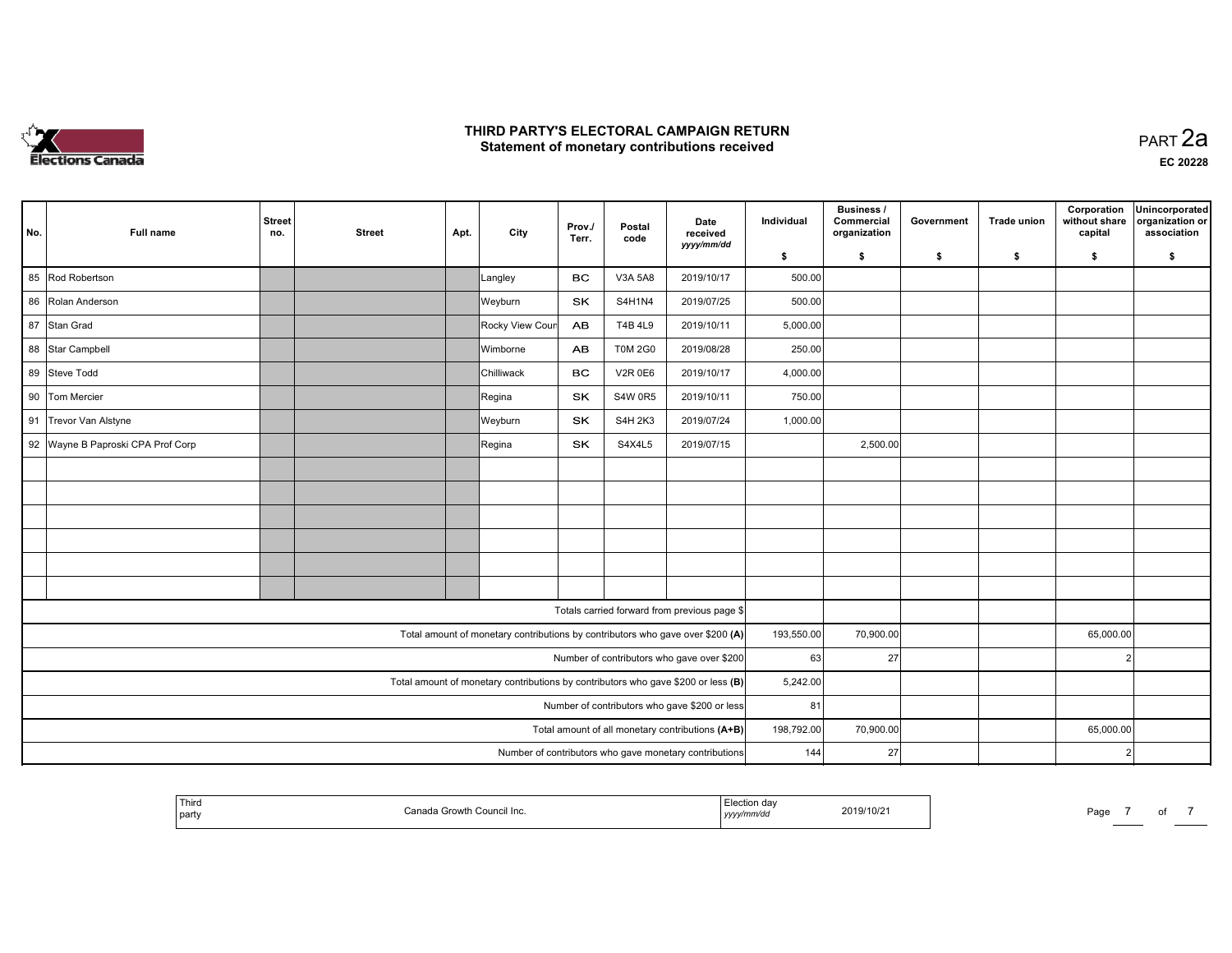

 PART 2aEC <sup>20228</sup>

| No. | Full name                                                                         | <b>Street</b><br>no. | <b>Street</b> | Apt. | City                                                                           | Prov./<br>Terr. | Postal<br>code | Date<br>received<br>yyyy/mm/dd                   | Individual | <b>Business /</b><br>Commercial<br>organization | Government | <b>Trade union</b> | Corporation<br>without share<br>capital | Unincorporated<br>organization or<br>association |
|-----|-----------------------------------------------------------------------------------|----------------------|---------------|------|--------------------------------------------------------------------------------|-----------------|----------------|--------------------------------------------------|------------|-------------------------------------------------|------------|--------------------|-----------------------------------------|--------------------------------------------------|
|     |                                                                                   |                      |               |      |                                                                                |                 |                |                                                  | \$         | \$                                              | \$         | \$                 | \$                                      | \$                                               |
| 85  | Rod Robertson                                                                     |                      |               |      | Langley                                                                        | <b>BC</b>       | V3A 5A8        | 2019/10/17                                       | 500.00     |                                                 |            |                    |                                         |                                                  |
|     | 86 Rolan Anderson                                                                 |                      |               |      | Weyburn                                                                        | <b>SK</b>       | S4H1N4         | 2019/07/25                                       | 500.00     |                                                 |            |                    |                                         |                                                  |
|     | 87 Stan Grad                                                                      |                      |               |      | Rocky View Cour                                                                | <b>AB</b>       | <b>T4B 4L9</b> | 2019/10/11                                       | 5,000.00   |                                                 |            |                    |                                         |                                                  |
|     | 88 Star Campbell                                                                  |                      |               |      | Wimborne                                                                       | <b>AB</b>       | <b>T0M 2G0</b> | 2019/08/28                                       | 250.00     |                                                 |            |                    |                                         |                                                  |
|     | 89 Steve Todd                                                                     |                      |               |      | Chilliwack                                                                     | BC.             | <b>V2R 0E6</b> | 2019/10/17                                       | 4,000.00   |                                                 |            |                    |                                         |                                                  |
|     | 90 Tom Mercier                                                                    |                      |               |      | Regina                                                                         | SK              | <b>S4W 0R5</b> | 2019/10/11                                       | 750.00     |                                                 |            |                    |                                         |                                                  |
|     | 91 Trevor Van Alstyne                                                             |                      |               |      | Weyburn                                                                        | <b>SK</b>       | <b>S4H 2K3</b> | 2019/07/24                                       | 1,000.00   |                                                 |            |                    |                                         |                                                  |
|     | 92 Wayne B Paproski CPA Prof Corp                                                 |                      |               |      | Regina                                                                         | <b>SK</b>       | S4X4L5         | 2019/07/15                                       |            | 2,500.00                                        |            |                    |                                         |                                                  |
|     |                                                                                   |                      |               |      |                                                                                |                 |                |                                                  |            |                                                 |            |                    |                                         |                                                  |
|     |                                                                                   |                      |               |      |                                                                                |                 |                |                                                  |            |                                                 |            |                    |                                         |                                                  |
|     |                                                                                   |                      |               |      |                                                                                |                 |                |                                                  |            |                                                 |            |                    |                                         |                                                  |
|     |                                                                                   |                      |               |      |                                                                                |                 |                |                                                  |            |                                                 |            |                    |                                         |                                                  |
|     |                                                                                   |                      |               |      |                                                                                |                 |                |                                                  |            |                                                 |            |                    |                                         |                                                  |
|     |                                                                                   |                      |               |      |                                                                                |                 |                |                                                  |            |                                                 |            |                    |                                         |                                                  |
|     |                                                                                   |                      |               |      |                                                                                |                 |                | Totals carried forward from previous page \$     |            |                                                 |            |                    |                                         |                                                  |
|     |                                                                                   |                      |               |      | Total amount of monetary contributions by contributors who gave over \$200 (A) |                 |                |                                                  | 193,550.00 | 70,900.00                                       |            |                    | 65,000.00                               |                                                  |
|     |                                                                                   |                      |               |      |                                                                                |                 |                | Number of contributors who gave over \$200       | 63         | <b>27</b>                                       |            |                    | $\mathcal{D}$                           |                                                  |
|     | Total amount of monetary contributions by contributors who gave \$200 or less (B) |                      |               |      |                                                                                |                 |                |                                                  | 5,242.00   |                                                 |            |                    |                                         |                                                  |
|     | Number of contributors who gave \$200 or less                                     |                      |               |      |                                                                                |                 |                |                                                  |            | 81                                              |            |                    |                                         |                                                  |
|     |                                                                                   |                      |               |      |                                                                                |                 |                | Total amount of all monetary contributions (A+B) | 198,792.00 | 70,900.00                                       |            |                    | 65,000.00                               |                                                  |
|     | Number of contributors who gave monetary contributions                            |                      |               |      |                                                                                |                 |                |                                                  |            | 27<br>144                                       |            |                    | $\overline{2}$                          |                                                  |

|  | Third<br>party |  | ,,,,, | 2019/10/21 | Page |  |  |  |
|--|----------------|--|-------|------------|------|--|--|--|
|--|----------------|--|-------|------------|------|--|--|--|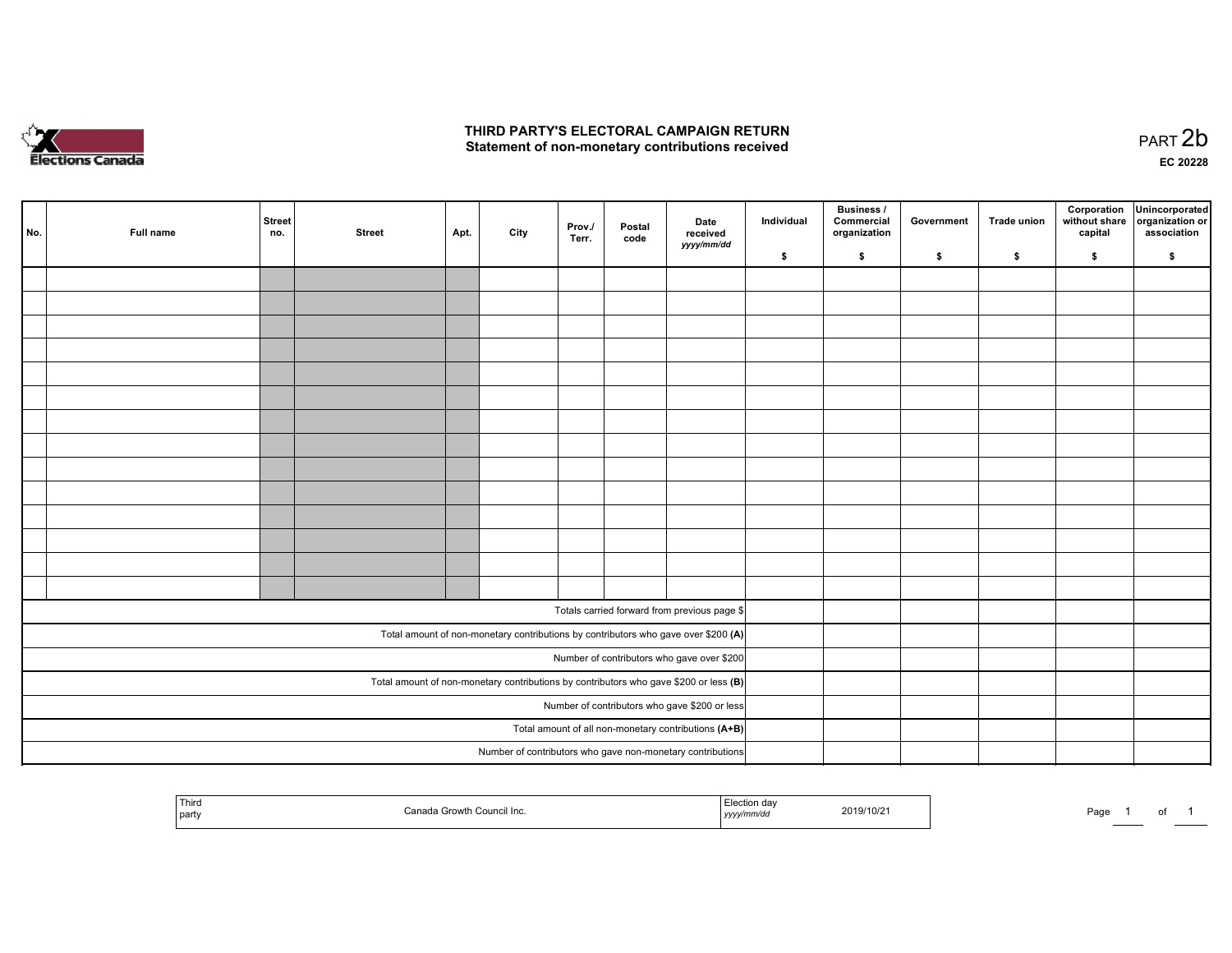

| No. | Full name | <b>Street</b><br>no.                                                                  | <b>Street</b>                                 | Apt. | City                                                       | Prov./<br>Terr. | Postal<br>code | Date<br>received                                                                   | Individual | <b>Business /</b><br>Commercial<br>organization | Government | <b>Trade union</b> | Corporation<br>without share<br>capital | Unincorporated<br>organization or<br>association |
|-----|-----------|---------------------------------------------------------------------------------------|-----------------------------------------------|------|------------------------------------------------------------|-----------------|----------------|------------------------------------------------------------------------------------|------------|-------------------------------------------------|------------|--------------------|-----------------------------------------|--------------------------------------------------|
|     |           |                                                                                       |                                               |      |                                                            |                 |                | yyyy/mm/dd                                                                         | \$         | \$                                              | \$         | \$                 | \$                                      | \$                                               |
|     |           |                                                                                       |                                               |      |                                                            |                 |                |                                                                                    |            |                                                 |            |                    |                                         |                                                  |
|     |           |                                                                                       |                                               |      |                                                            |                 |                |                                                                                    |            |                                                 |            |                    |                                         |                                                  |
|     |           |                                                                                       |                                               |      |                                                            |                 |                |                                                                                    |            |                                                 |            |                    |                                         |                                                  |
|     |           |                                                                                       |                                               |      |                                                            |                 |                |                                                                                    |            |                                                 |            |                    |                                         |                                                  |
|     |           |                                                                                       |                                               |      |                                                            |                 |                |                                                                                    |            |                                                 |            |                    |                                         |                                                  |
|     |           |                                                                                       |                                               |      |                                                            |                 |                |                                                                                    |            |                                                 |            |                    |                                         |                                                  |
|     |           |                                                                                       |                                               |      |                                                            |                 |                |                                                                                    |            |                                                 |            |                    |                                         |                                                  |
|     |           |                                                                                       |                                               |      |                                                            |                 |                |                                                                                    |            |                                                 |            |                    |                                         |                                                  |
|     |           |                                                                                       |                                               |      |                                                            |                 |                |                                                                                    |            |                                                 |            |                    |                                         |                                                  |
|     |           |                                                                                       |                                               |      |                                                            |                 |                |                                                                                    |            |                                                 |            |                    |                                         |                                                  |
|     |           |                                                                                       |                                               |      |                                                            |                 |                |                                                                                    |            |                                                 |            |                    |                                         |                                                  |
|     |           |                                                                                       |                                               |      |                                                            |                 |                |                                                                                    |            |                                                 |            |                    |                                         |                                                  |
|     |           |                                                                                       |                                               |      |                                                            |                 |                |                                                                                    |            |                                                 |            |                    |                                         |                                                  |
|     |           |                                                                                       |                                               |      |                                                            |                 |                |                                                                                    |            |                                                 |            |                    |                                         |                                                  |
|     |           |                                                                                       |                                               |      |                                                            |                 |                | Totals carried forward from previous page \$                                       |            |                                                 |            |                    |                                         |                                                  |
|     |           |                                                                                       |                                               |      |                                                            |                 |                | Total amount of non-monetary contributions by contributors who gave over \$200 (A) |            |                                                 |            |                    |                                         |                                                  |
|     |           | Number of contributors who gave over \$200                                            |                                               |      |                                                            |                 |                |                                                                                    |            |                                                 |            |                    |                                         |                                                  |
|     |           | Total amount of non-monetary contributions by contributors who gave \$200 or less (B) |                                               |      |                                                            |                 |                |                                                                                    |            |                                                 |            |                    |                                         |                                                  |
|     |           |                                                                                       | Number of contributors who gave \$200 or less |      |                                                            |                 |                |                                                                                    |            |                                                 |            |                    |                                         |                                                  |
|     |           | Total amount of all non-monetary contributions (A+B)                                  |                                               |      |                                                            |                 |                |                                                                                    |            |                                                 |            |                    |                                         |                                                  |
|     |           |                                                                                       |                                               |      | Number of contributors who gave non-monetary contributions |                 |                |                                                                                    |            |                                                 |            |                    |                                         |                                                  |

| ' Third<br>party | Council Inc. | 2019/10/21<br>,,,, | Do.<br>ʻayt |
|------------------|--------------|--------------------|-------------|
|------------------|--------------|--------------------|-------------|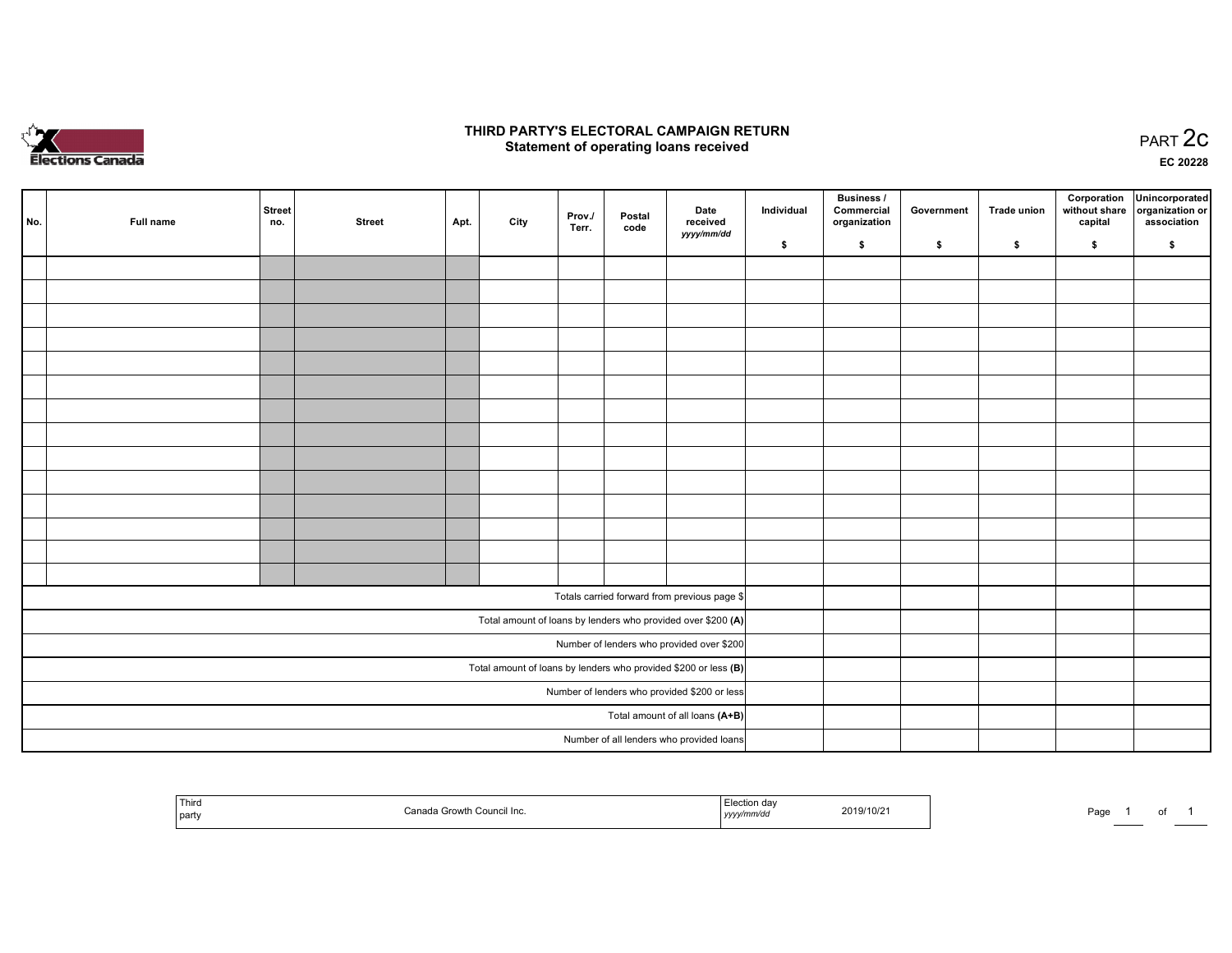

#### THIRD PARTY'S ELECTORAL CAMPAIGN RETURN PARTY'S ELECTORAL CAMPAIGN RETURN<br>Statement of operating loans received PART 2C

EC <sup>20228</sup>

| No.                                                               | Full name | Street<br>no.                            | <b>Street</b> | Apt. | City | Prov./<br>Terr. | Postal<br>code | Date<br>received                                             | Individual | Business /<br>Commercial<br>organization | Government | Trade union | Corporation<br>without share<br>capital | Unincorporated<br>organization or<br>association |
|-------------------------------------------------------------------|-----------|------------------------------------------|---------------|------|------|-----------------|----------------|--------------------------------------------------------------|------------|------------------------------------------|------------|-------------|-----------------------------------------|--------------------------------------------------|
|                                                                   |           |                                          |               |      |      |                 |                | yyyy/mm/dd                                                   | \$         | \$                                       | \$         | \$          | \$                                      | \$                                               |
|                                                                   |           |                                          |               |      |      |                 |                |                                                              |            |                                          |            |             |                                         |                                                  |
|                                                                   |           |                                          |               |      |      |                 |                |                                                              |            |                                          |            |             |                                         |                                                  |
|                                                                   |           |                                          |               |      |      |                 |                |                                                              |            |                                          |            |             |                                         |                                                  |
|                                                                   |           |                                          |               |      |      |                 |                |                                                              |            |                                          |            |             |                                         |                                                  |
|                                                                   |           |                                          |               |      |      |                 |                |                                                              |            |                                          |            |             |                                         |                                                  |
|                                                                   |           |                                          |               |      |      |                 |                |                                                              |            |                                          |            |             |                                         |                                                  |
|                                                                   |           |                                          |               |      |      |                 |                |                                                              |            |                                          |            |             |                                         |                                                  |
|                                                                   |           |                                          |               |      |      |                 |                |                                                              |            |                                          |            |             |                                         |                                                  |
|                                                                   |           |                                          |               |      |      |                 |                |                                                              |            |                                          |            |             |                                         |                                                  |
|                                                                   |           |                                          |               |      |      |                 |                |                                                              |            |                                          |            |             |                                         |                                                  |
|                                                                   |           |                                          |               |      |      |                 |                |                                                              |            |                                          |            |             |                                         |                                                  |
|                                                                   |           |                                          |               |      |      |                 |                |                                                              |            |                                          |            |             |                                         |                                                  |
|                                                                   |           |                                          |               |      |      |                 |                |                                                              |            |                                          |            |             |                                         |                                                  |
|                                                                   |           |                                          |               |      |      |                 |                |                                                              |            |                                          |            |             |                                         |                                                  |
|                                                                   |           |                                          |               |      |      |                 |                | Totals carried forward from previous page \$                 |            |                                          |            |             |                                         |                                                  |
|                                                                   |           |                                          |               |      |      |                 |                | Total amount of loans by lenders who provided over \$200 (A) |            |                                          |            |             |                                         |                                                  |
| Number of lenders who provided over \$200                         |           |                                          |               |      |      |                 |                |                                                              |            |                                          |            |             |                                         |                                                  |
| Total amount of loans by lenders who provided \$200 or less $(B)$ |           |                                          |               |      |      |                 |                |                                                              |            |                                          |            |             |                                         |                                                  |
| Number of lenders who provided \$200 or less                      |           |                                          |               |      |      |                 |                |                                                              |            |                                          |            |             |                                         |                                                  |
| Total amount of all loans (A+B)                                   |           |                                          |               |      |      |                 |                |                                                              |            |                                          |            |             |                                         |                                                  |
|                                                                   |           | Number of all lenders who provided loans |               |      |      |                 |                |                                                              |            |                                          |            |             |                                         |                                                  |

| Thira<br>  party | ੇ Council Inc.<br>. Grow' | $A \cap Y$<br>сестон оам<br>2019/10/21<br>$\sim$ vyy $\mu$ nnvuu<br>,,,,, | Page<br>. .<br>______ |
|------------------|---------------------------|---------------------------------------------------------------------------|-----------------------|
|------------------|---------------------------|---------------------------------------------------------------------------|-----------------------|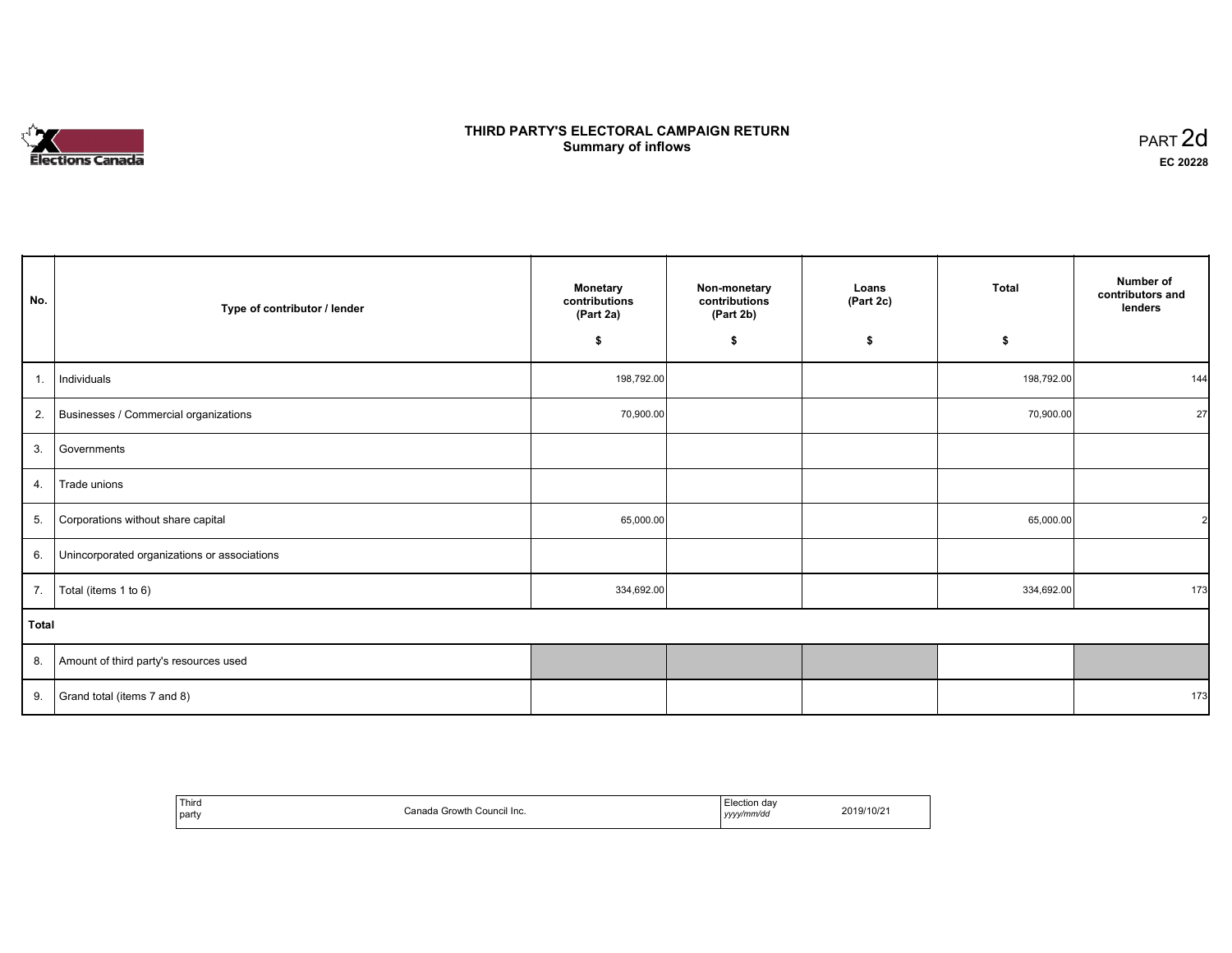# **Elections Canada**

#### THIRD PARTY'S ELECTORAL CAMPAIGN RETURN **Summary of inflows**  $\sigma$  of inflows  $\sigma$  inflows  $\sigma$  inflows  $\sigma$  inflows  $\sigma$

| No.            | Type of contributor / lender                 | <b>Monetary</b><br>contributions<br>(Part 2a) | Non-monetary<br>contributions<br>(Part 2b) | Loans<br>(Part 2c) | Total      | Number of<br>contributors and<br>lenders |
|----------------|----------------------------------------------|-----------------------------------------------|--------------------------------------------|--------------------|------------|------------------------------------------|
|                |                                              | \$                                            | \$                                         | \$                 | \$         |                                          |
| $\mathbf{1}$ . | Individuals                                  | 198,792.00                                    |                                            |                    | 198,792.00 | 144                                      |
|                | 2. Businesses / Commercial organizations     | 70,900.00                                     |                                            |                    | 70,900.00  | 27                                       |
| 3.             | Governments                                  |                                               |                                            |                    |            |                                          |
| 4.             | Trade unions                                 |                                               |                                            |                    |            |                                          |
|                | 5. Corporations without share capital        | 65,000.00                                     |                                            |                    | 65,000.00  | $\overline{2}$                           |
| 6.             | Unincorporated organizations or associations |                                               |                                            |                    |            |                                          |
| 7.             | Total (items 1 to 6)                         | 334,692.00                                    |                                            |                    | 334,692.00 | 173                                      |
| <b>Total</b>   |                                              |                                               |                                            |                    |            |                                          |
|                | 8. Amount of third party's resources used    |                                               |                                            |                    |            |                                          |
| 9.             | Grand total (items 7 and 8)                  |                                               |                                            |                    |            | 173                                      |

| ' Third<br>party | Canada.<br>Council Inc.<br>Growth | Election dav<br>. .<br>yyyy/mm/dd<br>,,,,<br>and the control of the con- | 2019/10/21 |
|------------------|-----------------------------------|--------------------------------------------------------------------------|------------|
|------------------|-----------------------------------|--------------------------------------------------------------------------|------------|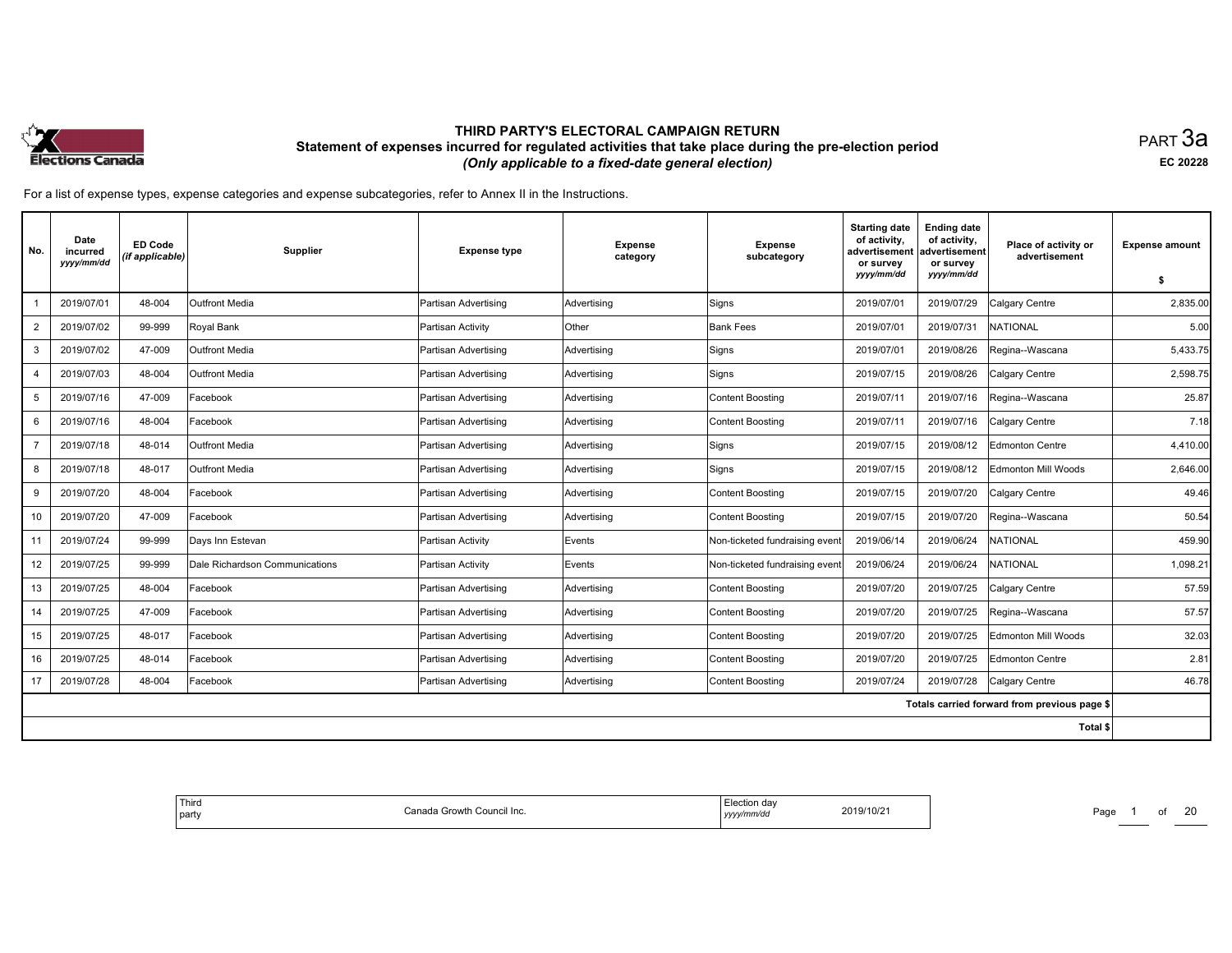

равт $\,3$ а EC <sup>20228</sup>

For <sup>a</sup> list of expense types, expense categories and expense subcategories, refer to Annex II in the Instructions.

| No.            | Date<br>incurred<br>yyyy/mm/dd | <b>ED Code</b><br>(if applicable) | Supplier                       | <b>Expense type</b>   | <b>Expense</b><br>category | <b>Expense</b><br>subcategory  | <b>Starting date</b><br>of activity,<br>advertisement<br>or survey<br>yyyy/mm/dd | <b>Ending date</b><br>of activity,<br>advertisement<br>or survey<br>yyyy/mm/dd | Place of activity or<br>advertisement        | <b>Expense amount</b><br>\$ |
|----------------|--------------------------------|-----------------------------------|--------------------------------|-----------------------|----------------------------|--------------------------------|----------------------------------------------------------------------------------|--------------------------------------------------------------------------------|----------------------------------------------|-----------------------------|
|                | 2019/07/01                     | 48-004                            | Outfront Media                 | Partisan Advertising  | Advertising                | Signs                          | 2019/07/01                                                                       | 2019/07/29                                                                     | Calgary Centre                               | 2,835.00                    |
| $\overline{2}$ | 2019/07/02                     | 99-999                            | Royal Bank                     | Partisan Activity     | Other                      | <b>Bank Fees</b>               | 2019/07/01                                                                       | 2019/07/31                                                                     | NATIONAL                                     | 5.00                        |
| 3              | 2019/07/02                     | 47-009                            | Outfront Media                 | Partisan Advertising  | Advertising                | Signs                          | 2019/07/01                                                                       | 2019/08/26                                                                     | Regina--Wascana                              | 5,433.75                    |
| 4              | 2019/07/03                     | 48-004                            | <b>Outfront Media</b>          | Partisan Advertising  | Advertising                | Signs                          | 2019/07/15                                                                       | 2019/08/26                                                                     | Calgary Centre                               | 2,598.75                    |
| 5              | 2019/07/16                     | 47-009                            | Facebook                       | Partisan Advertising  | Advertising                | Content Boosting               | 2019/07/11                                                                       | 2019/07/16                                                                     | Regina--Wascana                              | 25.87                       |
| 6              | 2019/07/16                     | 48-004                            | Facebook                       | lPartisan Advertising | Advertising                | Content Boosting               | 2019/07/11                                                                       | 2019/07/16                                                                     | Calgary Centre                               | 7.18                        |
|                | 2019/07/18                     | 48-014                            | Outfront Media                 | Partisan Advertising  | Advertising                | Signs                          | 2019/07/15                                                                       | 2019/08/12                                                                     | Edmonton Centre                              | 4,410.00                    |
| 8              | 2019/07/18                     | 48-017                            | Outfront Media                 | Partisan Advertising  | Advertising                | Signs                          | 2019/07/15                                                                       | 2019/08/12                                                                     | Edmonton Mill Woods                          | 2,646.00                    |
| 9              | 2019/07/20                     | 48-004                            | Facebook                       | Partisan Advertising  | Advertising                | Content Boosting               | 2019/07/15                                                                       | 2019/07/20                                                                     | Calgary Centre                               | 49.46                       |
| 10             | 2019/07/20                     | 47-009                            | Facebook                       | Partisan Advertising  | Advertising                | Content Boosting               | 2019/07/15                                                                       | 2019/07/20                                                                     | Regina--Wascana                              | 50.54                       |
| 11             | 2019/07/24                     | 99-999                            | Days Inn Estevan               | Partisan Activity     | Events                     | Non-ticketed fundraising event | 2019/06/14                                                                       | 2019/06/24                                                                     | <b>NATIONAL</b>                              | 459.90                      |
| 12             | 2019/07/25                     | 99-999                            | Dale Richardson Communications | Partisan Activitv     | Events                     | Non-ticketed fundraising event | 2019/06/24                                                                       | 2019/06/24                                                                     | <b>NATIONAL</b>                              | 1,098.21                    |
| 13             | 2019/07/25                     | 48-004                            | Facebook                       | Partisan Advertising  | Advertising                | Content Boosting               | 2019/07/20                                                                       | 2019/07/25                                                                     | Calgary Centre                               | 57.59                       |
| 14             | 2019/07/25                     | 47-009                            | Facebook                       | Partisan Advertising  | Advertising                | Content Boosting               | 2019/07/20                                                                       | 2019/07/25                                                                     | Regina--Wascana                              | 57.57                       |
| 15             | 2019/07/25                     | 48-017                            | Facebook                       | Partisan Advertising  | Advertising                | Content Boosting               | 2019/07/20                                                                       | 2019/07/25                                                                     | Edmonton Mill Woods                          | 32.03                       |
| 16             | 2019/07/25                     | 48-014                            | Facebook                       | Partisan Advertising  | Advertising                | Content Boosting               | 2019/07/20                                                                       | 2019/07/25                                                                     | Edmonton Centre                              | 2.81                        |
| 17             | 2019/07/28                     | 48-004                            | Facebook                       | Partisan Advertising  | Advertising                | Content Boosting               | 2019/07/24                                                                       | 2019/07/28                                                                     | Calgary Centre                               | 46.78                       |
|                |                                |                                   |                                |                       |                            |                                |                                                                                  |                                                                                | Totals carried forward from previous page \$ |                             |
|                |                                |                                   |                                |                       |                            |                                |                                                                                  |                                                                                | Total \$                                     |                             |

| Third<br>Canada Growth Council Inc.<br>  party | aa<br>2019/10/21<br>.<br>'∕mm⁄du<br>,,,, | Page<br>_____ |
|------------------------------------------------|------------------------------------------|---------------|
|------------------------------------------------|------------------------------------------|---------------|

Page 1 of 20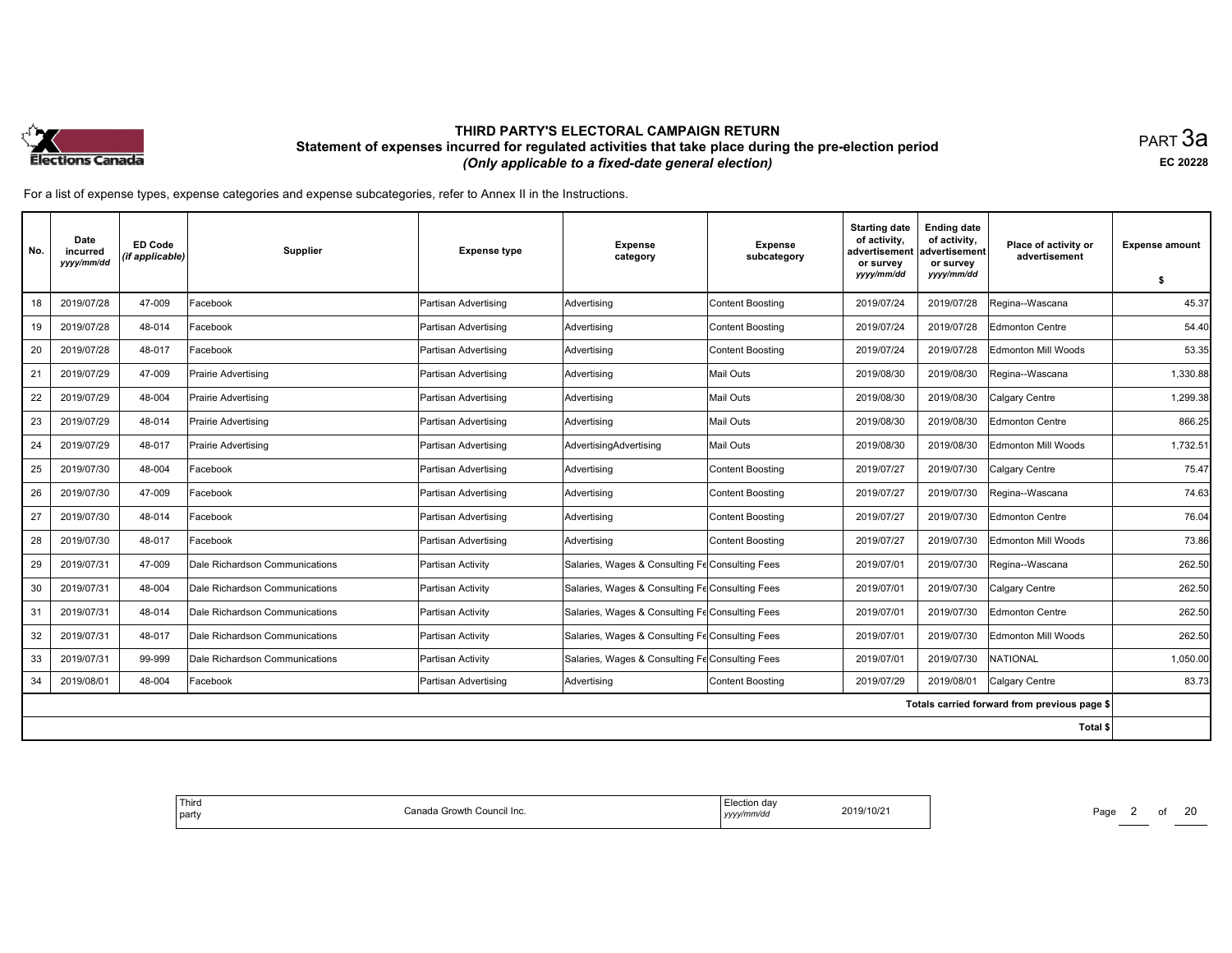

равт $\,3$ а EC <sup>20228</sup>

| No. | Date<br>incurred<br>yyyy/mm/dd | <b>ED Code</b><br>(if applicable) | <b>Supplier</b>                | <b>Expense type</b>  | <b>Expense</b><br>category                      | <b>Expense</b><br>subcategory | <b>Starting date</b><br>of activity,<br>advertisement<br>or survey<br>yyyy/mm/dd | <b>Ending date</b><br>of activity,<br>advertisement<br>or survey<br>yyyy/mm/dd | Place of activity or<br>advertisement        | <b>Expense amount</b><br>\$ |
|-----|--------------------------------|-----------------------------------|--------------------------------|----------------------|-------------------------------------------------|-------------------------------|----------------------------------------------------------------------------------|--------------------------------------------------------------------------------|----------------------------------------------|-----------------------------|
| 18  | 2019/07/28                     | 47-009                            | Facebook                       | Partisan Advertising | Advertising                                     | <b>Content Boosting</b>       | 2019/07/24                                                                       | 2019/07/28                                                                     | Regina--Wascana                              | 45.37                       |
| 19  | 2019/07/28                     | 48-014                            | Facebook                       | Partisan Advertising | Advertising                                     | Content Boosting              | 2019/07/24                                                                       | 2019/07/28                                                                     | <b>Edmonton Centre</b>                       | 54.40                       |
| 20  | 2019/07/28                     | 48-017                            | Facebook                       | Partisan Advertising | Advertising                                     | Content Boosting              | 2019/07/24                                                                       | 2019/07/28                                                                     | Edmonton Mill Woods                          | 53.35                       |
|     |                                |                                   |                                |                      |                                                 |                               |                                                                                  |                                                                                |                                              |                             |
| 21  | 2019/07/29                     | 47-009                            | Prairie Advertising            | Partisan Advertising | Advertising                                     | Mail Outs                     | 2019/08/30                                                                       | 2019/08/30                                                                     | Regina--Wascana                              | 1,330.88                    |
| 22  | 2019/07/29                     | 48-004                            | Prairie Advertising            | Partisan Advertising | Advertising                                     | <b>Mail Outs</b>              | 2019/08/30                                                                       | 2019/08/30                                                                     | Calgary Centre                               | 1,299.38                    |
| 23  | 2019/07/29                     | 48-014                            | Prairie Advertising            | Partisan Advertising | Advertising                                     | <b>Mail Outs</b>              | 2019/08/30                                                                       | 2019/08/30                                                                     | <b>Edmonton Centre</b>                       | 866.25                      |
| 24  | 2019/07/29                     | 48-017                            | Prairie Advertising            | Partisan Advertising | AdvertisingAdvertising                          | <b>Mail Outs</b>              | 2019/08/30                                                                       | 2019/08/30                                                                     | Edmonton Mill Woods                          | 1,732.51                    |
| 25  | 2019/07/30                     | 48-004                            | Facebook                       | Partisan Advertising | Advertising                                     | <b>Content Boosting</b>       | 2019/07/27                                                                       | 2019/07/30                                                                     | Calgary Centre                               | 75.47                       |
| 26  | 2019/07/30                     | 47-009                            | Facebook                       | Partisan Advertising | Advertising                                     | Content Boosting              | 2019/07/27                                                                       | 2019/07/30                                                                     | Regina--Wascana                              | 74.63                       |
| 27  | 2019/07/30                     | 48-014                            | Facebook                       | Partisan Advertising | Advertising                                     | Content Boosting              | 2019/07/27                                                                       | 2019/07/30                                                                     | Edmonton Centre                              | 76.04                       |
| 28  | 2019/07/30                     | 48-017                            | Facebook                       | Partisan Advertising | Advertisina                                     | Content Boosting              | 2019/07/27                                                                       | 2019/07/30                                                                     | Edmonton Mill Woods                          | 73.86                       |
| 29  | 2019/07/31                     | 47-009                            | Dale Richardson Communications | Partisan Activity    | Salaries, Wages & Consulting Fe Consulting Fees |                               | 2019/07/01                                                                       | 2019/07/30                                                                     | Regina--Wascana                              | 262.50                      |
| 30  | 2019/07/31                     | 48-004                            | Dale Richardson Communications | Partisan Activity    | Salaries, Wages & Consulting Fe Consulting Fees |                               | 2019/07/01                                                                       | 2019/07/30                                                                     | Calgary Centre                               | 262.50                      |
| 31  | 2019/07/31                     | 48-014                            | Dale Richardson Communications | Partisan Activity    | Salaries, Wages & Consulting Fe Consulting Fees |                               | 2019/07/01                                                                       | 2019/07/30                                                                     | <b>Edmonton Centre</b>                       | 262.50                      |
| 32  | 2019/07/31                     | 48-017                            | Dale Richardson Communications | Partisan Activity    | Salaries, Wages & Consulting Fe Consulting Fees |                               | 2019/07/01                                                                       | 2019/07/30                                                                     | <b>Edmonton Mill Woods</b>                   | 262.50                      |
| 33  | 2019/07/31                     | 99-999                            | Dale Richardson Communications | Partisan Activity    | Salaries, Wages & Consulting Fe Consulting Fees |                               | 2019/07/01                                                                       | 2019/07/30                                                                     | <b>NATIONAL</b>                              | 1,050.00                    |
| 34  | 2019/08/01                     | 48-004                            | Facebook                       | Partisan Advertising | Advertising                                     | Content Boosting              | 2019/07/29                                                                       | 2019/08/01                                                                     | Calgary Centre                               | 83.73                       |
|     |                                |                                   |                                |                      |                                                 |                               |                                                                                  |                                                                                | Totals carried forward from previous page \$ |                             |
|     |                                |                                   |                                |                      |                                                 |                               |                                                                                  |                                                                                | Total \$                                     |                             |

| Third<br>Canada Growth Council Inc.<br>party | Election dav<br>2019/10/21<br>yyyy/mm/dd | Page<br>$\overline{\phantom{a}}$ |
|----------------------------------------------|------------------------------------------|----------------------------------|
|----------------------------------------------|------------------------------------------|----------------------------------|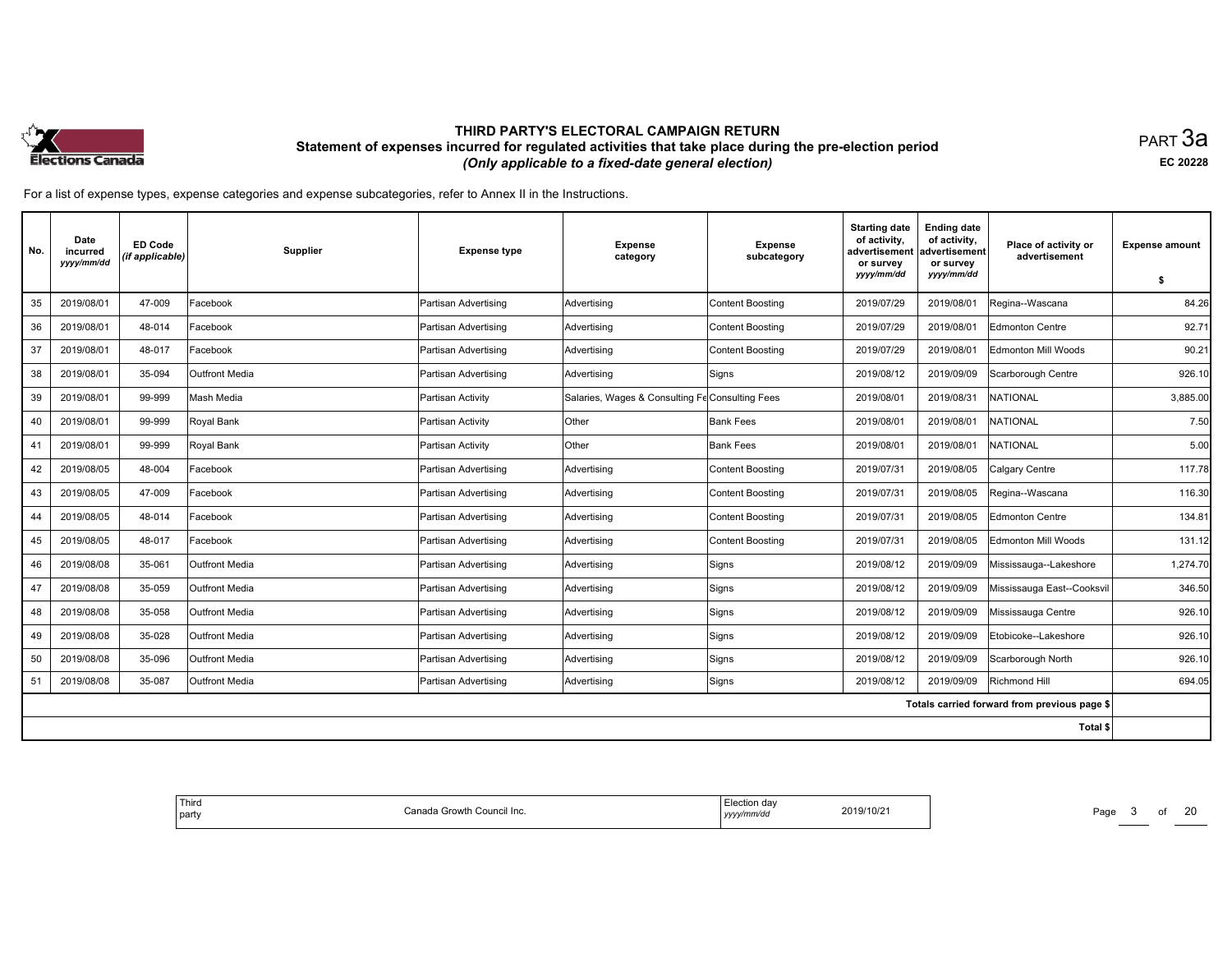

равт $\,3$ а EC <sup>20228</sup>

| No. | Date<br>incurred<br>yyyy/mm/dd | <b>ED Code</b><br>(if applicable) | Supplier              | <b>Expense type</b>  | <b>Expense</b><br>category                      | <b>Expense</b><br>subcategory | <b>Starting date</b><br>of activity,<br>advertisement<br>or survey<br>yyyy/mm/dd | <b>Ending date</b><br>of activity,<br>advertisement<br>or survey<br>yyyy/mm/dd | Place of activity or<br>advertisement        | <b>Expense amount</b><br>\$ |
|-----|--------------------------------|-----------------------------------|-----------------------|----------------------|-------------------------------------------------|-------------------------------|----------------------------------------------------------------------------------|--------------------------------------------------------------------------------|----------------------------------------------|-----------------------------|
| 35  | 2019/08/01                     | 47-009                            | Facebook              | Partisan Advertising | Advertising                                     | <b>Content Boosting</b>       | 2019/07/29                                                                       | 2019/08/01                                                                     | Regina--Wascana                              | 84.26                       |
| 36  | 2019/08/01                     | 48-014                            | Facebook              | Partisan Advertising | Advertising                                     | <b>Content Boosting</b>       | 2019/07/29                                                                       | 2019/08/01                                                                     | Edmonton Centre                              | 92.71                       |
| 37  | 2019/08/01                     | 48-017                            | Facebook              | Partisan Advertising | Advertising                                     | <b>Content Boosting</b>       | 2019/07/29                                                                       | 2019/08/01                                                                     | Edmonton Mill Woods                          | 90.21                       |
| 38  | 2019/08/01                     | 35-094                            | <b>Outfront Media</b> | Partisan Advertising | Advertising                                     | Signs                         | 2019/08/12                                                                       | 2019/09/09                                                                     | Scarborough Centre                           | 926.10                      |
| 39  | 2019/08/01                     | 99-999                            | Mash Media            | Partisan Activity    | Salaries, Wages & Consulting Fe Consulting Fees |                               | 2019/08/01                                                                       | 2019/08/31                                                                     | <b>NATIONAL</b>                              | 3,885.00                    |
| 40  | 2019/08/01                     | 99-999                            | Royal Bank            | Partisan Activity    | Other                                           | <b>Bank Fees</b>              | 2019/08/01                                                                       | 2019/08/01                                                                     | <b>NATIONAL</b>                              | 7.50                        |
| 41  | 2019/08/01                     | 99-999                            | Royal Bank            | Partisan Activity    | Other                                           | <b>Bank Fees</b>              | 2019/08/01                                                                       | 2019/08/01                                                                     | <b>NATIONAL</b>                              | 5.00                        |
| 42  | 2019/08/05                     | 48-004                            | Facebook              | Partisan Advertising | Advertising                                     | <b>Content Boosting</b>       | 2019/07/31                                                                       | 2019/08/05                                                                     | Calgary Centre                               | 117.78                      |
| 43  | 2019/08/05                     | 47-009                            | Facebook              | Partisan Advertising | Advertising                                     | <b>Content Boosting</b>       | 2019/07/31                                                                       | 2019/08/05                                                                     | Regina--Wascana                              | 116.30                      |
| 44  | 2019/08/05                     | 48-014                            | Facebook              | Partisan Advertising | Advertising                                     | Content Boosting              | 2019/07/31                                                                       | 2019/08/05                                                                     | Edmonton Centre                              | 134.81                      |
| 45  | 2019/08/05                     | 48-017                            | Facebook              | Partisan Advertising | Advertising                                     | <b>Content Boosting</b>       | 2019/07/31                                                                       | 2019/08/05                                                                     | Edmonton Mill Woods                          | 131.12                      |
| 46  | 2019/08/08                     | 35-061                            | <b>Outfront Media</b> | Partisan Advertising | Advertising                                     | Signs                         | 2019/08/12                                                                       | 2019/09/09                                                                     | Mississauga--Lakeshore                       | 1,274.70                    |
| 47  | 2019/08/08                     | 35-059                            | <b>Outfront Media</b> | Partisan Advertising | Advertisina                                     | Signs                         | 2019/08/12                                                                       | 2019/09/09                                                                     | Mississauga East--Cooksvil                   | 346.50                      |
| 48  | 2019/08/08                     | 35-058                            | Outfront Media        | Partisan Advertising | Advertising                                     | Signs                         | 2019/08/12                                                                       | 2019/09/09                                                                     | Mississauga Centre                           | 926.10                      |
| 49  | 2019/08/08                     | 35-028                            | <b>Outfront Media</b> | Partisan Advertising | Advertising                                     | Signs                         | 2019/08/12                                                                       | 2019/09/09                                                                     | Etobicoke--Lakeshore                         | 926.10                      |
| 50  | 2019/08/08                     | 35-096                            | <b>Outfront Media</b> | Partisan Advertising | Advertising                                     | Signs                         | 2019/08/12                                                                       | 2019/09/09                                                                     | Scarborough North                            | 926.10                      |
| 51  | 2019/08/08                     | 35-087                            | <b>Outfront Media</b> | Partisan Advertising | Advertising                                     | Signs                         | 2019/08/12                                                                       | 2019/09/09                                                                     | Richmond Hill                                | 694.05                      |
|     |                                |                                   |                       |                      |                                                 |                               |                                                                                  |                                                                                | Totals carried forward from previous page \$ |                             |
|     |                                |                                   |                       |                      |                                                 |                               |                                                                                  |                                                                                | Total \$                                     |                             |

| Third<br>a Growth Council Inc.<br>n<br>l partv<br>udil<br>מנוד | 2019/10/21<br>/mm/dc<br>уууу/ | Page<br>______ |
|----------------------------------------------------------------|-------------------------------|----------------|
|----------------------------------------------------------------|-------------------------------|----------------|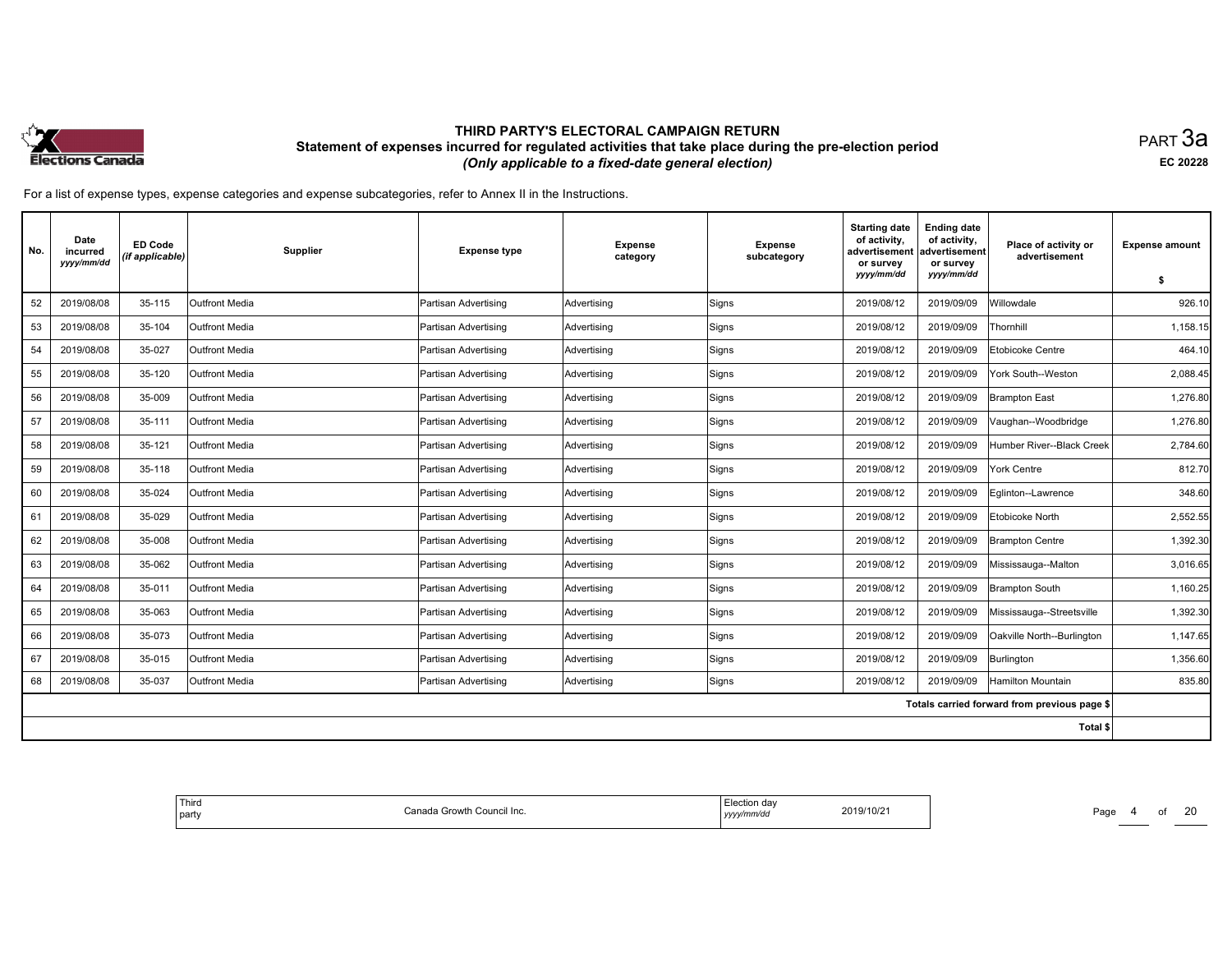

равт $\,3$ а EC <sup>20228</sup>

For <sup>a</sup> list of expense types, expense categories and expense subcategories, refer to Annex II in the Instructions.

| No. | Date<br>incurred<br>yyyy/mm/dd | <b>ED Code</b><br>(if applicable) | Supplier              | <b>Expense type</b>  | <b>Expense</b><br>category | <b>Expense</b><br>subcategory | <b>Starting date</b><br>of activity,<br>advertisement<br>or survey<br>yyyy/mm/dd | <b>Ending date</b><br>of activity,<br>advertisement<br>or survey<br>yyyy/mm/dd | Place of activity or<br>advertisement        | <b>Expense amount</b><br>\$ |
|-----|--------------------------------|-----------------------------------|-----------------------|----------------------|----------------------------|-------------------------------|----------------------------------------------------------------------------------|--------------------------------------------------------------------------------|----------------------------------------------|-----------------------------|
| 52  | 2019/08/08                     | 35-115                            | Outfront Media        | Partisan Advertising | Advertising                | Signs                         | 2019/08/12                                                                       | 2019/09/09                                                                     | Willowdale                                   | 926.10                      |
| 53  | 2019/08/08                     | 35-104                            | Outfront Media        | Partisan Advertising | Advertising                | Signs                         | 2019/08/12                                                                       | 2019/09/09                                                                     | Thornhill                                    | 1,158.15                    |
| 54  | 2019/08/08                     | 35-027                            | <b>Outfront Media</b> | Partisan Advertising | Advertising                | Signs                         | 2019/08/12                                                                       | 2019/09/09                                                                     | Etobicoke Centre                             | 464.10                      |
| 55  | 2019/08/08                     | 35-120                            | <b>Outfront Media</b> | Partisan Advertising | Advertising                | Signs                         | 2019/08/12                                                                       | 2019/09/09                                                                     | York South--Weston                           | 2,088.45                    |
| 56  | 2019/08/08                     | 35-009                            | Outfront Media        | Partisan Advertising | Advertising                | Signs                         | 2019/08/12                                                                       | 2019/09/09                                                                     | <b>Brampton East</b>                         | 1.276.80                    |
| 57  | 2019/08/08                     | 35-111                            | Outfront Media        | Partisan Advertising | Advertising                | Signs                         | 2019/08/12                                                                       | 2019/09/09                                                                     | Vaughan--Woodbridge                          | 1,276.80                    |
| 58  | 2019/08/08                     | 35-121                            | <b>Outfront Media</b> | Partisan Advertising | Advertising                | Signs                         | 2019/08/12                                                                       | 2019/09/09                                                                     | Humber River--Black Creek                    | 2,784.60                    |
| 59  | 2019/08/08                     | 35-118                            | Outfront Media        | Partisan Advertising | Advertising                | Signs                         | 2019/08/12                                                                       | 2019/09/09                                                                     | York Centre                                  | 812.70                      |
| 60  | 2019/08/08                     | 35-024                            | <b>Outfront Media</b> | Partisan Advertising | Advertising                | Signs                         | 2019/08/12                                                                       | 2019/09/09                                                                     | Eglinton--Lawrence                           | 348.60                      |
| 61  | 2019/08/08                     | 35-029                            | Outfront Media        | Partisan Advertising | Advertising                | Signs                         | 2019/08/12                                                                       | 2019/09/09                                                                     | Etobicoke North                              | 2,552.55                    |
| 62  | 2019/08/08                     | 35-008                            | <b>Outfront Media</b> | Partisan Advertising | Advertising                | Signs                         | 2019/08/12                                                                       | 2019/09/09                                                                     | <b>Brampton Centre</b>                       | 1,392.30                    |
| 63  | 2019/08/08                     | 35-062                            | <b>Outfront Media</b> | Partisan Advertising | Advertising                | Signs                         | 2019/08/12                                                                       | 2019/09/09                                                                     | Mississauga--Malton                          | 3,016.65                    |
| 64  | 2019/08/08                     | 35-011                            | Outfront Media        | Partisan Advertising | Advertising                | Signs                         | 2019/08/12                                                                       | 2019/09/09                                                                     | <b>Brampton South</b>                        | 1,160.25                    |
| 65  | 2019/08/08                     | 35-063                            | Outfront Media        | Partisan Advertising | Advertising                | Signs                         | 2019/08/12                                                                       | 2019/09/09                                                                     | Mississauga--Streetsville                    | 1,392.30                    |
| 66  | 2019/08/08                     | 35-073                            | Outfront Media        | Partisan Advertising | Advertising                | Signs                         | 2019/08/12                                                                       | 2019/09/09                                                                     | Oakville North--Burlington                   | 1,147.65                    |
| 67  | 2019/08/08                     | 35-015                            | <b>Outfront Media</b> | Partisan Advertising | Advertising                | Signs                         | 2019/08/12                                                                       | 2019/09/09                                                                     | Burlington                                   | 1,356.60                    |
| 68  | 2019/08/08                     | 35-037                            | Outfront Media        | Partisan Advertising | Advertising                | Signs                         | 2019/08/12                                                                       | 2019/09/09                                                                     | <b>Hamilton Mountain</b>                     | 835.80                      |
|     |                                |                                   |                       |                      |                            |                               |                                                                                  |                                                                                | Totals carried forward from previous page \$ |                             |
|     |                                |                                   |                       |                      |                            |                               |                                                                                  |                                                                                | Total \$                                     |                             |

| +a Growth Council Inc.<br>n<br>v/mm/dc<br>l party<br>,,,, | Third |  | ction dav:<br>2019/10/21 | Page<br>$\overline{\phantom{a}}$ |
|-----------------------------------------------------------|-------|--|--------------------------|----------------------------------|
|-----------------------------------------------------------|-------|--|--------------------------|----------------------------------|

Page 4 of of 20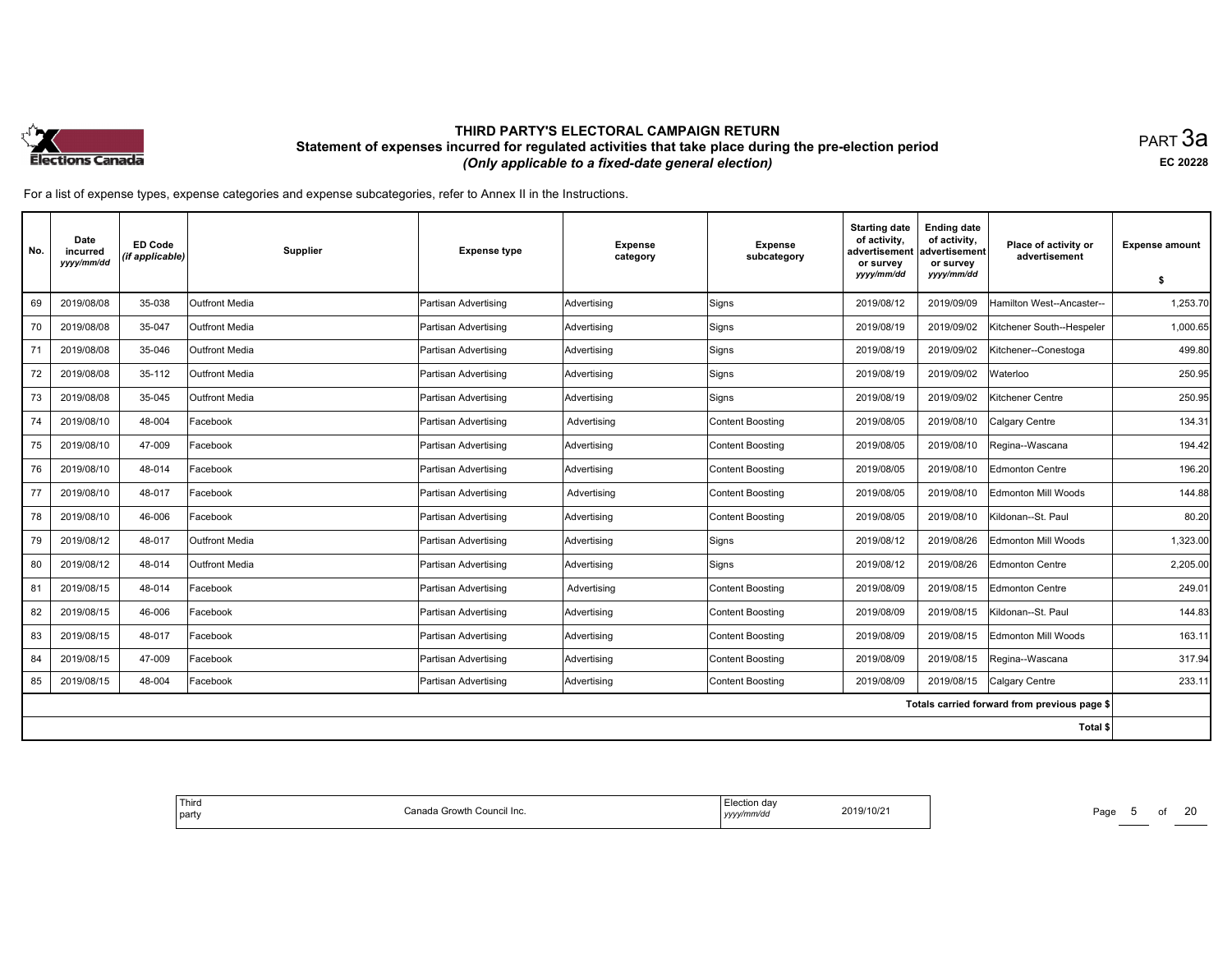

равт $\,3$ а EC <sup>20228</sup>

| No. | Date<br>incurred<br>yyyy/mm/dd | <b>ED Code</b><br>(if applicable) | Supplier              | <b>Expense type</b>         | <b>Expense</b><br>category | Expense<br>subcategory  | <b>Starting date</b><br>of activity,<br>advertisement<br>or survey<br>yyyy/mm/dd | <b>Ending date</b><br>of activity,<br>advertisement<br>or survey<br>yyyy/mm/dd | Place of activity or<br>advertisement        | <b>Expense amount</b><br>\$ |
|-----|--------------------------------|-----------------------------------|-----------------------|-----------------------------|----------------------------|-------------------------|----------------------------------------------------------------------------------|--------------------------------------------------------------------------------|----------------------------------------------|-----------------------------|
| 69  | 2019/08/08                     | 35-038                            | Outfront Media        | <b>Partisan Advertising</b> | Advertising                | Signs                   | 2019/08/12                                                                       | 2019/09/09                                                                     | Hamilton West--Ancaster--                    | 1,253.70                    |
| 70  | 2019/08/08                     | 35-047                            | <b>Outfront Media</b> | Partisan Advertising        | Advertising                | Signs                   | 2019/08/19                                                                       | 2019/09/02                                                                     | Kitchener South--Hespeler                    | 1,000.65                    |
| 71  | 2019/08/08                     | 35-046                            | Outfront Media        | Partisan Advertising        | Advertising                | Signs                   | 2019/08/19                                                                       | 2019/09/02                                                                     | Kitchener--Conestoga                         | 499.80                      |
| 72  | 2019/08/08                     | 35-112                            | <b>Outfront Media</b> | Partisan Advertising        | Advertising                | Signs                   | 2019/08/19                                                                       | 2019/09/02                                                                     | Waterloo                                     | 250.95                      |
| 73  | 2019/08/08                     | 35-045                            | Outfront Media        | Partisan Advertising        | Advertising                | Signs                   | 2019/08/19                                                                       | 2019/09/02                                                                     | Kitchener Centre                             | 250.95                      |
| 74  | 2019/08/10                     | 48-004                            | Facebook              | Partisan Advertising        | Advertising                | Content Boosting        | 2019/08/05                                                                       | 2019/08/10                                                                     | Calgary Centre                               | 134.31                      |
| 75  | 2019/08/10                     | 47-009                            | Facebook              | Partisan Advertising        | Advertising                | Content Boosting        | 2019/08/05                                                                       | 2019/08/10                                                                     | Regina--Wascana                              | 194.42                      |
| 76  | 2019/08/10                     | 48-014                            | Facebook              | Partisan Advertising        | Advertising                | <b>Content Boosting</b> | 2019/08/05                                                                       | 2019/08/10                                                                     | <b>Edmonton Centre</b>                       | 196.20                      |
| 77  | 2019/08/10                     | 48-017                            | Facebook              | Partisan Advertising        | Advertising                | Content Boosting        | 2019/08/05                                                                       | 2019/08/10                                                                     | Edmonton Mill Woods                          | 144.88                      |
| 78  | 2019/08/10                     | 46-006                            | Facebook              | Partisan Advertising        | Advertising                | Content Boosting        | 2019/08/05                                                                       | 2019/08/10                                                                     | Kildonan--St. Paul                           | 80.20                       |
| 79  | 2019/08/12                     | 48-017                            | <b>Outfront Media</b> | Partisan Advertising        | Advertising                | Signs                   | 2019/08/12                                                                       | 2019/08/26                                                                     | Edmonton Mill Woods                          | 1,323.00                    |
| 80  | 2019/08/12                     | 48-014                            | <b>Outfront Media</b> | Partisan Advertising        | Advertising                | Signs                   | 2019/08/12                                                                       | 2019/08/26                                                                     | <b>Edmonton Centre</b>                       | 2,205.00                    |
| 81  | 2019/08/15                     | 48-014                            | Facebook              | Partisan Advertising        | Advertising                | Content Boosting        | 2019/08/09                                                                       | 2019/08/15                                                                     | Edmonton Centre                              | 249.01                      |
| 82  | 2019/08/15                     | 46-006                            | Facebook              | Partisan Advertising        | Advertising                | Content Boosting        | 2019/08/09                                                                       | 2019/08/15                                                                     | Kildonan--St. Paul                           | 144.83                      |
| 83  | 2019/08/15                     | 48-017                            | Facebook              | Partisan Advertising        | Advertisina                | Content Boostina        | 2019/08/09                                                                       | 2019/08/15                                                                     | Edmonton Mill Woods                          | 163.11                      |
| 84  | 2019/08/15                     | 47-009                            | Facebook              | Partisan Advertising        | Advertising                | Content Boosting        | 2019/08/09                                                                       | 2019/08/15                                                                     | Regina--Wascana                              | 317.94                      |
| 85  | 2019/08/15                     | 48-004                            | Facebook              | Partisan Advertising        | Advertising                | Content Boosting        | 2019/08/09                                                                       | 2019/08/15                                                                     | Calgary Centre                               | 233.11                      |
|     |                                |                                   |                       |                             |                            |                         |                                                                                  |                                                                                | Totals carried forward from previous page \$ |                             |
|     |                                |                                   |                       |                             |                            |                         |                                                                                  |                                                                                | Total \$                                     |                             |

| ' Third<br>≧ Growth Council Inc.<br>$- - - -$<br>party | n da<br>2019/10/21<br>mm/ac<br>,,,, | Page<br>______ |
|--------------------------------------------------------|-------------------------------------|----------------|
|--------------------------------------------------------|-------------------------------------|----------------|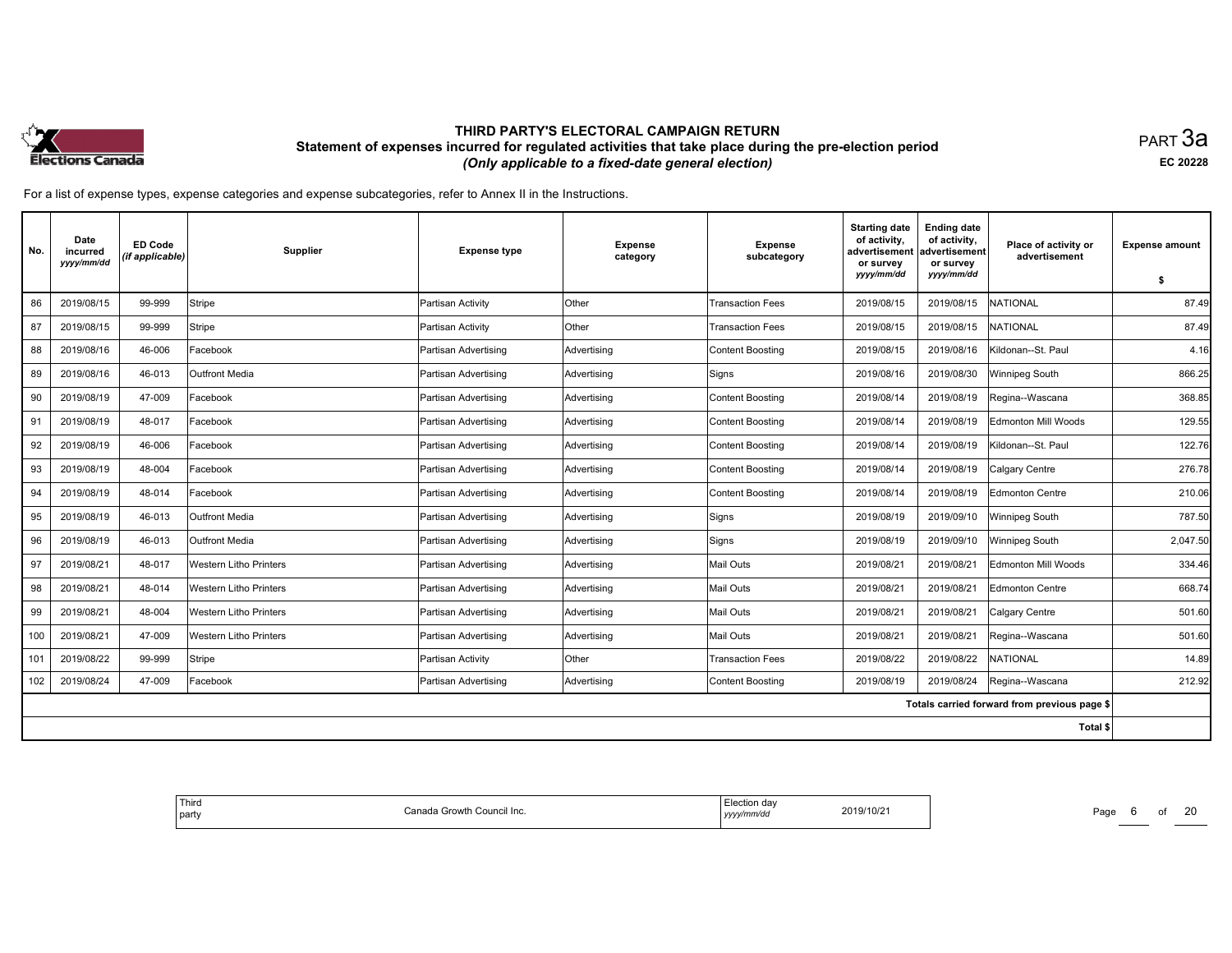

равт $\,3$ а EC <sup>20228</sup>

| No. | Date<br>incurred<br>yyyy/mm/dd | <b>ED Code</b><br>(if applicable) | Supplier                      | <b>Expense type</b>  | <b>Expense</b><br>category | <b>Expense</b><br>subcategory | <b>Starting date</b><br>of activity,<br>advertisement<br>or survey<br>yyyy/mm/dd | <b>Ending date</b><br>of activity,<br>advertisement<br>or survey<br>yyyy/mm/dd | Place of activity or<br>advertisement        | <b>Expense amount</b><br>- \$ |
|-----|--------------------------------|-----------------------------------|-------------------------------|----------------------|----------------------------|-------------------------------|----------------------------------------------------------------------------------|--------------------------------------------------------------------------------|----------------------------------------------|-------------------------------|
| 86  | 2019/08/15                     | 99-999                            | Stripe                        | Partisan Activity    | Other                      | <b>Transaction Fees</b>       | 2019/08/15                                                                       | 2019/08/15                                                                     | <b>NATIONAL</b>                              | 87.49                         |
| 87  | 2019/08/15                     | 99-999                            | Stripe                        | Partisan Activity    | Other                      | <b>Transaction Fees</b>       | 2019/08/15                                                                       | 2019/08/15                                                                     | NATIONAL                                     | 87.49                         |
| 88  | 2019/08/16                     | 46-006                            | Facebook                      | Partisan Advertising | Advertising                | Content Boosting              | 2019/08/15                                                                       | 2019/08/16                                                                     | Kildonan--St. Paul                           | 4.16                          |
| 89  | 2019/08/16                     | 46-013                            | <b>Outfront Media</b>         | Partisan Advertising | Advertising                | Signs                         | 2019/08/16                                                                       | 2019/08/30                                                                     | Winnipeg South                               | 866.25                        |
| 90  | 2019/08/19                     | 47-009                            | Facebook                      | Partisan Advertising | Advertising                | Content Boosting              | 2019/08/14                                                                       | 2019/08/19                                                                     | Regina--Wascana                              | 368.85                        |
| 91  | 2019/08/19                     | 48-017                            | Facebook                      | Partisan Advertising | Advertising                | Content Boosting              | 2019/08/14                                                                       | 2019/08/19                                                                     | Edmonton Mill Woods                          | 129.55                        |
| 92  | 2019/08/19                     | 46-006                            | Facebook                      | Partisan Advertising | Advertising                | Content Boosting              | 2019/08/14                                                                       | 2019/08/19                                                                     | Kildonan--St. Paul                           | 122.76                        |
| 93  | 2019/08/19                     | 48-004                            | Facebook                      | Partisan Advertising | Advertising                | Content Boosting              | 2019/08/14                                                                       | 2019/08/19                                                                     | Calgary Centre                               | 276.78                        |
| 94  | 2019/08/19                     | 48-014                            | Facebook                      | Partisan Advertising | Advertisina                | Content Boosting              | 2019/08/14                                                                       | 2019/08/19                                                                     | Edmonton Centre                              | 210.06                        |
| 95  | 2019/08/19                     | 46-013                            | Outfront Media                | Partisan Advertising | Advertising                | Signs                         | 2019/08/19                                                                       | 2019/09/10                                                                     | Winnipeg South                               | 787.50                        |
| 96  | 2019/08/19                     | 46-013                            | <b>Outfront Media</b>         | Partisan Advertising | Advertising                | Signs                         | 2019/08/19                                                                       | 2019/09/10                                                                     | Winnipeg South                               | 2,047.50                      |
| 97  | 2019/08/21                     | 48-017                            | <b>Western Litho Printers</b> | Partisan Advertising | Advertising                | Mail Outs                     | 2019/08/21                                                                       | 2019/08/21                                                                     | Edmonton Mill Woods                          | 334.46                        |
| 98  | 2019/08/21                     | 48-014                            | <b>Western Litho Printers</b> | Partisan Advertising | Advertising                | Mail Outs                     | 2019/08/21                                                                       | 2019/08/21                                                                     | Edmonton Centre                              | 668.74                        |
| 99  | 2019/08/21                     | 48-004                            | <b>Western Litho Printers</b> | Partisan Advertising | Advertising                | Mail Outs                     | 2019/08/21                                                                       | 2019/08/21                                                                     | Calgary Centre                               | 501.60                        |
| 100 | 2019/08/21                     | 47-009                            | <b>Western Litho Printers</b> | Partisan Advertising | Advertising                | Mail Outs                     | 2019/08/21                                                                       | 2019/08/21                                                                     | Regina--Wascana                              | 501.60                        |
| 101 | 2019/08/22                     | 99-999                            | Stripe                        | Partisan Activity    | Other                      | <b>Transaction Fees</b>       | 2019/08/22                                                                       | 2019/08/22                                                                     | <b>NATIONAL</b>                              | 14.89                         |
| 102 | 2019/08/24                     | 47-009                            | Facebook                      | Partisan Advertising | Advertising                | Content Boosting              | 2019/08/19                                                                       | 2019/08/24                                                                     | Regina--Wascana                              | 212.92                        |
|     |                                |                                   |                               |                      |                            |                               |                                                                                  |                                                                                | Totals carried forward from previous page \$ |                               |
|     |                                |                                   |                               |                      |                            |                               |                                                                                  |                                                                                | Total \$                                     |                               |

| Third<br>a Growth Council Inc.<br>n<br>l partv<br>udil<br>מנוד | 2019/10/21<br>.<br>$\theta$ mm/d $\theta$<br>уууу/ | Page<br>______ |
|----------------------------------------------------------------|----------------------------------------------------|----------------|
|----------------------------------------------------------------|----------------------------------------------------|----------------|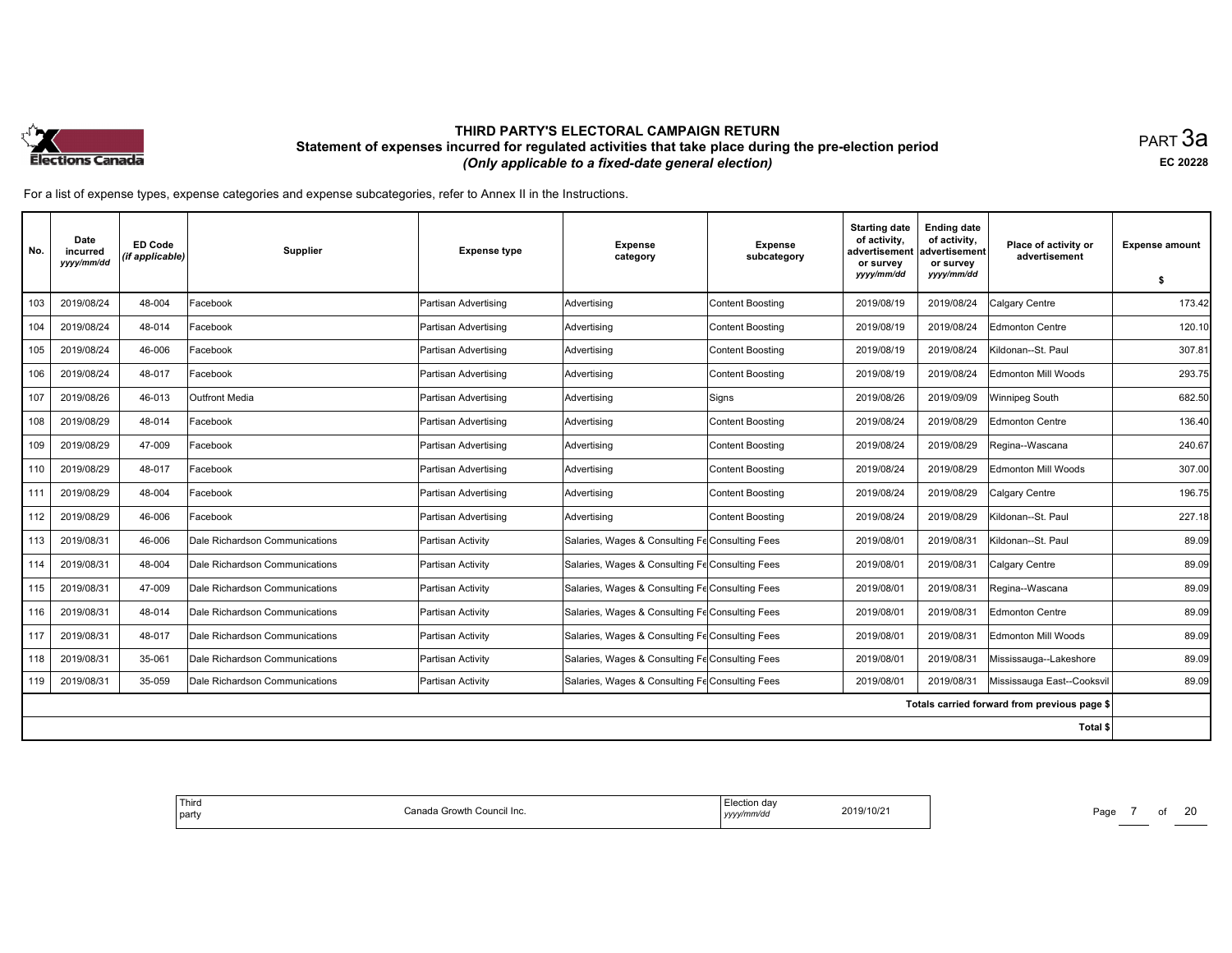

равт $\,3$ а EC <sup>20228</sup>

| No. | Date<br>incurred<br>yyyy/mm/dd | <b>ED Code</b><br>(if applicable) | <b>Supplier</b>                | <b>Expense type</b>  | <b>Expense</b><br>category                      | <b>Expense</b><br>subcategory | <b>Starting date</b><br>of activity,<br>advertisement<br>or survey<br>yyyy/mm/dd | <b>Ending date</b><br>of activity,<br>ladvertisement<br>or survey<br>yyyy/mm/dd | Place of activity or<br>advertisement        | <b>Expense amount</b><br>- \$ |
|-----|--------------------------------|-----------------------------------|--------------------------------|----------------------|-------------------------------------------------|-------------------------------|----------------------------------------------------------------------------------|---------------------------------------------------------------------------------|----------------------------------------------|-------------------------------|
| 103 | 2019/08/24                     | 48-004                            | Facebook                       | Partisan Advertising | Advertisina                                     | Content Boosting              | 2019/08/19                                                                       | 2019/08/24                                                                      | Calgary Centre                               | 173.42                        |
| 104 | 2019/08/24                     | 48-014                            | Facebook                       | Partisan Advertising | Advertising                                     | <b>Content Boosting</b>       | 2019/08/19                                                                       | 2019/08/24                                                                      | Edmonton Centre                              | 120.10                        |
| 105 | 2019/08/24                     | 46-006                            | Facebook                       | Partisan Advertising | Advertising                                     | Content Boosting              | 2019/08/19                                                                       | 2019/08/24                                                                      | Kildonan--St. Paul                           | 307.81                        |
| 106 | 2019/08/24                     | 48-017                            | Facebook                       | Partisan Advertising | Advertising                                     | Content Boosting              | 2019/08/19                                                                       | 2019/08/24                                                                      | Edmonton Mill Woods                          | 293.75                        |
| 107 | 2019/08/26                     | 46-013                            | <b>Outfront Media</b>          | Partisan Advertising | Advertising                                     | Signs                         | 2019/08/26                                                                       | 2019/09/09                                                                      | Winnipeg South                               | 682.50                        |
| 108 | 2019/08/29                     | 48-014                            | Facebook                       | Partisan Advertising | Advertising                                     | Content Boosting              | 2019/08/24                                                                       | 2019/08/29                                                                      | Edmonton Centre                              | 136.40                        |
| 109 | 2019/08/29                     | 47-009                            | Facebook                       | Partisan Advertising | Advertising                                     | Content Boosting              | 2019/08/24                                                                       | 2019/08/29                                                                      | Regina--Wascana                              | 240.67                        |
| 110 | 2019/08/29                     | 48-017                            | Facebook                       | Partisan Advertising | Advertising                                     | Content Boosting              | 2019/08/24                                                                       | 2019/08/29                                                                      | Edmonton Mill Woods                          | 307.00                        |
| 111 | 2019/08/29                     | 48-004                            | Facebook                       | Partisan Advertising | Advertisina                                     | Content Boostina              | 2019/08/24                                                                       | 2019/08/29                                                                      | Calgary Centre                               | 196.75                        |
| 112 | 2019/08/29                     | 46-006                            | Facebook                       | Partisan Advertising | Advertising                                     | Content Boosting              | 2019/08/24                                                                       | 2019/08/29                                                                      | Kildonan--St. Paul                           | 227.18                        |
| 113 | 2019/08/31                     | 46-006                            | Dale Richardson Communications | Partisan Activity    | Salaries, Wages & Consulting Fe Consulting Fees |                               | 2019/08/01                                                                       | 2019/08/31                                                                      | Kildonan--St. Paul                           | 89.09                         |
| 114 | 2019/08/31                     | 48-004                            | Dale Richardson Communications | Partisan Activity    | Salaries, Wages & Consulting Fe Consulting Fees |                               | 2019/08/01                                                                       | 2019/08/31                                                                      | Calgary Centre                               | 89.09                         |
| 115 | 2019/08/31                     | 47-009                            | Dale Richardson Communications | Partisan Activity    | Salaries, Wages & Consulting Fe Consulting Fees |                               | 2019/08/01                                                                       | 2019/08/31                                                                      | Regina--Wascana                              | 89.09                         |
| 116 | 2019/08/31                     | 48-014                            | Dale Richardson Communications | Partisan Activity    | Salaries, Wages & Consulting Fe Consulting Fees |                               | 2019/08/01                                                                       | 2019/08/31                                                                      | Edmonton Centre                              | 89.09                         |
| 117 | 2019/08/31                     | 48-017                            | Dale Richardson Communications | Partisan Activity    | Salaries, Wages & Consulting Fe Consulting Fees |                               | 2019/08/01                                                                       | 2019/08/31                                                                      | <b>Edmonton Mill Woods</b>                   | 89.09                         |
| 118 | 2019/08/31                     | 35-061                            | Dale Richardson Communications | Partisan Activity    | Salaries, Wages & Consulting Fe Consulting Fees |                               | 2019/08/01                                                                       | 2019/08/31                                                                      | Mississauga--Lakeshore                       | 89.09                         |
| 119 | 2019/08/31                     | 35-059                            | Dale Richardson Communications | Partisan Activity    | Salaries, Wages & Consulting Fe Consulting Fees |                               | 2019/08/01                                                                       | 2019/08/31                                                                      | Mississauga East--Cooksvil                   | 89.09                         |
|     |                                |                                   |                                |                      |                                                 |                               |                                                                                  |                                                                                 | Totals carried forward from previous page \$ |                               |
|     |                                |                                   |                                |                      |                                                 |                               |                                                                                  |                                                                                 | Total \$                                     |                               |

| Third<br>Canada Growth Council Inc.<br>I party | <i>∃</i> lection da\<br>2019/10/21<br>the contract of the contract of the contract of the contract of the contract of the contract of the contract of<br>yyyy/mm/dd | Page<br>__ |
|------------------------------------------------|---------------------------------------------------------------------------------------------------------------------------------------------------------------------|------------|
|------------------------------------------------|---------------------------------------------------------------------------------------------------------------------------------------------------------------------|------------|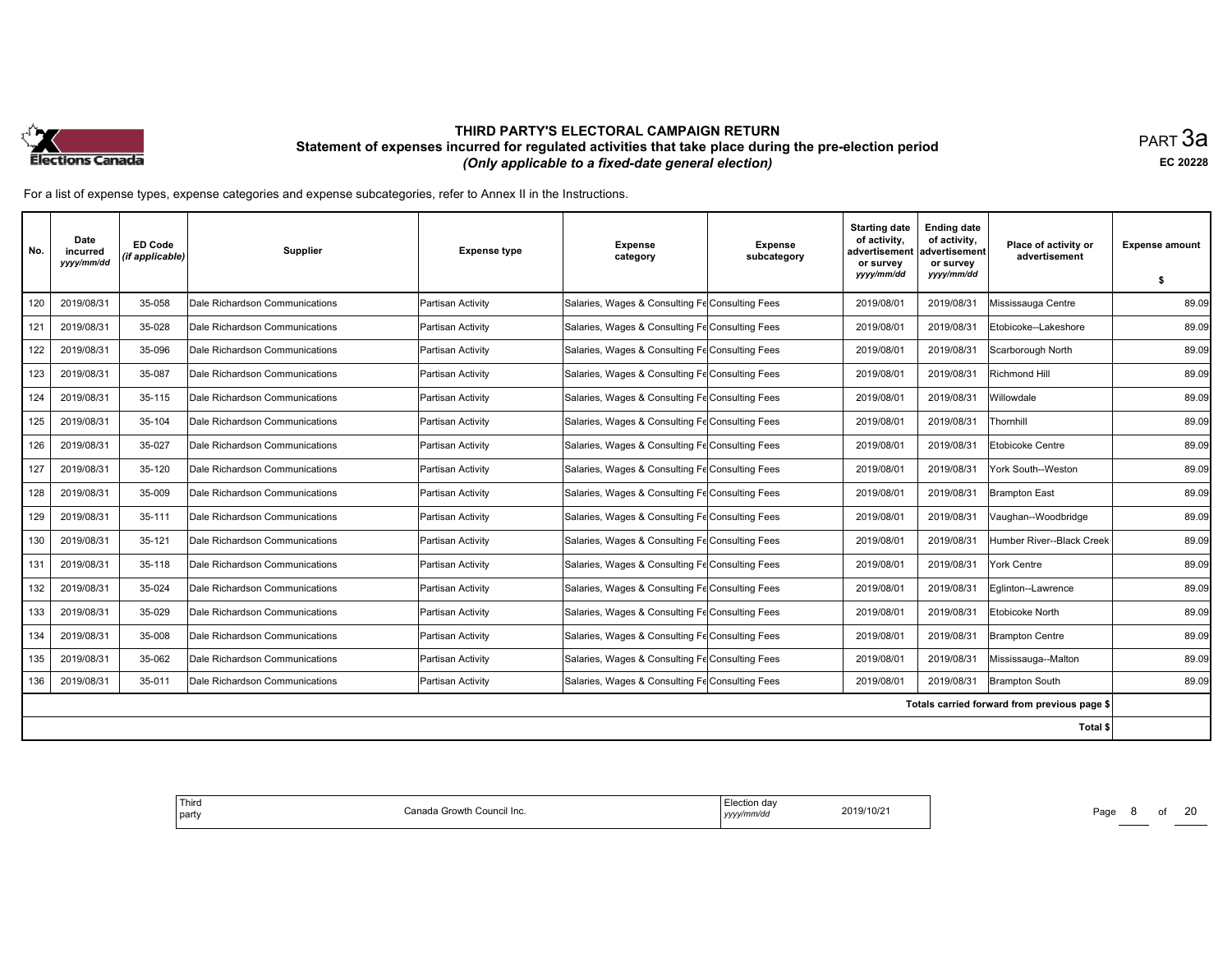

равт $\,3$ а EC <sup>20228</sup>

| No. | Date<br>incurred<br>yyyy/mm/dd | <b>ED Code</b><br>(if applicable) | <b>Supplier</b>                | <b>Expense type</b> | <b>Expense</b><br>category                      | <b>Expense</b><br>subcategory | <b>Starting date</b><br>of activity,<br>advertisement<br>or survey<br>yyyy/mm/dd | <b>Ending date</b><br>of activity,<br>advertisement<br>or survey<br>yyyy/mm/dd | Place of activity or<br>advertisement        | <b>Expense amount</b><br>-S |
|-----|--------------------------------|-----------------------------------|--------------------------------|---------------------|-------------------------------------------------|-------------------------------|----------------------------------------------------------------------------------|--------------------------------------------------------------------------------|----------------------------------------------|-----------------------------|
| 120 | 2019/08/31                     | 35-058                            | Dale Richardson Communications | Partisan Activity   | Salaries, Wages & Consulting Fe Consulting Fees |                               | 2019/08/01                                                                       | 2019/08/31                                                                     | Mississauga Centre                           | 89.09                       |
| 121 | 2019/08/31                     | 35-028                            | Dale Richardson Communications | Partisan Activity   | Salaries, Wages & Consulting Fe Consulting Fees |                               | 2019/08/01                                                                       | 2019/08/31                                                                     | Etobicoke--Lakeshore                         | 89.09                       |
| 122 | 2019/08/31                     | 35-096                            |                                |                     |                                                 |                               |                                                                                  |                                                                                |                                              |                             |
|     |                                |                                   | Dale Richardson Communications | Partisan Activity   | Salaries, Wages & Consulting Fe Consulting Fees |                               | 2019/08/01                                                                       | 2019/08/31                                                                     | Scarborough North                            | 89.09                       |
| 123 | 2019/08/31                     | 35-087                            | Dale Richardson Communications | Partisan Activity   | Salaries, Wages & Consulting Fe Consulting Fees |                               | 2019/08/01                                                                       | 2019/08/31                                                                     | Richmond Hill                                | 89.09                       |
| 124 | 2019/08/31                     | 35-115                            | Dale Richardson Communications | Partisan Activity   | Salaries, Wages & Consulting Fe Consulting Fees |                               | 2019/08/01                                                                       | 2019/08/31                                                                     | Willowdale                                   | 89.09                       |
| 125 | 2019/08/31                     | 35-104                            | Dale Richardson Communications | Partisan Activity   | Salaries, Wages & Consulting Fe Consulting Fees |                               | 2019/08/01                                                                       | 2019/08/31                                                                     | Thornhill                                    | 89.09                       |
| 126 | 2019/08/31                     | 35-027                            | Dale Richardson Communications | Partisan Activity   | Salaries, Wages & Consulting Fe Consulting Fees |                               | 2019/08/01                                                                       | 2019/08/31                                                                     | Etobicoke Centre                             | 89.09                       |
| 127 | 2019/08/31                     | 35-120                            | Dale Richardson Communications | Partisan Activity   | Salaries, Wages & Consulting Fe Consulting Fees |                               | 2019/08/01                                                                       | 2019/08/31                                                                     | York South--Weston                           | 89.09                       |
| 128 | 2019/08/31                     | 35-009                            | Dale Richardson Communications | lPartisan Activitv  | Salaries, Wages & Consulting Fe Consulting Fees |                               | 2019/08/01                                                                       | 2019/08/31                                                                     | Brampton East                                | 89.09                       |
| 129 | 2019/08/31                     | 35-111                            | Dale Richardson Communications | Partisan Activity   | Salaries, Wages & Consulting Fe Consulting Fees |                               | 2019/08/01                                                                       | 2019/08/31                                                                     | Vaughan--Woodbridge                          | 89.09                       |
| 130 | 2019/08/31                     | 35-121                            | Dale Richardson Communications | Partisan Activity   | Salaries, Wages & Consulting Fe Consulting Fees |                               | 2019/08/01                                                                       | 2019/08/31                                                                     | Humber River--Black Creek                    | 89.09                       |
| 131 | 2019/08/31                     | 35-118                            | Dale Richardson Communications | Partisan Activitv   | Salaries, Wages & Consulting Fe Consulting Fees |                               | 2019/08/01                                                                       | 2019/08/31                                                                     | York Centre                                  | 89.09                       |
| 132 | 2019/08/31                     | 35-024                            | Dale Richardson Communications | Partisan Activity   | Salaries, Wages & Consulting Fe Consulting Fees |                               | 2019/08/01                                                                       | 2019/08/31                                                                     | Eglinton--Lawrence                           | 89.09                       |
| 133 | 2019/08/31                     | 35-029                            | Dale Richardson Communications | Partisan Activity   | Salaries, Wages & Consulting Fe Consulting Fees |                               | 2019/08/01                                                                       | 2019/08/31                                                                     | Etobicoke North                              | 89.09                       |
| 134 | 2019/08/31                     | 35-008                            | Dale Richardson Communications | Partisan Activity   | Salaries, Wages & Consulting Fe Consulting Fees |                               | 2019/08/01                                                                       | 2019/08/31                                                                     | <b>Brampton Centre</b>                       | 89.09                       |
| 135 | 2019/08/31                     | 35-062                            | Dale Richardson Communications | Partisan Activity   | Salaries, Wages & Consulting Fe Consulting Fees |                               | 2019/08/01                                                                       | 2019/08/31                                                                     | Mississauga--Malton                          | 89.09                       |
| 136 | 2019/08/31                     | 35-011                            | Dale Richardson Communications | Partisan Activity   | Salaries, Wages & Consulting Fe Consulting Fees |                               | 2019/08/01                                                                       | 2019/08/31                                                                     | <b>Brampton South</b>                        | 89.09                       |
|     |                                |                                   |                                |                     |                                                 |                               |                                                                                  |                                                                                | Totals carried forward from previous page \$ |                             |
|     |                                |                                   |                                |                     |                                                 |                               |                                                                                  |                                                                                | Total \$                                     |                             |

| ' Thira<br>Canada Growth Council Inc.<br>party | ∃lection da\<br>2019/10/21<br>yyyy/mm/dd | Page<br>$\sim$ |
|------------------------------------------------|------------------------------------------|----------------|
|------------------------------------------------|------------------------------------------|----------------|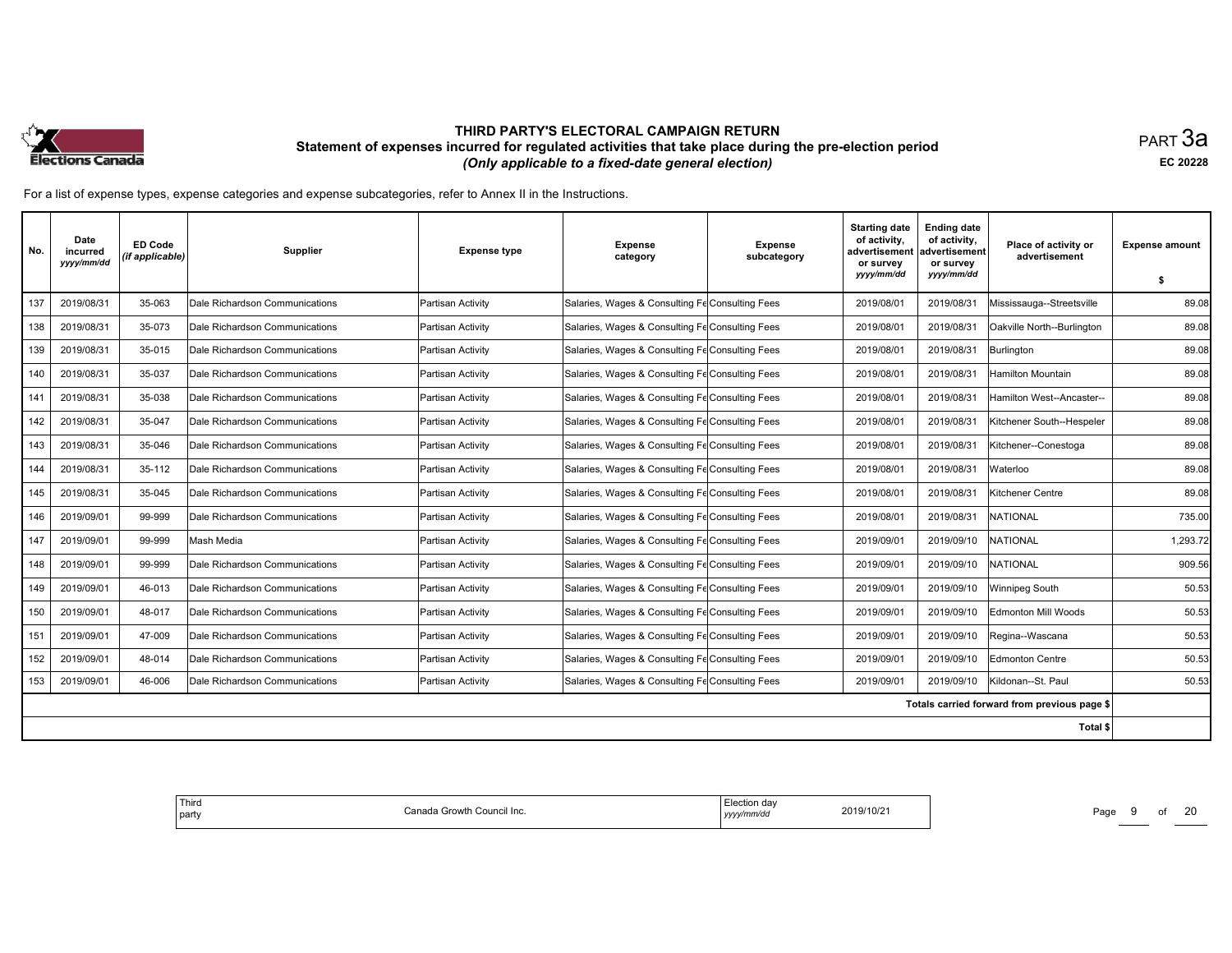

равт $\,3$ а EC <sup>20228</sup>

| No. | Date<br>incurred<br>yyyy/mm/dd | <b>ED Code</b><br>(if applicable) | <b>Supplier</b>                | <b>Expense type</b> | <b>Expense</b><br>category                      | <b>Expense</b><br>subcategory | <b>Starting date</b><br>of activity,<br>advertisement<br>or survey<br>yyyy/mm/dd | <b>Ending date</b><br>of activity,<br>advertisement<br>or survey<br>yyyy/mm/dd | Place of activity or<br>advertisement        | <b>Expense amount</b> |
|-----|--------------------------------|-----------------------------------|--------------------------------|---------------------|-------------------------------------------------|-------------------------------|----------------------------------------------------------------------------------|--------------------------------------------------------------------------------|----------------------------------------------|-----------------------|
|     |                                |                                   |                                |                     |                                                 |                               |                                                                                  |                                                                                |                                              | -S                    |
| 137 | 2019/08/31                     | 35-063                            | Dale Richardson Communications | Partisan Activity   | Salaries, Wages & Consulting Fe Consulting Fees |                               | 2019/08/01                                                                       | 2019/08/31                                                                     | Mississauga--Streetsville                    | 89.08                 |
| 138 | 2019/08/31                     | 35-073                            | Dale Richardson Communications | Partisan Activity   | Salaries, Wages & Consulting Fe Consulting Fees |                               | 2019/08/01                                                                       | 2019/08/31                                                                     | Oakville North--Burlington                   | 89.08                 |
| 139 | 2019/08/31                     | 35-015                            | Dale Richardson Communications | Partisan Activity   | Salaries, Wages & Consulting Fe Consulting Fees |                               | 2019/08/01                                                                       | 2019/08/31                                                                     | Burlington                                   | 89.08                 |
| 140 | 2019/08/31                     | 35-037                            | Dale Richardson Communications | Partisan Activity   | Salaries, Wages & Consulting Fe Consulting Fees |                               | 2019/08/01                                                                       | 2019/08/31                                                                     | Hamilton Mountain                            | 89.08                 |
| 141 | 2019/08/31                     | 35-038                            | Dale Richardson Communications | Partisan Activity   | Salaries, Wages & Consulting Fe Consulting Fees |                               | 2019/08/01                                                                       | 2019/08/31                                                                     | Hamilton West--Ancaster--                    | 89.08                 |
| 142 | 2019/08/31                     | 35-047                            | Dale Richardson Communications | Partisan Activity   | Salaries, Wages & Consulting Fe Consulting Fees |                               | 2019/08/01                                                                       | 2019/08/31                                                                     | Kitchener South--Hespeler                    | 89.08                 |
| 143 | 2019/08/31                     | 35-046                            | Dale Richardson Communications | Partisan Activity   | Salaries, Wages & Consulting Fe Consulting Fees |                               | 2019/08/01                                                                       | 2019/08/31                                                                     | Kitchener--Conestoga                         | 89.08                 |
| 144 | 2019/08/31                     | 35-112                            | Dale Richardson Communications | Partisan Activity   | Salaries, Wages & Consulting Fe Consulting Fees |                               | 2019/08/01                                                                       | 2019/08/31                                                                     | Waterloo                                     | 89.08                 |
| 145 | 2019/08/31                     | 35-045                            | Dale Richardson Communications | lPartisan Activitv  | Salaries, Wages & Consulting Fe Consulting Fees |                               | 2019/08/01                                                                       | 2019/08/31                                                                     | Kitchener Centre                             | 89.08                 |
| 146 | 2019/09/01                     | 99-999                            | Dale Richardson Communications | Partisan Activity   | Salaries, Wages & Consulting Fe Consulting Fees |                               | 2019/08/01                                                                       | 2019/08/31                                                                     | <b>INATIONAL</b>                             | 735.00                |
| 147 | 2019/09/01                     | 99-999                            | Mash Media                     | Partisan Activity   | Salaries, Wages & Consulting Fe Consulting Fees |                               | 2019/09/01                                                                       | 2019/09/10                                                                     | <b>NATIONAL</b>                              | 1,293.72              |
| 148 | 2019/09/01                     | 99-999                            | Dale Richardson Communications | Partisan Activity   | Salaries, Wages & Consulting Fe Consulting Fees |                               | 2019/09/01                                                                       | 2019/09/10                                                                     | NATIONAL                                     | 909.56                |
| 149 | 2019/09/01                     | 46-013                            | Dale Richardson Communications | Partisan Activity   | Salaries, Wages & Consulting Fe Consulting Fees |                               | 2019/09/01                                                                       | 2019/09/10                                                                     | Winnipeg South                               | 50.53                 |
| 150 | 2019/09/01                     | 48-017                            | Dale Richardson Communications | Partisan Activity   | Salaries, Wages & Consulting Fe Consulting Fees |                               | 2019/09/01                                                                       | 2019/09/10                                                                     | Edmonton Mill Woods                          | 50.53                 |
| 151 | 2019/09/01                     | 47-009                            | Dale Richardson Communications | Partisan Activity   | Salaries, Wages & Consulting Fe Consulting Fees |                               | 2019/09/01                                                                       | 2019/09/10                                                                     | Regina--Wascana                              | 50.53                 |
| 152 | 2019/09/01                     | 48-014                            | Dale Richardson Communications | Partisan Activity   | Salaries, Wages & Consulting Fe Consulting Fees |                               | 2019/09/01                                                                       | 2019/09/10                                                                     | Edmonton Centre                              | 50.53                 |
| 153 | 2019/09/01                     | 46-006                            | Dale Richardson Communications | Partisan Activity   | Salaries, Wages & Consulting Fe Consulting Fees |                               | 2019/09/01                                                                       | 2019/09/10                                                                     | Kildonan--St. Paul                           | 50.53                 |
|     |                                |                                   |                                |                     |                                                 |                               |                                                                                  |                                                                                | Totals carried forward from previous page \$ |                       |
|     |                                |                                   |                                |                     |                                                 |                               |                                                                                  |                                                                                | Total \$                                     |                       |

| ' Thira<br>Canada Growth Council Inc.<br>party | ∃lection da\<br>2019/10/21<br>yyyy/mm/dd | Page<br>$\sim$ |
|------------------------------------------------|------------------------------------------|----------------|
|------------------------------------------------|------------------------------------------|----------------|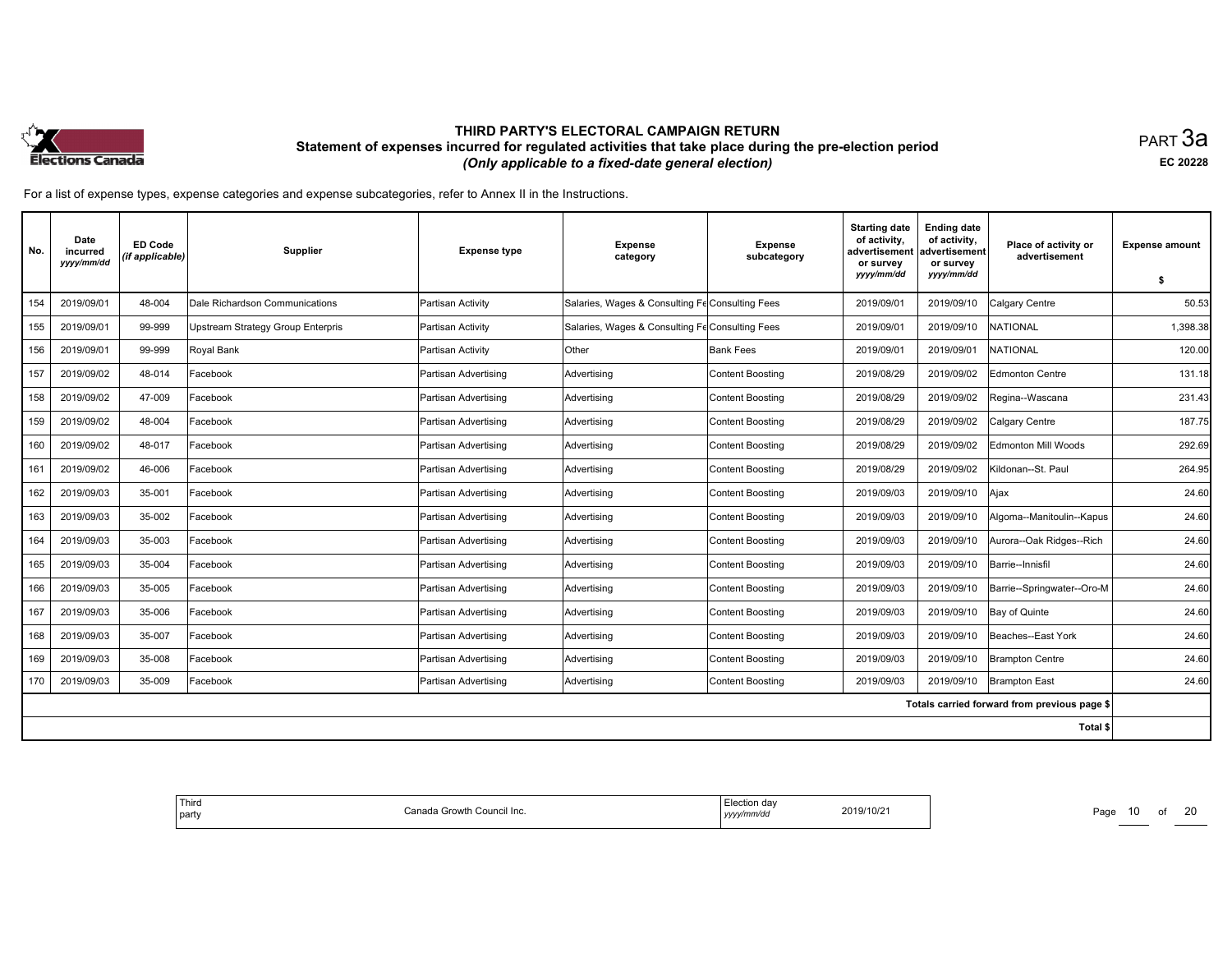

равт $\,3$ а EC <sup>20228</sup>

| No. | Date<br>incurred<br>yyyy/mm/dd | <b>ED Code</b><br>(if applicable) | <b>Supplier</b>                          | <b>Expense type</b>  | <b>Expense</b><br>category                      | <b>Expense</b><br>subcategory | <b>Starting date</b><br>of activity,<br>advertisement<br>or survey<br>yyyy/mm/dd | <b>Ending date</b><br>of activity,<br>advertisement<br>or survey<br>yyyy/mm/dd | Place of activity or<br>advertisement        | <b>Expense amount</b><br>\$ |
|-----|--------------------------------|-----------------------------------|------------------------------------------|----------------------|-------------------------------------------------|-------------------------------|----------------------------------------------------------------------------------|--------------------------------------------------------------------------------|----------------------------------------------|-----------------------------|
| 154 | 2019/09/01                     | 48-004                            | Dale Richardson Communications           | Partisan Activity    | Salaries, Wages & Consulting Fe Consulting Fees |                               | 2019/09/01                                                                       | 2019/09/10                                                                     | Calgary Centre                               | 50.53                       |
| 155 | 2019/09/01                     | 99-999                            | <b>Upstream Strategy Group Enterpris</b> | Partisan Activity    | Salaries, Wages & Consulting Fe Consulting Fees |                               | 2019/09/01                                                                       | 2019/09/10                                                                     | NATIONAL                                     | 1,398.38                    |
| 156 | 2019/09/01                     | 99-999                            | Royal Bank                               | Partisan Activity    | Other                                           | <b>Bank Fees</b>              | 2019/09/01                                                                       | 2019/09/01                                                                     | <b>NATIONAL</b>                              | 120.00                      |
| 157 | 2019/09/02                     | 48-014                            | Facebook                                 | Partisan Advertising | Advertising                                     | Content Boosting              | 2019/08/29                                                                       | 2019/09/02                                                                     | Edmonton Centre                              | 131.18                      |
| 158 | 2019/09/02                     | 47-009                            | Facebook                                 | Partisan Advertising | Advertising                                     | Content Boosting              | 2019/08/29                                                                       | 2019/09/02                                                                     | Regina--Wascana                              | 231.43                      |
| 159 | 2019/09/02                     | 48-004                            | Facebook                                 | Partisan Advertising | Advertising                                     | Content Boosting              | 2019/08/29                                                                       | 2019/09/02                                                                     | Calgary Centre                               | 187.75                      |
| 160 | 2019/09/02                     | 48-017                            | Facebook                                 | Partisan Advertising | Advertising                                     | Content Boosting              | 2019/08/29                                                                       | 2019/09/02                                                                     | Edmonton Mill Woods                          | 292.69                      |
| 161 | 2019/09/02                     | 46-006                            | Facebook                                 | Partisan Advertising | Advertising                                     | Content Boosting              | 2019/08/29                                                                       | 2019/09/02                                                                     | Kildonan--St. Paul                           | 264.95                      |
| 162 | 2019/09/03                     | 35-001                            | Facebook                                 | Partisan Advertising | Advertising                                     | Content Boosting              | 2019/09/03                                                                       | 2019/09/10                                                                     | Ajax                                         | 24.60                       |
| 163 | 2019/09/03                     | 35-002                            | Facebook                                 | Partisan Advertising | Advertising                                     | Content Boosting              | 2019/09/03                                                                       | 2019/09/10                                                                     | Algoma--Manitoulin--Kapus                    | 24.60                       |
| 164 | 2019/09/03                     | 35-003                            | Facebook                                 | Partisan Advertising | Advertising                                     | <b>Content Boosting</b>       | 2019/09/03                                                                       | 2019/09/10                                                                     | Aurora--Oak Ridges--Rich                     | 24.60                       |
| 165 | 2019/09/03                     | 35-004                            | Facebook                                 | Partisan Advertising | Advertising                                     | Content Boosting              | 2019/09/03                                                                       | 2019/09/10                                                                     | Barrie--Innisfil                             | 24.60                       |
| 166 | 2019/09/03                     | 35-005                            | Facebook                                 | Partisan Advertising | Advertising                                     | Content Boosting              | 2019/09/03                                                                       | 2019/09/10                                                                     | Barrie--Springwater--Oro-M                   | 24.60                       |
| 167 | 2019/09/03                     | 35-006                            | Facebook                                 | Partisan Advertising | Advertisina                                     | <b>Content Boosting</b>       | 2019/09/03                                                                       | 2019/09/10                                                                     | Bay of Quinte                                | 24.60                       |
| 168 | 2019/09/03                     | 35-007                            | Facebook                                 | Partisan Advertising | Advertising                                     | Content Boosting              | 2019/09/03                                                                       | 2019/09/10                                                                     | Beaches--East York                           | 24.60                       |
| 169 | 2019/09/03                     | 35-008                            | Facebook                                 | Partisan Advertising | Advertising                                     | Content Boosting              | 2019/09/03                                                                       | 2019/09/10                                                                     | <b>Brampton Centre</b>                       | 24.60                       |
| 170 | 2019/09/03                     | 35-009                            | Facebook                                 | Partisan Advertising | Advertising                                     | Content Boosting              | 2019/09/03                                                                       | 2019/09/10                                                                     | <b>Brampton East</b>                         | 24.60                       |
|     |                                |                                   |                                          |                      |                                                 |                               |                                                                                  |                                                                                | Totals carried forward from previous page \$ |                             |
|     |                                |                                   |                                          |                      |                                                 |                               |                                                                                  |                                                                                | Total \$                                     |                             |

| Thira<br>$n_{n}$<br>、Growth<br>า Council Inc.<br>∣ part∖<br>vanaua | ΠP<br>2019/10/21<br>VVVV/r<br>nm/dc<br>,,,,, | Page<br>_____ |
|--------------------------------------------------------------------|----------------------------------------------|---------------|
|--------------------------------------------------------------------|----------------------------------------------|---------------|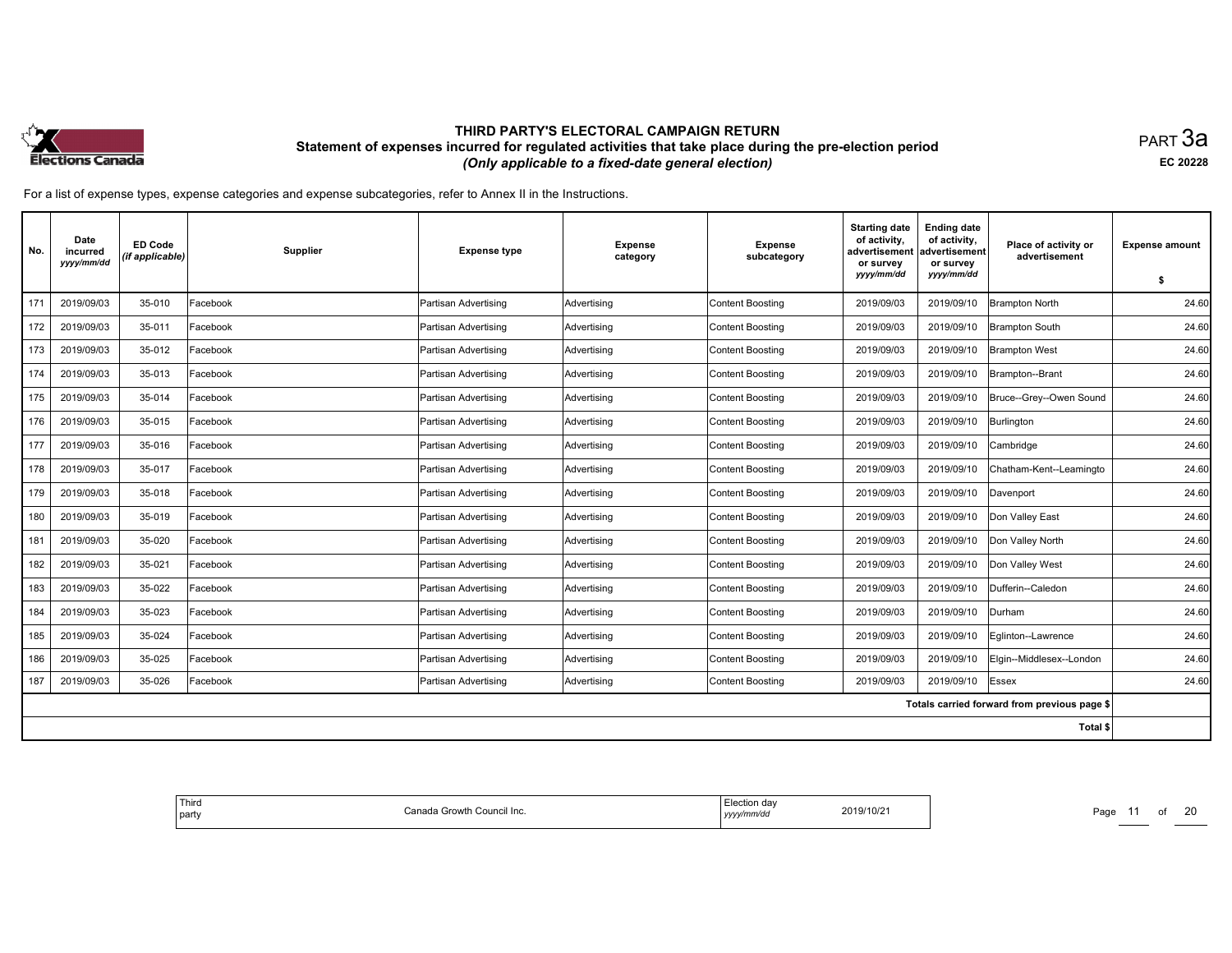

равт $\,3$ а EC <sup>20228</sup>

| No. | Date<br>incurred<br>yyyy/mm/dd | <b>ED Code</b><br>(if applicable) | <b>Supplier</b> | <b>Expense type</b>  | <b>Expense</b><br>category | <b>Expense</b><br>subcategory | <b>Starting date</b><br>of activity,<br>advertisement<br>or survey<br>yyyy/mm/dd | <b>Ending date</b><br>of activity,<br>advertisement<br>or survey<br>yyyy/mm/dd | Place of activity or<br>advertisement        | <b>Expense amount</b> |
|-----|--------------------------------|-----------------------------------|-----------------|----------------------|----------------------------|-------------------------------|----------------------------------------------------------------------------------|--------------------------------------------------------------------------------|----------------------------------------------|-----------------------|
|     |                                |                                   |                 |                      |                            |                               |                                                                                  |                                                                                |                                              | \$                    |
| 171 | 2019/09/03                     | 35-010                            | Facebook        | Partisan Advertising | Advertisina                | <b>Content Boosting</b>       | 2019/09/03                                                                       | 2019/09/10                                                                     | Brampton North                               | 24.60                 |
| 172 | 2019/09/03                     | 35-011                            | Facebook        | Partisan Advertising | Advertising                | <b>Content Boosting</b>       | 2019/09/03                                                                       | 2019/09/10                                                                     | <b>Brampton South</b>                        | 24.60                 |
| 173 | 2019/09/03                     | 35-012                            | Facebook        | Partisan Advertising | Advertising                | <b>Content Boosting</b>       | 2019/09/03                                                                       | 2019/09/10                                                                     | <b>Brampton West</b>                         | 24.60                 |
| 174 | 2019/09/03                     | 35-013                            | Facebook        | Partisan Advertising | Advertising                | <b>Content Boosting</b>       | 2019/09/03                                                                       | 2019/09/10                                                                     | Brampton--Brant                              | 24.60                 |
| 175 | 2019/09/03                     | 35-014                            | Facebook        | Partisan Advertising | Advertising                | <b>Content Boosting</b>       | 2019/09/03                                                                       | 2019/09/10                                                                     | Bruce--Grey--Owen Sound                      | 24.60                 |
| 176 | 2019/09/03                     | 35-015                            | Facebook        | Partisan Advertising | Advertising                | <b>Content Boosting</b>       | 2019/09/03                                                                       | 2019/09/10                                                                     | Burlington                                   | 24.60                 |
| 177 | 2019/09/03                     | 35-016                            | Facebook        | Partisan Advertising | Advertising                | <b>Content Boosting</b>       | 2019/09/03                                                                       | 2019/09/10                                                                     | Cambridge                                    | 24.60                 |
| 178 | 2019/09/03                     | 35-017                            | Facebook        | Partisan Advertising | Advertising                | <b>Content Boosting</b>       | 2019/09/03                                                                       | 2019/09/10                                                                     | Chatham-Kent--Leamingto                      | 24.60                 |
| 179 | 2019/09/03                     | 35-018                            | Facebook        | Partisan Advertising | Advertising                | <b>Content Boosting</b>       | 2019/09/03                                                                       | 2019/09/10                                                                     | Davenport                                    | 24.60                 |
| 180 | 2019/09/03                     | 35-019                            | Facebook        | Partisan Advertising | Advertising                | <b>Content Boosting</b>       | 2019/09/03                                                                       | 2019/09/10                                                                     | Don Valley East                              | 24.60                 |
| 181 | 2019/09/03                     | 35-020                            | Facebook        | Partisan Advertising | Advertising                | <b>Content Boosting</b>       | 2019/09/03                                                                       | 2019/09/10                                                                     | Don Valley North                             | 24.60                 |
| 182 | 2019/09/03                     | 35-021                            | Facebook        | Partisan Advertising | Advertising                | <b>Content Boosting</b>       | 2019/09/03                                                                       | 2019/09/10                                                                     | Don Valley West                              | 24.60                 |
| 183 | 2019/09/03                     | 35-022                            | Facebook        | Partisan Advertising | Advertising                | <b>Content Boosting</b>       | 2019/09/03                                                                       | 2019/09/10                                                                     | Dufferin--Caledon                            | 24.60                 |
| 184 | 2019/09/03                     | 35-023                            | Facebook        | Partisan Advertising | Advertising                | <b>Content Boosting</b>       | 2019/09/03                                                                       | 2019/09/10                                                                     | Durham                                       | 24.60                 |
| 185 | 2019/09/03                     | 35-024                            | Facebook        | Partisan Advertising | Advertising                | Content Boosting              | 2019/09/03                                                                       | 2019/09/10                                                                     | Eglinton--Lawrence                           | 24.60                 |
| 186 | 2019/09/03                     | 35-025                            | Facebook        | Partisan Advertising | Advertising                | <b>Content Boosting</b>       | 2019/09/03                                                                       | 2019/09/10                                                                     | Elgin--Middlesex--London                     | 24.60                 |
| 187 | 2019/09/03                     | 35-026                            | Facebook        | Partisan Advertising | Advertising                | <b>Content Boosting</b>       | 2019/09/03                                                                       | 2019/09/10                                                                     | Essex                                        | 24.60                 |
|     |                                |                                   |                 |                      |                            |                               |                                                                                  |                                                                                | Totals carried forward from previous page \$ |                       |
|     |                                |                                   |                 |                      |                            |                               |                                                                                  |                                                                                | Total \$                                     |                       |

| ' Third<br>า Growth Council Inc.<br>nnn<br>part<br>$\sim$ 11 $\sim$ | ı dav<br>2019/10/21<br>$\cdots$<br>, , , , , | Page<br>_____ |
|---------------------------------------------------------------------|----------------------------------------------|---------------|
|---------------------------------------------------------------------|----------------------------------------------|---------------|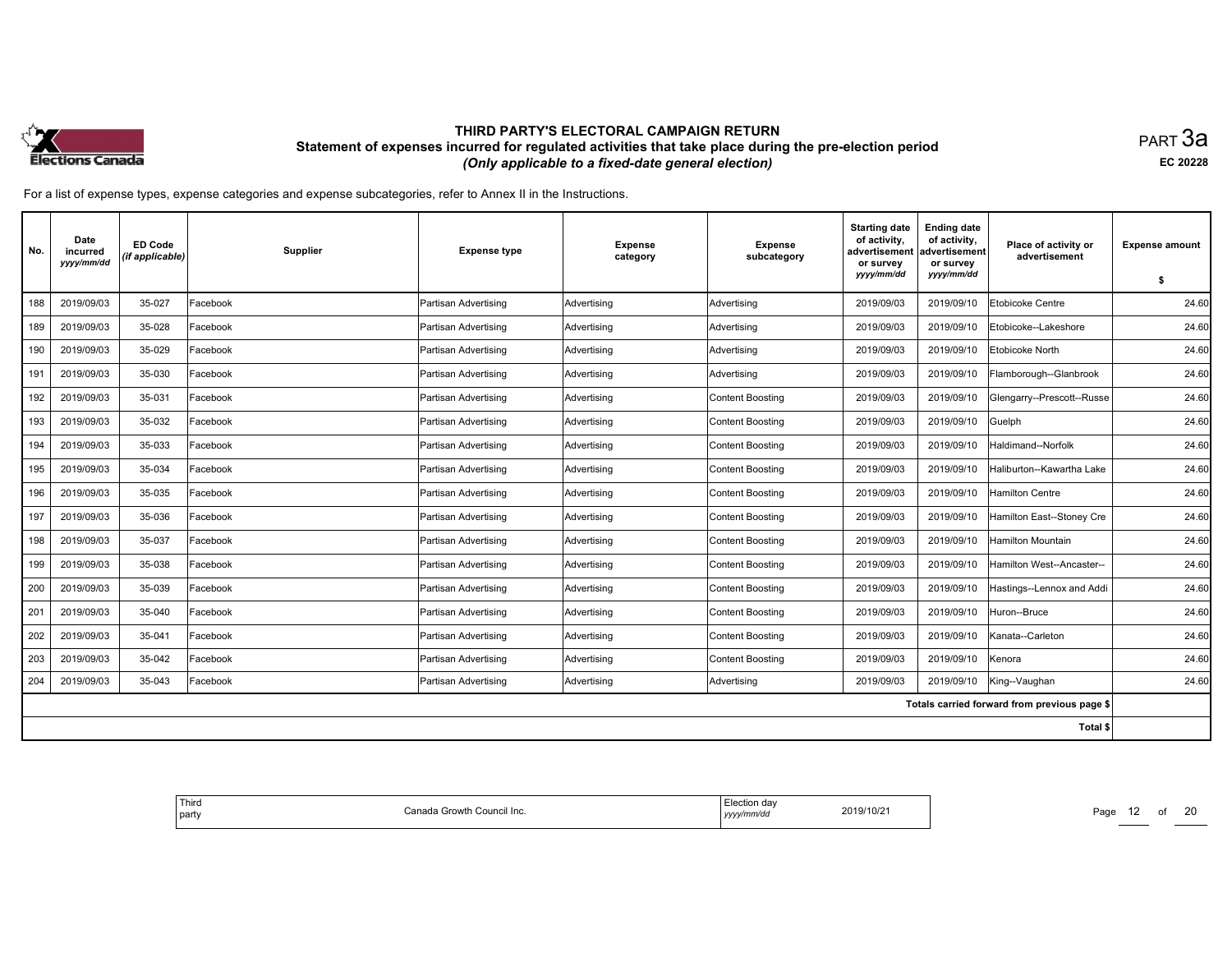

равт $\,3$ а EC <sup>20228</sup>

| No. | Date<br>incurred<br>yyyy/mm/dd | <b>ED Code</b><br>(if applicable) | Supplier | <b>Expense type</b>  | <b>Expense</b><br>category | <b>Expense</b><br>subcategory | <b>Starting date</b><br>of activity,<br>advertisement<br>or survey<br>yyyy/mm/dd | <b>Ending date</b><br>of activity,<br>advertisement<br>or survey<br>yyyy/mm/dd | Place of activity or<br>advertisement        | <b>Expense amount</b><br>\$ |
|-----|--------------------------------|-----------------------------------|----------|----------------------|----------------------------|-------------------------------|----------------------------------------------------------------------------------|--------------------------------------------------------------------------------|----------------------------------------------|-----------------------------|
| 188 | 2019/09/03                     | 35-027                            | Facebook | Partisan Advertising | Advertising                | Advertising                   | 2019/09/03                                                                       | 2019/09/10                                                                     | Etobicoke Centre                             | 24.60                       |
| 189 | 2019/09/03                     | 35-028                            | Facebook | Partisan Advertising | Advertisina                | Advertising                   | 2019/09/03                                                                       | 2019/09/10                                                                     | Etobicoke--Lakeshore                         | 24.60                       |
| 190 | 2019/09/03                     | 35-029                            | Facebook | Partisan Advertising | Advertising                | Advertising                   | 2019/09/03                                                                       | 2019/09/10                                                                     | Etobicoke North                              | 24.60                       |
| 191 | 2019/09/03                     | 35-030                            | Facebook | Partisan Advertising | Advertising                | Advertising                   | 2019/09/03                                                                       | 2019/09/10                                                                     | Flamborough--Glanbrook                       | 24.60                       |
| 192 | 2019/09/03                     | 35-031                            | Facebook | Partisan Advertising | Advertising                | <b>Content Boosting</b>       | 2019/09/03                                                                       | 2019/09/10                                                                     | Glengarry--Prescott--Russe                   | 24.60                       |
| 193 | 2019/09/03                     | 35-032                            | Facebook | Partisan Advertising | Advertising                | Content Boosting              | 2019/09/03                                                                       | 2019/09/10                                                                     | Guelph                                       | 24.60                       |
| 194 | 2019/09/03                     | 35-033                            | Facebook | Partisan Advertising | Advertising                | Content Boosting              | 2019/09/03                                                                       | 2019/09/10                                                                     | Haldimand--Norfolk                           | 24.60                       |
| 195 | 2019/09/03                     | 35-034                            | Facebook | Partisan Advertising | Advertising                | <b>Content Boosting</b>       | 2019/09/03                                                                       | 2019/09/10                                                                     | Haliburton--Kawartha Lake                    | 24.60                       |
| 196 | 2019/09/03                     | 35-035                            | Facebook | Partisan Advertising | Advertising                | Content Boosting              | 2019/09/03                                                                       | 2019/09/10                                                                     | <b>Hamilton Centre</b>                       | 24.60                       |
| 197 | 2019/09/03                     | 35-036                            | Facebook | Partisan Advertising | Advertising                | Content Boosting              | 2019/09/03                                                                       | 2019/09/10                                                                     | Hamilton East--Stoney Cre                    | 24.60                       |
| 198 | 2019/09/03                     | 35-037                            | Facebook | Partisan Advertising | Advertising                | <b>Content Boosting</b>       | 2019/09/03                                                                       | 2019/09/10                                                                     | <b>Hamilton Mountain</b>                     | 24.60                       |
| 199 | 2019/09/03                     | 35-038                            | Facebook | Partisan Advertising | Advertising                | Content Boosting              | 2019/09/03                                                                       | 2019/09/10                                                                     | Hamilton West--Ancaster--                    | 24.60                       |
| 200 | 2019/09/03                     | 35-039                            | Facebook | Partisan Advertising | Advertising                | Content Boosting              | 2019/09/03                                                                       | 2019/09/10                                                                     | Hastings--Lennox and Addi                    | 24.60                       |
| 201 | 2019/09/03                     | 35-040                            | Facebook | Partisan Advertising | Advertising                | <b>Content Boosting</b>       | 2019/09/03                                                                       | 2019/09/10                                                                     | Huron--Bruce                                 | 24.60                       |
| 202 | 2019/09/03                     | 35-041                            | Facebook | Partisan Advertising | Advertising                | Content Boosting              | 2019/09/03                                                                       | 2019/09/10                                                                     | Kanata--Carleton                             | 24.60                       |
| 203 | 2019/09/03                     | 35-042                            | Facebook | Partisan Advertising | Advertising                | <b>Content Boosting</b>       | 2019/09/03                                                                       | 2019/09/10                                                                     | Kenora                                       | 24.60                       |
| 204 | 2019/09/03                     | 35-043                            | Facebook | Partisan Advertising | Advertising                | Advertising                   | 2019/09/03                                                                       | 2019/09/10                                                                     | King--Vaughan                                | 24.60                       |
|     |                                |                                   |          |                      |                            |                               |                                                                                  |                                                                                | Totals carried forward from previous page \$ |                             |
|     |                                |                                   |          |                      |                            |                               |                                                                                  |                                                                                | Total \$                                     |                             |

| Thira<br>Canada Growth Council Inc.<br>  party | Election da\<br>2019/10/21<br>yyyy/mm/dd | Page<br>___ |
|------------------------------------------------|------------------------------------------|-------------|
|------------------------------------------------|------------------------------------------|-------------|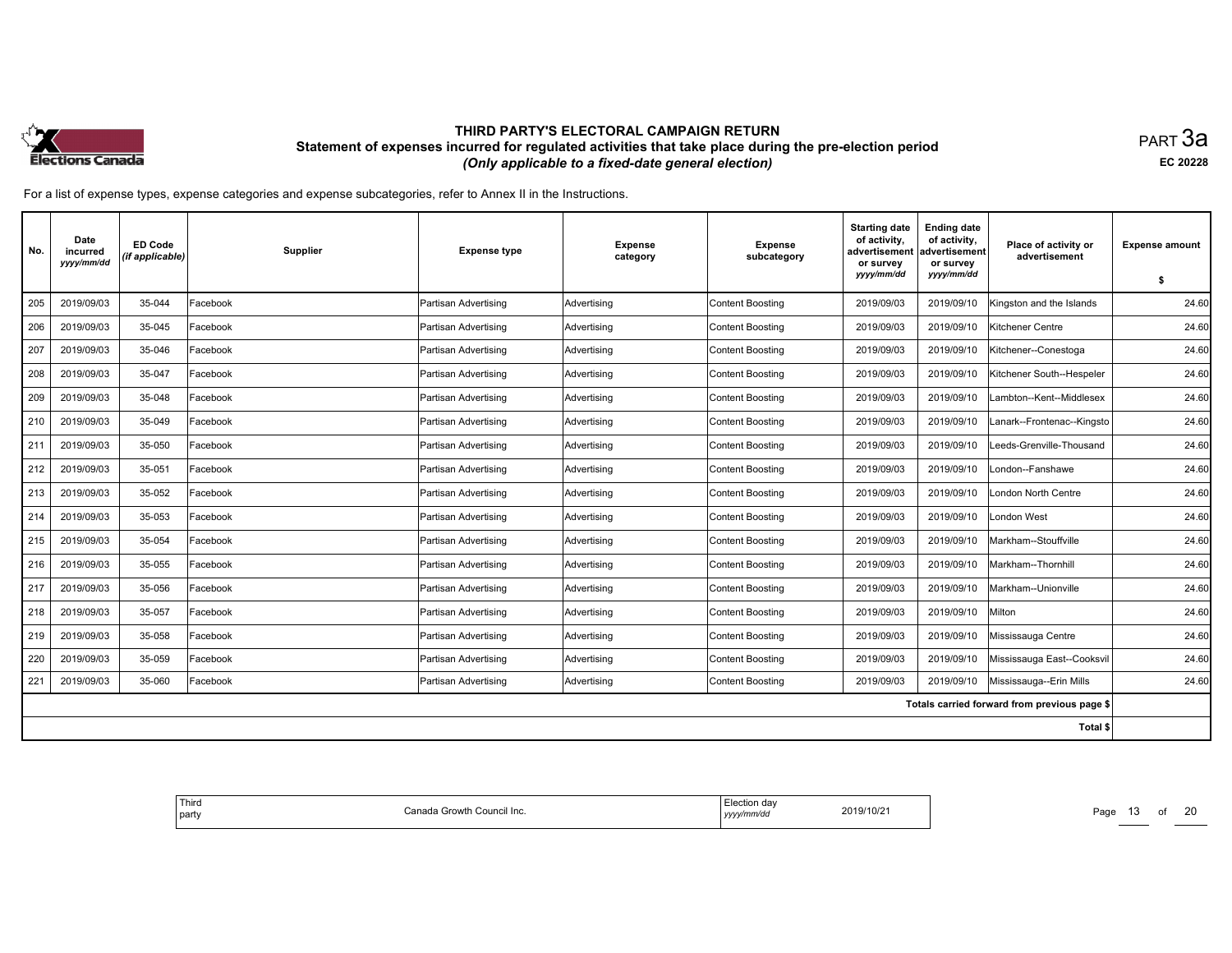

равт $\,3$ а EC <sup>20228</sup>

| No. | Date<br>incurred<br>yyyy/mm/dd | <b>ED Code</b><br>(if applicable) | Supplier | <b>Expense type</b>  | <b>Expense</b><br>category | <b>Expense</b><br>subcategory | <b>Starting date</b><br>of activity,<br>advertisement<br>or survey<br>yyyy/mm/dd | <b>Ending date</b><br>of activity,<br>advertisement<br>or survey<br>yyyy/mm/dd | Place of activity or<br>advertisement        | <b>Expense amount</b> |
|-----|--------------------------------|-----------------------------------|----------|----------------------|----------------------------|-------------------------------|----------------------------------------------------------------------------------|--------------------------------------------------------------------------------|----------------------------------------------|-----------------------|
|     |                                |                                   |          |                      |                            |                               |                                                                                  |                                                                                |                                              | \$                    |
| 205 | 2019/09/03                     | 35-044                            | Facebook | Partisan Advertising | Advertising                | <b>Content Boosting</b>       | 2019/09/03                                                                       | 2019/09/10                                                                     | Kingston and the Islands                     | 24.60                 |
| 206 | 2019/09/03                     | 35-045                            | Facebook | Partisan Advertising | Advertisina                | <b>Content Boosting</b>       | 2019/09/03                                                                       | 2019/09/10                                                                     | Kitchener Centre                             | 24.60                 |
| 207 | 2019/09/03                     | 35-046                            | Facebook | Partisan Advertising | Advertising                | Content Boosting              | 2019/09/03                                                                       | 2019/09/10                                                                     | Kitchener--Conestoga                         | 24.60                 |
| 208 | 2019/09/03                     | 35-047                            | Facebook | Partisan Advertising | Advertising                | Content Boosting              | 2019/09/03                                                                       | 2019/09/10                                                                     | Kitchener South--Hespeler                    | 24.60                 |
| 209 | 2019/09/03                     | 35-048                            | Facebook | Partisan Advertising | Advertising                | <b>Content Boosting</b>       | 2019/09/03                                                                       | 2019/09/10                                                                     | .ambton--Kent--Middlesex                     | 24.60                 |
| 210 | 2019/09/03                     | 35-049                            | Facebook | Partisan Advertising | Advertising                | Content Boosting              | 2019/09/03                                                                       | 2019/09/10                                                                     | Lanark--Frontenac--Kingsto                   | 24.60                 |
| 211 | 2019/09/03                     | 35-050                            | Facebook | Partisan Advertising | Advertising                | Content Boosting              | 2019/09/03                                                                       | 2019/09/10                                                                     | Leeds-Grenville-Thousand                     | 24.60                 |
| 212 | 2019/09/03                     | 35-051                            | Facebook | Partisan Advertising | Advertising                | <b>Content Boosting</b>       | 2019/09/03                                                                       | 2019/09/10                                                                     | London--Fanshawe                             | 24.60                 |
| 213 | 2019/09/03                     | 35-052                            | Facebook | Partisan Advertising | Advertising                | Content Boosting              | 2019/09/03                                                                       | 2019/09/10                                                                     | ondon North Centre                           | 24.60                 |
| 214 | 2019/09/03                     | 35-053                            | Facebook | Partisan Advertising | Advertising                | Content Boosting              | 2019/09/03                                                                       | 2019/09/10                                                                     | London West                                  | 24.60                 |
| 215 | 2019/09/03                     | 35-054                            | Facebook | Partisan Advertising | Advertising                | <b>Content Boosting</b>       | 2019/09/03                                                                       | 2019/09/10                                                                     | Markham--Stouffville                         | 24.60                 |
| 216 | 2019/09/03                     | 35-055                            | Facebook | Partisan Advertising | Advertising                | Content Boosting              | 2019/09/03                                                                       | 2019/09/10                                                                     | Markham--Thornhill                           | 24.60                 |
| 217 | 2019/09/03                     | 35-056                            | Facebook | Partisan Advertising | Advertisina                | Content Boosting              | 2019/09/03                                                                       | 2019/09/10                                                                     | Markham--Unionville                          | 24.60                 |
| 218 | 2019/09/03                     | 35-057                            | Facebook | Partisan Advertising | Advertising                | <b>Content Boosting</b>       | 2019/09/03                                                                       | 2019/09/10                                                                     | Milton                                       | 24.60                 |
| 219 | 2019/09/03                     | 35-058                            | Facebook | Partisan Advertising | Advertising                | Content Boosting              | 2019/09/03                                                                       | 2019/09/10                                                                     | Mississauga Centre                           | 24.60                 |
| 220 | 2019/09/03                     | 35-059                            | Facebook | Partisan Advertising | Advertising                | <b>Content Boosting</b>       | 2019/09/03                                                                       | 2019/09/10                                                                     | Mississauga East--Cooksvil                   | 24.60                 |
| 221 | 2019/09/03                     | 35-060                            | Facebook | Partisan Advertising | Advertising                | Content Boosting              | 2019/09/03                                                                       | 2019/09/10                                                                     | Mississauga--Erin Mills                      | 24.60                 |
|     |                                |                                   |          |                      |                            |                               |                                                                                  |                                                                                | Totals carried forward from previous page \$ |                       |
|     |                                |                                   |          |                      |                            |                               |                                                                                  |                                                                                | Total \$                                     |                       |

| Third<br>I party | Canada Growth<br>. Council Inc. | ™notion day<br>2019/10/21<br>.<br>TUIZ<br>yyyy/mm/dd | Page<br>_____ |
|------------------|---------------------------------|------------------------------------------------------|---------------|
|                  |                                 |                                                      |               |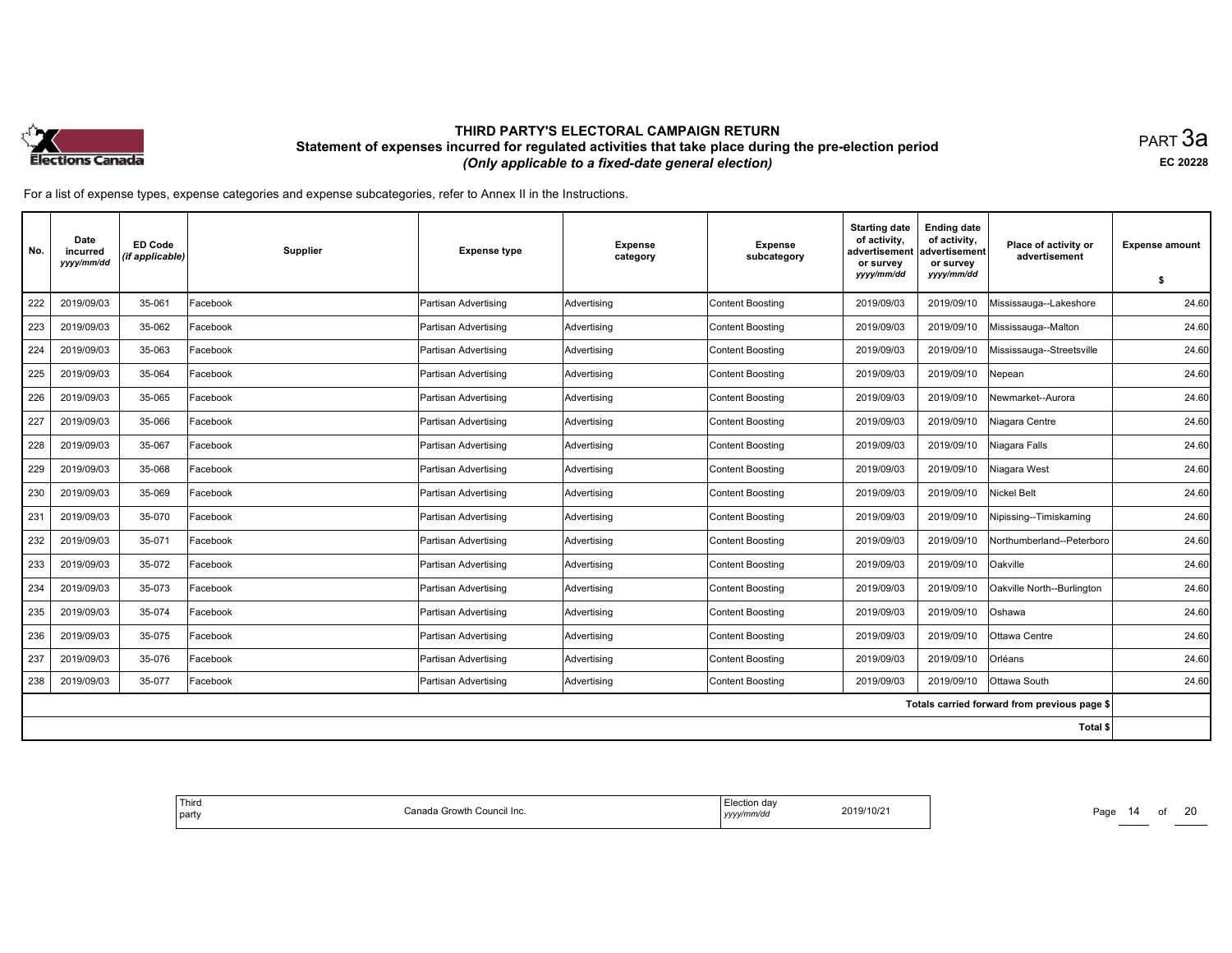

равт $\,3$ а EC <sup>20228</sup>

| No. | Date<br>incurred<br>yyyy/mm/dd | <b>ED Code</b><br>(if applicable) | <b>Supplier</b> | <b>Expense type</b>  | <b>Expense</b><br>category | <b>Expense</b><br>subcategory | <b>Starting date</b><br>of activity,<br>advertisement<br>or survey<br>yyyy/mm/dd | <b>Ending date</b><br>of activity,<br>advertisement<br>or survey<br>yyyy/mm/dd | Place of activity or<br>advertisement        | <b>Expense amount</b><br>-S |
|-----|--------------------------------|-----------------------------------|-----------------|----------------------|----------------------------|-------------------------------|----------------------------------------------------------------------------------|--------------------------------------------------------------------------------|----------------------------------------------|-----------------------------|
| 222 | 2019/09/03                     | 35-061                            | Facebook        | Partisan Advertising | Advertising                | <b>Content Boosting</b>       | 2019/09/03                                                                       | 2019/09/10                                                                     | Mississauga--Lakeshore                       | 24.60                       |
| 223 | 2019/09/03                     | 35-062                            | Facebook        | Partisan Advertising | Advertising                | <b>Content Boosting</b>       | 2019/09/03                                                                       | 2019/09/10                                                                     | Mississauga--Malton                          | 24.60                       |
| 224 | 2019/09/03                     | 35-063                            | Facebook        |                      |                            |                               | 2019/09/03                                                                       | 2019/09/10                                                                     |                                              | 24.60                       |
|     |                                |                                   |                 | Partisan Advertising | Advertising                | <b>Content Boosting</b>       |                                                                                  |                                                                                | Mississauga--Streetsville                    |                             |
| 225 | 2019/09/03                     | 35-064                            | Facebook        | Partisan Advertising | Advertising                | <b>Content Boosting</b>       | 2019/09/03                                                                       | 2019/09/10                                                                     | Nepean                                       | 24.60                       |
| 226 | 2019/09/03                     | 35-065                            | Facebook        | Partisan Advertising | Advertising                | <b>Content Boosting</b>       | 2019/09/03                                                                       | 2019/09/10                                                                     | Newmarket--Aurora                            | 24.60                       |
| 227 | 2019/09/03                     | 35-066                            | Facebook        | Partisan Advertising | Advertisina                | <b>Content Boosting</b>       | 2019/09/03                                                                       | 2019/09/10                                                                     | Niagara Centre                               | 24.60                       |
| 228 | 2019/09/03                     | 35-067                            | Facebook        | Partisan Advertising | Advertising                | <b>Content Boosting</b>       | 2019/09/03                                                                       | 2019/09/10                                                                     | Niagara Falls                                | 24.60                       |
| 229 | 2019/09/03                     | 35-068                            | Facebook        | Partisan Advertising | Advertising                | <b>Content Boosting</b>       | 2019/09/03                                                                       | 2019/09/10                                                                     | Niagara West                                 | 24.60                       |
| 230 | 2019/09/03                     | 35-069                            | Facebook        | Partisan Advertising | Advertising                | <b>Content Boosting</b>       | 2019/09/03                                                                       | 2019/09/10                                                                     | <b>Nickel Belt</b>                           | 24.60                       |
| 231 | 2019/09/03                     | 35-070                            | Facebook        | Partisan Advertising | Advertising                | <b>Content Boosting</b>       | 2019/09/03                                                                       | 2019/09/10                                                                     | Nipissing--Timiskaming                       | 24.60                       |
| 232 | 2019/09/03                     | 35-071                            | Facebook        | Partisan Advertising | Advertising                | <b>Content Boosting</b>       | 2019/09/03                                                                       | 2019/09/10                                                                     | Northumberland--Peterboro                    | 24.60                       |
| 233 | 2019/09/03                     | 35-072                            | Facebook        | Partisan Advertising | Advertising                | <b>Content Boosting</b>       | 2019/09/03                                                                       | 2019/09/10                                                                     | Oakville                                     | 24.60                       |
| 234 | 2019/09/03                     | 35-073                            | Facebook        | Partisan Advertising | Advertising                | <b>Content Boosting</b>       | 2019/09/03                                                                       | 2019/09/10                                                                     | Oakville North--Burlington                   | 24.60                       |
| 235 | 2019/09/03                     | 35-074                            | Facebook        | Partisan Advertising | Advertising                | <b>Content Boosting</b>       | 2019/09/03                                                                       | 2019/09/10                                                                     | Oshawa                                       | 24.60                       |
| 236 | 2019/09/03                     | 35-075                            | Facebook        | Partisan Advertising | Advertising                | <b>Content Boosting</b>       | 2019/09/03                                                                       | 2019/09/10                                                                     | Ottawa Centre                                | 24.60                       |
| 237 | 2019/09/03                     | 35-076                            | Facebook        | Partisan Advertising | Advertising                | <b>Content Boosting</b>       | 2019/09/03                                                                       | 2019/09/10                                                                     | <b>Orléans</b>                               | 24.60                       |
| 238 | 2019/09/03                     | 35-077                            | Facebook        | Partisan Advertising | Advertising                | <b>Content Boosting</b>       | 2019/09/03                                                                       | 2019/09/10                                                                     | Ottawa South                                 | 24.60                       |
|     |                                |                                   |                 |                      |                            |                               |                                                                                  |                                                                                | Totals carried forward from previous page \$ |                             |
|     |                                |                                   |                 |                      |                            |                               |                                                                                  |                                                                                | Total \$                                     |                             |

| Third<br>ı Growth<br>› Council Inc.<br>`ono<br>l party<br>,,,,,, | da<br>2019/10/21<br>$\sim$<br>nnva<br>,,,,,<br>the control of the control | Page |
|------------------------------------------------------------------|---------------------------------------------------------------------------|------|
|------------------------------------------------------------------|---------------------------------------------------------------------------|------|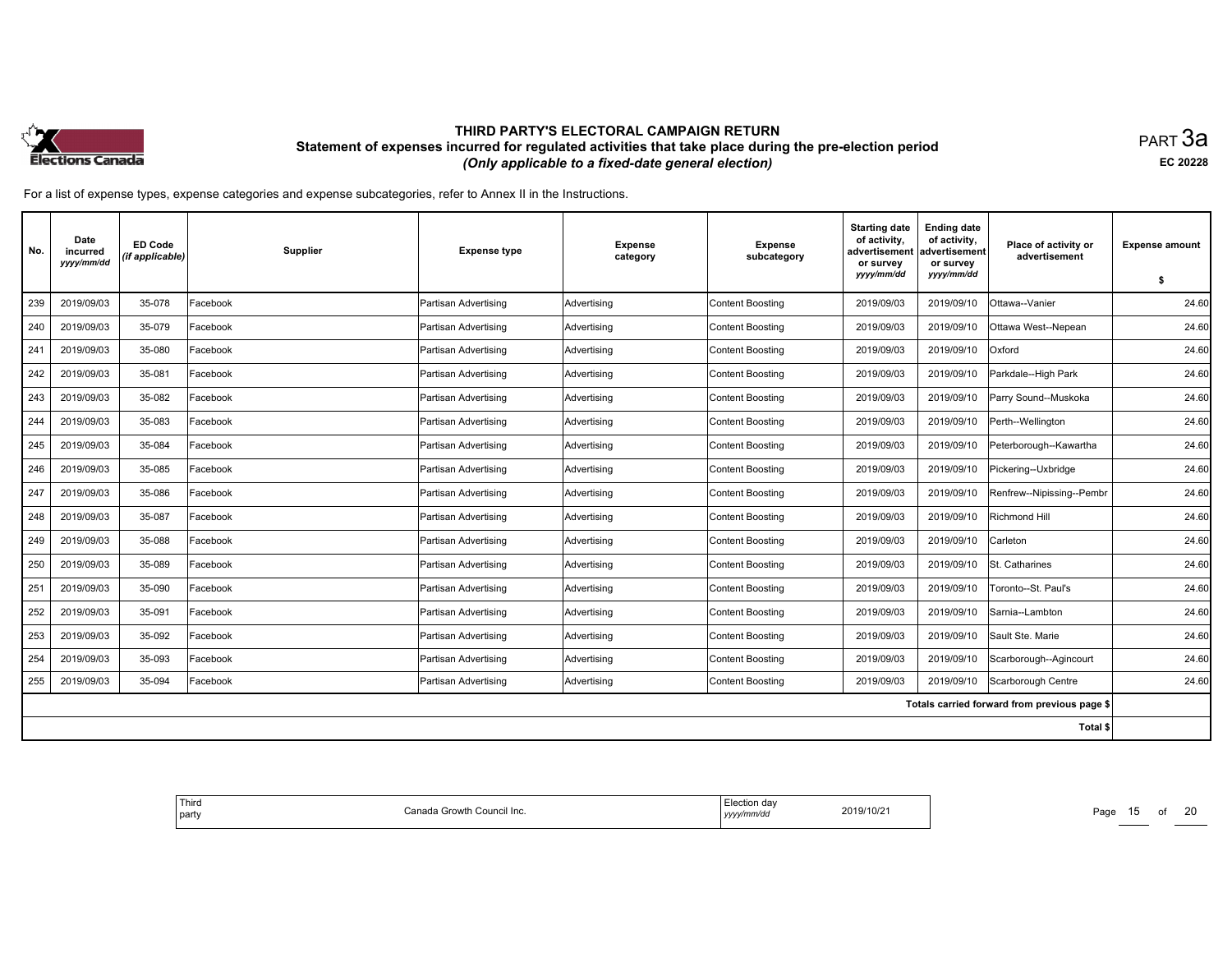

равт $\,3$ а EC <sup>20228</sup>

| No. | Date<br>incurred<br>yyyy/mm/dd | <b>ED Code</b><br>(if applicable) | <b>Supplier</b> | <b>Expense type</b>  | <b>Expense</b><br>category | <b>Expense</b><br>subcategory | <b>Starting date</b><br>of activity,<br>advertisement<br>or survey<br>yyyy/mm/dd | <b>Ending date</b><br>of activity,<br>advertisement<br>or survey<br>yyyy/mm/dd | Place of activity or<br>advertisement        | <b>Expense amount</b><br>-S |
|-----|--------------------------------|-----------------------------------|-----------------|----------------------|----------------------------|-------------------------------|----------------------------------------------------------------------------------|--------------------------------------------------------------------------------|----------------------------------------------|-----------------------------|
| 239 | 2019/09/03                     | 35-078                            | Facebook        | Partisan Advertising | Advertisina                | <b>Content Boosting</b>       | 2019/09/03                                                                       | 2019/09/10                                                                     | Ottawa--Vanier                               | 24.60                       |
| 240 | 2019/09/03                     | 35-079                            | Facebook        | Partisan Advertising | Advertising                | <b>Content Boosting</b>       | 2019/09/03                                                                       | 2019/09/10                                                                     | Ottawa West--Nepean                          | 24.60                       |
| 241 | 2019/09/03                     | 35-080                            | Facebook        | Partisan Advertising | Advertising                | <b>Content Boosting</b>       | 2019/09/03                                                                       | 2019/09/10                                                                     | Oxford                                       | 24.60                       |
|     |                                |                                   |                 |                      |                            |                               |                                                                                  |                                                                                |                                              |                             |
| 242 | 2019/09/03                     | 35-081                            | Facebook        | Partisan Advertising | Advertising                | <b>Content Boosting</b>       | 2019/09/03                                                                       | 2019/09/10                                                                     | Parkdale--High Park                          | 24.60                       |
| 243 | 2019/09/03                     | 35-082                            | Facebook        | Partisan Advertising | Advertising                | <b>Content Boosting</b>       | 2019/09/03                                                                       | 2019/09/10                                                                     | Parry Sound--Muskoka                         | 24.60                       |
| 244 | 2019/09/03                     | 35-083                            | Facebook        | Partisan Advertising | Advertising                | <b>Content Boosting</b>       | 2019/09/03                                                                       | 2019/09/10                                                                     | Perth--Wellington                            | 24.60                       |
| 245 | 2019/09/03                     | 35-084                            | Facebook        | Partisan Advertising | Advertising                | <b>Content Boosting</b>       | 2019/09/03                                                                       | 2019/09/10                                                                     | Peterborough--Kawartha                       | 24.60                       |
| 246 | 2019/09/03                     | 35-085                            | Facebook        | Partisan Advertising | Advertising                | <b>Content Boosting</b>       | 2019/09/03                                                                       | 2019/09/10                                                                     | Pickering--Uxbridge                          | 24.60                       |
| 247 | 2019/09/03                     | 35-086                            | Facebook        | Partisan Advertising | Advertisina                | <b>Content Boosting</b>       | 2019/09/03                                                                       | 2019/09/10                                                                     | Renfrew--Nipissing--Pembr                    | 24.60                       |
| 248 | 2019/09/03                     | 35-087                            | Facebook        | Partisan Advertising | Advertising                | <b>Content Boosting</b>       | 2019/09/03                                                                       | 2019/09/10                                                                     | Richmond Hill                                | 24.60                       |
| 249 | 2019/09/03                     | 35-088                            | Facebook        | Partisan Advertising | Advertising                | <b>Content Boosting</b>       | 2019/09/03                                                                       | 2019/09/10                                                                     | Carleton                                     | 24.60                       |
| 250 | 2019/09/03                     | 35-089                            | Facebook        | Partisan Advertising | Advertising                | <b>Content Boosting</b>       | 2019/09/03                                                                       | 2019/09/10                                                                     | <b>St. Catharines</b>                        | 24.60                       |
| 251 | 2019/09/03                     | 35-090                            | Facebook        | Partisan Advertising | Advertising                | <b>Content Boosting</b>       | 2019/09/03                                                                       | 2019/09/10                                                                     | Toronto--St. Paul's                          | 24.60                       |
| 252 | 2019/09/03                     | 35-091                            | Facebook        | Partisan Advertising | Advertising                | <b>Content Boosting</b>       | 2019/09/03                                                                       | 2019/09/10                                                                     | ISarnia--Lambton                             | 24.60                       |
| 253 | 2019/09/03                     | 35-092                            | Facebook        | Partisan Advertising | Advertising                | <b>Content Boosting</b>       | 2019/09/03                                                                       | 2019/09/10                                                                     | Sault Ste, Marie                             | 24.60                       |
| 254 | 2019/09/03                     | 35-093                            | Facebook        | Partisan Advertising | Advertising                | <b>Content Boosting</b>       | 2019/09/03                                                                       | 2019/09/10                                                                     | Scarborough--Agincourt                       | 24.60                       |
| 255 | 2019/09/03                     | 35-094                            | Facebook        | Partisan Advertising | Advertising                | <b>Content Boosting</b>       | 2019/09/03                                                                       | 2019/09/10                                                                     | Scarborough Centre                           | 24.60                       |
|     |                                |                                   |                 |                      |                            |                               |                                                                                  |                                                                                | Totals carried forward from previous page \$ |                             |
|     |                                |                                   |                 |                      |                            |                               |                                                                                  |                                                                                | Total \$                                     |                             |

| Third<br>ı Growth<br>› Council Inc.<br>`ono<br>l party<br>,,,,,, | da<br>2019/10/21<br>$\sim$<br>nnva<br>,,,,,<br>the control of the control | Page |
|------------------------------------------------------------------|---------------------------------------------------------------------------|------|
|------------------------------------------------------------------|---------------------------------------------------------------------------|------|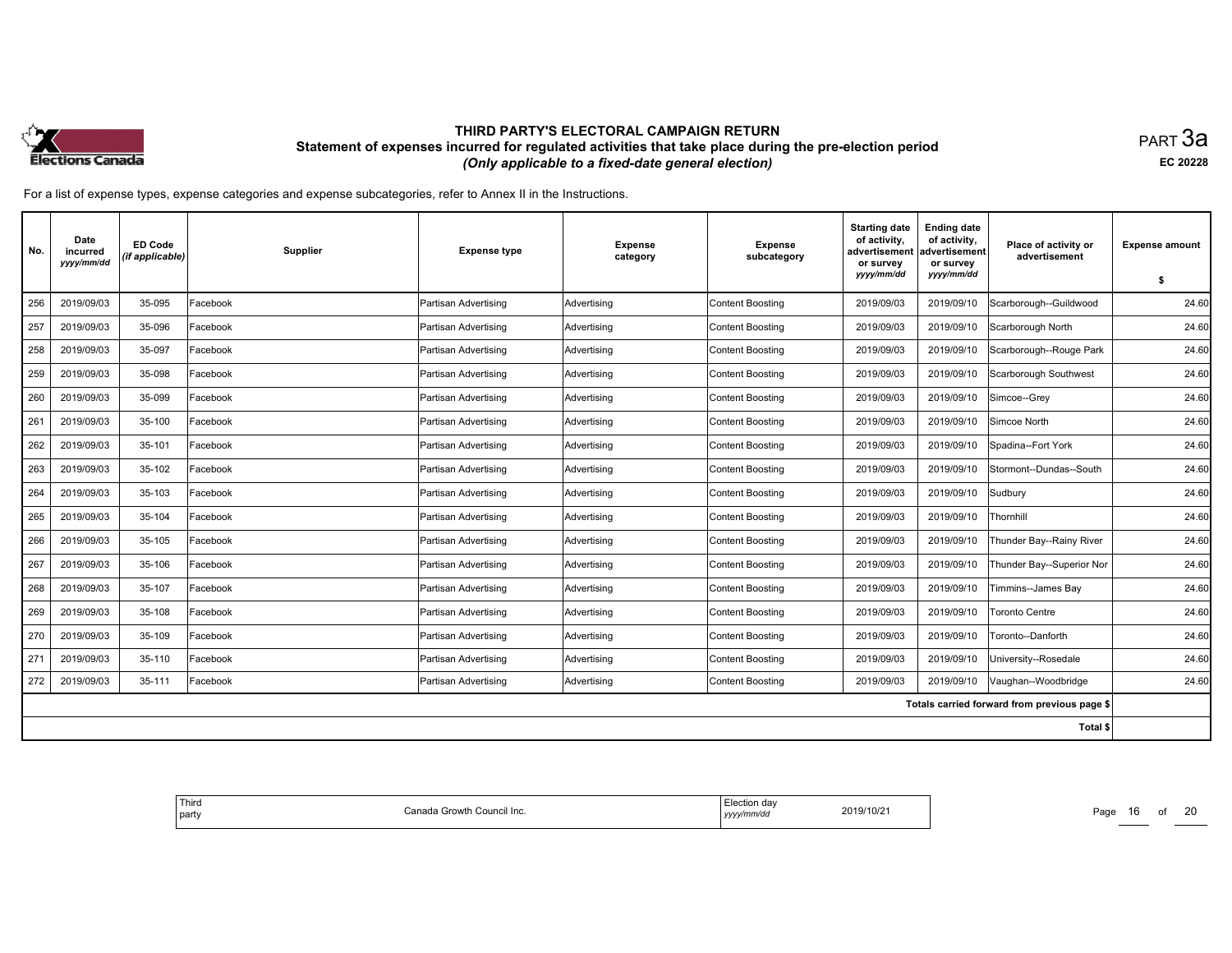

равт $\,3$ а EC <sup>20228</sup>

| No. | Date<br>incurred<br>yyyy/mm/dd | <b>ED Code</b><br>(if applicable) | <b>Supplier</b> | <b>Expense type</b>  | <b>Expense</b><br>category | <b>Expense</b><br>subcategory | <b>Starting date</b><br>of activity,<br>advertisement<br>or survey<br>yyyy/mm/dd | <b>Ending date</b><br>of activity,<br>advertisement<br>or survey<br>yyyy/mm/dd | Place of activity or<br>advertisement        | <b>Expense amount</b> |
|-----|--------------------------------|-----------------------------------|-----------------|----------------------|----------------------------|-------------------------------|----------------------------------------------------------------------------------|--------------------------------------------------------------------------------|----------------------------------------------|-----------------------|
|     |                                |                                   |                 |                      |                            |                               |                                                                                  |                                                                                |                                              | -S                    |
| 256 | 2019/09/03                     | 35-095                            | Facebook        | Partisan Advertising | Advertisina                | <b>Content Boosting</b>       | 2019/09/03                                                                       | 2019/09/10                                                                     | Scarborough--Guildwood                       | 24.60                 |
| 257 | 2019/09/03                     | 35-096                            | Facebook        | Partisan Advertising | Advertising                | <b>Content Boosting</b>       | 2019/09/03                                                                       | 2019/09/10                                                                     | Scarborough North                            | 24.60                 |
| 258 | 2019/09/03                     | 35-097                            | Facebook        | Partisan Advertising | Advertising                | <b>Content Boosting</b>       | 2019/09/03                                                                       | 2019/09/10                                                                     | Scarborough--Rouge Park                      | 24.60                 |
| 259 | 2019/09/03                     | 35-098                            | Facebook        | Partisan Advertising | Advertising                | <b>Content Boosting</b>       | 2019/09/03                                                                       | 2019/09/10                                                                     | Scarborough Southwest                        | 24.60                 |
| 260 | 2019/09/03                     | 35-099                            | Facebook        | Partisan Advertising | Advertising                | <b>Content Boosting</b>       | 2019/09/03                                                                       | 2019/09/10                                                                     | Simcoe--Grey                                 | 24.60                 |
| 261 | 2019/09/03                     | 35-100                            | Facebook        | Partisan Advertising | Advertising                | <b>Content Boosting</b>       | 2019/09/03                                                                       | 2019/09/10                                                                     | Simcoe North                                 | 24.60                 |
| 262 | 2019/09/03                     | 35-101                            | Facebook        | Partisan Advertising | Advertising                | <b>Content Boosting</b>       | 2019/09/03                                                                       | 2019/09/10                                                                     | Spadina--Fort York                           | 24.60                 |
| 263 | 2019/09/03                     | 35-102                            | Facebook        | Partisan Advertising | Advertising                | <b>Content Boosting</b>       | 2019/09/03                                                                       | 2019/09/10                                                                     | Stormont--Dundas--South                      | 24.60                 |
| 264 | 2019/09/03                     | 35-103                            | Facebook        | Partisan Advertising | Advertisina                | <b>Content Boosting</b>       | 2019/09/03                                                                       | 2019/09/10                                                                     | Sudbury                                      | 24.60                 |
| 265 | 2019/09/03                     | 35-104                            | Facebook        | Partisan Advertising | Advertising                | <b>Content Boosting</b>       | 2019/09/03                                                                       | 2019/09/10                                                                     | Thornhill                                    | 24.60                 |
| 266 | 2019/09/03                     | 35-105                            | Facebook        | Partisan Advertising | Advertising                | <b>Content Boosting</b>       | 2019/09/03                                                                       | 2019/09/10                                                                     | Thunder Bay--Rainy River                     | 24.60                 |
| 267 | 2019/09/03                     | 35-106                            | Facebook        | Partisan Advertising | Advertising                | <b>Content Boosting</b>       | 2019/09/03                                                                       | 2019/09/10                                                                     | Thunder Bay--Superior Nor                    | 24.60                 |
| 268 | 2019/09/03                     | 35-107                            | Facebook        | Partisan Advertising | Advertising                | <b>Content Boosting</b>       | 2019/09/03                                                                       | 2019/09/10                                                                     | Timmins--James Bay                           | 24.60                 |
| 269 | 2019/09/03                     | 35-108                            | Facebook        | Partisan Advertising | Advertising                | <b>Content Boosting</b>       | 2019/09/03                                                                       | 2019/09/10                                                                     | Toronto Centre                               | 24.60                 |
| 270 | 2019/09/03                     | 35-109                            | Facebook        | Partisan Advertising | Advertising                | <b>Content Boosting</b>       | 2019/09/03                                                                       | 2019/09/10                                                                     | Toronto--Danforth                            | 24.60                 |
| 271 | 2019/09/03                     | 35-110                            | Facebook        | Partisan Advertising | Advertising                | <b>Content Boosting</b>       | 2019/09/03                                                                       | 2019/09/10                                                                     | University--Rosedale                         | 24.60                 |
| 272 | 2019/09/03                     | 35-111                            | Facebook        | Partisan Advertising | Advertising                | <b>Content Boosting</b>       | 2019/09/03                                                                       | 2019/09/10                                                                     | Vaughan--Woodbridge                          | 24.60                 |
|     |                                |                                   |                 |                      |                            |                               |                                                                                  |                                                                                | Totals carried forward from previous page \$ |                       |
|     |                                |                                   |                 |                      |                            |                               |                                                                                  |                                                                                | Total \$                                     |                       |

| Third<br>ı Growth<br>⊧ Council Inc.<br>`ono<br>l party<br>,,,,,,<br>,,,,,<br>the control of the control | da<br>2019/10/21<br>$\sim$<br>nnva | Page |
|---------------------------------------------------------------------------------------------------------|------------------------------------|------|
|---------------------------------------------------------------------------------------------------------|------------------------------------|------|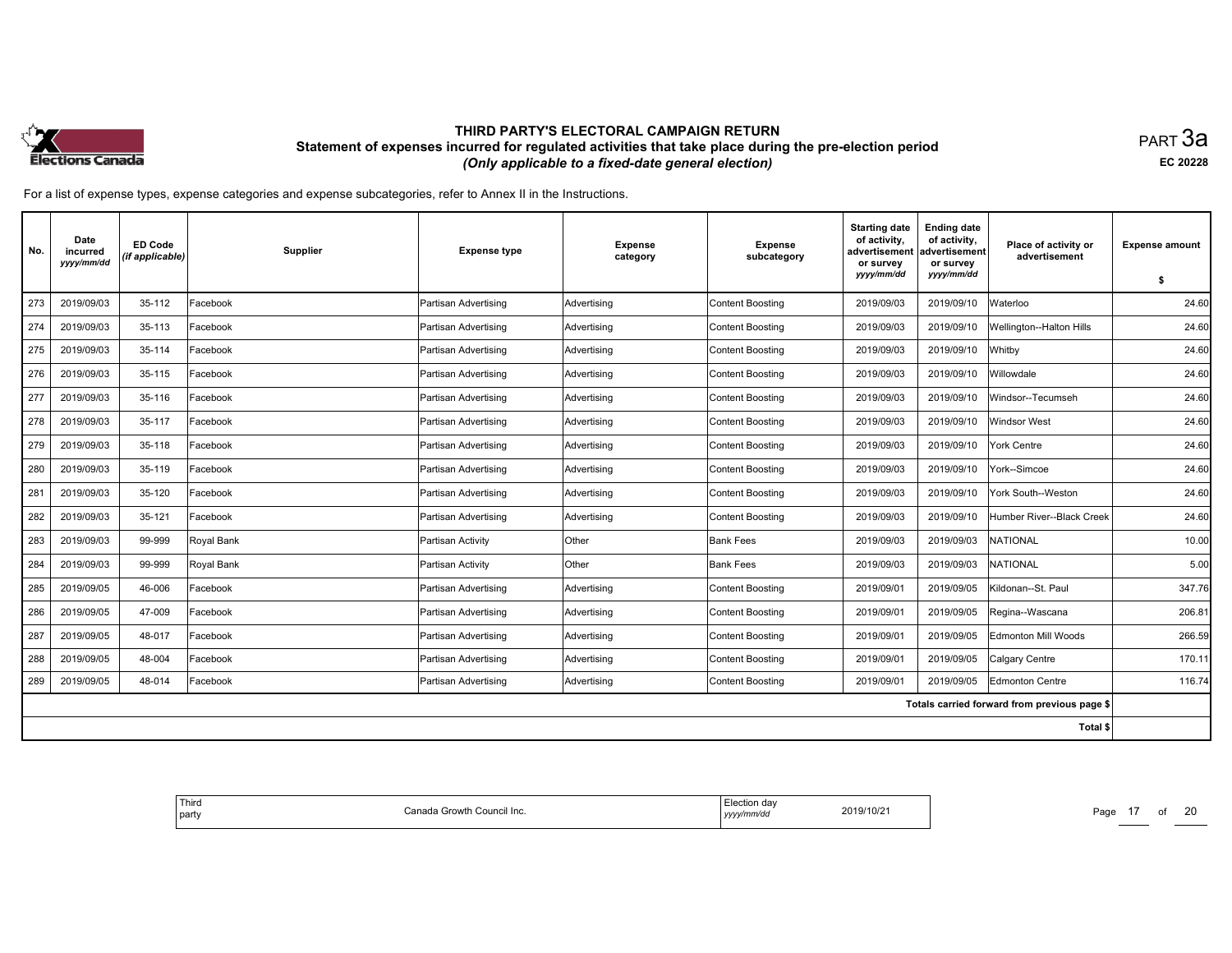

равт $\,3$ а EC <sup>20228</sup>

| No. | Date<br>incurred<br>yyyy/mm/dd | ED Code<br>(if applicable) | Supplier   | <b>Expense type</b>  | <b>Expense</b><br>category | <b>Expense</b><br>subcategory | <b>Starting date</b><br>of activity,<br>advertisement<br>or survey<br>yyyy/mm/dd | <b>Ending date</b><br>of activity,<br>advertisement<br>or survey<br>yyyy/mm/dd | Place of activity or<br>advertisement        | <b>Expense amount</b> |
|-----|--------------------------------|----------------------------|------------|----------------------|----------------------------|-------------------------------|----------------------------------------------------------------------------------|--------------------------------------------------------------------------------|----------------------------------------------|-----------------------|
|     |                                |                            |            |                      |                            |                               |                                                                                  |                                                                                |                                              | \$                    |
| 273 | 2019/09/03                     | 35-112                     | Facebook   | Partisan Advertising | Advertising                | <b>Content Boosting</b>       | 2019/09/03                                                                       | 2019/09/10                                                                     | Waterloo                                     | 24.60                 |
| 274 | 2019/09/03                     | 35-113                     | Facebook   | Partisan Advertising | Advertising                | <b>Content Boosting</b>       | 2019/09/03                                                                       | 2019/09/10                                                                     | <b>Wellington--Halton Hills</b>              | 24.60                 |
| 275 | 2019/09/03                     | 35-114                     | Facebook   | Partisan Advertising | Advertisina                | Content Boosting              | 2019/09/03                                                                       | 2019/09/10                                                                     | Whitby                                       | 24.60                 |
| 276 | 2019/09/03                     | 35-115                     | Facebook   | Partisan Advertising | Advertising                | <b>Content Boosting</b>       | 2019/09/03                                                                       | 2019/09/10                                                                     | Willowdale                                   | 24.60                 |
| 277 | 2019/09/03                     | 35-116                     | Facebook   | Partisan Advertising | Advertising                | <b>Content Boosting</b>       | 2019/09/03                                                                       | 2019/09/10                                                                     | Windsor--Tecumseh                            | 24.60                 |
| 278 | 2019/09/03                     | 35-117                     | Facebook   | Partisan Advertising | Advertising                | Content Boosting              | 2019/09/03                                                                       | 2019/09/10                                                                     | Windsor West                                 | 24.60                 |
| 279 | 2019/09/03                     | 35-118                     | Facebook   | Partisan Advertising | Advertising                | Content Boosting              | 2019/09/03                                                                       | 2019/09/10                                                                     | York Centre                                  | 24.60                 |
| 280 | 2019/09/03                     | 35-119                     | Facebook   | Partisan Advertising | Advertisina                | <b>Content Boosting</b>       | 2019/09/03                                                                       | 2019/09/10                                                                     | York--Simcoe                                 | 24.60                 |
| 281 | 2019/09/03                     | 35-120                     | Facebook   | Partisan Advertising | Advertising                | Content Boosting              | 2019/09/03                                                                       | 2019/09/10                                                                     | York South--Weston                           | 24.60                 |
| 282 | 2019/09/03                     | 35-121                     | Facebook   | Partisan Advertising | Advertising                | Content Boosting              | 2019/09/03                                                                       | 2019/09/10                                                                     | Humber River--Black Creek                    | 24.60                 |
| 283 | 2019/09/03                     | 99-999                     | Royal Bank | Partisan Activity    | Other                      | <b>Bank Fees</b>              | 2019/09/03                                                                       | 2019/09/03                                                                     | <b>NATIONAL</b>                              | 10.00                 |
| 284 | 2019/09/03                     | 99-999                     | Royal Bank | Partisan Activity    | Other                      | <b>Bank Fees</b>              | 2019/09/03                                                                       | 2019/09/03                                                                     | <b>NATIONAL</b>                              | 5.00                  |
| 285 | 2019/09/05                     | 46-006                     | Facebook   | Partisan Advertising | Advertising                | Content Boosting              | 2019/09/01                                                                       | 2019/09/05                                                                     | Kildonan--St. Paul                           | 347.76                |
| 286 | 2019/09/05                     | 47-009                     | Facebook   | Partisan Advertising | Advertising                | <b>Content Boosting</b>       | 2019/09/01                                                                       | 2019/09/05                                                                     | Regina--Wascana                              | 206.81                |
| 287 | 2019/09/05                     | 48-017                     | Facebook   | Partisan Advertising | Advertisina                | Content Boosting              | 2019/09/01                                                                       | 2019/09/05                                                                     | <b>Edmonton Mill Woods</b>                   | 266.59                |
| 288 | 2019/09/05                     | 48-004                     | Facebook   | Partisan Advertising | Advertising                | Content Boosting              | 2019/09/01                                                                       | 2019/09/05                                                                     | Calgary Centre                               | 170.11                |
| 289 | 2019/09/05                     | 48-014                     | Facebook   | Partisan Advertising | Advertising                | Content Boosting              | 2019/09/01                                                                       | 2019/09/05                                                                     | Edmonton Centre                              | 116.74                |
|     |                                |                            |            |                      |                            |                               |                                                                                  |                                                                                | Totals carried forward from previous page \$ |                       |
|     |                                |                            |            |                      |                            |                               |                                                                                  |                                                                                | Total \$                                     |                       |

| ' Third<br>∵anada Growth Council Inc.<br>party | Election<br>$A \cap Y$<br>2019/10/21<br>'mm/da<br>уууу/ | Page<br>_____ |
|------------------------------------------------|---------------------------------------------------------|---------------|
|------------------------------------------------|---------------------------------------------------------|---------------|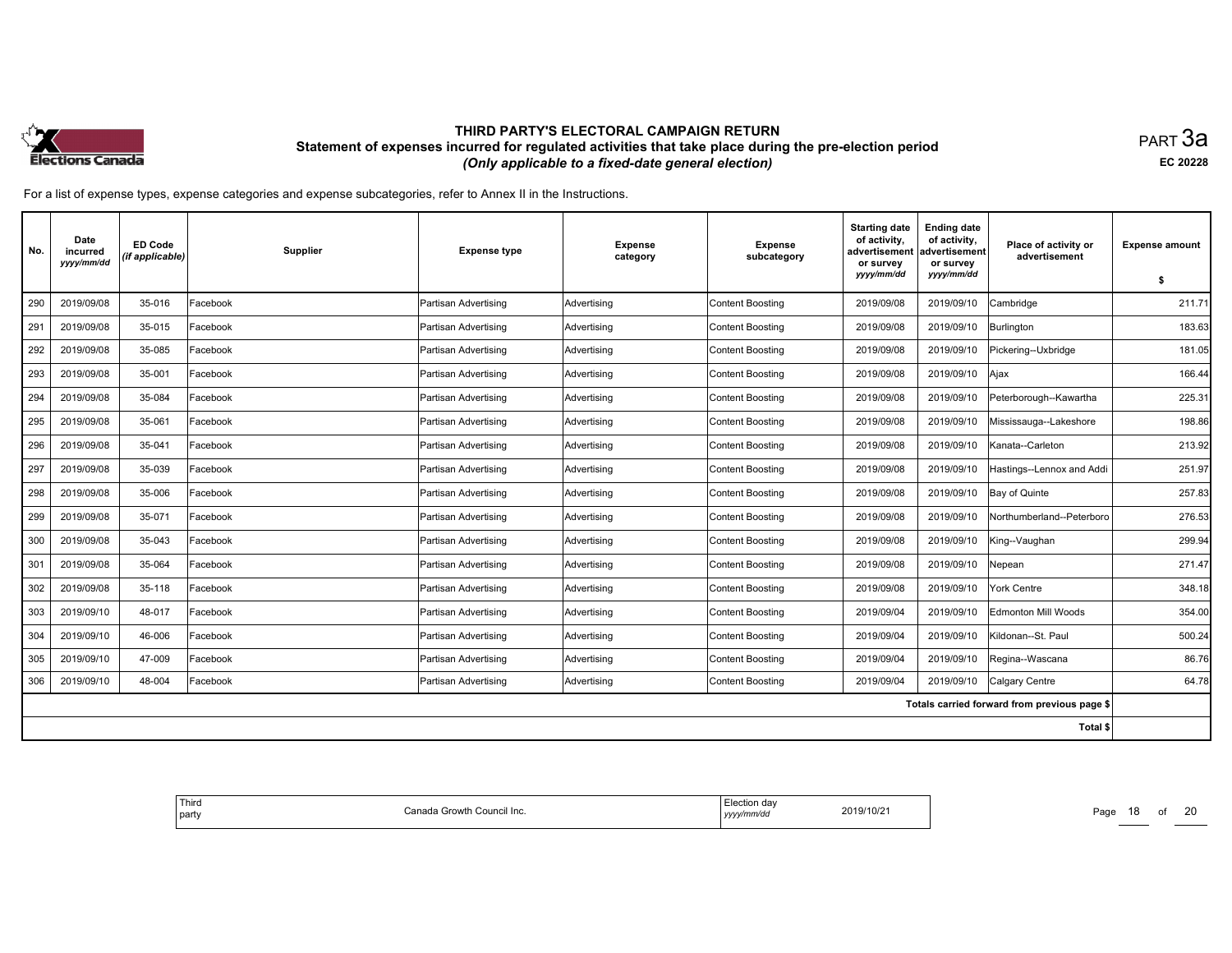

равт $\,3$ а EC <sup>20228</sup>

For <sup>a</sup> list of expense types, expense categories and expense subcategories, refer to Annex II in the Instructions.

| No. | Date<br>incurred<br>yyyy/mm/dd | <b>ED Code</b><br>(if applicable) | Supplier | <b>Expense type</b>  | <b>Expense</b><br>category | <b>Expense</b><br>subcategory | <b>Starting date</b><br>of activity,<br>advertisement<br>or survey<br>yyyy/mm/dd | <b>Ending date</b><br>of activity,<br>advertisement<br>or survey<br>yyyy/mm/dd | Place of activity or<br>advertisement        | <b>Expense amount</b> |
|-----|--------------------------------|-----------------------------------|----------|----------------------|----------------------------|-------------------------------|----------------------------------------------------------------------------------|--------------------------------------------------------------------------------|----------------------------------------------|-----------------------|
|     |                                |                                   |          |                      |                            |                               |                                                                                  |                                                                                |                                              | \$                    |
| 290 | 2019/09/08                     | 35-016                            | Facebook | Partisan Advertising | Advertising                | Content Boosting              | 2019/09/08                                                                       | 2019/09/10                                                                     | Cambridge                                    | 211.71                |
| 291 | 2019/09/08                     | 35-015                            | Facebook | Partisan Advertising | Advertising                | <b>Content Boosting</b>       | 2019/09/08                                                                       | 2019/09/10                                                                     | Burlington                                   | 183.63                |
| 292 | 2019/09/08                     | 35-085                            | Facebook | Partisan Advertising | Advertising                | <b>Content Boosting</b>       | 2019/09/08                                                                       | 2019/09/10                                                                     | Pickering--Uxbridge                          | 181.05                |
| 293 | 2019/09/08                     | 35-001                            | Facebook | Partisan Advertising | Advertising                | Content Boosting              | 2019/09/08                                                                       | 2019/09/10                                                                     | Ajax                                         | 166.44                |
| 294 | 2019/09/08                     | 35-084                            | Facebook | Partisan Advertising | Advertising                | <b>Content Boosting</b>       | 2019/09/08                                                                       | 2019/09/10                                                                     | Peterborough--Kawartha                       | 225.31                |
| 295 | 2019/09/08                     | 35-061                            | Facebook | Partisan Advertising | Advertising                | <b>Content Boosting</b>       | 2019/09/08                                                                       | 2019/09/10                                                                     | Mississauga--Lakeshore                       | 198.86                |
| 296 | 2019/09/08                     | 35-041                            | Facebook | Partisan Advertising | Advertising                | Content Boosting              | 2019/09/08                                                                       | 2019/09/10                                                                     | Kanata--Carleton                             | 213.92                |
| 297 | 2019/09/08                     | 35-039                            | Facebook | Partisan Advertising | Advertising                | <b>Content Boosting</b>       | 2019/09/08                                                                       | 2019/09/10                                                                     | Hastings--Lennox and Addi                    | 251.97                |
| 298 | 2019/09/08                     | 35-006                            | Facebook | Partisan Advertising | Advertising                | <b>Content Boosting</b>       | 2019/09/08                                                                       | 2019/09/10                                                                     | Bay of Quinte                                | 257.83                |
| 299 | 2019/09/08                     | 35-071                            | Facebook | Partisan Advertising | Advertising                | Content Boosting              | 2019/09/08                                                                       | 2019/09/10                                                                     | Northumberland--Peterboro                    | 276.53                |
| 300 | 2019/09/08                     | 35-043                            | Facebook | Partisan Advertising | Advertising                | <b>Content Boosting</b>       | 2019/09/08                                                                       | 2019/09/10                                                                     | King--Vaughan                                | 299.94                |
| 301 | 2019/09/08                     | 35-064                            | Facebook | Partisan Advertising | Advertising                | Content Boosting              | 2019/09/08                                                                       | 2019/09/10                                                                     | Nepean                                       | 271.47                |
| 302 | 2019/09/08                     | 35-118                            | Facebook | Partisan Advertising | Advertising                | Content Boosting              | 2019/09/08                                                                       | 2019/09/10                                                                     | York Centre                                  | 348.18                |
| 303 | 2019/09/10                     | 48-017                            | Facebook | Partisan Advertising | Advertising                | <b>Content Boosting</b>       | 2019/09/04                                                                       | 2019/09/10                                                                     | <b>Edmonton Mill Woods</b>                   | 354.00                |
| 304 | 2019/09/10                     | 46-006                            | Facebook | Partisan Advertising | Advertising                | <b>Content Boosting</b>       | 2019/09/04                                                                       | 2019/09/10                                                                     | Kildonan--St. Paul                           | 500.24                |
| 305 | 2019/09/10                     | 47-009                            | Facebook | Partisan Advertising | Advertising                | Content Boosting              | 2019/09/04                                                                       | 2019/09/10                                                                     | Regina--Wascana                              | 86.76                 |
| 306 | 2019/09/10                     | 48-004                            | Facebook | Partisan Advertising | Advertising                | <b>Content Boosting</b>       | 2019/09/04                                                                       | 2019/09/10                                                                     | Calgary Centre                               | 64.78                 |
|     |                                |                                   |          |                      |                            |                               |                                                                                  |                                                                                | Totals carried forward from previous page \$ |                       |
|     |                                |                                   |          |                      |                            |                               |                                                                                  |                                                                                | Total \$                                     |                       |

| Third<br>ı Growth<br>⊧ Council Inc.<br>`ono<br>l party<br>,,,,,, | da<br>2019/10/21<br>$\sim$<br>nnva<br>,,,,,<br>the control of the control | Page |
|------------------------------------------------------------------|---------------------------------------------------------------------------|------|
|------------------------------------------------------------------|---------------------------------------------------------------------------|------|

Page 18 of 20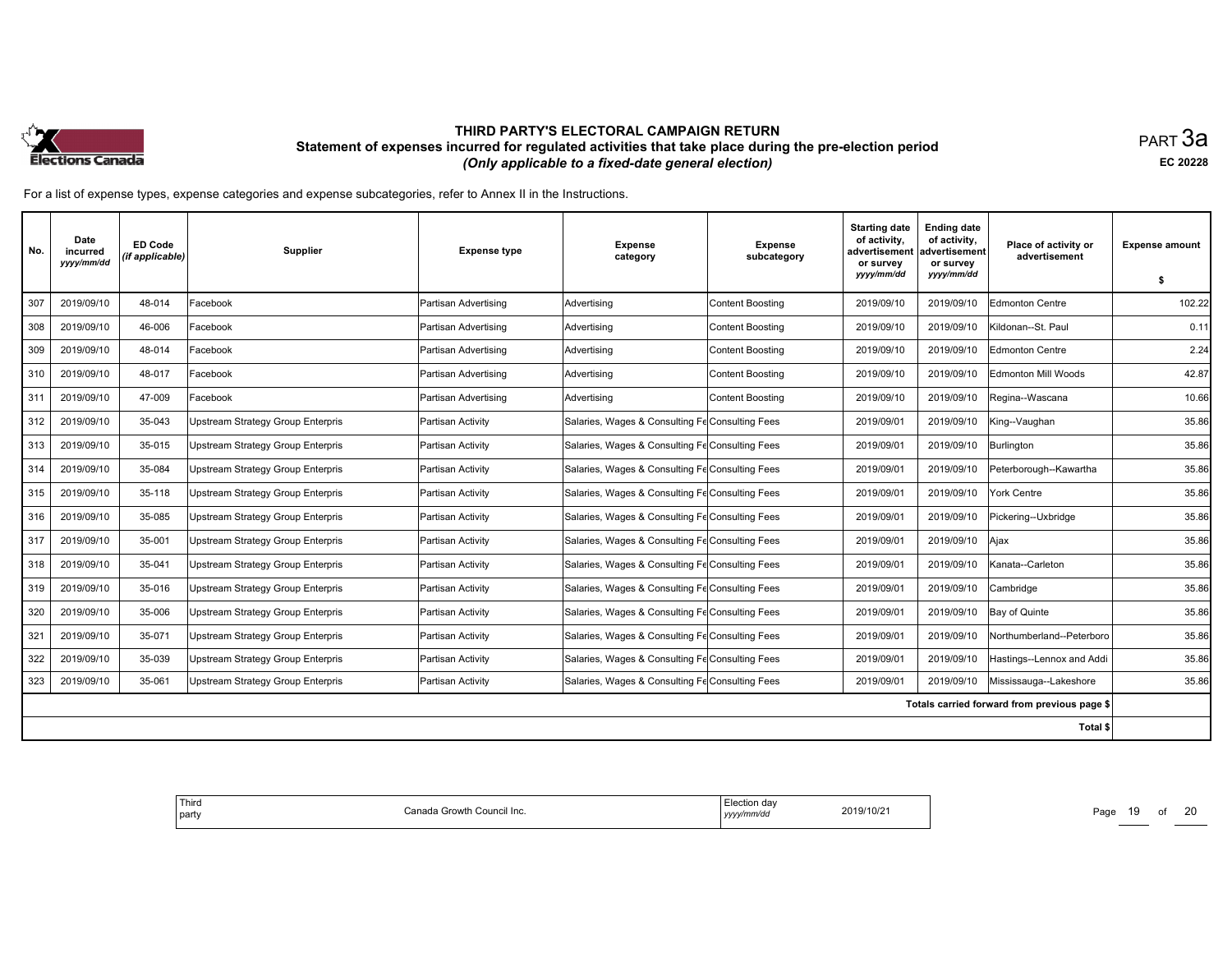

равт $\,3$ а EC <sup>20228</sup>

| No. | Date<br>incurred<br>yyyy/mm/dd | <b>ED Code</b><br>(if applicable) | <b>Supplier</b>                          | <b>Expense type</b>  | <b>Expense</b><br>category                      | <b>Expense</b><br>subcategory | <b>Starting date</b><br>of activity,<br>advertisement<br>or survey<br>yyyy/mm/dd | <b>Ending date</b><br>of activity,<br>advertisement<br>or survey<br>yyyy/mm/dd | Place of activity or<br>advertisement        | <b>Expense amount</b><br>-S |
|-----|--------------------------------|-----------------------------------|------------------------------------------|----------------------|-------------------------------------------------|-------------------------------|----------------------------------------------------------------------------------|--------------------------------------------------------------------------------|----------------------------------------------|-----------------------------|
| 307 | 2019/09/10                     | 48-014                            | Facebook                                 | Partisan Advertising | Advertisina                                     | <b>Content Boosting</b>       | 2019/09/10                                                                       | 2019/09/10                                                                     | Edmonton Centre                              | 102.22                      |
| 308 | 2019/09/10                     | 46-006                            | Facebook                                 | Partisan Advertising | Advertising                                     | <b>Content Boosting</b>       | 2019/09/10                                                                       | 2019/09/10                                                                     | İKildonan--St. Paul                          | 0.11                        |
| 309 | 2019/09/10                     | 48-014                            | Facebook                                 | Partisan Advertising | Advertising                                     | <b>Content Boosting</b>       | 2019/09/10                                                                       | 2019/09/10                                                                     | Edmonton Centre                              | 2.24                        |
| 310 | 2019/09/10                     | 48-017                            | Facebook                                 | Partisan Advertising | Advertising                                     | <b>Content Boosting</b>       | 2019/09/10                                                                       | 2019/09/10                                                                     | Edmonton Mill Woods                          | 42.87                       |
| 311 | 2019/09/10                     | 47-009                            | Facebook                                 | Partisan Advertising | Advertising                                     | <b>Content Boosting</b>       | 2019/09/10                                                                       | 2019/09/10                                                                     | Regina--Wascana                              | 10.66                       |
| 312 | 2019/09/10                     | 35-043                            | <b>Upstream Strategy Group Enterpris</b> | Partisan Activity    | Salaries, Wages & Consulting Fe Consulting Fees |                               | 2019/09/01                                                                       | 2019/09/10                                                                     | King--Vaughan                                | 35.86                       |
| 313 | 2019/09/10                     | 35-015                            | <b>Upstream Strategy Group Enterpris</b> | Partisan Activity    | Salaries, Wages & Consulting Fe Consulting Fees |                               | 2019/09/01                                                                       | 2019/09/10                                                                     | Burlington                                   | 35.86                       |
| 314 | 2019/09/10                     | 35-084                            | <b>Upstream Strategy Group Enterpris</b> | Partisan Activity    | Salaries, Wages & Consulting Fe Consulting Fees |                               | 2019/09/01                                                                       | 2019/09/10                                                                     | Peterborough--Kawartha                       | 35.86                       |
| 315 | 2019/09/10                     | 35-118                            | <b>Upstream Strategy Group Enterpris</b> | lPartisan Activitv   | Salaries, Wages & Consulting Fe Consulting Fees |                               | 2019/09/01                                                                       | 2019/09/10                                                                     | York Centre                                  | 35.86                       |
| 316 | 2019/09/10                     | 35-085                            | Upstream Strategy Group Enterpris        | Partisan Activity    | Salaries, Wages & Consulting Fe Consulting Fees |                               | 2019/09/01                                                                       | 2019/09/10                                                                     | Pickering--Uxbridge                          | 35.86                       |
| 317 | 2019/09/10                     | 35-001                            | <b>Upstream Strategy Group Enterpris</b> | Partisan Activity    | Salaries, Wages & Consulting Fe Consulting Fees |                               | 2019/09/01                                                                       | 2019/09/10                                                                     | Ajax                                         | 35.86                       |
| 318 | 2019/09/10                     | 35-041                            | <b>Upstream Strategy Group Enterpris</b> | Partisan Activity    | Salaries, Wages & Consulting Fe Consulting Fees |                               | 2019/09/01                                                                       | 2019/09/10                                                                     | Kanata--Carleton                             | 35.86                       |
| 319 | 2019/09/10                     | 35-016                            | Upstream Strategy Group Enterpris        | Partisan Activity    | Salaries, Wages & Consulting Fe Consulting Fees |                               | 2019/09/01                                                                       | 2019/09/10                                                                     | lCambridge                                   | 35.86                       |
| 320 | 2019/09/10                     | 35-006                            | <b>Upstream Strategy Group Enterpris</b> | Partisan Activity    | Salaries, Wages & Consulting Fe Consulting Fees |                               | 2019/09/01                                                                       | 2019/09/10                                                                     | Bay of Quinte                                | 35.86                       |
| 321 | 2019/09/10                     | 35-071                            | <b>Upstream Strategy Group Enterpris</b> | Partisan Activity    | Salaries, Wages & Consulting Fe Consulting Fees |                               | 2019/09/01                                                                       | 2019/09/10                                                                     | Northumberland--Peterboro                    | 35.86                       |
| 322 | 2019/09/10                     | 35-039                            | <b>Upstream Strategy Group Enterpris</b> | Partisan Activity    | Salaries, Wages & Consulting Fe Consulting Fees |                               | 2019/09/01                                                                       | 2019/09/10                                                                     | Hastings--Lennox and Addi                    | 35.86                       |
| 323 | 2019/09/10                     | 35-061                            | <b>Upstream Strategy Group Enterpris</b> | Partisan Activity    | Salaries, Wages & Consulting Fe Consulting Fees |                               | 2019/09/01                                                                       | 2019/09/10                                                                     | Mississauga--Lakeshore                       | 35.86                       |
|     |                                |                                   |                                          |                      |                                                 |                               |                                                                                  |                                                                                | Totals carried forward from previous page \$ |                             |
|     |                                |                                   |                                          |                      |                                                 |                               |                                                                                  |                                                                                | Total \$                                     |                             |

| l Third<br>party | Council Inc.<br>. JVV LI I<br>، المر | on day<br>2019/10/2<br>nm/a<br>,,,,, | Pau<br>-- |
|------------------|--------------------------------------|--------------------------------------|-----------|
|                  |                                      |                                      |           |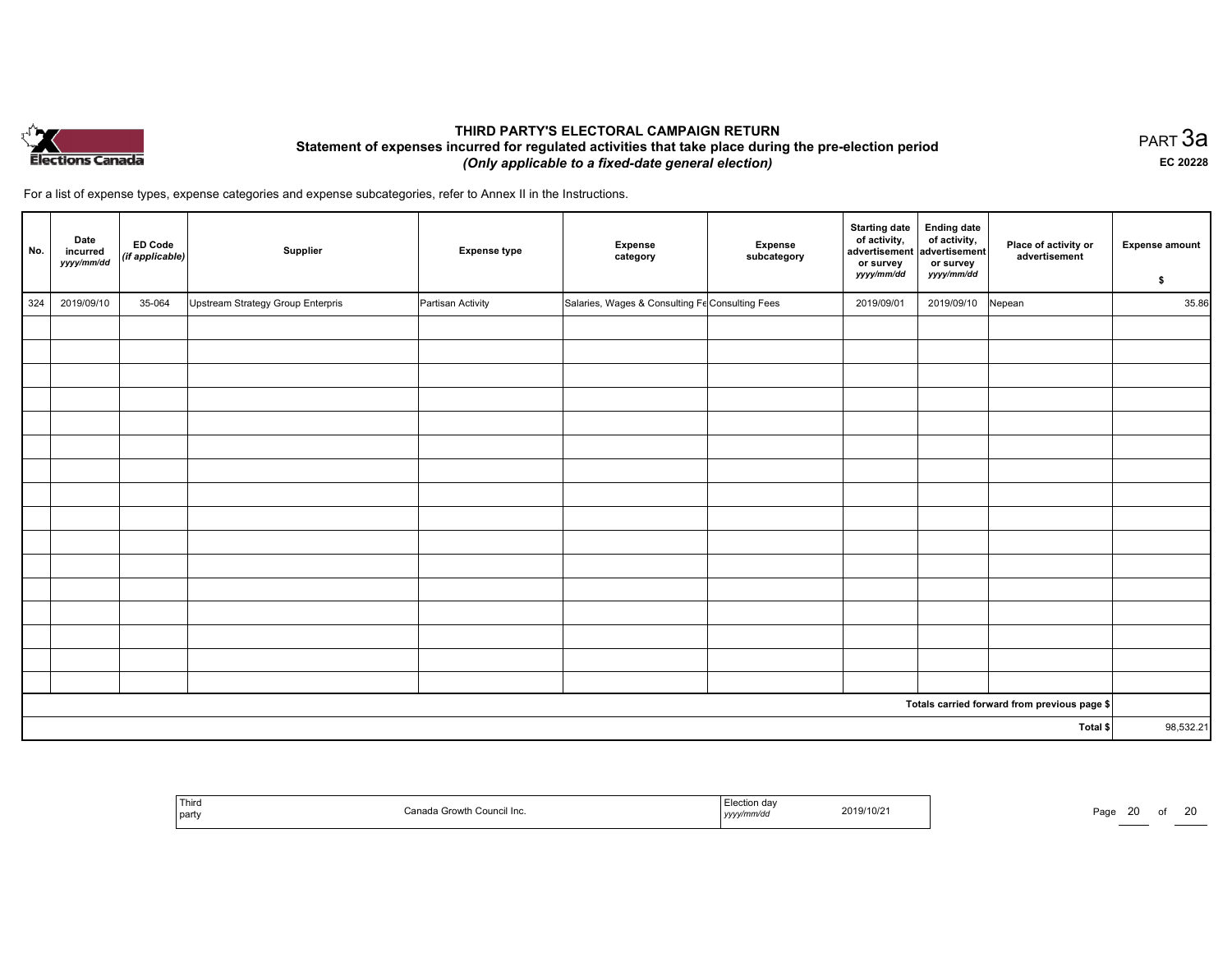

равт $\,3$ а EC <sup>20228</sup>

<sup>20</sup>

| No. | Date<br>incurred<br>yyyy/mm/dd | <b>ED Code</b><br>(if applicable) | Supplier                          | <b>Expense type</b> | <b>Expense</b><br>category                      | <b>Expense</b><br>subcategory | <b>Starting date</b><br>of activity,<br>advertisement advertisement<br>or survey<br>yyyy/mm/dd | <b>Ending date</b><br>of activity,<br>or survey<br>yyyy/mm/dd | Place of activity or<br>advertisement        | <b>Expense amount</b><br>\$ |
|-----|--------------------------------|-----------------------------------|-----------------------------------|---------------------|-------------------------------------------------|-------------------------------|------------------------------------------------------------------------------------------------|---------------------------------------------------------------|----------------------------------------------|-----------------------------|
| 324 | 2019/09/10                     | 35-064                            | Upstream Strategy Group Enterpris | Partisan Activity   | Salaries, Wages & Consulting Fe Consulting Fees |                               | 2019/09/01                                                                                     | 2019/09/10                                                    | Nepean                                       | 35.86                       |
|     |                                |                                   |                                   |                     |                                                 |                               |                                                                                                |                                                               |                                              |                             |
|     |                                |                                   |                                   |                     |                                                 |                               |                                                                                                |                                                               |                                              |                             |
|     |                                |                                   |                                   |                     |                                                 |                               |                                                                                                |                                                               |                                              |                             |
|     |                                |                                   |                                   |                     |                                                 |                               |                                                                                                |                                                               |                                              |                             |
|     |                                |                                   |                                   |                     |                                                 |                               |                                                                                                |                                                               |                                              |                             |
|     |                                |                                   |                                   |                     |                                                 |                               |                                                                                                |                                                               |                                              |                             |
|     |                                |                                   |                                   |                     |                                                 |                               |                                                                                                |                                                               |                                              |                             |
|     |                                |                                   |                                   |                     |                                                 |                               |                                                                                                |                                                               |                                              |                             |
|     |                                |                                   |                                   |                     |                                                 |                               |                                                                                                |                                                               |                                              |                             |
|     |                                |                                   |                                   |                     |                                                 |                               |                                                                                                |                                                               |                                              |                             |
|     |                                |                                   |                                   |                     |                                                 |                               |                                                                                                |                                                               |                                              |                             |
|     |                                |                                   |                                   |                     |                                                 |                               |                                                                                                |                                                               |                                              |                             |
|     |                                |                                   |                                   |                     |                                                 |                               |                                                                                                |                                                               |                                              |                             |
|     |                                |                                   |                                   |                     |                                                 |                               |                                                                                                |                                                               |                                              |                             |
|     |                                |                                   |                                   |                     |                                                 |                               |                                                                                                |                                                               |                                              |                             |
|     |                                |                                   |                                   |                     |                                                 |                               |                                                                                                |                                                               |                                              |                             |
|     |                                |                                   |                                   |                     |                                                 |                               |                                                                                                |                                                               | Totals carried forward from previous page \$ |                             |
|     |                                |                                   |                                   |                     |                                                 |                               |                                                                                                |                                                               | Total \$                                     | 98,532.21                   |

| Third<br>party | Canao<br>$\sim$<br>In.<br>,,,,<br>Countai<br><b>COLOVU</b> | tion day<br>mmvu<br>, <i>y y y y</i> | 2019/10/21 | $P$ aqe |  |
|----------------|------------------------------------------------------------|--------------------------------------|------------|---------|--|
|----------------|------------------------------------------------------------|--------------------------------------|------------|---------|--|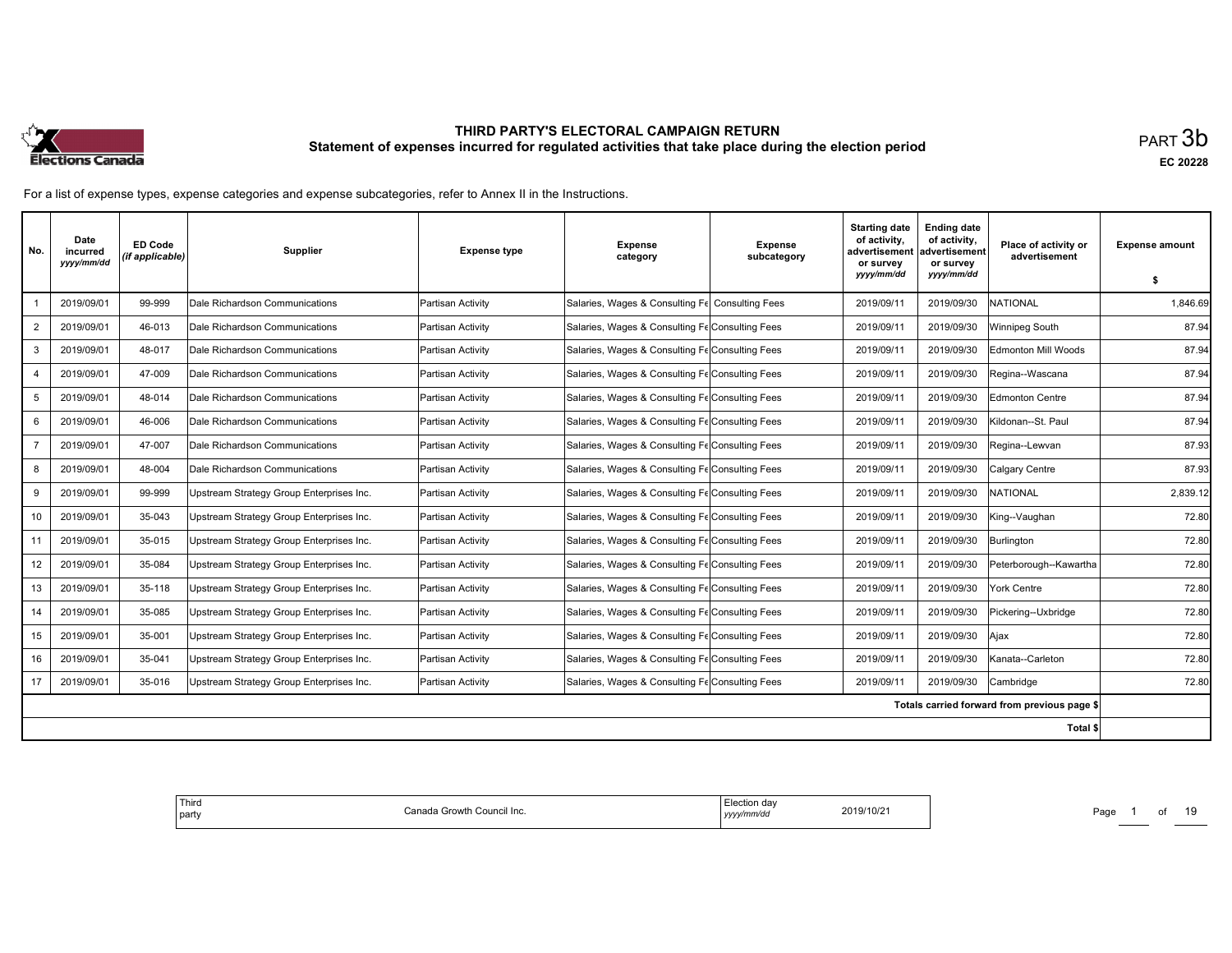

| No.            | Date<br>incurred<br>yyyy/mm/dd | <b>ED Code</b><br>(if applicable) | Supplier                                 | <b>Expense type</b> | <b>Expense</b><br>category                      | Expense<br>subcategory | <b>Starting date</b><br>of activity,<br>advertisement<br>or survey | <b>Ending date</b><br>of activity,<br>advertisement<br>or survey | Place of activity or<br>advertisement        | <b>Expense amount</b> |
|----------------|--------------------------------|-----------------------------------|------------------------------------------|---------------------|-------------------------------------------------|------------------------|--------------------------------------------------------------------|------------------------------------------------------------------|----------------------------------------------|-----------------------|
|                |                                |                                   |                                          |                     |                                                 |                        | yyyy/mm/dd                                                         | yyyy/mm/dd                                                       |                                              | \$                    |
|                | 2019/09/01                     | 99-999                            | Dale Richardson Communications           | Partisan Activity   | Salaries, Wages & Consulting Fe Consulting Fees |                        | 2019/09/11                                                         | 2019/09/30                                                       | <b>INATIONAL</b>                             | 1.846.69              |
| $\overline{2}$ | 2019/09/01                     | 46-013                            | Dale Richardson Communications           | Partisan Activity   | Salaries, Wages & Consulting Fe Consulting Fees |                        | 2019/09/11                                                         | 2019/09/30                                                       | <b>Winnipeg South</b>                        | 87.94                 |
| 3              | 2019/09/01                     | 48-017                            | Dale Richardson Communications           | Partisan Activity   | Salaries, Wages & Consulting Fe Consulting Fees |                        | 2019/09/11                                                         | 2019/09/30                                                       | Edmonton Mill Woods                          | 87.94                 |
| 4              | 2019/09/01                     | 47-009                            | Dale Richardson Communications           | Partisan Activity   | Salaries, Wages & Consulting Fe Consulting Fees |                        | 2019/09/11                                                         | 2019/09/30                                                       | Regina--Wascana                              | 87.94                 |
| 5              | 2019/09/01                     | 48-014                            | Dale Richardson Communications           | Partisan Activity   | Salaries, Wages & Consulting Fe Consulting Fees |                        | 2019/09/11                                                         | 2019/09/30                                                       | Edmonton Centre                              | 87.94                 |
| 6              | 2019/09/01                     | 46-006                            | Dale Richardson Communications           | Partisan Activity   | Salaries, Wages & Consulting Fe Consulting Fees |                        | 2019/09/11                                                         | 2019/09/30                                                       | Kildonan--St. Paul                           | 87.94                 |
|                | 2019/09/01                     | 47-007                            | Dale Richardson Communications           | Partisan Activity   | Salaries, Wages & Consulting Fe Consulting Fees |                        | 2019/09/11                                                         | 2019/09/30                                                       | Regina--Lewvan                               | 87.93                 |
| 8              | 2019/09/01                     | 48-004                            | Dale Richardson Communications           | Partisan Activity   | Salaries, Wages & Consulting Fe Consulting Fees |                        | 2019/09/11                                                         | 2019/09/30                                                       | Calgary Centre                               | 87.93                 |
| 9              | 2019/09/01                     | 99-999                            | Upstream Strategy Group Enterprises Inc. | Partisan Activity   | Salaries, Wages & Consulting Fe Consulting Fees |                        | 2019/09/11                                                         | 2019/09/30                                                       | <b>INATIONAL</b>                             | 2,839.12              |
| 10             | 2019/09/01                     | 35-043                            | Upstream Strategy Group Enterprises Inc. | Partisan Activity   | Salaries, Wages & Consulting Fe Consulting Fees |                        | 2019/09/11                                                         | 2019/09/30                                                       | King--Vaughan                                | 72.80                 |
| 11             | 2019/09/01                     | 35-015                            | Upstream Strategy Group Enterprises Inc. | Partisan Activity   | Salaries, Wages & Consulting Fe Consulting Fees |                        | 2019/09/11                                                         | 2019/09/30                                                       | Burlington                                   | 72.80                 |
| 12             | 2019/09/01                     | 35-084                            | Upstream Strategy Group Enterprises Inc. | Partisan Activity   | Salaries, Wages & Consulting Fe Consulting Fees |                        | 2019/09/11                                                         | 2019/09/30                                                       | Peterborough--Kawartha                       | 72.80                 |
| 13             | 2019/09/01                     | 35-118                            | Upstream Strategy Group Enterprises Inc. | Partisan Activity   | Salaries, Wages & Consulting Fe Consulting Fees |                        | 2019/09/11                                                         | 2019/09/30                                                       | York Centre                                  | 72.80                 |
| 14             | 2019/09/01                     | 35-085                            | Upstream Strategy Group Enterprises Inc. | Partisan Activity   | Salaries, Wages & Consulting Fe Consulting Fees |                        | 2019/09/11                                                         | 2019/09/30                                                       | Pickering--Uxbridge                          | 72.80                 |
| 15             | 2019/09/01                     | 35-001                            | Upstream Strategy Group Enterprises Inc. | Partisan Activity   | Salaries, Wages & Consulting Fe Consulting Fees |                        | 2019/09/11                                                         | 2019/09/30                                                       | Ajax                                         | 72.80                 |
| 16             | 2019/09/01                     | 35-041                            | Upstream Strategy Group Enterprises Inc. | Partisan Activity   | Salaries, Wages & Consulting Fe Consulting Fees |                        | 2019/09/11                                                         | 2019/09/30                                                       | Kanata--Carleton                             | 72.80                 |
| 17             | 2019/09/01                     | 35-016                            | Upstream Strategy Group Enterprises Inc. | Partisan Activity   | Salaries, Wages & Consulting Fe Consulting Fees |                        | 2019/09/11                                                         | 2019/09/30                                                       | Cambridge                                    | 72.80                 |
|                |                                |                                   |                                          |                     |                                                 |                        |                                                                    |                                                                  | Totals carried forward from previous page \$ |                       |
|                |                                |                                   |                                          |                     |                                                 |                        |                                                                    |                                                                  | Total \$                                     |                       |

| ' Third<br>tion dav<br>019/10/2<br>Council Inc.<br>rowir<br>  party<br>. | Page<br>___ |
|--------------------------------------------------------------------------|-------------|
|--------------------------------------------------------------------------|-------------|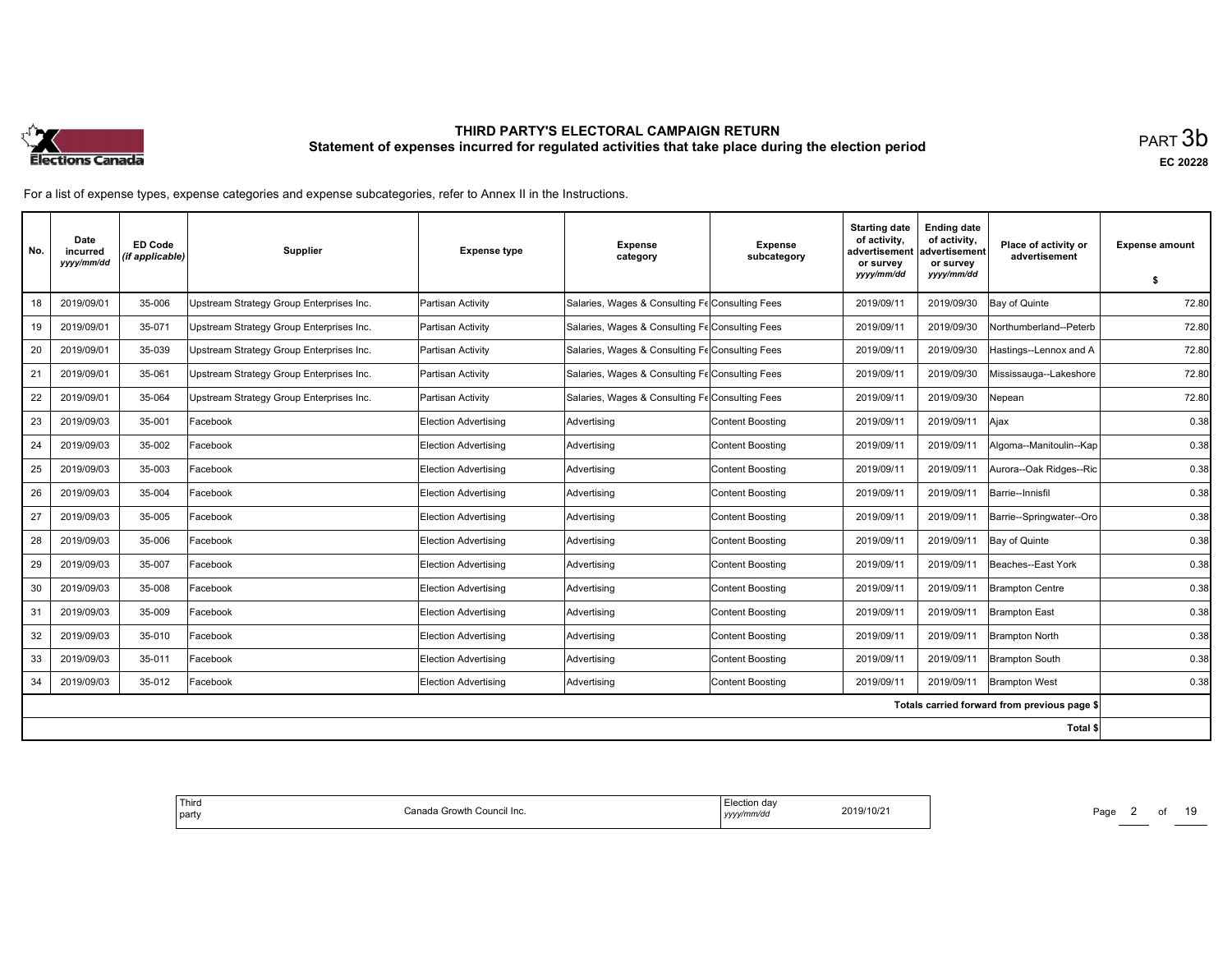

| No. | Date<br>incurred<br>yyyy/mm/dd | <b>ED Code</b><br>(if applicable) | <b>Supplier</b>                          | <b>Expense type</b>         | <b>Expense</b><br>category                      | <b>Expense</b><br>subcategory | <b>Starting date</b><br>of activity,<br>advertisement<br>or survey<br>yyyy/mm/dd | <b>Ending date</b><br>of activity,<br>advertisement<br>or survey<br>yyyy/mm/dd | Place of activity or<br>advertisement        | <b>Expense amount</b> |
|-----|--------------------------------|-----------------------------------|------------------------------------------|-----------------------------|-------------------------------------------------|-------------------------------|----------------------------------------------------------------------------------|--------------------------------------------------------------------------------|----------------------------------------------|-----------------------|
|     |                                |                                   |                                          |                             |                                                 |                               |                                                                                  |                                                                                |                                              | \$                    |
| 18  | 2019/09/01                     | 35-006                            | Upstream Strategy Group Enterprises Inc. | Partisan Activity           | Salaries, Wages & Consulting Fe Consulting Fees |                               | 2019/09/11                                                                       | 2019/09/30                                                                     | Bay of Quinte                                | 72.80                 |
| 19  | 2019/09/01                     | 35-071                            | Upstream Strategy Group Enterprises Inc. | Partisan Activity           | Salaries, Wages & Consulting Fe Consulting Fees |                               | 2019/09/11                                                                       | 2019/09/30                                                                     | Northumberland--Peterb                       | 72.80                 |
| 20  | 2019/09/01                     | 35-039                            | Upstream Strategy Group Enterprises Inc. | Partisan Activity           | Salaries, Wages & Consulting Fe Consulting Fees |                               | 2019/09/11                                                                       | 2019/09/30                                                                     | Hastings--Lennox and A                       | 72.80                 |
| 21  | 2019/09/01                     | 35-061                            | Upstream Strategy Group Enterprises Inc. | Partisan Activity           | Salaries, Wages & Consulting Fe Consulting Fees |                               | 2019/09/11                                                                       | 2019/09/30                                                                     | Mississauga--Lakeshore                       | 72.80                 |
| 22  | 2019/09/01                     | 35-064                            | Upstream Strategy Group Enterprises Inc. | Partisan Activity           | Salaries, Wages & Consulting Fe Consulting Fees |                               | 2019/09/11                                                                       | 2019/09/30                                                                     | Nepean                                       | 72.80                 |
| 23  | 2019/09/03                     | 35-001                            | Facebook                                 | <b>Election Advertising</b> | Advertising                                     | Content Boosting              | 2019/09/11                                                                       | 2019/09/11                                                                     | Ajax                                         | 0.38                  |
| 24  | 2019/09/03                     | 35-002                            | Facebook                                 | Election Advertising        | Advertising                                     | Content Boosting              | 2019/09/11                                                                       | 2019/09/11                                                                     | Algoma--Manitoulin--Kap                      | 0.38                  |
| 25  | 2019/09/03                     | 35-003                            | Facebook                                 | <b>Election Advertising</b> | Advertising                                     | <b>Content Boosting</b>       | 2019/09/11                                                                       | 2019/09/11                                                                     | Aurora--Oak Ridges--Ric                      | 0.38                  |
| 26  | 2019/09/03                     | 35-004                            | Facebook                                 | <b>Election Advertising</b> | Advertising                                     | <b>Content Boosting</b>       | 2019/09/11                                                                       | 2019/09/11                                                                     | Barrie--Innisfil                             | 0.38                  |
| 27  | 2019/09/03                     | 35-005                            | Facebook                                 | <b>Election Advertising</b> | Advertising                                     | Content Boosting              | 2019/09/11                                                                       | 2019/09/11                                                                     | Barrie--Springwater--Oro                     | 0.38                  |
| 28  | 2019/09/03                     | 35-006                            | Facebook                                 | Election Advertising        | Advertising                                     | <b>Content Boosting</b>       | 2019/09/11                                                                       | 2019/09/11                                                                     | Bay of Quinte                                | 0.38                  |
| 29  | 2019/09/03                     | 35-007                            | Facebook                                 | <b>Election Advertising</b> | Advertising                                     | <b>Content Boosting</b>       | 2019/09/11                                                                       | 2019/09/11                                                                     | Beaches--East York                           | 0.38                  |
| 30  | 2019/09/03                     | 35-008                            | Facebook                                 | <b>Election Advertising</b> | Advertising                                     | Content Boosting              | 2019/09/11                                                                       | 2019/09/11                                                                     | <b>Brampton Centre</b>                       | 0.38                  |
| 31  | 2019/09/03                     | 35-009                            | Facebook                                 | <b>Election Advertising</b> | Advertising                                     | <b>Content Boosting</b>       | 2019/09/11                                                                       | 2019/09/11                                                                     | <b>Brampton East</b>                         | 0.38                  |
| 32  | 2019/09/03                     | 35-010                            | Facebook                                 | Election Advertisina        | Advertising                                     | <b>Content Boosting</b>       | 2019/09/11                                                                       | 2019/09/11                                                                     | <b>Brampton North</b>                        | 0.38                  |
| 33  | 2019/09/03                     | 35-011                            | Facebook                                 | <b>Election Advertising</b> | Advertising                                     | <b>Content Boosting</b>       | 2019/09/11                                                                       | 2019/09/11                                                                     | <b>Brampton South</b>                        | 0.38                  |
| 34  | 2019/09/03                     | 35-012                            | Facebook                                 | Election Advertising        | Advertising                                     | <b>Content Boosting</b>       | 2019/09/11                                                                       | 2019/09/11                                                                     | <b>Brampton West</b>                         | 0.38                  |
|     |                                |                                   |                                          |                             |                                                 |                               |                                                                                  |                                                                                | Totals carried forward from previous page \$ |                       |
|     |                                |                                   |                                          |                             |                                                 |                               |                                                                                  |                                                                                | Total \$                                     |                       |

| Third<br>a Growth Council Inc.<br>n<br>l partv<br>udil<br>מנוד | 2019/10/21<br>.<br>/mm/dc<br>уууу/ | Page<br>-<br>______ |
|----------------------------------------------------------------|------------------------------------|---------------------|
|----------------------------------------------------------------|------------------------------------|---------------------|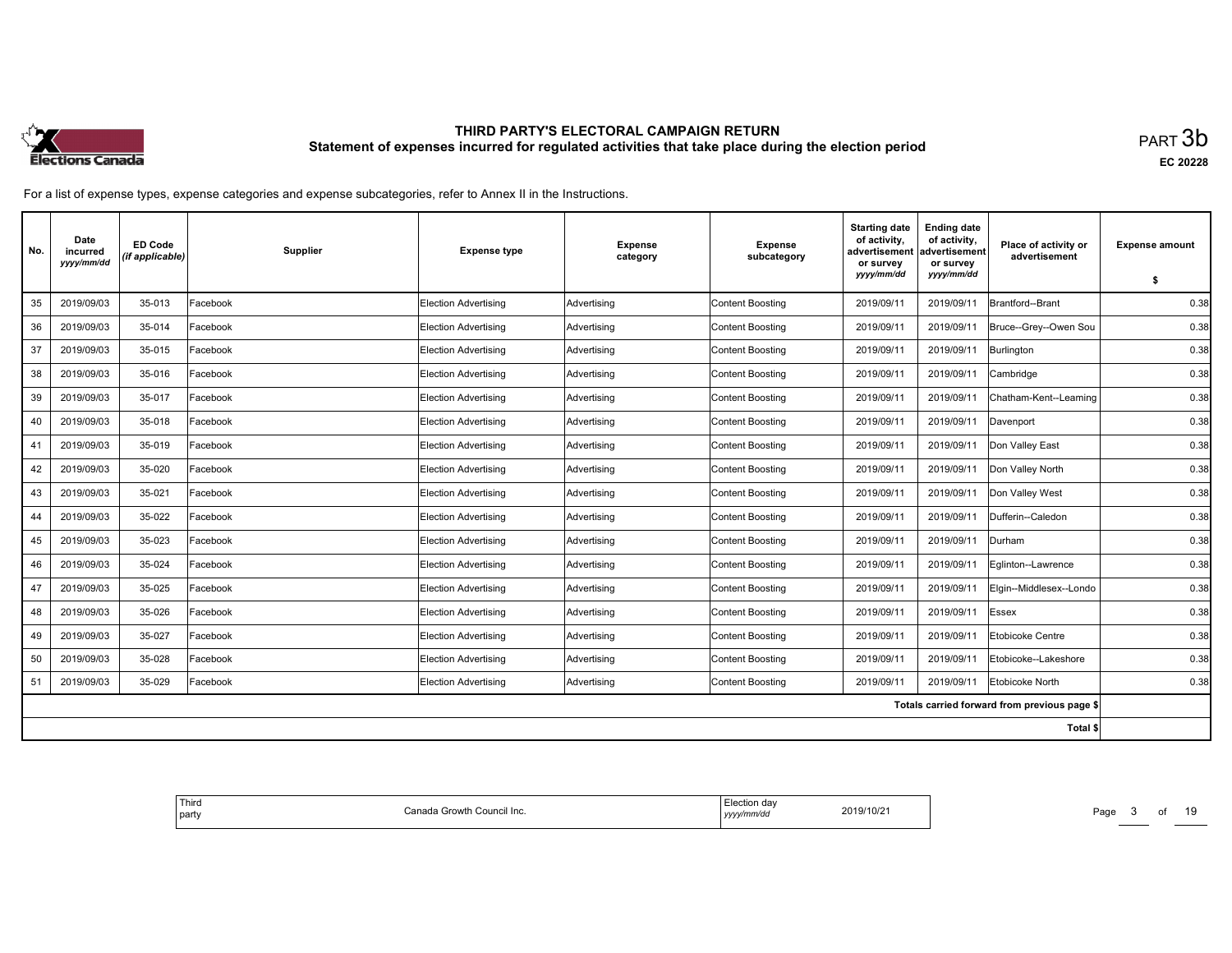

| No. | Date<br>incurred<br>yyyy/mm/dd | <b>ED Code</b><br>(if applicable) | Supplier | <b>Expense type</b>         | <b>Expense</b><br>category | <b>Expense</b><br>subcategory | <b>Starting date</b><br>of activity.<br>advertisement<br>or survey<br>yyyy/mm/dd | <b>Ending date</b><br>of activity,<br>advertisement<br>or survey<br>yyyy/mm/dd | Place of activity or<br>advertisement        | <b>Expense amount</b><br>\$ |
|-----|--------------------------------|-----------------------------------|----------|-----------------------------|----------------------------|-------------------------------|----------------------------------------------------------------------------------|--------------------------------------------------------------------------------|----------------------------------------------|-----------------------------|
| 35  | 2019/09/03                     | 35-013                            | Facebook | <b>Election Advertising</b> | Advertising                | <b>Content Boosting</b>       | 2019/09/11                                                                       | 2019/09/11                                                                     | Brantford--Brant                             | 0.38                        |
| 36  | 2019/09/03                     | 35-014                            | Facebook | <b>Election Advertising</b> | Advertising                | <b>Content Boosting</b>       | 2019/09/11                                                                       | 2019/09/11                                                                     | Bruce--Grey--Owen Sou                        | 0.38                        |
| 37  | 2019/09/03                     | 35-015                            | Facebook | Election Advertising        | Advertising                | Content Boosting              | 2019/09/11                                                                       | 2019/09/11                                                                     | Burlington                                   | 0.38                        |
| 38  | 2019/09/03                     | 35-016                            | Facebook | <b>Election Advertising</b> | Advertising                | Content Boosting              | 2019/09/11                                                                       | 2019/09/11                                                                     | Cambridge                                    | 0.38                        |
| 39  | 2019/09/03                     | 35-017                            | Facebook | <b>Election Advertising</b> | Advertising                | <b>Content Boosting</b>       | 2019/09/11                                                                       | 2019/09/1                                                                      | Chatham-Kent--Leaming                        | 0.38                        |
| 40  | 2019/09/03                     | 35-018                            | Facebook | Election Advertising        | Advertising                | <b>Content Boosting</b>       | 2019/09/11                                                                       | 2019/09/11                                                                     | Davenport                                    | 0.38                        |
| 41  | 2019/09/03                     | 35-019                            | Facebook | Election Advertising        | Advertising                | Content Boosting              | 2019/09/11                                                                       | 2019/09/11                                                                     | Don Valley East                              | 0.38                        |
| 42  | 2019/09/03                     | 35-020                            | Facebook | <b>Election Advertising</b> | Advertising                | <b>Content Boosting</b>       | 2019/09/11                                                                       | 2019/09/11                                                                     | Don Valley North                             | 0.38                        |
| 43  | 2019/09/03                     | 35-021                            | Facebook | <b>Election Advertising</b> | Advertising                | <b>Content Boosting</b>       | 2019/09/11                                                                       | 2019/09/11                                                                     | Don Valley West                              | 0.38                        |
| 44  | 2019/09/03                     | 35-022                            | Facebook | Election Advertising        | Advertising                | Content Boosting              | 2019/09/11                                                                       | 2019/09/11                                                                     | Dufferin--Caledon                            | 0.38                        |
| 45  | 2019/09/03                     | 35-023                            | Facebook | <b>Election Advertising</b> | Advertising                | <b>Content Boosting</b>       | 2019/09/11                                                                       | 2019/09/11                                                                     | Durham                                       | 0.38                        |
| 46  | 2019/09/03                     | 35-024                            | Facebook | <b>Election Advertising</b> | Advertising                | <b>Content Boosting</b>       | 2019/09/11                                                                       | 2019/09/11                                                                     | Eglinton--Lawrence                           | 0.38                        |
| 47  | 2019/09/03                     | 35-025                            | Facebook | Election Advertising        | Advertising                | Content Boosting              | 2019/09/11                                                                       | 2019/09/11                                                                     | Elgin--Middlesex--Londo                      | 0.38                        |
| 48  | 2019/09/03                     | 35-026                            | Facebook | <b>Election Advertising</b> | Advertising                | <b>Content Boosting</b>       | 2019/09/11                                                                       | 2019/09/11                                                                     | Essex                                        | 0.38                        |
| 49  | 2019/09/03                     | 35-027                            | Facebook | <b>Election Advertising</b> | Advertising                | <b>Content Boosting</b>       | 2019/09/11                                                                       | 2019/09/1                                                                      | Etobicoke Centre                             | 0.38                        |
| 50  | 2019/09/03                     | 35-028                            | Facebook | <b>Election Advertising</b> | Advertising                | <b>Content Boosting</b>       | 2019/09/11                                                                       | 2019/09/11                                                                     | Etobicoke--Lakeshore                         | 0.38                        |
| 51  | 2019/09/03                     | 35-029                            | Facebook | <b>Election Advertising</b> | Advertising                | <b>Content Boosting</b>       | 2019/09/11                                                                       | 2019/09/11                                                                     | Etobicoke North                              | 0.38                        |
|     |                                |                                   |          |                             |                            |                               |                                                                                  |                                                                                | Totals carried forward from previous page \$ |                             |
|     |                                |                                   |          |                             |                            |                               |                                                                                  |                                                                                | Total \$                                     |                             |

| Third<br>Canada Growtł<br>າ Council Inc.<br>  party | ∵≏tion dav<br>2019/10/21<br>.<br>10/Z<br>/mm/do<br>,,,,,<br>. | Page<br>______ |
|-----------------------------------------------------|---------------------------------------------------------------|----------------|
|-----------------------------------------------------|---------------------------------------------------------------|----------------|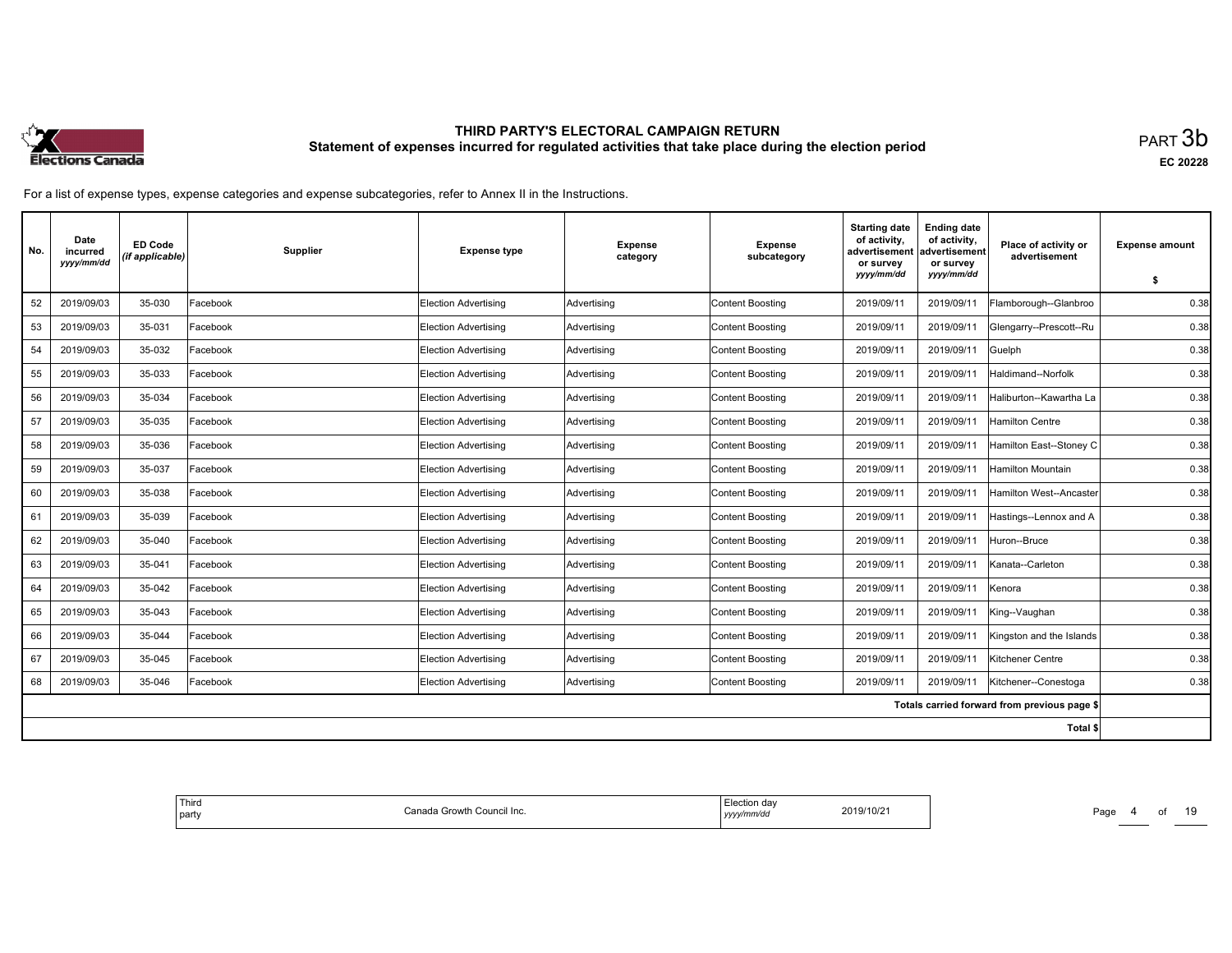

| No. | Date<br>incurred<br>yyyy/mm/dd | <b>ED Code</b><br>(if applicable) | <b>Supplier</b> | <b>Expense type</b>         | <b>Expense</b><br>category | <b>Expense</b><br>subcategory | <b>Starting date</b><br>of activity,<br>advertisement<br>or survey<br>yyyy/mm/dd | <b>Ending date</b><br>of activity,<br>advertisement<br>or survey<br>yyyy/mm/dd | Place of activity or<br>advertisement        | <b>Expense amount</b> |
|-----|--------------------------------|-----------------------------------|-----------------|-----------------------------|----------------------------|-------------------------------|----------------------------------------------------------------------------------|--------------------------------------------------------------------------------|----------------------------------------------|-----------------------|
|     |                                |                                   |                 |                             |                            |                               |                                                                                  |                                                                                |                                              | \$                    |
| 52  | 2019/09/03                     | 35-030                            | Facebook        | Election Advertising        | Advertising                | <b>Content Boosting</b>       | 2019/09/11                                                                       | 2019/09/11                                                                     | Flamborough--Glanbroo                        | 0.38                  |
| 53  | 2019/09/03                     | 35-031                            | Facebook        | <b>Election Advertising</b> | Advertising                | <b>Content Boosting</b>       | 2019/09/11                                                                       | 2019/09/11                                                                     | Glengarry--Prescott--Ru                      | 0.38                  |
| 54  | 2019/09/03                     | 35-032                            | Facebook        | <b>Election Advertising</b> | Advertising                | <b>Content Boosting</b>       | 2019/09/11                                                                       | 2019/09/11                                                                     | Guelph                                       | 0.38                  |
| 55  | 2019/09/03                     | 35-033                            | Facebook        | Election Advertising        | Advertising                | <b>Content Boosting</b>       | 2019/09/11                                                                       | 2019/09/11                                                                     | Haldimand--Norfolk                           | 0.38                  |
| 56  | 2019/09/03                     | 35-034                            | Facebook        | <b>Election Advertising</b> | Advertising                | <b>Content Boosting</b>       | 2019/09/11                                                                       | 2019/09/11                                                                     | Haliburton--Kawartha La                      | 0.38                  |
| 57  | 2019/09/03                     | 35-035                            | Facebook        | <b>Election Advertising</b> | Advertising                | <b>Content Boosting</b>       | 2019/09/11                                                                       | 2019/09/11                                                                     | <b>Hamilton Centre</b>                       | 0.38                  |
| 58  | 2019/09/03                     | 35-036                            | Facebook        | Election Advertising        | Advertising                | Content Boosting              | 2019/09/11                                                                       | 2019/09/11                                                                     | Hamilton East--Stoney C                      | 0.38                  |
| 59  | 2019/09/03                     | 35-037                            | Facebook        | <b>Election Advertising</b> | Advertising                | <b>Content Boosting</b>       | 2019/09/11                                                                       | 2019/09/11                                                                     | Hamilton Mountain                            | 0.38                  |
| 60  | 2019/09/03                     | 35-038                            | Facebook        | <b>Election Advertising</b> | Advertising                | <b>Content Boosting</b>       | 2019/09/11                                                                       | 2019/09/1                                                                      | Hamilton West--Ancaster                      | 0.38                  |
| 61  | 2019/09/03                     | 35-039                            | Facebook        | <b>Election Advertising</b> | Advertising                | Content Boosting              | 2019/09/11                                                                       | 2019/09/11                                                                     | Hastings--Lennox and A                       | 0.38                  |
| 62  | 2019/09/03                     | 35-040                            | Facebook        | <b>Election Advertising</b> | Advertising                | <b>Content Boosting</b>       | 2019/09/11                                                                       | 2019/09/11                                                                     | Huron--Bruce                                 | 0.38                  |
| 63  | 2019/09/03                     | 35-041                            | Facebook        | <b>Election Advertising</b> | Advertising                | <b>Content Boosting</b>       | 2019/09/11                                                                       | 2019/09/11                                                                     | Kanata--Carleton                             | 0.38                  |
| 64  | 2019/09/03                     | 35-042                            | Facebook        | <b>Election Advertising</b> | Advertising                | Content Boosting              | 2019/09/11                                                                       | 2019/09/11                                                                     | Kenora                                       | 0.38                  |
| 65  | 2019/09/03                     | 35-043                            | Facebook        | <b>Election Advertising</b> | Advertising                | <b>Content Boosting</b>       | 2019/09/11                                                                       | 2019/09/11                                                                     | King--Vaughan                                | 0.38                  |
| 66  | 2019/09/03                     | 35-044                            | Facebook        | Election Advertisina        | Advertising                | <b>Content Boosting</b>       | 2019/09/11                                                                       | 2019/09/1                                                                      | Kingston and the Islands                     | 0.38                  |
| 67  | 2019/09/03                     | 35-045                            | Facebook        | <b>Election Advertising</b> | Advertising                | <b>Content Boosting</b>       | 2019/09/11                                                                       | 2019/09/11                                                                     | Kitchener Centre                             | 0.38                  |
| 68  | 2019/09/03                     | 35-046                            | Facebook        | Election Advertising        | Advertising                | <b>Content Boosting</b>       | 2019/09/11                                                                       | 2019/09/11                                                                     | Kitchener--Conestoga                         | 0.38                  |
|     |                                |                                   |                 |                             |                            |                               |                                                                                  |                                                                                | Totals carried forward from previous page \$ |                       |
|     |                                |                                   |                 |                             |                            |                               |                                                                                  |                                                                                | Total \$                                     |                       |

| Third<br>  party | Canada Growth<br>າ Council Inc. | ection dav.<br>.<br>vy/mm/do<br>,,,,,<br>. | 2019/10/21 | Page<br>______ |
|------------------|---------------------------------|--------------------------------------------|------------|----------------|
|------------------|---------------------------------|--------------------------------------------|------------|----------------|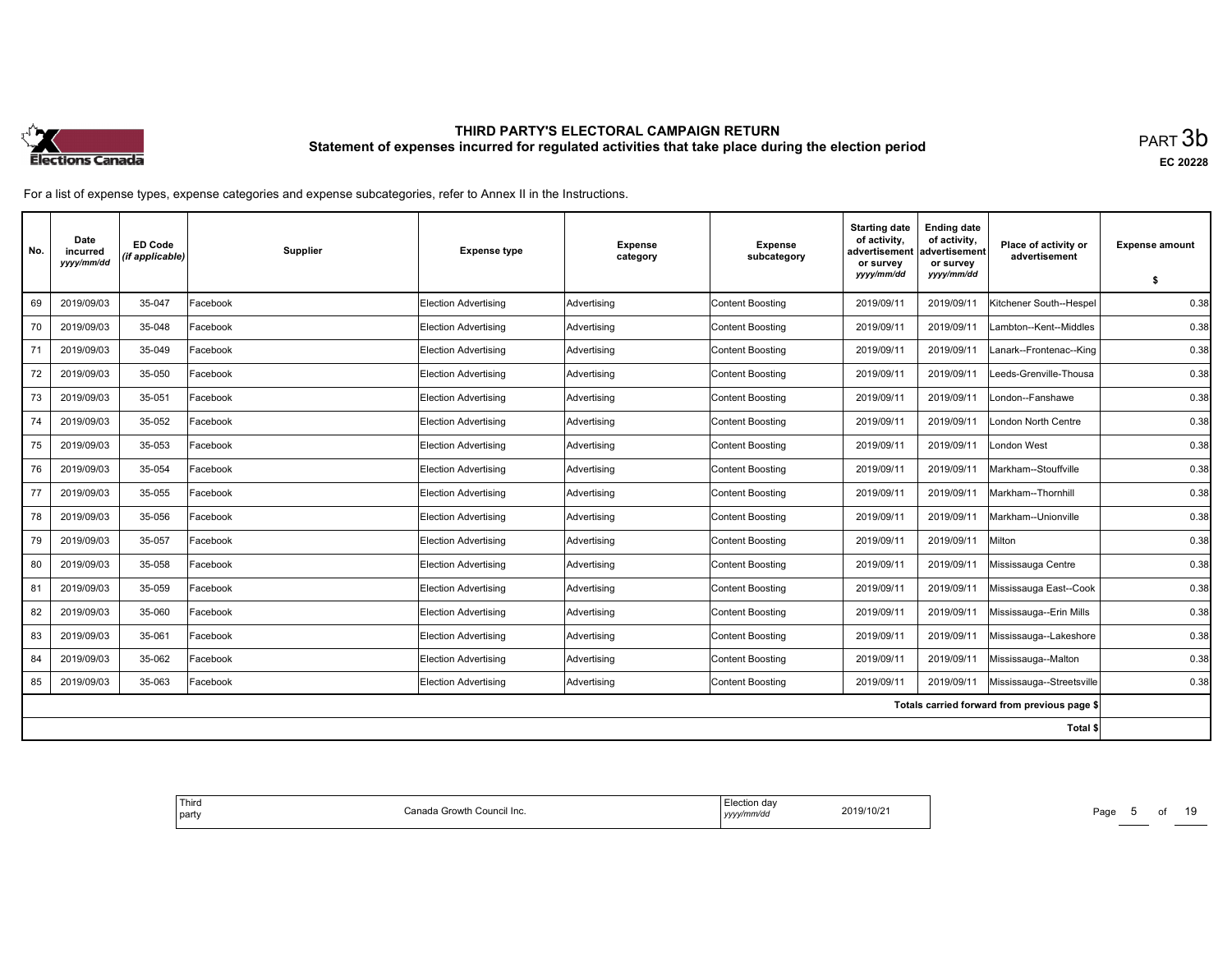

| No. | Date<br>incurred<br>yyyy/mm/dd | <b>ED Code</b><br>(if applicable) | Supplier | <b>Expense type</b>         | <b>Expense</b><br>category | <b>Expense</b><br>subcategory | <b>Starting date</b><br>of activity.<br>advertisement<br>or survey<br>yyyy/mm/dd | <b>Ending date</b><br>of activity,<br>advertisement<br>or survey<br>yyyy/mm/dd | Place of activity or<br>advertisement        | <b>Expense amount</b><br>\$ |
|-----|--------------------------------|-----------------------------------|----------|-----------------------------|----------------------------|-------------------------------|----------------------------------------------------------------------------------|--------------------------------------------------------------------------------|----------------------------------------------|-----------------------------|
| 69  | 2019/09/03                     | 35-047                            | Facebook | <b>Election Advertising</b> | Advertising                | <b>Content Boosting</b>       | 2019/09/11                                                                       | 2019/09/11                                                                     | Kitchener South--Hespel                      | 0.38                        |
| 70  | 2019/09/03                     | 35-048                            | Facebook | <b>Election Advertising</b> | Advertising                | <b>Content Boosting</b>       | 2019/09/11                                                                       | 2019/09/11                                                                     | Lambton--Kent--Middles                       | 0.38                        |
| 71  | 2019/09/03                     | 35-049                            | Facebook | Election Advertising        | Advertising                | Content Boosting              | 2019/09/11                                                                       | 2019/09/11                                                                     | Lanark--Frontenac--King                      | 0.38                        |
| 72  | 2019/09/03                     | 35-050                            | Facebook | <b>Election Advertising</b> | Advertising                | Content Boosting              | 2019/09/11                                                                       | 2019/09/11                                                                     | Leeds-Grenville-Thousa                       | 0.38                        |
| 73  | 2019/09/03                     | 35-051                            | Facebook | <b>Election Advertising</b> | Advertising                | <b>Content Boosting</b>       | 2019/09/11                                                                       | 2019/09/11                                                                     | London--Fanshawe                             | 0.38                        |
| 74  | 2019/09/03                     | 35-052                            | Facebook | Election Advertising        | Advertising                | <b>Content Boosting</b>       | 2019/09/11                                                                       | 2019/09/11                                                                     | London North Centre                          | 0.38                        |
| 75  | 2019/09/03                     | 35-053                            | Facebook | Election Advertising        | Advertising                | Content Boosting              | 2019/09/11                                                                       | 2019/09/11                                                                     | London West                                  | 0.38                        |
| 76  | 2019/09/03                     | 35-054                            | Facebook | <b>Election Advertising</b> | Advertising                | <b>Content Boosting</b>       | 2019/09/11                                                                       | 2019/09/11                                                                     | Markham--Stouffville                         | 0.38                        |
| 77  | 2019/09/03                     | 35-055                            | Facebook | <b>Election Advertising</b> | Advertising                | <b>Content Boosting</b>       | 2019/09/11                                                                       | 2019/09/11                                                                     | Markham--Thornhill                           | 0.38                        |
| 78  | 2019/09/03                     | 35-056                            | Facebook | Election Advertising        | Advertising                | Content Boosting              | 2019/09/11                                                                       | 2019/09/11                                                                     | Markham--Unionville                          | 0.38                        |
| 79  | 2019/09/03                     | 35-057                            | Facebook | <b>Election Advertising</b> | Advertising                | <b>Content Boosting</b>       | 2019/09/11                                                                       | 2019/09/11                                                                     | Milton                                       | 0.38                        |
| 80  | 2019/09/03                     | 35-058                            | Facebook | <b>Election Advertising</b> | Advertising                | <b>Content Boosting</b>       | 2019/09/11                                                                       | 2019/09/1                                                                      | Mississauga Centre                           | 0.38                        |
| 81  | 2019/09/03                     | 35-059                            | Facebook | Election Advertising        | Advertising                | Content Boosting              | 2019/09/11                                                                       | 2019/09/11                                                                     | Mississauga East--Cook                       | 0.38                        |
| 82  | 2019/09/03                     | 35-060                            | Facebook | <b>Election Advertising</b> | Advertising                | <b>Content Boosting</b>       | 2019/09/11                                                                       | 2019/09/11                                                                     | Mississauga--Erin Mills                      | 0.38                        |
| 83  | 2019/09/03                     | 35-061                            | Facebook | Election Advertisina        | Advertising                | <b>Content Boosting</b>       | 2019/09/11                                                                       | 2019/09/1                                                                      | Mississauga--Lakeshore                       | 0.38                        |
| 84  | 2019/09/03                     | 35-062                            | Facebook | <b>Election Advertising</b> | Advertising                | <b>Content Boosting</b>       | 2019/09/11                                                                       | 2019/09/11                                                                     | Mississauga--Malton                          | 0.38                        |
| 85  | 2019/09/03                     | 35-063                            | Facebook | <b>Election Advertising</b> | Advertising                | <b>Content Boosting</b>       | 2019/09/11                                                                       | 2019/09/11                                                                     | Mississauga--Streetsville                    | 0.38                        |
|     |                                |                                   |          |                             |                            |                               |                                                                                  |                                                                                | Totals carried forward from previous page \$ |                             |
|     |                                |                                   |          |                             |                            |                               |                                                                                  |                                                                                | Total \$                                     |                             |

| ' Third<br>Canada I<br>ı Council Inc.<br><b>Growth U.</b><br>party<br>uan | $\ddot{\mathbf{r}}$<br>ua v<br>2019/10/21<br>.<br>'/mm/da<br>yyyyır | Page<br>______ |
|---------------------------------------------------------------------------|---------------------------------------------------------------------|----------------|
|---------------------------------------------------------------------------|---------------------------------------------------------------------|----------------|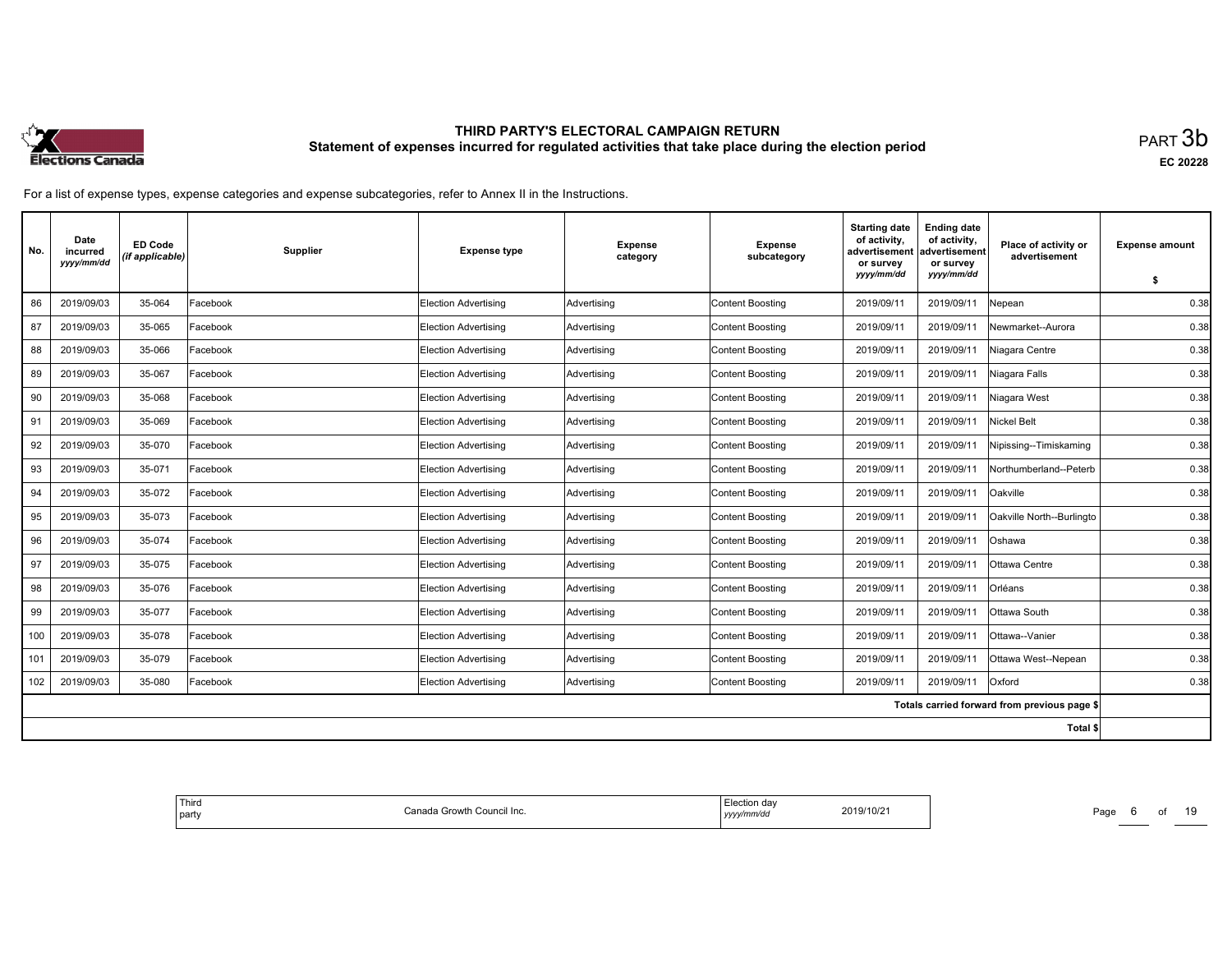

| No. | Date<br>incurred<br>yyyy/mm/dd | <b>ED Code</b><br>(if applicable) | <b>Supplier</b> | <b>Expense type</b>         | <b>Expense</b><br>category | <b>Expense</b><br>subcategory | <b>Starting date</b><br>of activity,<br>advertisement<br>or survey<br>yyyy/mm/dd | <b>Ending date</b><br>of activity,<br>advertisement<br>or survey<br>yyyy/mm/dd | Place of activity or<br>advertisement        | <b>Expense amount</b> |
|-----|--------------------------------|-----------------------------------|-----------------|-----------------------------|----------------------------|-------------------------------|----------------------------------------------------------------------------------|--------------------------------------------------------------------------------|----------------------------------------------|-----------------------|
|     |                                |                                   |                 |                             |                            |                               |                                                                                  |                                                                                |                                              | \$                    |
| 86  | 2019/09/03                     | 35-064                            | Facebook        | Election Advertising        | Advertising                | <b>Content Boosting</b>       | 2019/09/11                                                                       | 2019/09/11                                                                     | Nepean                                       | 0.38                  |
| 87  | 2019/09/03                     | 35-065                            | Facebook        | <b>Election Advertising</b> | Advertising                | <b>Content Boosting</b>       | 2019/09/11                                                                       | 2019/09/11                                                                     | Newmarket--Aurora                            | 0.38                  |
| 88  | 2019/09/03                     | 35-066                            | Facebook        | <b>Election Advertising</b> | Advertising                | <b>Content Boosting</b>       | 2019/09/11                                                                       | 2019/09/11                                                                     | Niagara Centre                               | 0.38                  |
| 89  | 2019/09/03                     | 35-067                            | Facebook        | Election Advertising        | Advertising                | <b>Content Boosting</b>       | 2019/09/11                                                                       | 2019/09/11                                                                     | Niagara Falls                                | 0.38                  |
| 90  | 2019/09/03                     | 35-068                            | Facebook        | <b>Election Advertising</b> | Advertising                | <b>Content Boosting</b>       | 2019/09/11                                                                       | 2019/09/11                                                                     | Niagara West                                 | 0.38                  |
| 91  | 2019/09/03                     | 35-069                            | Facebook        | <b>Election Advertising</b> | Advertising                | <b>Content Boosting</b>       | 2019/09/11                                                                       | 2019/09/11                                                                     | Nickel Belt                                  | 0.38                  |
| 92  | 2019/09/03                     | 35-070                            | Facebook        | Election Advertising        | Advertising                | Content Boosting              | 2019/09/11                                                                       | 2019/09/11                                                                     | Nipissing--Timiskaming                       | 0.38                  |
| 93  | 2019/09/03                     | 35-071                            | Facebook        | <b>Election Advertising</b> | Advertising                | <b>Content Boosting</b>       | 2019/09/11                                                                       | 2019/09/11                                                                     | Northumberland--Peterb                       | 0.38                  |
| 94  | 2019/09/03                     | 35-072                            | Facebook        | <b>Election Advertising</b> | Advertising                | <b>Content Boosting</b>       | 2019/09/11                                                                       | 2019/09/11                                                                     | Oakville                                     | 0.38                  |
| 95  | 2019/09/03                     | 35-073                            | Facebook        | <b>Election Advertising</b> | Advertising                | Content Boosting              | 2019/09/11                                                                       | 2019/09/11                                                                     | Oakville North--Burlingto                    | 0.38                  |
| 96  | 2019/09/03                     | 35-074                            | Facebook        | <b>Election Advertising</b> | Advertising                | <b>Content Boosting</b>       | 2019/09/11                                                                       | 2019/09/11                                                                     | Oshawa                                       | 0.38                  |
| 97  | 2019/09/03                     | 35-075                            | Facebook        | <b>Election Advertising</b> | Advertising                | <b>Content Boosting</b>       | 2019/09/11                                                                       | 2019/09/11                                                                     | Ottawa Centre                                | 0.38                  |
| 98  | 2019/09/03                     | 35-076                            | Facebook        | <b>Election Advertising</b> | Advertising                | Content Boosting              | 2019/09/11                                                                       | 2019/09/11                                                                     | Orléans                                      | 0.38                  |
| 99  | 2019/09/03                     | 35-077                            | Facebook        | Election Advertisina        | Advertising                | <b>Content Boosting</b>       | 2019/09/11                                                                       | 2019/09/11                                                                     | Ottawa South                                 | 0.38                  |
| 100 | 2019/09/03                     | 35-078                            | Facebook        | Election Advertising        | Advertising                | <b>Content Boosting</b>       | 2019/09/11                                                                       | 2019/09/11                                                                     | Ottawa--Vanier                               | 0.38                  |
| 101 | 2019/09/03                     | 35-079                            | Facebook        | <b>Election Advertising</b> | Advertising                | <b>Content Boosting</b>       | 2019/09/11                                                                       | 2019/09/11                                                                     | Ottawa West--Nepean                          | 0.38                  |
| 102 | 2019/09/03                     | 35-080                            | Facebook        | Election Advertising        | Advertising                | <b>Content Boosting</b>       | 2019/09/11                                                                       | 2019/09/11                                                                     | Oxford                                       | 0.38                  |
|     |                                |                                   |                 |                             |                            |                               |                                                                                  |                                                                                | Totals carried forward from previous page \$ |                       |
|     |                                |                                   |                 |                             |                            |                               |                                                                                  |                                                                                | Total \$                                     |                       |

| Third<br>Canada Growtł<br>າ Council Inc.<br>  party | ection dav.<br>2019/10/21<br>.<br>10/Z<br>/mm/do<br>,,,,,<br>. | Page<br>______ |
|-----------------------------------------------------|----------------------------------------------------------------|----------------|
|-----------------------------------------------------|----------------------------------------------------------------|----------------|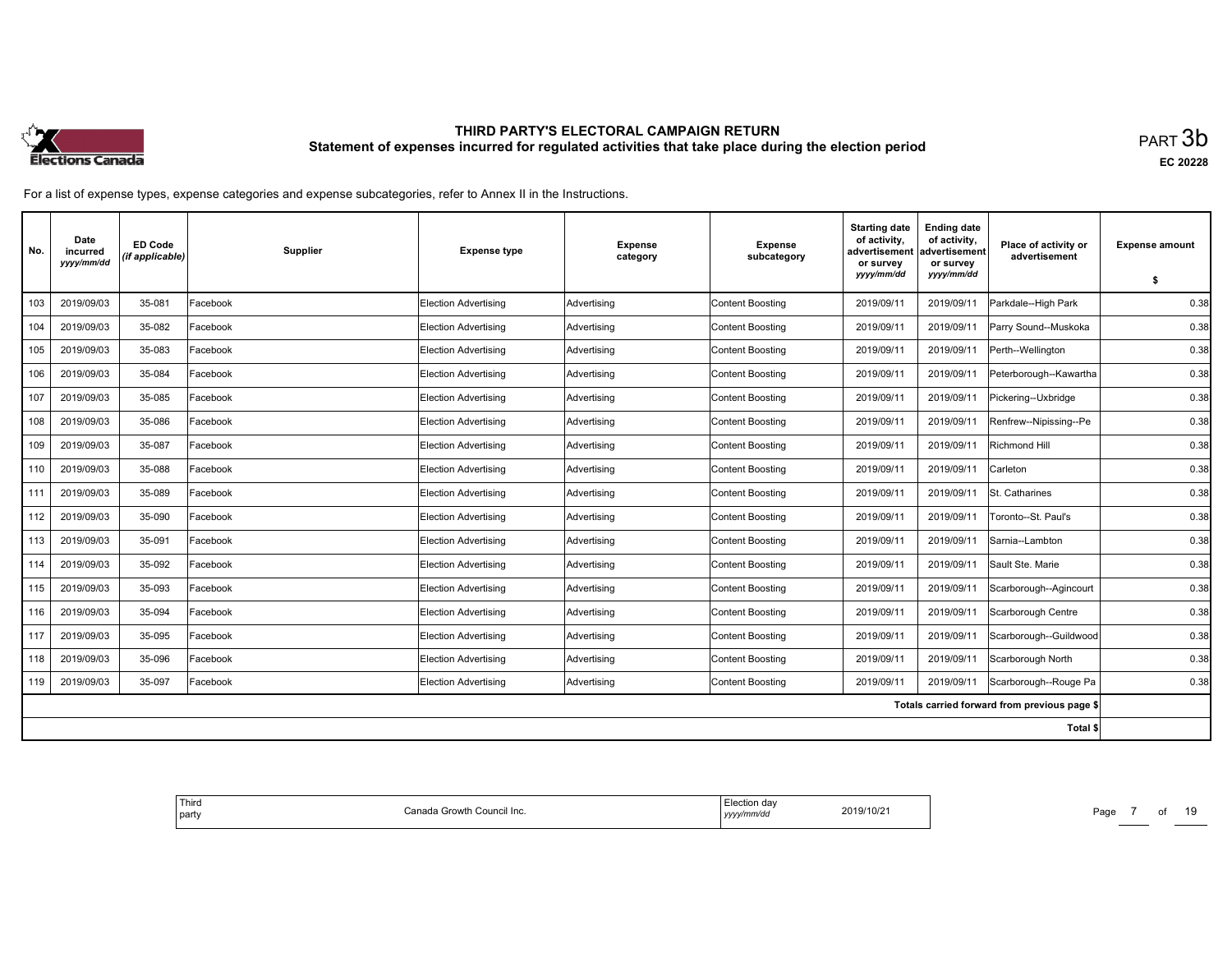

| No. | Date<br>incurred<br>yyyy/mm/dd | <b>ED Code</b><br>(if applicable) | Supplier | <b>Expense type</b>         | <b>Expense</b><br>category | <b>Expense</b><br>subcategory | <b>Starting date</b><br>of activity,<br>advertisement<br>or survey<br>yyyy/mm/dd | <b>Ending date</b><br>of activity,<br>advertisement<br>or survey<br>yyyy/mm/dd | Place of activity or<br>advertisement        | <b>Expense amount</b><br>\$ |
|-----|--------------------------------|-----------------------------------|----------|-----------------------------|----------------------------|-------------------------------|----------------------------------------------------------------------------------|--------------------------------------------------------------------------------|----------------------------------------------|-----------------------------|
| 103 | 2019/09/03                     | 35-081                            | Facebook | <b>Election Advertising</b> | Advertising                | <b>Content Boosting</b>       | 2019/09/11                                                                       | 2019/09/11                                                                     | Parkdale--High Park                          | 0.38                        |
| 104 | 2019/09/03                     | 35-082                            | Facebook | Election Advertising        | Advertising                | <b>Content Boosting</b>       | 2019/09/11                                                                       | 2019/09/11                                                                     | Parry Sound--Muskoka                         | 0.38                        |
| 105 | 2019/09/03                     | 35-083                            | Facebook | Election Advertising        | Advertising                | <b>Content Boosting</b>       | 2019/09/11                                                                       | 2019/09/1                                                                      | Perth--Wellington                            | 0.38                        |
| 106 | 2019/09/03                     | 35-084                            | Facebook | <b>Election Advertising</b> | Advertising                | <b>Content Boosting</b>       | 2019/09/11                                                                       | 2019/09/11                                                                     | Peterborough--Kawartha                       | 0.38                        |
| 107 | 2019/09/03                     | 35-085                            | Facebook | <b>Election Advertising</b> | Advertising                | <b>Content Boosting</b>       | 2019/09/11                                                                       | 2019/09/11                                                                     | Pickering--Uxbridge                          | 0.38                        |
| 108 | 2019/09/03                     | 35-086                            | Facebook | Election Advertising        | Advertising                | <b>Content Boosting</b>       | 2019/09/11                                                                       | 2019/09/1                                                                      | Renfrew--Nipissing--Pe                       | 0.38                        |
| 109 | 2019/09/03                     | 35-087                            | Facebook | <b>Election Advertising</b> | Advertising                | <b>Content Boosting</b>       | 2019/09/11                                                                       | 2019/09/11                                                                     | <b>Richmond Hill</b>                         | 0.38                        |
| 110 | 2019/09/03                     | 35-088                            | Facebook | <b>Election Advertising</b> | Advertising                | <b>Content Boosting</b>       | 2019/09/11                                                                       | 2019/09/11                                                                     | Carleton                                     | 0.38                        |
| 111 | 2019/09/03                     | 35-089                            | Facebook | Election Advertising        | Advertising                | <b>Content Boosting</b>       | 2019/09/11                                                                       | 2019/09/11                                                                     | St. Catharines                               | 0.38                        |
| 112 | 2019/09/03                     | 35-090                            | Facebook | Election Advertising        | Advertising                | <b>Content Boosting</b>       | 2019/09/11                                                                       | 2019/09/11                                                                     | Toronto--St. Paul's                          | 0.38                        |
| 113 | 2019/09/03                     | 35-091                            | Facebook | <b>Election Advertising</b> | Advertising                | <b>Content Boosting</b>       | 2019/09/11                                                                       | 2019/09/11                                                                     | Sarnia--Lambton                              | 0.38                        |
| 114 | 2019/09/03                     | 35-092                            | Facebook | <b>Election Advertising</b> | Advertising                | <b>Content Boosting</b>       | 2019/09/11                                                                       | 2019/09/11                                                                     | Sault Ste. Marie                             | 0.38                        |
| 115 | 2019/09/03                     | 35-093                            | Facebook | <b>Election Advertising</b> | Advertising                | <b>Content Boosting</b>       | 2019/09/11                                                                       | 2019/09/11                                                                     | Scarborough--Agincourt                       | 0.38                        |
| 116 | 2019/09/03                     | 35-094                            | Facebook | <b>Election Advertising</b> | Advertising                | <b>Content Boosting</b>       | 2019/09/11                                                                       | 2019/09/11                                                                     | Scarborough Centre                           | 0.38                        |
| 117 | 2019/09/03                     | 35-095                            | Facebook | Election Advertising        | Advertising                | <b>Content Boosting</b>       | 2019/09/11                                                                       | 2019/09/1                                                                      | Scarborough--Guildwood                       | 0.38                        |
| 118 | 2019/09/03                     | 35-096                            | Facebook | <b>Election Advertising</b> | Advertising                | <b>Content Boosting</b>       | 2019/09/11                                                                       | 2019/09/11                                                                     | Scarborough North                            | 0.38                        |
| 119 | 2019/09/03                     | 35-097                            | Facebook | <b>Election Advertising</b> | Advertising                | <b>Content Boosting</b>       | 2019/09/11                                                                       | 2019/09/11                                                                     | Scarborough--Rouge Pa                        | 0.38                        |
|     |                                |                                   |          |                             |                            |                               |                                                                                  |                                                                                | Totals carried forward from previous page \$ |                             |
|     |                                |                                   |          |                             |                            |                               |                                                                                  |                                                                                | Total \$                                     |                             |

| Third<br>a Growth Council Inc.<br>n<br>udil<br>l partv<br>מנוד | 2019/10/21<br>.<br>$\theta$ mm/d $\theta$<br>уууу | Page<br>_____ |
|----------------------------------------------------------------|---------------------------------------------------|---------------|
|----------------------------------------------------------------|---------------------------------------------------|---------------|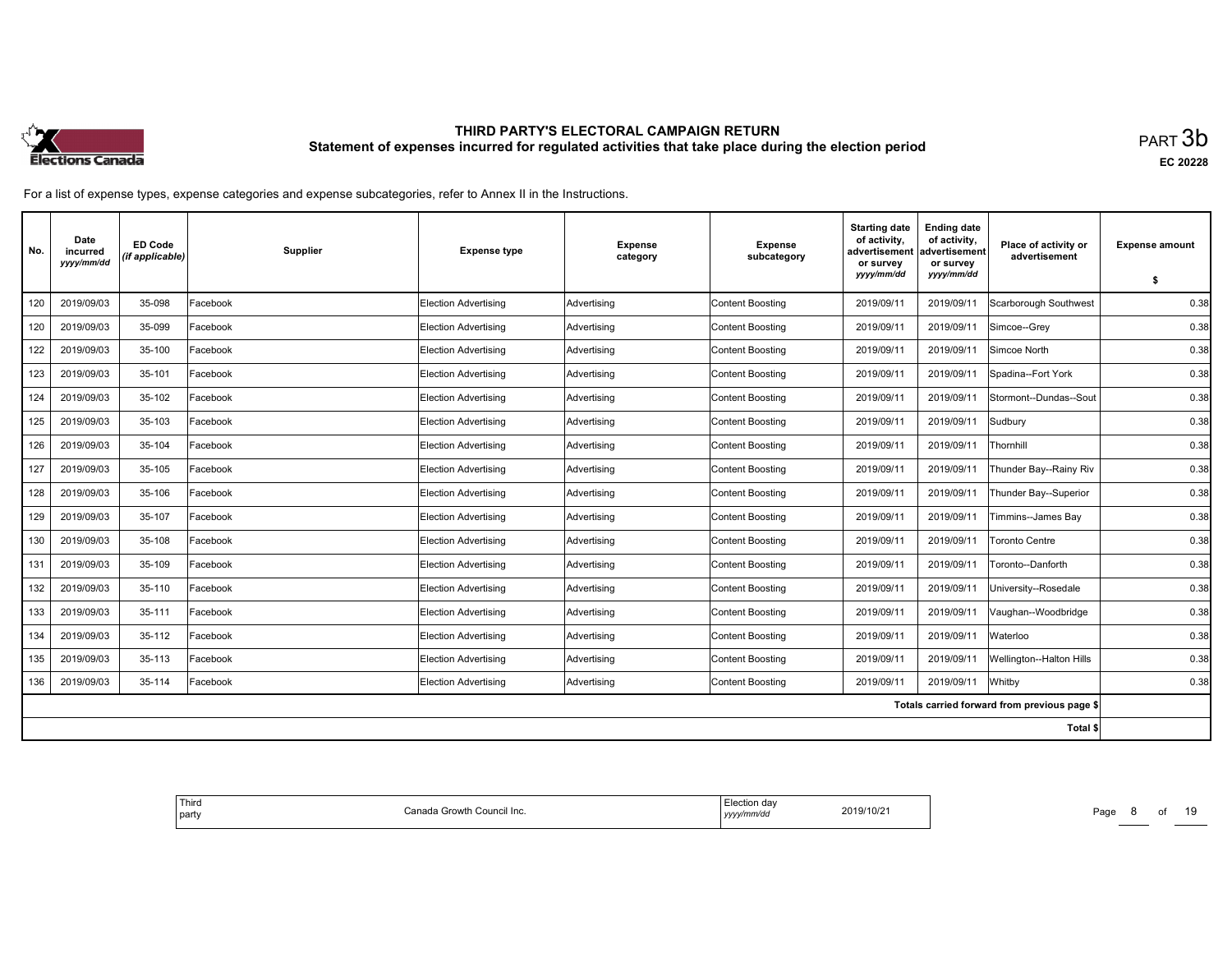

| No. | Date<br>incurred<br>yyyy/mm/dd | <b>ED Code</b><br>(if applicable) | <b>Supplier</b> | <b>Expense type</b>         | <b>Expense</b><br>category | <b>Expense</b><br>subcategory | <b>Starting date</b><br>of activity,<br>advertisement<br>or survey<br>yyyy/mm/dd | <b>Ending date</b><br>of activity,<br>advertisement<br>or survey<br>yyyy/mm/dd | Place of activity or<br>advertisement        | <b>Expense amount</b> |
|-----|--------------------------------|-----------------------------------|-----------------|-----------------------------|----------------------------|-------------------------------|----------------------------------------------------------------------------------|--------------------------------------------------------------------------------|----------------------------------------------|-----------------------|
|     |                                |                                   |                 |                             |                            |                               |                                                                                  |                                                                                |                                              | \$                    |
| 120 | 2019/09/03                     | 35-098                            | Facebook        | Election Advertising        | Advertising                | <b>Content Boosting</b>       | 2019/09/11                                                                       | 2019/09/11                                                                     | Scarborough Southwest                        | 0.38                  |
| 120 | 2019/09/03                     | 35-099                            | Facebook        | <b>Election Advertising</b> | Advertising                | <b>Content Boosting</b>       | 2019/09/11                                                                       | 2019/09/11                                                                     | Simcoe--Grey                                 | 0.38                  |
| 122 | 2019/09/03                     | 35-100                            | Facebook        | <b>Election Advertising</b> | Advertising                | <b>Content Boosting</b>       | 2019/09/11                                                                       | 2019/09/11                                                                     | Simcoe North                                 | 0.38                  |
| 123 | 2019/09/03                     | 35-101                            | Facebook        | Election Advertising        | Advertising                | <b>Content Boosting</b>       | 2019/09/11                                                                       | 2019/09/11                                                                     | Spadina--Fort York                           | 0.38                  |
| 124 | 2019/09/03                     | 35-102                            | Facebook        | <b>Election Advertising</b> | Advertising                | <b>Content Boosting</b>       | 2019/09/11                                                                       | 2019/09/11                                                                     | Stormont--Dundas--Sout                       | 0.38                  |
| 125 | 2019/09/03                     | 35-103                            | Facebook        | <b>Election Advertising</b> | Advertising                | <b>Content Boosting</b>       | 2019/09/11                                                                       | 2019/09/11                                                                     | Sudbury                                      | 0.38                  |
| 126 | 2019/09/03                     | 35-104                            | Facebook        | Election Advertising        | Advertising                | Content Boosting              | 2019/09/11                                                                       | 2019/09/11                                                                     | Thornhill                                    | 0.38                  |
| 127 | 2019/09/03                     | 35-105                            | Facebook        | <b>Election Advertising</b> | Advertising                | <b>Content Boosting</b>       | 2019/09/11                                                                       | 2019/09/1                                                                      | Thunder Bay--Rainy Riv                       | 0.38                  |
| 128 | 2019/09/03                     | 35-106                            | Facebook        | <b>Election Advertising</b> | Advertising                | <b>Content Boosting</b>       | 2019/09/11                                                                       | 2019/09/1                                                                      | Thunder Bay--Superior                        | 0.38                  |
| 129 | 2019/09/03                     | 35-107                            | Facebook        | <b>Election Advertising</b> | Advertising                | Content Boosting              | 2019/09/11                                                                       | 2019/09/11                                                                     | Timmins--James Bay                           | 0.38                  |
| 130 | 2019/09/03                     | 35-108                            | Facebook        | <b>Election Advertising</b> | Advertising                | <b>Content Boosting</b>       | 2019/09/11                                                                       | 2019/09/11                                                                     | <b>Toronto Centre</b>                        | 0.38                  |
| 131 | 2019/09/03                     | 35-109                            | Facebook        | <b>Election Advertising</b> | Advertising                | <b>Content Boosting</b>       | 2019/09/11                                                                       | 2019/09/11                                                                     | Toronto--Danforth                            | 0.38                  |
| 132 | 2019/09/03                     | 35-110                            | Facebook        | <b>Election Advertising</b> | Advertising                | Content Boosting              | 2019/09/11                                                                       | 2019/09/11                                                                     | University--Rosedale                         | 0.38                  |
| 133 | 2019/09/03                     | 35-111                            | Facebook        | <b>Election Advertising</b> | Advertising                | <b>Content Boosting</b>       | 2019/09/11                                                                       | 2019/09/1                                                                      | Vaughan--Woodbridge                          | 0.38                  |
| 134 | 2019/09/03                     | 35-112                            | Facebook        | Election Advertisina        | Advertising                | <b>Content Boosting</b>       | 2019/09/11                                                                       | 2019/09/11                                                                     | Waterloo                                     | 0.38                  |
| 135 | 2019/09/03                     | 35-113                            | Facebook        | <b>Election Advertising</b> | Advertising                | <b>Content Boosting</b>       | 2019/09/11                                                                       | 2019/09/11                                                                     | Wellington--Halton Hills                     | 0.38                  |
| 136 | 2019/09/03                     | 35-114                            | Facebook        | Election Advertising        | Advertising                | <b>Content Boosting</b>       | 2019/09/11                                                                       | 2019/09/11                                                                     | Whitby                                       | 0.38                  |
|     |                                |                                   |                 |                             |                            |                               |                                                                                  |                                                                                | Totals carried forward from previous page \$ |                       |
|     |                                |                                   |                 |                             |                            |                               |                                                                                  |                                                                                | Total \$                                     |                       |

| Third<br>Canada Growtł<br>າ Council Inc.<br>  party | ∵≏tion dav<br>2019/10/21<br>.<br>10/Z<br>/mm/do<br>,,,,,<br>. | Page<br>______ |
|-----------------------------------------------------|---------------------------------------------------------------|----------------|
|-----------------------------------------------------|---------------------------------------------------------------|----------------|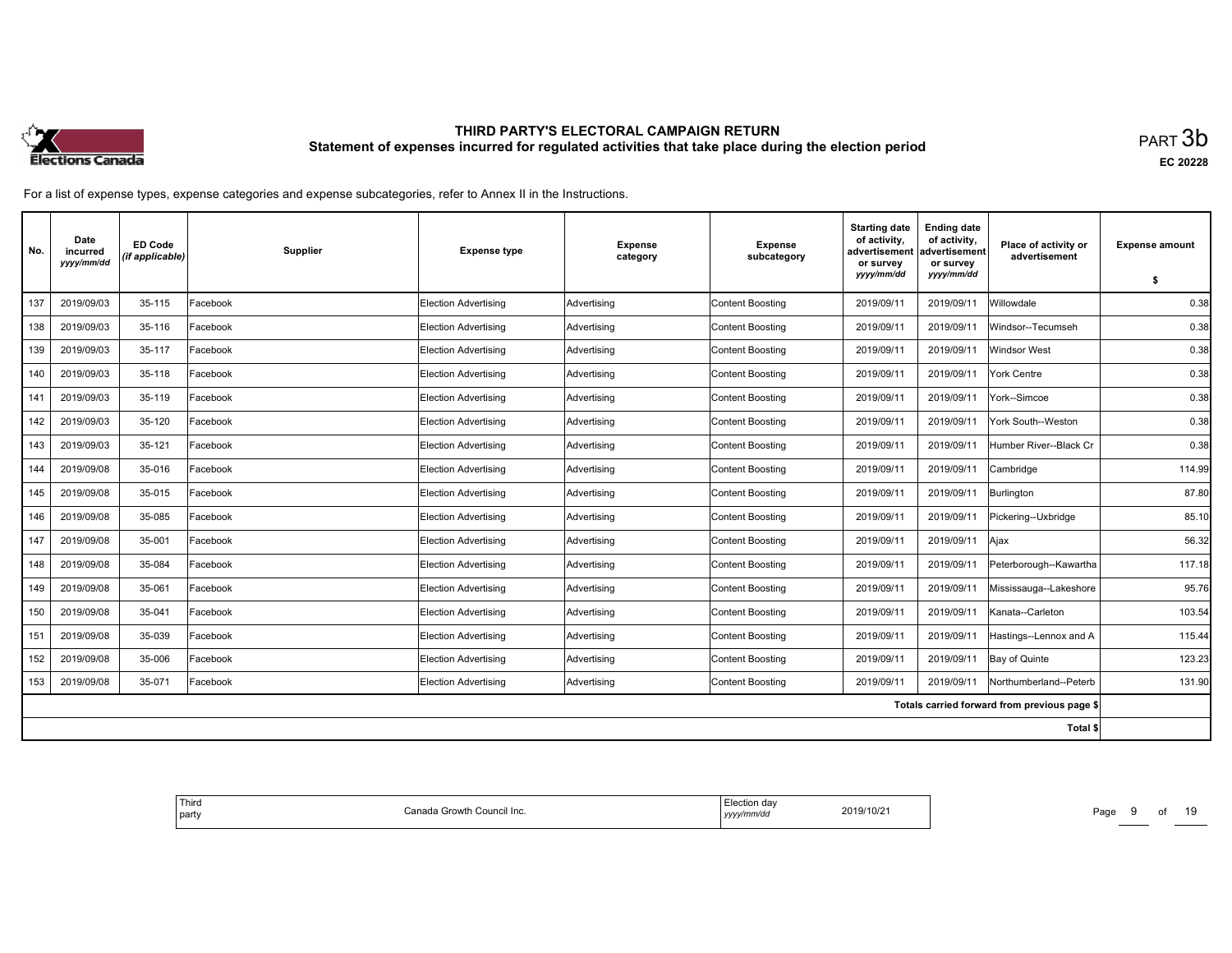

| No. | Date<br>incurred<br>yyyy/mm/dd | <b>ED Code</b><br>(if applicable) | Supplier | <b>Expense type</b>         | <b>Expense</b><br>category | <b>Expense</b><br>subcategory | <b>Starting date</b><br>of activity,<br>advertisement<br>or survey<br>yyyy/mm/dd | <b>Ending date</b><br>of activity,<br>advertisement<br>or survey<br>yyyy/mm/dd | Place of activity or<br>advertisement        | <b>Expense amount</b><br>\$ |
|-----|--------------------------------|-----------------------------------|----------|-----------------------------|----------------------------|-------------------------------|----------------------------------------------------------------------------------|--------------------------------------------------------------------------------|----------------------------------------------|-----------------------------|
| 137 | 2019/09/03                     | 35-115                            | Facebook | Election Advertising        | Advertising                | <b>Content Boosting</b>       | 2019/09/11                                                                       | 2019/09/11                                                                     | Willowdale                                   | 0.38                        |
| 138 | 2019/09/03                     | 35-116                            | Facebook | Election Advertising        | Advertising                | <b>Content Boosting</b>       | 2019/09/11                                                                       | 2019/09/11                                                                     | Windsor--Tecumseh                            | 0.38                        |
| 139 | 2019/09/03                     | 35-117                            | Facebook | Election Advertising        | Advertising                | <b>Content Boosting</b>       | 2019/09/11                                                                       | 2019/09/11                                                                     | Windsor West                                 | 0.38                        |
| 140 | 2019/09/03                     | 35-118                            | Facebook | <b>Election Advertising</b> | Advertising                | <b>Content Boosting</b>       | 2019/09/11                                                                       | 2019/09/11                                                                     | York Centre                                  | 0.38                        |
| 141 | 2019/09/03                     | 35-119                            | Facebook | <b>Election Advertising</b> | Advertising                | <b>Content Boosting</b>       | 2019/09/11                                                                       | 2019/09/11                                                                     | York--Simcoe                                 | 0.38                        |
| 142 | 2019/09/03                     | 35-120                            | Facebook | <b>Election Advertising</b> | Advertising                | <b>Content Boosting</b>       | 2019/09/11                                                                       | 2019/09/11                                                                     | York South--Weston                           | 0.38                        |
| 143 | 2019/09/03                     | 35-121                            | Facebook | Election Advertising        | Advertising                | <b>Content Boosting</b>       | 2019/09/11                                                                       | 2019/09/11                                                                     | Humber River--Black Cr                       | 0.38                        |
| 144 | 2019/09/08                     | 35-016                            | Facebook | <b>Election Advertising</b> | Advertising                | <b>Content Boosting</b>       | 2019/09/11                                                                       | 2019/09/11                                                                     | Cambridge                                    | 114.99                      |
| 145 | 2019/09/08                     | 35-015                            | Facebook | <b>Election Advertising</b> | Advertising                | <b>Content Boosting</b>       | 2019/09/11                                                                       | 2019/09/11                                                                     | Burlington                                   | 87.80                       |
| 146 | 2019/09/08                     | 35-085                            | Facebook | Election Advertising        | Advertising                | <b>Content Boosting</b>       | 2019/09/11                                                                       | 2019/09/11                                                                     | Pickering--Uxbridge                          | 85.10                       |
| 147 | 2019/09/08                     | 35-001                            | Facebook | <b>Election Advertising</b> | Advertising                | <b>Content Boosting</b>       | 2019/09/11                                                                       | 2019/09/11                                                                     | Ajax                                         | 56.32                       |
| 148 | 2019/09/08                     | 35-084                            | Facebook | <b>Election Advertising</b> | Advertising                | <b>Content Boosting</b>       | 2019/09/11                                                                       | 2019/09/1                                                                      | Peterborough--Kawartha                       | 117.18                      |
| 149 | 2019/09/08                     | 35-061                            | Facebook | Election Advertising        | Advertising                | <b>Content Boosting</b>       | 2019/09/11                                                                       | 2019/09/11                                                                     | Mississauga--Lakeshore                       | 95.76                       |
| 150 | 2019/09/08                     | 35-041                            | Facebook | <b>Election Advertising</b> | Advertising                | <b>Content Boosting</b>       | 2019/09/11                                                                       | 2019/09/11                                                                     | Kanata--Carleton                             | 103.54                      |
| 151 | 2019/09/08                     | 35-039                            | Facebook | Election Advertising        | Advertising                | <b>Content Boosting</b>       | 2019/09/11                                                                       | 2019/09/1                                                                      | Hastings--Lennox and A                       | 115.44                      |
| 152 | 2019/09/08                     | 35-006                            | Facebook | <b>Election Advertising</b> | Advertising                | <b>Content Boosting</b>       | 2019/09/11                                                                       | 2019/09/11                                                                     | Bay of Quinte                                | 123.23                      |
| 153 | 2019/09/08                     | 35-071                            | Facebook | Election Advertising        | Advertising                | <b>Content Boosting</b>       | 2019/09/11                                                                       | 2019/09/11                                                                     | Northumberland--Peterb                       | 131.90                      |
|     |                                |                                   |          |                             |                            |                               |                                                                                  |                                                                                | Totals carried forward from previous page \$ |                             |
|     |                                |                                   |          |                             |                            |                               |                                                                                  |                                                                                | Total \$                                     |                             |

| ' Third<br>Canada I<br>ı Council Inc.<br><b>Growth U.</b><br>party<br>uan | $\ddot{\mathbf{r}}$<br>ua v<br>2019/10/21<br>$\sim$ $\sim$<br>√mm/do<br>yyyyır | Page<br>______ |
|---------------------------------------------------------------------------|--------------------------------------------------------------------------------|----------------|
|---------------------------------------------------------------------------|--------------------------------------------------------------------------------|----------------|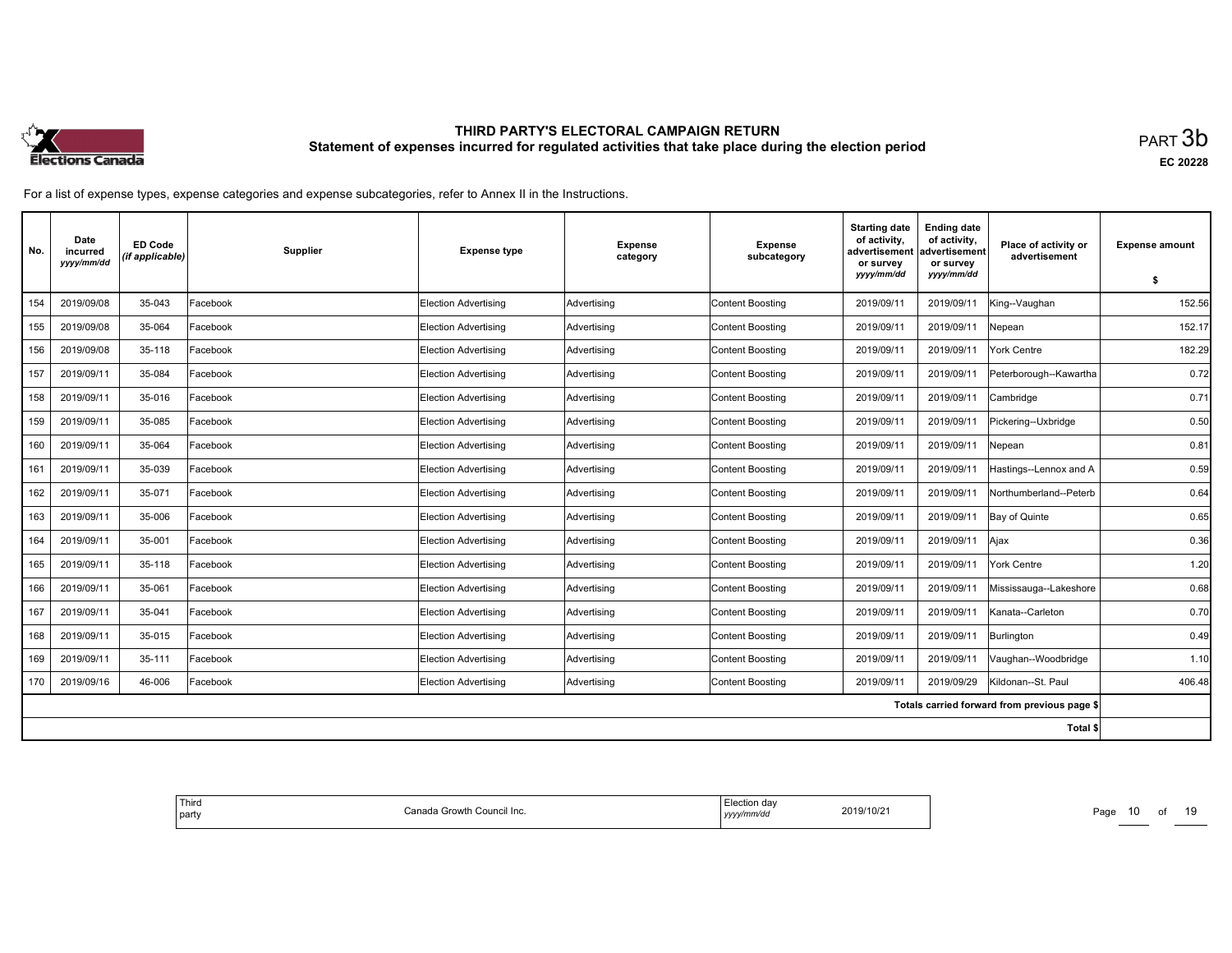

| No. | Date<br>incurred<br>yyyy/mm/dd | <b>ED Code</b><br>(if applicable) | Supplier | <b>Expense type</b>         | <b>Expense</b><br>category | <b>Expense</b><br>subcategory | <b>Starting date</b><br>of activity,<br>advertisement<br>or survey<br>yyyy/mm/dd | <b>Ending date</b><br>of activity,<br>advertisement<br>or survey<br>yyyy/mm/dd | Place of activity or<br>advertisement        | <b>Expense amount</b><br>\$ |
|-----|--------------------------------|-----------------------------------|----------|-----------------------------|----------------------------|-------------------------------|----------------------------------------------------------------------------------|--------------------------------------------------------------------------------|----------------------------------------------|-----------------------------|
| 154 | 2019/09/08                     | 35-043                            | Facebook | <b>Election Advertising</b> | Advertising                | <b>Content Boosting</b>       | 2019/09/11                                                                       | 2019/09/11                                                                     | King--Vaughan                                | 152.56                      |
| 155 | 2019/09/08                     | 35-064                            | Facebook | <b>Election Advertising</b> | Advertising                | <b>Content Boosting</b>       | 2019/09/11                                                                       | 2019/09/11                                                                     | Nepean                                       | 152.17                      |
| 156 | 2019/09/08                     | 35-118                            | Facebook | Election Advertising        | Advertising                | <b>Content Boosting</b>       | 2019/09/11                                                                       | 2019/09/11                                                                     | York Centre                                  | 182.29                      |
| 157 | 2019/09/11                     | 35-084                            | Facebook | <b>Election Advertising</b> | Advertising                | Content Boosting              | 2019/09/11                                                                       | 2019/09/1                                                                      | Peterborough--Kawartha                       | 0.72                        |
| 158 | 2019/09/11                     | 35-016                            | Facebook | Election Advertising        | Advertising                | <b>Content Boosting</b>       | 2019/09/11                                                                       | 2019/09/11                                                                     | Cambridge                                    | 0.71                        |
| 159 | 2019/09/11                     | 35-085                            | Facebook | Election Advertising        | Advertising                | <b>Content Boosting</b>       | 2019/09/11                                                                       | 2019/09/11                                                                     | Pickering--Uxbridge                          | 0.50                        |
| 160 | 2019/09/11                     | 35-064                            | Facebook | Election Advertising        | Advertising                | <b>Content Boosting</b>       | 2019/09/11                                                                       | 2019/09/11                                                                     | Nepean                                       | 0.81                        |
| 161 | 2019/09/11                     | 35-039                            | Facebook | <b>Election Advertising</b> | Advertising                | <b>Content Boosting</b>       | 2019/09/11                                                                       | 2019/09/11                                                                     | Hastings--Lennox and A                       | 0.59                        |
| 162 | 2019/09/11                     | 35-071                            | Facebook | <b>Election Advertising</b> | Advertising                | <b>Content Boosting</b>       | 2019/09/11                                                                       | 2019/09/1                                                                      | Northumberland--Peterb                       | 0.64                        |
| 163 | 2019/09/11                     | 35-006                            | Facebook | Election Advertising        | Advertising                | Content Boosting              | 2019/09/11                                                                       | 2019/09/11                                                                     | Bay of Quinte                                | 0.65                        |
| 164 | 2019/09/11                     | 35-001                            | Facebook | Election Advertising        | Advertising                | <b>Content Boosting</b>       | 2019/09/11                                                                       | 2019/09/11                                                                     | Ajax                                         | 0.36                        |
| 165 | 2019/09/11                     | 35-118                            | Facebook | <b>Election Advertising</b> | Advertising                | <b>Content Boosting</b>       | 2019/09/11                                                                       | 2019/09/11                                                                     | York Centre                                  | 1.20                        |
| 166 | 2019/09/11                     | 35-061                            | Facebook | Election Advertising        | Advertising                | <b>Content Boosting</b>       | 2019/09/11                                                                       | 2019/09/11                                                                     | Mississauga--Lakeshore                       | 0.68                        |
| 167 | 2019/09/11                     | 35-041                            | Facebook | <b>Election Advertising</b> | Advertising                | <b>Content Boosting</b>       | 2019/09/11                                                                       | 2019/09/11                                                                     | Kanata--Carleton                             | 0.70                        |
| 168 | 2019/09/11                     | 35-015                            | Facebook | Election Advertisina        | Advertising                | <b>Content Boosting</b>       | 2019/09/11                                                                       | 2019/09/11                                                                     | Burlington                                   | 0.49                        |
| 169 | 2019/09/11                     | 35-111                            | Facebook | <b>Election Advertising</b> | Advertising                | <b>Content Boosting</b>       | 2019/09/11                                                                       | 2019/09/11                                                                     | Vaughan--Woodbridge                          | 1.10                        |
| 170 | 2019/09/16                     | 46-006                            | Facebook | <b>Election Advertising</b> | Advertising                | Content Boosting              | 2019/09/11                                                                       | 2019/09/29                                                                     | Kildonan--St. Paul                           | 406.48                      |
|     |                                |                                   |          |                             |                            |                               |                                                                                  |                                                                                | Totals carried forward from previous page \$ |                             |
|     |                                |                                   |          |                             |                            |                               |                                                                                  |                                                                                | Total \$                                     |                             |

| <sup>I</sup> Third<br>Election day<br>Canada Growth Council Inc.<br>yyyy/mm/dd<br>  party | 2019/10/21 | Page<br>$\sim$ |
|-------------------------------------------------------------------------------------------|------------|----------------|
|-------------------------------------------------------------------------------------------|------------|----------------|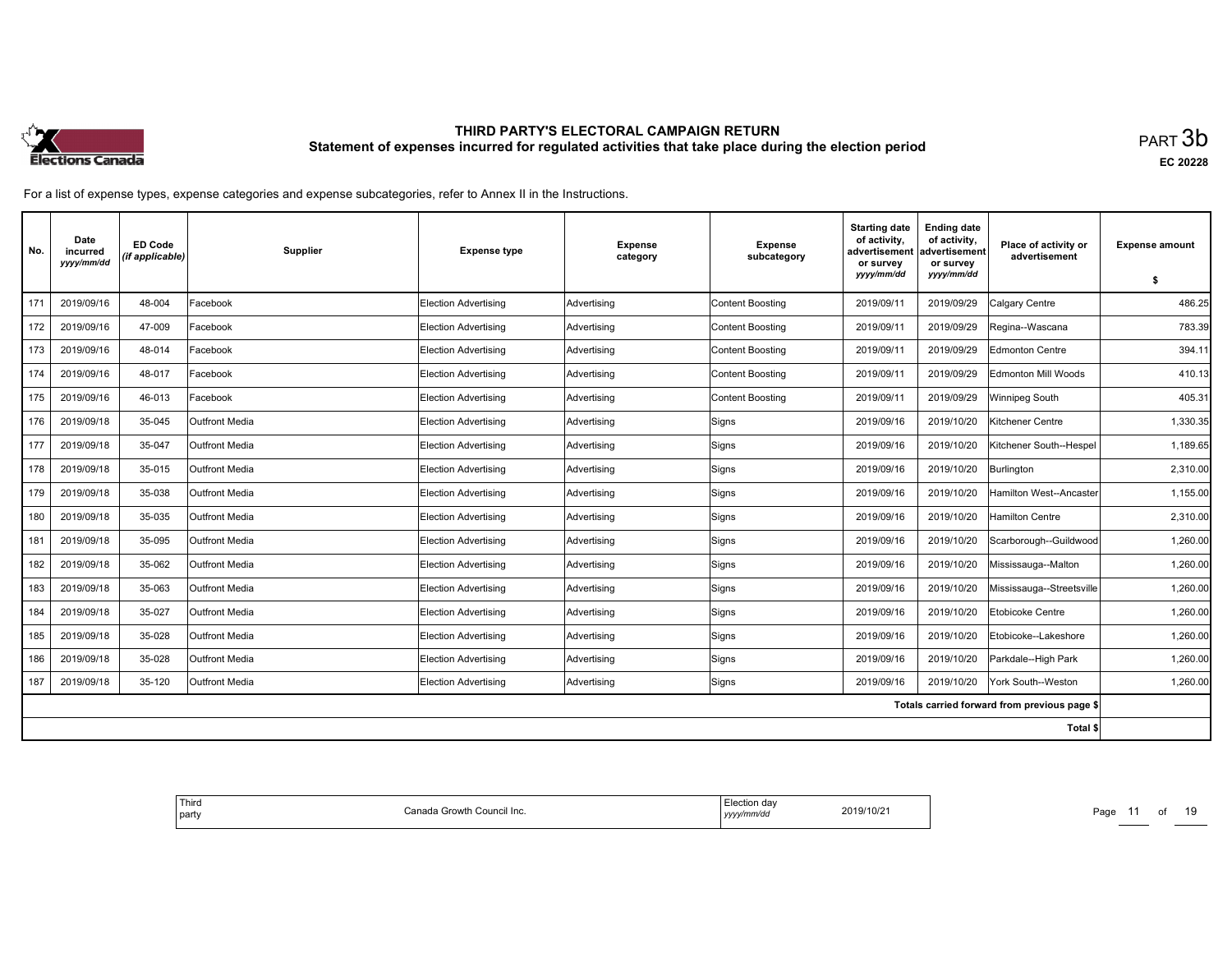

| No. | Date<br>incurred<br>yyyy/mm/dd | <b>ED Code</b><br>(if applicable) | Supplier              | <b>Expense type</b>         | <b>Expense</b><br>category | <b>Expense</b><br>subcategory | <b>Starting date</b><br>of activity,<br>advertisement<br>or survey<br>yyyy/mm/dd | <b>Ending date</b><br>of activity,<br>advertisement<br>or survey<br>yyyy/mm/dd | Place of activity or<br>advertisement        | <b>Expense amount</b><br>\$ |
|-----|--------------------------------|-----------------------------------|-----------------------|-----------------------------|----------------------------|-------------------------------|----------------------------------------------------------------------------------|--------------------------------------------------------------------------------|----------------------------------------------|-----------------------------|
| 171 | 2019/09/16                     | 48-004                            | Facebook              | <b>Election Advertising</b> | Advertising                | <b>Content Boosting</b>       | 2019/09/11                                                                       | 2019/09/29                                                                     | Calgary Centre                               | 486.25                      |
| 172 | 2019/09/16                     | 47-009                            | Facebook              | <b>Election Advertising</b> | Advertising                | <b>Content Boosting</b>       | 2019/09/11                                                                       | 2019/09/29                                                                     | Regina--Wascana                              | 783.39                      |
| 173 | 2019/09/16                     | 48-014                            | Facebook              | <b>Election Advertising</b> | Advertising                | <b>Content Boosting</b>       | 2019/09/11                                                                       | 2019/09/29                                                                     | <b>Edmonton Centre</b>                       | 394.11                      |
| 174 | 2019/09/16                     | 48-017                            | Facebook              | <b>Election Advertising</b> | Advertising                | <b>Content Boosting</b>       | 2019/09/11                                                                       | 2019/09/29                                                                     | Edmonton Mill Woods                          | 410.13                      |
| 175 | 2019/09/16                     | 46-013                            | Facebook              | <b>Election Advertising</b> | Advertising                | <b>Content Boosting</b>       | 2019/09/11                                                                       | 2019/09/29                                                                     | Winnipeg South                               | 405.31                      |
| 176 | 2019/09/18                     | 35-045                            | <b>Outfront Media</b> | <b>Election Advertising</b> | Advertising                | Signs                         | 2019/09/16                                                                       | 2019/10/20                                                                     | Kitchener Centre                             | 1,330.35                    |
| 177 | 2019/09/18                     | 35-047                            | <b>Outfront Media</b> | Election Advertising        | Advertising                | Signs                         | 2019/09/16                                                                       | 2019/10/20                                                                     | Kitchener South--Hespel                      | 1,189.65                    |
| 178 | 2019/09/18                     | 35-015                            | Outfront Media        | <b>Election Advertising</b> | Advertising                | Signs                         | 2019/09/16                                                                       | 2019/10/20                                                                     | Burlington                                   | 2,310.00                    |
| 179 | 2019/09/18                     | 35-038                            | Outfront Media        | <b>Election Advertising</b> | Advertising                | Signs                         | 2019/09/16                                                                       | 2019/10/20                                                                     | Hamilton West--Ancaster                      | 1,155.00                    |
| 180 | 2019/09/18                     | 35-035                            | <b>Outfront Media</b> | <b>Election Advertising</b> | Advertising                | Signs                         | 2019/09/16                                                                       | 2019/10/20                                                                     | Hamilton Centre                              | 2,310.00                    |
| 181 | 2019/09/18                     | 35-095                            | <b>Outfront Media</b> | <b>Election Advertising</b> | Advertising                | Signs                         | 2019/09/16                                                                       | 2019/10/20                                                                     | Scarborough--Guildwood                       | 1,260.00                    |
| 182 | 2019/09/18                     | 35-062                            | <b>Outfront Media</b> | Election Advertising        | Advertising                | Signs                         | 2019/09/16                                                                       | 2019/10/20                                                                     | Mississauga--Malton                          | 1,260.00                    |
| 183 | 2019/09/18                     | 35-063                            | Outfront Media        | <b>Election Advertising</b> | Advertising                | Signs                         | 2019/09/16                                                                       | 2019/10/20                                                                     | Mississauga--Streetsville                    | 1,260.00                    |
| 184 | 2019/09/18                     | 35-027                            | <b>Outfront Media</b> | <b>Election Advertising</b> | Advertising                | Signs                         | 2019/09/16                                                                       | 2019/10/20                                                                     | Etobicoke Centre                             | 1,260.00                    |
| 185 | 2019/09/18                     | 35-028                            | <b>Outfront Media</b> | Election Advertising        | Advertising                | Signs                         | 2019/09/16                                                                       | 2019/10/20                                                                     | Etobicoke--Lakeshore                         | 1,260.00                    |
| 186 | 2019/09/18                     | 35-028                            | <b>Outfront Media</b> | <b>Election Advertising</b> | Advertising                | Signs                         | 2019/09/16                                                                       | 2019/10/20                                                                     | Parkdale--High Park                          | 1,260.00                    |
| 187 | 2019/09/18                     | 35-120                            | Outfront Media        | <b>Election Advertising</b> | Advertising                | Signs                         | 2019/09/16                                                                       | 2019/10/20                                                                     | York South--Weston                           | 1,260.00                    |
|     |                                |                                   |                       |                             |                            |                               |                                                                                  |                                                                                | Totals carried forward from previous page \$ |                             |
|     |                                |                                   |                       |                             |                            |                               |                                                                                  |                                                                                | Total \$                                     |                             |

| ' Third<br><sup>1</sup> a Growth Council Inc.<br>Conor.<br>party<br>1av | :lection dav<br>2019/10/21<br>$\sim$ $\sim$<br>yyyy/mm/dd | Page<br>_____ |
|-------------------------------------------------------------------------|-----------------------------------------------------------|---------------|
|-------------------------------------------------------------------------|-----------------------------------------------------------|---------------|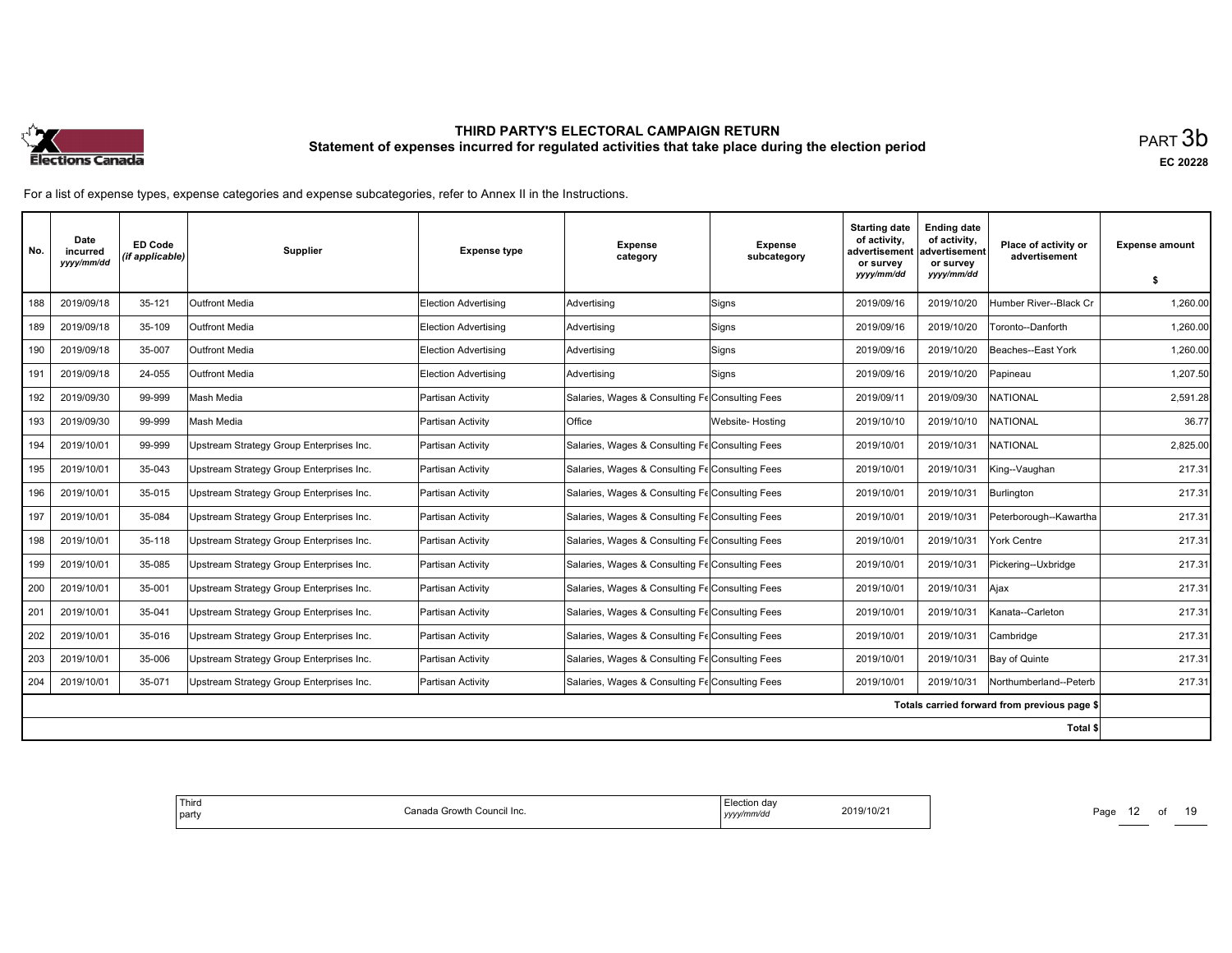

| No. | Date<br>incurred<br>yyyy/mm/dd | <b>ED Code</b><br>(if applicable) | <b>Supplier</b>                          | <b>Expense type</b>         | <b>Expense</b><br>category                      | <b>Expense</b><br>subcategory | <b>Starting date</b><br>of activity,<br>advertisement<br>or survey<br>yyyy/mm/dd | <b>Ending date</b><br>of activity,<br>advertisement<br>or survey<br>yyyy/mm/dd | Place of activity or<br>advertisement        | <b>Expense amount</b><br>\$ |
|-----|--------------------------------|-----------------------------------|------------------------------------------|-----------------------------|-------------------------------------------------|-------------------------------|----------------------------------------------------------------------------------|--------------------------------------------------------------------------------|----------------------------------------------|-----------------------------|
| 188 | 2019/09/18                     | 35-121                            | <b>Outfront Media</b>                    | <b>Election Advertising</b> | Advertising                                     | Signs                         | 2019/09/16                                                                       | 2019/10/20                                                                     | Humber River--Black Cr                       | 1,260.00                    |
|     |                                |                                   |                                          |                             |                                                 |                               |                                                                                  |                                                                                |                                              |                             |
| 189 | 2019/09/18                     | 35-109                            | <b>Outfront Media</b>                    | Election Advertising        | Advertising                                     | Signs                         | 2019/09/16                                                                       | 2019/10/20                                                                     | Toronto--Danforth                            | 1,260.00                    |
| 190 | 2019/09/18                     | 35-007                            | <b>Outfront Media</b>                    | Election Advertisina        | Advertising                                     | Signs                         | 2019/09/16                                                                       | 2019/10/20                                                                     | Beaches--East York                           | 1,260.00                    |
| 191 | 2019/09/18                     | 24-055                            | Outfront Media                           | Election Advertising        | Advertising                                     | Signs                         | 2019/09/16                                                                       | 2019/10/20                                                                     | Papineau                                     | 1,207.50                    |
| 192 | 2019/09/30                     | 99-999                            | Mash Media                               | Partisan Activity           | Salaries, Wages & Consulting Fe Consulting Fees |                               | 2019/09/11                                                                       | 2019/09/30                                                                     | <b>NATIONAL</b>                              | 2,591.28                    |
| 193 | 2019/09/30                     | 99-999                            | Mash Media                               | Partisan Activity           | Office                                          | Website-Hosting               | 2019/10/10                                                                       | 2019/10/10                                                                     | <b>NATIONAL</b>                              | 36.77                       |
| 194 | 2019/10/01                     | 99-999                            | Upstream Strategy Group Enterprises Inc. | Partisan Activity           | Salaries, Wages & Consulting Fe Consulting Fees |                               | 2019/10/01                                                                       | 2019/10/31                                                                     | <b>NATIONAL</b>                              | 2,825.00                    |
| 195 | 2019/10/01                     | 35-043                            | Upstream Strategy Group Enterprises Inc. | Partisan Activity           | Salaries, Wages & Consulting Fe Consulting Fees |                               | 2019/10/01                                                                       | 2019/10/31                                                                     | King--Vaughan                                | 217.31                      |
| 196 | 2019/10/01                     | 35-015                            | Upstream Strategy Group Enterprises Inc. | Partisan Activity           | Salaries, Wages & Consulting Fe Consulting Fees |                               | 2019/10/01                                                                       | 2019/10/31                                                                     | Burlington                                   | 217.31                      |
| 197 | 2019/10/01                     | 35-084                            | Upstream Strategy Group Enterprises Inc. | Partisan Activity           | Salaries, Wages & Consulting Fe Consulting Fees |                               | 2019/10/01                                                                       | 2019/10/31                                                                     | Peterborough--Kawartha                       | 217.31                      |
| 198 | 2019/10/01                     | 35-118                            | Upstream Strategy Group Enterprises Inc. | Partisan Activity           | Salaries, Wages & Consulting Fe Consulting Fees |                               | 2019/10/01                                                                       | 2019/10/31                                                                     | York Centre                                  | 217.31                      |
| 199 | 2019/10/01                     | 35-085                            | Upstream Strategy Group Enterprises Inc. | Partisan Activity           | Salaries, Wages & Consulting Fe Consulting Fees |                               | 2019/10/01                                                                       | 2019/10/31                                                                     | Pickering--Uxbridge                          | 217.31                      |
| 200 | 2019/10/01                     | 35-001                            | Upstream Strategy Group Enterprises Inc. | Partisan Activity           | Salaries, Wages & Consulting Fe Consulting Fees |                               | 2019/10/01                                                                       | 2019/10/31                                                                     | Ajax                                         | 217.31                      |
| 201 | 2019/10/01                     | 35-041                            | Upstream Strategy Group Enterprises Inc. | Partisan Activity           | Salaries, Wages & Consulting Fe Consulting Fees |                               | 2019/10/01                                                                       | 2019/10/31                                                                     | Kanata--Carleton                             | 217.31                      |
| 202 | 2019/10/01                     | 35-016                            | Upstream Strategy Group Enterprises Inc. | Partisan Activity           | Salaries, Wages & Consulting Fe Consulting Fees |                               | 2019/10/01                                                                       | 2019/10/31                                                                     | Cambridge                                    | 217.31                      |
| 203 | 2019/10/01                     | 35-006                            | Upstream Strategy Group Enterprises Inc. | Partisan Activity           | Salaries, Wages & Consulting Fe Consulting Fees |                               | 2019/10/01                                                                       | 2019/10/31                                                                     | Bay of Quinte                                | 217.31                      |
| 204 | 2019/10/01                     | 35-071                            | Upstream Strategy Group Enterprises Inc. | Partisan Activity           | Salaries, Wages & Consulting Fe Consulting Fees |                               | 2019/10/01                                                                       | 2019/10/31                                                                     | Northumberland--Peterb                       | 217.31                      |
|     |                                |                                   |                                          |                             |                                                 |                               |                                                                                  |                                                                                | Totals carried forward from previous page \$ |                             |
|     |                                |                                   |                                          |                             |                                                 |                               |                                                                                  |                                                                                | Total \$                                     |                             |

| Third<br>Canada Growth Council Inc.<br>  party | Election dav<br>2019/10/21<br>$\sim$<br>yyyy/mm/dd | Pagu<br>______ |
|------------------------------------------------|----------------------------------------------------|----------------|
|------------------------------------------------|----------------------------------------------------|----------------|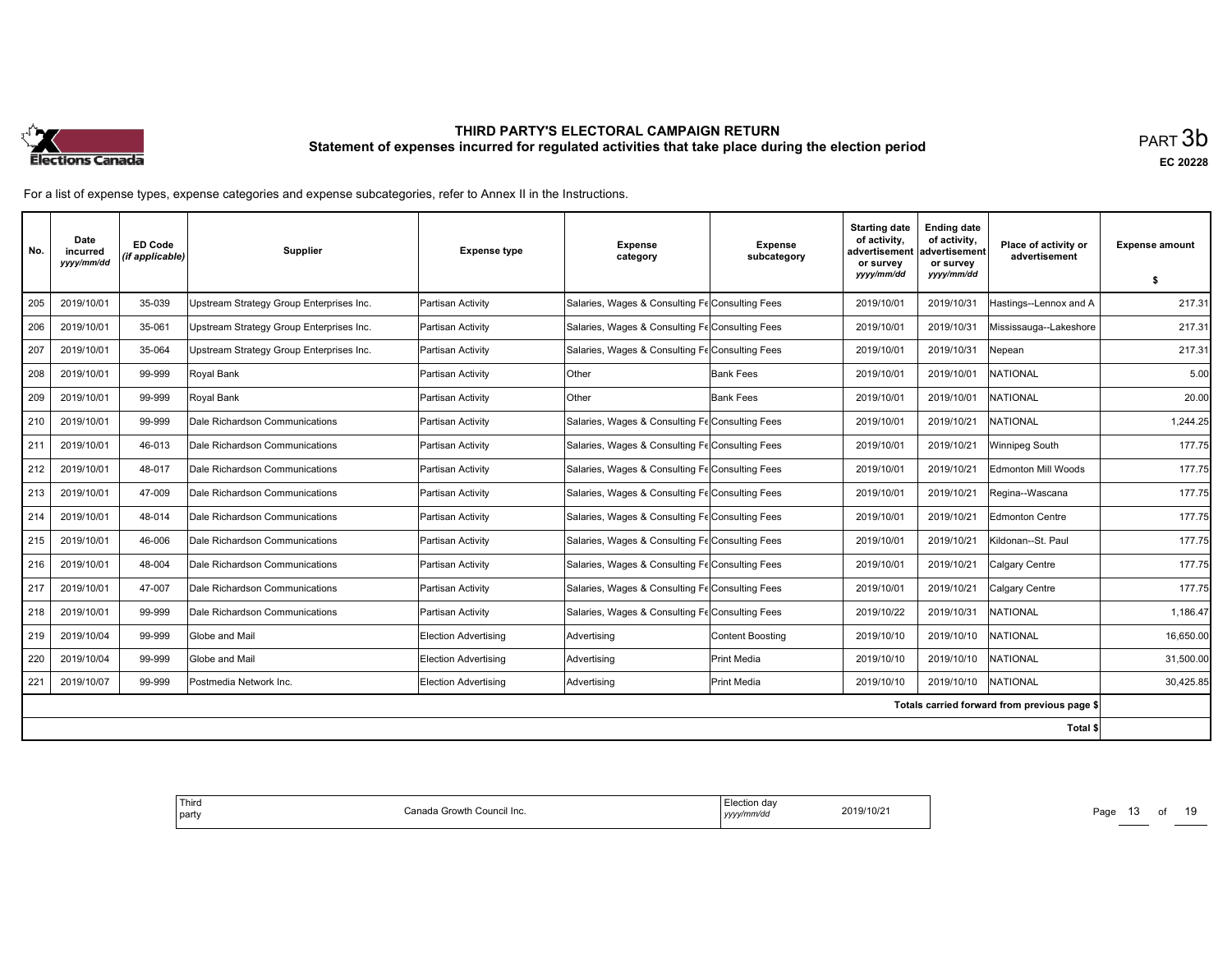

| No. | Date<br>incurred<br>yyyy/mm/dd | <b>ED Code</b><br>(if applicable) | <b>Supplier</b>                          | <b>Expense type</b>         | <b>Expense</b><br>category                      | <b>Expense</b><br>subcategory | <b>Starting date</b><br>of activity,<br>advertisement<br>or survey | <b>Ending date</b><br>of activity,<br>advertisement<br>or survey | Place of activity or<br>advertisement        | <b>Expense amount</b> |
|-----|--------------------------------|-----------------------------------|------------------------------------------|-----------------------------|-------------------------------------------------|-------------------------------|--------------------------------------------------------------------|------------------------------------------------------------------|----------------------------------------------|-----------------------|
|     |                                |                                   |                                          |                             |                                                 |                               | yyyy/mm/dd                                                         | yyyy/mm/dd                                                       |                                              | \$                    |
| 205 | 2019/10/01                     | 35-039                            | Upstream Strategy Group Enterprises Inc. | Partisan Activity           | Salaries, Wages & Consulting Fe Consulting Fees |                               | 2019/10/01                                                         | 2019/10/31                                                       | Hastings--Lennox and A                       | 217.31                |
| 206 | 2019/10/01                     | 35-061                            | Upstream Strategy Group Enterprises Inc. | Partisan Activity           | Salaries, Wages & Consulting Fe Consulting Fees |                               | 2019/10/01                                                         | 2019/10/31                                                       | Mississauga--Lakeshore                       | 217.31                |
| 207 | 2019/10/01                     | 35-064                            | Upstream Strategy Group Enterprises Inc. | Partisan Activity           | Salaries, Wages & Consulting Fe Consulting Fees |                               | 2019/10/01                                                         | 2019/10/31                                                       | Vepean                                       | 217.31                |
| 208 | 2019/10/01                     | 99-999                            | Royal Bank                               | Partisan Activity           | <b>Other</b>                                    | <b>Bank Fees</b>              | 2019/10/01                                                         | 2019/10/01                                                       | <b>NATIONAL</b>                              | 5.00                  |
| 209 | 2019/10/01                     | 99-999                            | Royal Bank                               | Partisan Activity           | <b>Other</b>                                    | Bank Fees                     | 2019/10/01                                                         | 2019/10/01                                                       | <b>NATIONAL</b>                              | 20.00                 |
| 210 | 2019/10/01                     | 99-999                            | Dale Richardson Communications           | Partisan Activity           | Salaries, Wages & Consulting Fe Consulting Fees |                               | 2019/10/01                                                         | 2019/10/21                                                       | <b>NATIONAL</b>                              | 1,244.25              |
| 211 | 2019/10/01                     | 46-013                            | Dale Richardson Communications           | Partisan Activity           | Salaries, Wages & Consulting Fe Consulting Fees |                               | 2019/10/01                                                         | 2019/10/21                                                       | Winnipeg South                               | 177.75                |
| 212 | 2019/10/01                     | 48-017                            | Dale Richardson Communications           | Partisan Activity           | Salaries, Wages & Consulting Fe Consulting Fees |                               | 2019/10/01                                                         | 2019/10/21                                                       | Edmonton Mill Woods                          | 177.75                |
| 213 | 2019/10/01                     | 47-009                            | Dale Richardson Communications           | Partisan Activity           | Salaries, Wages & Consulting Fe Consulting Fees |                               | 2019/10/01                                                         | 2019/10/21                                                       | Regina--Wascana                              | 177.75                |
| 214 | 2019/10/01                     | 48-014                            | Dale Richardson Communications           | Partisan Activity           | Salaries, Wages & Consulting Fe Consulting Fees |                               | 2019/10/01                                                         | 2019/10/21                                                       | Edmonton Centre                              | 177.75                |
| 215 | 2019/10/01                     | 46-006                            | Dale Richardson Communications           | Partisan Activity           | Salaries, Wages & Consulting Fe Consulting Fees |                               | 2019/10/01                                                         | 2019/10/21                                                       | Kildonan--St. Paul                           | 177.75                |
| 216 | 2019/10/01                     | 48-004                            | Dale Richardson Communications           | Partisan Activity           | Salaries, Wages & Consulting Fe Consulting Fees |                               | 2019/10/01                                                         | 2019/10/21                                                       | Calgary Centre                               | 177.75                |
| 217 | 2019/10/01                     | 47-007                            | Dale Richardson Communications           | Partisan Activity           | Salaries, Wages & Consulting Fe Consulting Fees |                               | 2019/10/01                                                         | 2019/10/21                                                       | Calgary Centre                               | 177.75                |
| 218 | 2019/10/01                     | 99-999                            | Dale Richardson Communications           | Partisan Activity           | Salaries, Wages & Consulting Fe Consulting Fees |                               | 2019/10/22                                                         | 2019/10/31                                                       | <b>NATIONAL</b>                              | 1,186.47              |
| 219 | 2019/10/04                     | 99-999                            | Globe and Mail                           | Election Advertising        | Advertising                                     | <b>Content Boosting</b>       | 2019/10/10                                                         | 2019/10/10                                                       | NATIONAL                                     | 16.650.00             |
| 220 | 2019/10/04                     | 99-999                            | Globe and Mail                           | <b>Election Advertising</b> | Advertising                                     | Print Media                   | 2019/10/10                                                         | 2019/10/10                                                       | <b>NATIONAL</b>                              | 31,500.00             |
| 221 | 2019/10/07                     | 99-999                            | Postmedia Network Inc.                   | <b>Election Advertising</b> | Advertising                                     | Print Media                   | 2019/10/10                                                         | 2019/10/10                                                       | <b>NATIONAL</b>                              | 30,425.85             |
|     |                                |                                   |                                          |                             |                                                 |                               |                                                                    |                                                                  | Totals carried forward from previous page \$ |                       |
|     |                                |                                   |                                          |                             |                                                 |                               |                                                                    |                                                                  | Total \$                                     |                       |

| <sup>I</sup> Third<br>Canada Growth Council Inc.<br>  party | Election day<br>2019/10/21<br>yyyy/mm/dd | Page<br>$\sim$ |
|-------------------------------------------------------------|------------------------------------------|----------------|
|-------------------------------------------------------------|------------------------------------------|----------------|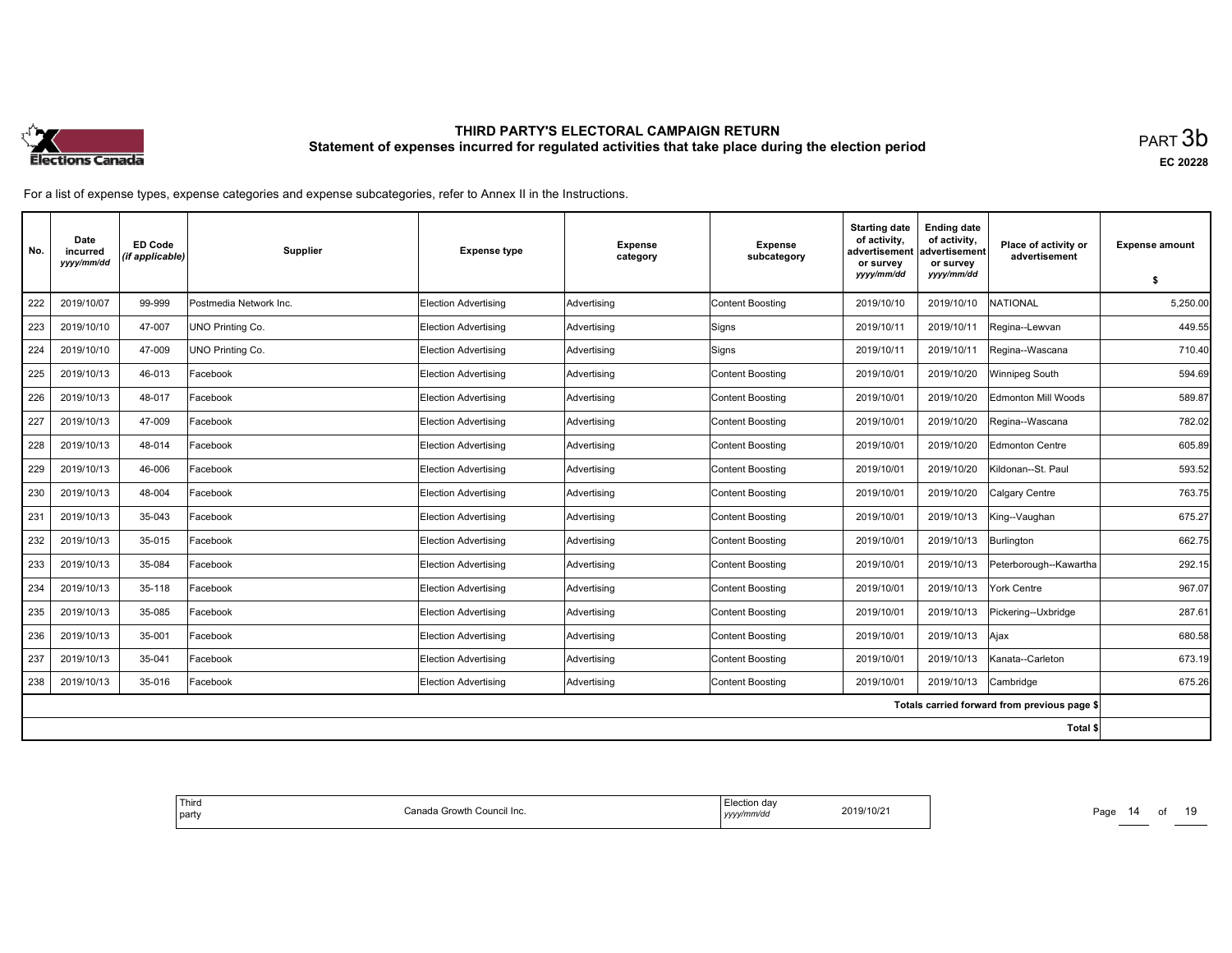

| No. | Date<br>incurred<br>yyyy/mm/dd | <b>ED Code</b><br>(if applicable) | Supplier                | <b>Expense type</b>         | <b>Expense</b><br>category | <b>Expense</b><br>subcategory | <b>Starting date</b><br>of activity.<br>advertisement<br>or survey<br>vyyy/mm/dd | <b>Ending date</b><br>of activity,<br>advertisement<br>or survey<br>yyyy/mm/dd | Place of activity or<br>advertisement        | <b>Expense amount</b><br>\$ |
|-----|--------------------------------|-----------------------------------|-------------------------|-----------------------------|----------------------------|-------------------------------|----------------------------------------------------------------------------------|--------------------------------------------------------------------------------|----------------------------------------------|-----------------------------|
| 222 | 2019/10/07                     | 99-999                            | Postmedia Network Inc.  | <b>Election Advertising</b> | Advertising                | <b>Content Boosting</b>       | 2019/10/10                                                                       | 2019/10/10                                                                     | <b>NATIONAL</b>                              | 5,250.00                    |
| 223 | 2019/10/10                     | 47-007                            | UNO Printing Co.        | <b>Election Advertising</b> | Advertising                | Signs                         | 2019/10/11                                                                       | 2019/10/11                                                                     | Regina--Lewvan                               | 449.55                      |
| 224 | 2019/10/10                     | 47-009                            | <b>UNO Printing Co.</b> | <b>Election Advertising</b> | Advertising                | Signs                         | 2019/10/11                                                                       | 2019/10/11                                                                     | Regina--Wascana                              | 710.40                      |
| 225 | 2019/10/13                     | 46-013                            | Facebook                | <b>Election Advertising</b> | Advertising                | Content Boosting              | 2019/10/01                                                                       | 2019/10/20                                                                     | Winnipeg South                               | 594.69                      |
| 226 | 2019/10/13                     | 48-017                            | Facebook                | Election Advertising        | Advertising                | <b>Content Boosting</b>       | 2019/10/01                                                                       | 2019/10/20                                                                     | <b>Edmonton Mill Woods</b>                   | 589.87                      |
| 227 | 2019/10/13                     | 47-009                            | Facebook                | Election Advertising        | Advertising                | Content Boosting              | 2019/10/01                                                                       | 2019/10/20                                                                     | Regina--Wascana                              | 782.02                      |
| 228 | 2019/10/13                     | 48-014                            | Facebook                | <b>Election Advertising</b> | Advertising                | Content Boosting              | 2019/10/01                                                                       | 2019/10/20                                                                     | Edmonton Centre                              | 605.89                      |
| 229 | 2019/10/13                     | 46-006                            | Facebook                | Election Advertising        | Advertising                | <b>Content Boosting</b>       | 2019/10/01                                                                       | 2019/10/20                                                                     | Kildonan--St. Paul                           | 593.52                      |
| 230 | 2019/10/13                     | 48-004                            | Facebook                | <b>Election Advertising</b> | Advertising                | <b>Content Boosting</b>       | 2019/10/01                                                                       | 2019/10/20                                                                     | Calgary Centre                               | 763.75                      |
| 231 | 2019/10/13                     | 35-043                            | Facebook                | <b>Election Advertising</b> | Advertising                | Content Boosting              | 2019/10/01                                                                       | 2019/10/13                                                                     | King--Vaughan                                | 675.27                      |
| 232 | 2019/10/13                     | 35-015                            | Facebook                | <b>Election Advertising</b> | Advertising                | <b>Content Boosting</b>       | 2019/10/01                                                                       | 2019/10/13                                                                     | Burlington                                   | 662.75                      |
| 233 | 2019/10/13                     | 35-084                            | Facebook                | <b>Election Advertising</b> | Advertising                | <b>Content Boosting</b>       | 2019/10/01                                                                       | 2019/10/13                                                                     | Peterborough--Kawartha                       | 292.15                      |
| 234 | 2019/10/13                     | 35-118                            | Facebook                | <b>Election Advertising</b> | Advertising                | Content Boosting              | 2019/10/01                                                                       | 2019/10/13                                                                     | York Centre                                  | 967.07                      |
| 235 | 2019/10/13                     | 35-085                            | Facebook                | <b>Election Advertising</b> | Advertising                | <b>Content Boosting</b>       | 2019/10/01                                                                       | 2019/10/13                                                                     | Pickering--Uxbridge                          | 287.61                      |
| 236 | 2019/10/13                     | 35-001                            | Facebook                | <b>Election Advertising</b> | Advertising                | <b>Content Boosting</b>       | 2019/10/01                                                                       | 2019/10/13                                                                     | Ajax                                         | 680.58                      |
| 237 | 2019/10/13                     | 35-041                            | Facebook                | <b>Election Advertising</b> | Advertising                | Content Boosting              | 2019/10/01                                                                       | 2019/10/13                                                                     | Kanata--Carleton                             | 673.19                      |
| 238 | 2019/10/13                     | 35-016                            | Facebook                | <b>Election Advertising</b> | Advertising                | <b>Content Boosting</b>       | 2019/10/01                                                                       | 2019/10/13                                                                     | Cambridge                                    | 675.26                      |
|     |                                |                                   |                         |                             |                            |                               |                                                                                  |                                                                                | Totals carried forward from previous page \$ |                             |
|     |                                |                                   |                         |                             |                            |                               |                                                                                  |                                                                                | Total \$                                     |                             |

| Third<br>ı Growth<br>› Council Inc.<br>`ono<br>l party<br>,,,,,,<br>,,,,,<br>the control of the control | da<br>2019/10/21<br>$\sim$<br>nnva | Page |
|---------------------------------------------------------------------------------------------------------|------------------------------------|------|
|---------------------------------------------------------------------------------------------------------|------------------------------------|------|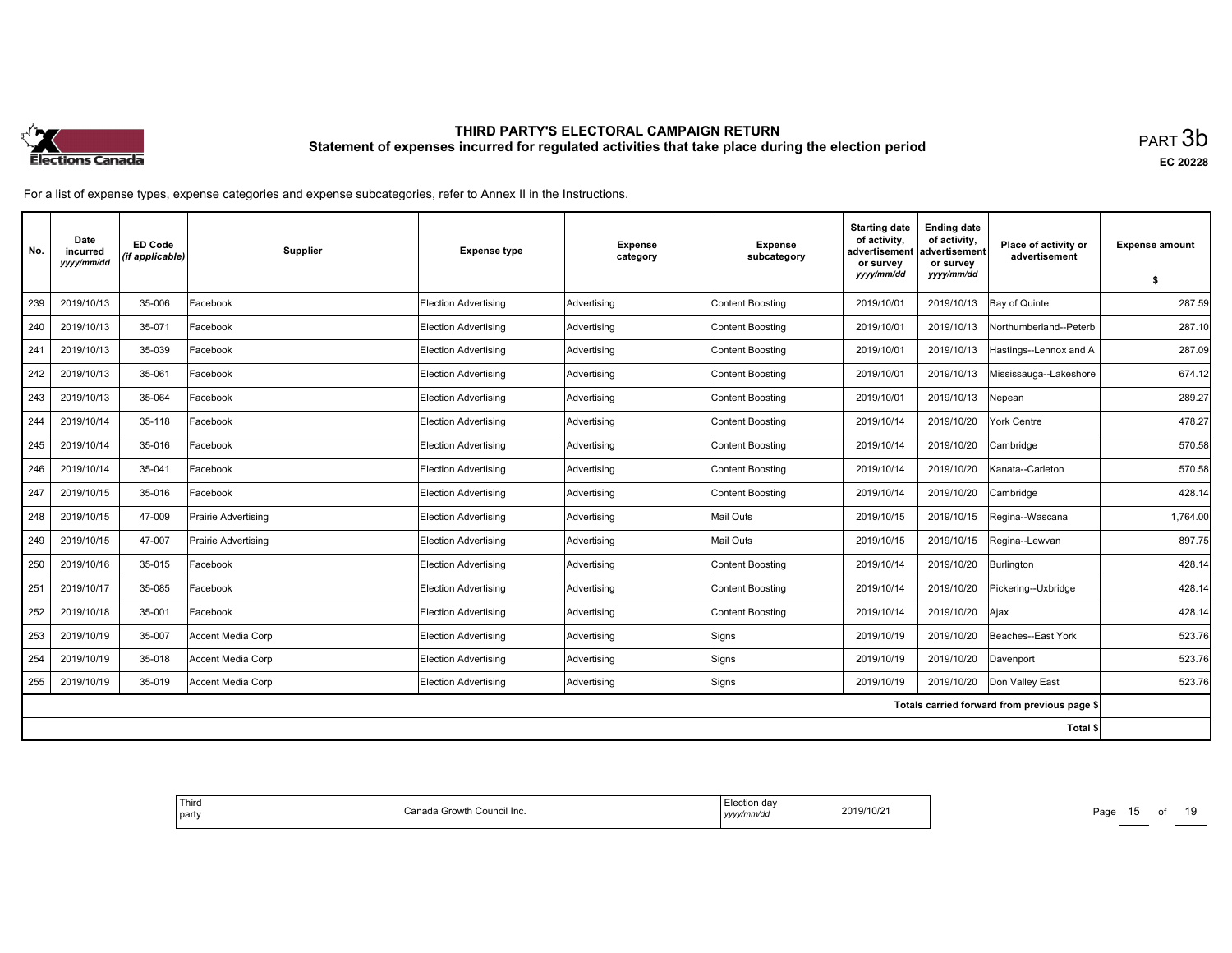

| No. | Date<br>incurred<br>yyyy/mm/dd | <b>ED Code</b><br>(if applicable) | Supplier            | <b>Expense type</b>         | <b>Expense</b><br>category | <b>Expense</b><br>subcategory | <b>Starting date</b><br>of activity,<br>advertisement<br>or survey<br>yyyy/mm/dd | <b>Ending date</b><br>of activity,<br>advertisement<br>or survey<br>yyyy/mm/dd | Place of activity or<br>advertisement        | <b>Expense amount</b><br>\$ |
|-----|--------------------------------|-----------------------------------|---------------------|-----------------------------|----------------------------|-------------------------------|----------------------------------------------------------------------------------|--------------------------------------------------------------------------------|----------------------------------------------|-----------------------------|
| 239 | 2019/10/13                     | 35-006                            | Facebook            | <b>Election Advertising</b> | Advertising                | <b>Content Boosting</b>       | 2019/10/01                                                                       | 2019/10/13                                                                     | Bay of Quinte                                | 287.59                      |
| 240 | 2019/10/13                     | 35-071                            | Facebook            | Election Advertising        | Advertising                | <b>Content Boosting</b>       | 2019/10/01                                                                       | 2019/10/13                                                                     | Northumberland--Peterb                       | 287.10                      |
| 241 | 2019/10/13                     | 35-039                            | Facebook            | Election Advertising        | Advertising                | <b>Content Boosting</b>       | 2019/10/01                                                                       | 2019/10/13                                                                     | Hastings--Lennox and A                       | 287.09                      |
| 242 | 2019/10/13                     | 35-061                            | Facebook            | <b>Election Advertising</b> | Advertising                | Content Boosting              | 2019/10/01                                                                       | 2019/10/13                                                                     | Mississauga--Lakeshore                       | 674.12                      |
| 243 | 2019/10/13                     | 35-064                            | Facebook            | <b>Election Advertising</b> | Advertising                | <b>Content Boosting</b>       | 2019/10/01                                                                       | 2019/10/13                                                                     | Nepean                                       | 289.27                      |
| 244 | 2019/10/14                     | 35-118                            | Facebook            | Election Advertising        | Advertising                | <b>Content Boosting</b>       | 2019/10/14                                                                       | 2019/10/20                                                                     | York Centre                                  | 478.27                      |
| 245 | 2019/10/14                     | 35-016                            | Facebook            | <b>Election Advertising</b> | Advertising                | <b>Content Boosting</b>       | 2019/10/14                                                                       | 2019/10/20                                                                     | Cambridge                                    | 570.58                      |
| 246 | 2019/10/14                     | 35-041                            | Facebook            | <b>Election Advertising</b> | Advertising                | <b>Content Boosting</b>       | 2019/10/14                                                                       | 2019/10/20                                                                     | Kanata--Carleton                             | 570.58                      |
| 247 | 2019/10/15                     | 35-016                            | Facebook            | Election Advertising        | Advertising                | <b>Content Boosting</b>       | 2019/10/14                                                                       | 2019/10/20                                                                     | Cambridge                                    | 428.14                      |
| 248 | 2019/10/15                     | 47-009                            | Prairie Advertising | Election Advertising        | Advertising                | Mail Outs                     | 2019/10/15                                                                       | 2019/10/15                                                                     | Regina--Wascana                              | 1,764.00                    |
| 249 | 2019/10/15                     | 47-007                            | Prairie Advertising | <b>Election Advertising</b> | Advertising                | Mail Outs                     | 2019/10/15                                                                       | 2019/10/15                                                                     | Regina--Lewvan                               | 897.75                      |
| 250 | 2019/10/16                     | 35-015                            | Facebook            | <b>Election Advertising</b> | Advertising                | <b>Content Boosting</b>       | 2019/10/14                                                                       | 2019/10/20                                                                     | Burlington                                   | 428.14                      |
| 251 | 2019/10/17                     | 35-085                            | Facebook            | <b>Election Advertising</b> | Advertising                | Content Boosting              | 2019/10/14                                                                       | 2019/10/20                                                                     | Pickering--Uxbridge                          | 428.14                      |
| 252 | 2019/10/18                     | 35-001                            | Facebook            | <b>Election Advertising</b> | Advertising                | <b>Content Boosting</b>       | 2019/10/14                                                                       | 2019/10/20                                                                     | Ajax                                         | 428.14                      |
| 253 | 2019/10/19                     | 35-007                            | Accent Media Corp   | <b>Election Advertising</b> | Advertising                | Signs                         | 2019/10/19                                                                       | 2019/10/20                                                                     | Beaches--East York                           | 523.76                      |
| 254 | 2019/10/19                     | 35-018                            | Accent Media Corp   | <b>Election Advertising</b> | Advertising                | Signs                         | 2019/10/19                                                                       | 2019/10/20                                                                     | Davenport                                    | 523.76                      |
| 255 | 2019/10/19                     | 35-019                            | Accent Media Corp   | Election Advertising        | Advertising                | Signs                         | 2019/10/19                                                                       | 2019/10/20                                                                     | Don Valley East                              | 523.76                      |
|     |                                |                                   |                     |                             |                            |                               |                                                                                  |                                                                                | Totals carried forward from previous page \$ |                             |
|     |                                |                                   |                     |                             |                            |                               |                                                                                  |                                                                                | Total \$                                     |                             |

| <sup>I</sup> Third<br>Canada Growth Council Inc.<br>  party | Election day<br>2019/10/21<br>yyyy/mm/dd | Page<br>$\sim$ |
|-------------------------------------------------------------|------------------------------------------|----------------|
|-------------------------------------------------------------|------------------------------------------|----------------|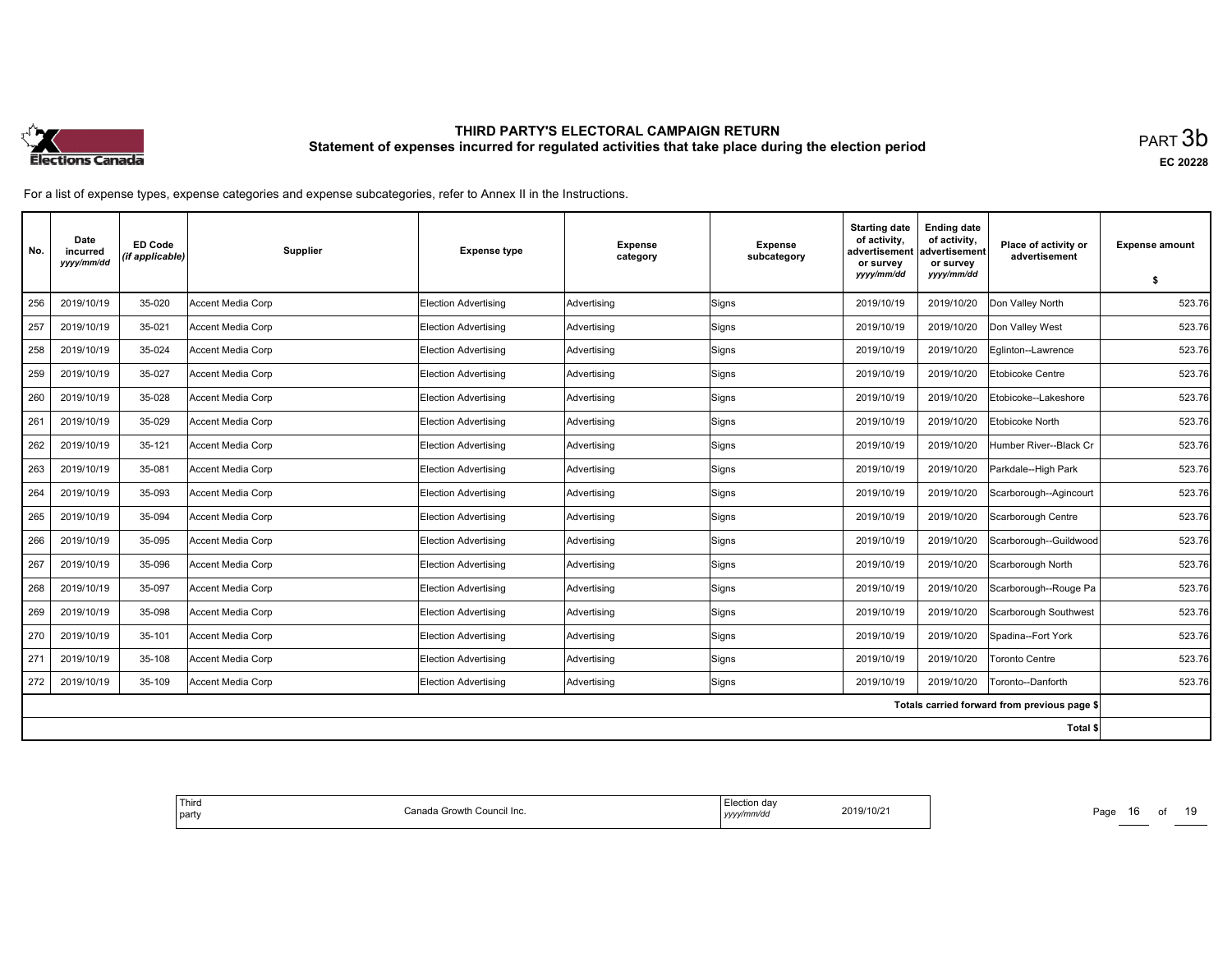

| No. | Date<br>incurred<br>yyyy/mm/dd | <b>ED Code</b><br>(if applicable) | <b>Supplier</b>   | <b>Expense type</b>         | <b>Expense</b><br>category | <b>Expense</b><br>subcategory | <b>Starting date</b><br>of activity,<br>advertisement<br>or survey<br>yyyy/mm/dd | <b>Ending date</b><br>of activity,<br>advertisement<br>or survey<br>yyyy/mm/dd | Place of activity or<br>advertisement        | <b>Expense amount</b><br>\$ |
|-----|--------------------------------|-----------------------------------|-------------------|-----------------------------|----------------------------|-------------------------------|----------------------------------------------------------------------------------|--------------------------------------------------------------------------------|----------------------------------------------|-----------------------------|
| 256 | 2019/10/19                     | 35-020                            | Accent Media Corp | <b>Election Advertising</b> | Advertising                | Signs                         | 2019/10/19                                                                       | 2019/10/20                                                                     | Don Valley North                             | 523.76                      |
| 257 | 2019/10/19                     | 35-021                            | Accent Media Corp | Election Advertising        | Advertising                | Signs                         | 2019/10/19                                                                       | 2019/10/20                                                                     | Don Valley West                              | 523.76                      |
| 258 | 2019/10/19                     | 35-024                            | Accent Media Corp | <b>Election Advertising</b> | Advertising                | Signs                         | 2019/10/19                                                                       | 2019/10/20                                                                     | Eglinton--Lawrence                           | 523.76                      |
| 259 | 2019/10/19                     | 35-027                            | Accent Media Corp | Election Advertising        | Advertising                | Signs                         | 2019/10/19                                                                       | 2019/10/20                                                                     | Etobicoke Centre                             | 523.76                      |
| 260 | 2019/10/19                     | 35-028                            | Accent Media Corp | Election Advertising        | Advertising                | Signs                         | 2019/10/19                                                                       | 2019/10/20                                                                     | Etobicoke--Lakeshore                         | 523.76                      |
| 261 | 2019/10/19                     | 35-029                            | Accent Media Corp | Election Advertising        | Advertising                | Signs                         | 2019/10/19                                                                       | 2019/10/20                                                                     | <b>Etobicoke North</b>                       | 523.76                      |
| 262 | 2019/10/19                     | 35-121                            | Accent Media Corp | <b>Election Advertising</b> | Advertising                | Signs                         | 2019/10/19                                                                       | 2019/10/20                                                                     | Humber River--Black Cr                       | 523.76                      |
| 263 | 2019/10/19                     | 35-081                            | Accent Media Corp | Election Advertising        | Advertising                | Signs                         | 2019/10/19                                                                       | 2019/10/20                                                                     | Parkdale--High Park                          | 523.76                      |
| 264 | 2019/10/19                     | 35-093                            | Accent Media Corp | <b>Election Advertising</b> | Advertising                | Signs                         | 2019/10/19                                                                       | 2019/10/20                                                                     | Scarborough--Agincourt                       | 523.76                      |
| 265 | 2019/10/19                     | 35-094                            | Accent Media Corp | Election Advertising        | Advertising                | Signs                         | 2019/10/19                                                                       | 2019/10/20                                                                     | Scarborough Centre                           | 523.76                      |
| 266 | 2019/10/19                     | 35-095                            | Accent Media Corp | Election Advertising        | Advertising                | Signs                         | 2019/10/19                                                                       | 2019/10/20                                                                     | Scarborough--Guildwood                       | 523.76                      |
| 267 | 2019/10/19                     | 35-096                            | Accent Media Corp | <b>Election Advertising</b> | Advertising                | Signs                         | 2019/10/19                                                                       | 2019/10/20                                                                     | Scarborough North                            | 523.76                      |
| 268 | 2019/10/19                     | 35-097                            | Accent Media Corp | Election Advertising        | Advertising                | Signs                         | 2019/10/19                                                                       | 2019/10/20                                                                     | Scarborough--Rouge Pa                        | 523.76                      |
| 269 | 2019/10/19                     | 35-098                            | Accent Media Corp | Election Advertising        | Advertising                | Signs                         | 2019/10/19                                                                       | 2019/10/20                                                                     | Scarborough Southwest                        | 523.76                      |
| 270 | 2019/10/19                     | 35-101                            | Accent Media Corp | <b>Election Advertising</b> | Advertising                | Signs                         | 2019/10/19                                                                       | 2019/10/20                                                                     | Spadina--Fort York                           | 523.76                      |
| 271 | 2019/10/19                     | 35-108                            | Accent Media Corp | Election Advertising        | Advertising                | Signs                         | 2019/10/19                                                                       | 2019/10/20                                                                     | Toronto Centre                               | 523.76                      |
| 272 | 2019/10/19                     | 35-109                            | Accent Media Corp | <b>Election Advertising</b> | Advertising                | Signs                         | 2019/10/19                                                                       | 2019/10/20                                                                     | Toronto--Danforth                            | 523.76                      |
|     |                                |                                   |                   |                             |                            |                               |                                                                                  |                                                                                | Totals carried forward from previous page \$ |                             |
|     |                                |                                   |                   |                             |                            |                               |                                                                                  |                                                                                | Total \$                                     |                             |

| <sup>I</sup> Third<br>Canada Growth Council Inc.<br>  party | Election day<br>2019/10/21<br>yyyy/mm/dd | Page<br>$\sim$ |
|-------------------------------------------------------------|------------------------------------------|----------------|
|-------------------------------------------------------------|------------------------------------------|----------------|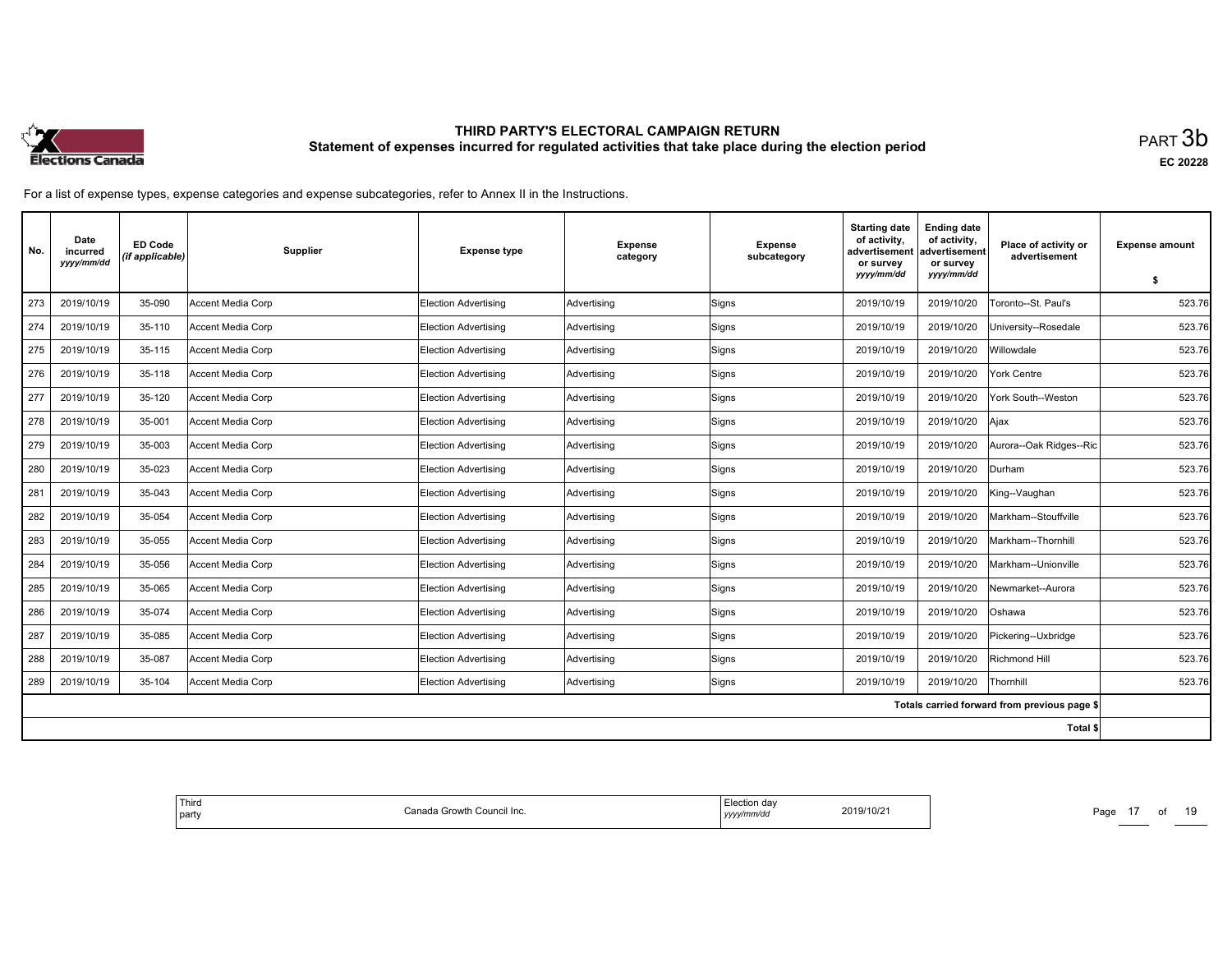

| No. | Date<br>incurred<br>yyyy/mm/dd | <b>ED Code</b><br>(if applicable) | Supplier          | <b>Expense type</b>         | <b>Expense</b><br>category | <b>Expense</b><br>subcategory | <b>Starting date</b><br>of activity,<br>advertisement<br>or survey<br>yyyy/mm/dd | <b>Ending date</b><br>of activity,<br>advertisement<br>or survey<br>yyyy/mm/dd | Place of activity or<br>advertisement        | <b>Expense amount</b><br>\$ |
|-----|--------------------------------|-----------------------------------|-------------------|-----------------------------|----------------------------|-------------------------------|----------------------------------------------------------------------------------|--------------------------------------------------------------------------------|----------------------------------------------|-----------------------------|
| 273 | 2019/10/19                     | 35-090                            | Accent Media Corp | <b>Election Advertising</b> | Advertising                | Signs                         | 2019/10/19                                                                       | 2019/10/20                                                                     | Toronto--St. Paul's                          | 523.76                      |
| 274 | 2019/10/19                     | 35-110                            | Accent Media Corp | Election Advertising        | Advertising                | Signs                         | 2019/10/19                                                                       | 2019/10/20                                                                     | University--Rosedale                         | 523.76                      |
| 275 | 2019/10/19                     | 35-115                            | Accent Media Corp | Election Advertising        | Advertising                | Signs                         | 2019/10/19                                                                       | 2019/10/20                                                                     | Willowdale                                   | 523.76                      |
| 276 | 2019/10/19                     | 35-118                            | Accent Media Corp | <b>Election Advertising</b> | Advertising                | Signs                         | 2019/10/19                                                                       | 2019/10/20                                                                     | York Centre                                  | 523.76                      |
| 277 | 2019/10/19                     | 35-120                            | Accent Media Corp | Election Advertising        | Advertising                | Signs                         | 2019/10/19                                                                       | 2019/10/20                                                                     | York South--Weston                           | 523.76                      |
| 278 | 2019/10/19                     | 35-001                            | Accent Media Corp | Election Advertisina        | Advertising                | Signs                         | 2019/10/19                                                                       | 2019/10/20                                                                     | Ajax                                         | 523.76                      |
| 279 | 2019/10/19                     | 35-003                            | Accent Media Corp | <b>Election Advertising</b> | Advertising                | Signs                         | 2019/10/19                                                                       | 2019/10/20                                                                     | Aurora--Oak Ridges--Ric                      | 523.76                      |
| 280 | 2019/10/19                     | 35-023                            | Accent Media Corp | Election Advertising        | Advertising                | Signs                         | 2019/10/19                                                                       | 2019/10/20                                                                     | Durham                                       | 523.76                      |
| 281 | 2019/10/19                     | 35-043                            | Accent Media Corp | <b>Election Advertising</b> | Advertising                | Signs                         | 2019/10/19                                                                       | 2019/10/20                                                                     | King--Vaughan                                | 523.76                      |
| 282 | 2019/10/19                     | 35-054                            | Accent Media Corp | Election Advertising        | Advertising                | Signs                         | 2019/10/19                                                                       | 2019/10/20                                                                     | Markham--Stouffville                         | 523.76                      |
| 283 | 2019/10/19                     | 35-055                            | Accent Media Corp | Election Advertising        | Advertising                | Signs                         | 2019/10/19                                                                       | 2019/10/20                                                                     | Markham--Thornhill                           | 523.76                      |
| 284 | 2019/10/19                     | 35-056                            | Accent Media Corp | Election Advertising        | Advertising                | Signs                         | 2019/10/19                                                                       | 2019/10/20                                                                     | Markham--Unionville                          | 523.76                      |
| 285 | 2019/10/19                     | 35-065                            | Accent Media Corp | Election Advertising        | Advertising                | Signs                         | 2019/10/19                                                                       | 2019/10/20                                                                     | Newmarket--Aurora                            | 523.76                      |
| 286 | 2019/10/19                     | 35-074                            | Accent Media Corp | Election Advertising        | Advertising                | Signs                         | 2019/10/19                                                                       | 2019/10/20                                                                     | Oshawa                                       | 523.76                      |
| 287 | 2019/10/19                     | 35-085                            | Accent Media Corp | Election Advertising        | Advertising                | Signs                         | 2019/10/19                                                                       | 2019/10/20                                                                     | Pickering--Uxbridge                          | 523.76                      |
| 288 | 2019/10/19                     | 35-087                            | Accent Media Corp | Election Advertising        | Advertising                | Signs                         | 2019/10/19                                                                       | 2019/10/20                                                                     | Richmond Hill                                | 523.76                      |
| 289 | 2019/10/19                     | 35-104                            | Accent Media Corp | Election Advertising        | Advertising                | Signs                         | 2019/10/19                                                                       | 2019/10/20                                                                     | Thornhill                                    | 523.76                      |
|     |                                |                                   |                   |                             |                            |                               |                                                                                  |                                                                                | Totals carried forward from previous page \$ |                             |
|     |                                |                                   |                   |                             |                            |                               |                                                                                  |                                                                                | Total \$                                     |                             |

| <sup>I</sup> Third<br>Canada Growth Council Inc.<br>  party | <b>Election dav</b><br>2019/10/21<br>yyyy/mm/dd | Page |
|-------------------------------------------------------------|-------------------------------------------------|------|
|-------------------------------------------------------------|-------------------------------------------------|------|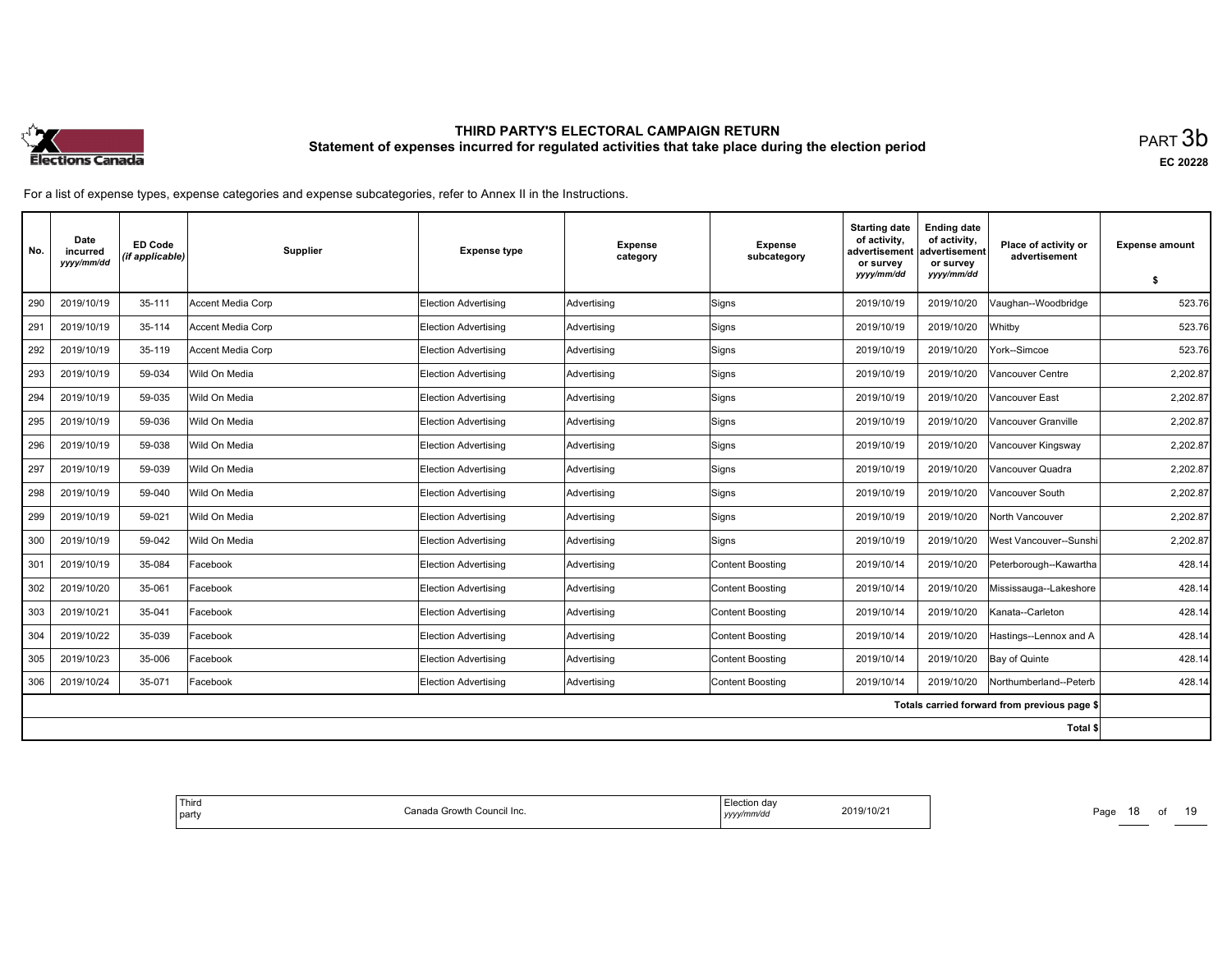

| No. | Date<br>incurred<br>yyyy/mm/dd | <b>ED Code</b><br>(if applicable) | Supplier          | <b>Expense type</b>         | <b>Expense</b><br>category | <b>Expense</b><br>subcategory | <b>Starting date</b><br>of activity,<br>advertisement<br>or survey<br>yyyy/mm/dd | <b>Ending date</b><br>of activity,<br>ladvertisement<br>or survey<br>yyyy/mm/dd | Place of activity or<br>advertisement        | <b>Expense amount</b><br>\$ |
|-----|--------------------------------|-----------------------------------|-------------------|-----------------------------|----------------------------|-------------------------------|----------------------------------------------------------------------------------|---------------------------------------------------------------------------------|----------------------------------------------|-----------------------------|
| 290 | 2019/10/19                     | 35-111                            | Accent Media Corp | <b>Election Advertising</b> | Advertising                | Signs                         | 2019/10/19                                                                       | 2019/10/20                                                                      | Vaughan--Woodbridge                          | 523.76                      |
| 291 | 2019/10/19                     | 35-114                            | Accent Media Corp | <b>Election Advertising</b> | Advertising                | Signs                         | 2019/10/19                                                                       | 2019/10/20                                                                      | Whitby                                       | 523.76                      |
| 292 | 2019/10/19                     | 35-119                            | Accent Media Corp | Election Advertising        | Advertising                | Signs                         | 2019/10/19                                                                       | 2019/10/20                                                                      | York--Simcoe                                 | 523.76                      |
| 293 | 2019/10/19                     | 59-034                            | Wild On Media     | Election Advertising        | Advertising                | Signs                         | 2019/10/19                                                                       | 2019/10/20                                                                      | Vancouver Centre                             | 2,202.87                    |
| 294 | 2019/10/19                     | 59-035                            | Wild On Media     | Election Advertising        | Advertising                | Signs                         | 2019/10/19                                                                       | 2019/10/20                                                                      | Vancouver East                               | 2,202.87                    |
| 295 | 2019/10/19                     | 59-036                            | Wild On Media     | Election Advertising        | Advertising                | Signs                         | 2019/10/19                                                                       | 2019/10/20                                                                      | Vancouver Granville                          | 2,202.87                    |
| 296 | 2019/10/19                     | 59-038                            | Wild On Media     | Election Advertising        | Advertising                | Signs                         | 2019/10/19                                                                       | 2019/10/20                                                                      | Vancouver Kingsway                           | 2.202.87                    |
| 297 | 2019/10/19                     | 59-039                            | Wild On Media     | Election Advertising        | Advertising                | Signs                         | 2019/10/19                                                                       | 2019/10/20                                                                      | Vancouver Quadra                             | 2,202.87                    |
| 298 | 2019/10/19                     | 59-040                            | Wild On Media     | Election Advertising        | Advertising                | Signs                         | 2019/10/19                                                                       | 2019/10/20                                                                      | Vancouver South                              | 2,202.87                    |
| 299 | 2019/10/19                     | 59-021                            | Wild On Media     | Election Advertising        | Advertising                | Signs                         | 2019/10/19                                                                       | 2019/10/20                                                                      | North Vancouver                              | 2,202.87                    |
| 300 | 2019/10/19                     | 59-042                            | Wild On Media     | Election Advertising        | Advertising                | Signs                         | 2019/10/19                                                                       | 2019/10/20                                                                      | West Vancouver--Sunshi                       | 2,202.87                    |
| 301 | 2019/10/19                     | 35-084                            | Facebook          | Election Advertising        | Advertising                | <b>Content Boosting</b>       | 2019/10/14                                                                       | 2019/10/20                                                                      | Peterborough--Kawartha                       | 428.14                      |
| 302 | 2019/10/20                     | 35-061                            | Facebook          | Election Advertising        | Advertising                | <b>Content Boosting</b>       | 2019/10/14                                                                       | 2019/10/20                                                                      | Mississauga--Lakeshore                       | 428.14                      |
| 303 | 2019/10/21                     | 35-041                            | Facebook          | Election Advertising        | Advertising                | <b>Content Boosting</b>       | 2019/10/14                                                                       | 2019/10/20                                                                      | Kanata--Carleton                             | 428.14                      |
| 304 | 2019/10/22                     | 35-039                            | Facebook          | Election Advertisina        | Advertising                | <b>Content Boosting</b>       | 2019/10/14                                                                       | 2019/10/20                                                                      | Hastings--Lennox and A                       | 428.14                      |
| 305 | 2019/10/23                     | 35-006                            | Facebook          | Election Advertising        | Advertising                | <b>Content Boosting</b>       | 2019/10/14                                                                       | 2019/10/20                                                                      | Bay of Quinte                                | 428.14                      |
| 306 | 2019/10/24                     | 35-071                            | Facebook          | <b>Election Advertising</b> | Advertising                | <b>Content Boosting</b>       | 2019/10/14                                                                       | 2019/10/20                                                                      | Northumberland--Peterb                       | 428.14                      |
|     |                                |                                   |                   |                             |                            |                               |                                                                                  |                                                                                 | Totals carried forward from previous page \$ |                             |
|     |                                |                                   |                   |                             |                            |                               |                                                                                  |                                                                                 | Total \$                                     |                             |

| Thira<br>da Growth<br>⊦Council Inc.<br>`ono<br>party<br>או ורא | da<br>2019/10/21<br>777777 G.<br>,,,,,<br>. | Page<br>_____ |
|----------------------------------------------------------------|---------------------------------------------|---------------|
|----------------------------------------------------------------|---------------------------------------------|---------------|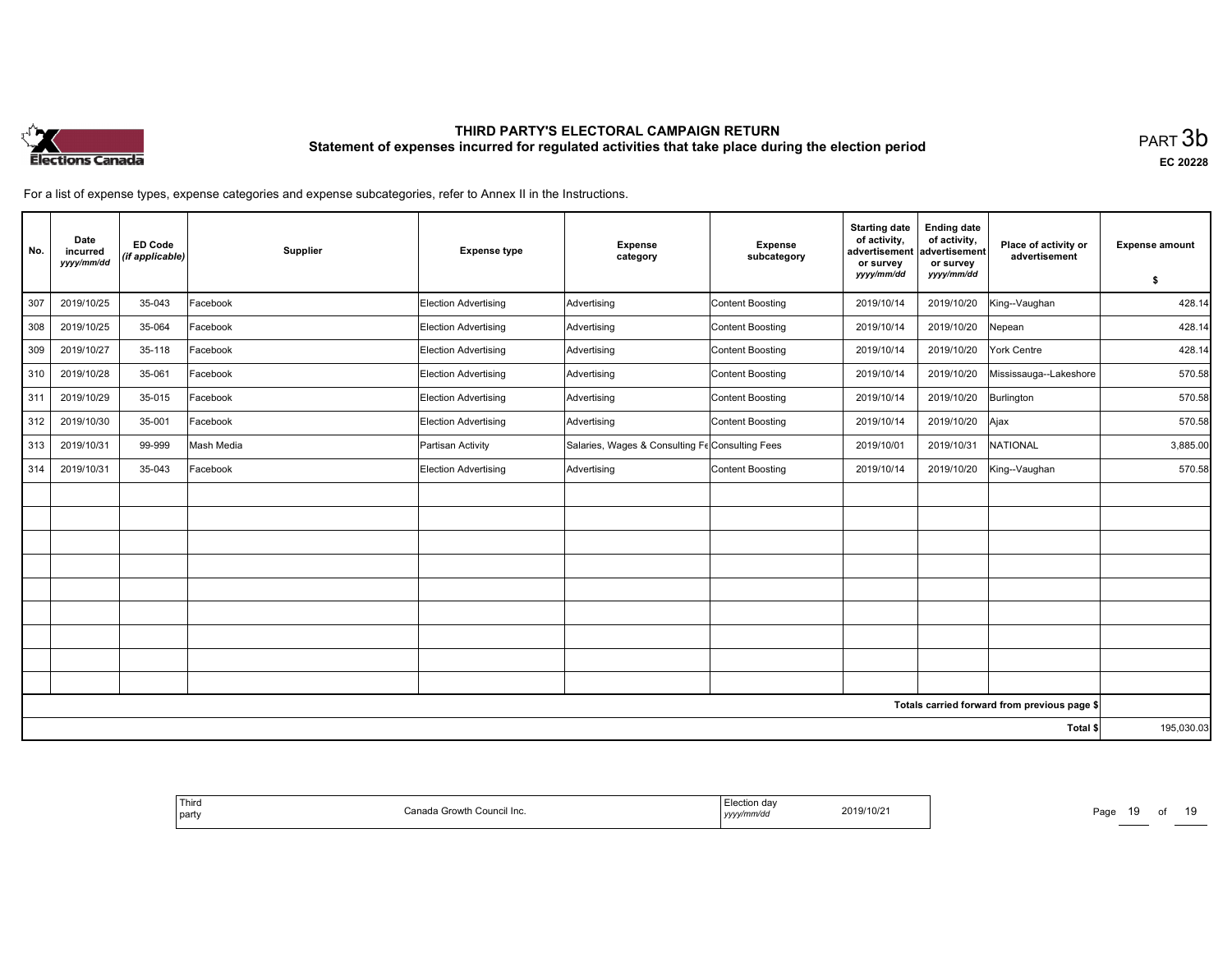

| No. | Date<br>incurred<br>yyyy/mm/dd | <b>ED Code</b><br>(if applicable) | Supplier   | <b>Expense type</b>  | <b>Expense</b><br>category                      | <b>Expense</b><br>subcategory | <b>Starting date</b><br>of activity,<br>advertisement<br>or survey<br>yyyy/mm/dd | <b>Ending date</b><br>of activity,<br>advertisement<br>or survey<br>yyyy/mm/dd | Place of activity or<br>advertisement        | <b>Expense amount</b><br>\$ |
|-----|--------------------------------|-----------------------------------|------------|----------------------|-------------------------------------------------|-------------------------------|----------------------------------------------------------------------------------|--------------------------------------------------------------------------------|----------------------------------------------|-----------------------------|
| 307 | 2019/10/25                     | 35-043                            | Facebook   | Election Advertising | Advertising                                     | Content Boosting              | 2019/10/14                                                                       | 2019/10/20                                                                     | King--Vaughan                                | 428.14                      |
| 308 | 2019/10/25                     | 35-064                            | Facebook   | Election Advertising | Advertising                                     | Content Boosting              | 2019/10/14                                                                       | 2019/10/20                                                                     | Nepean                                       | 428.14                      |
| 309 | 2019/10/27                     | 35-118                            | Facebook   | Election Advertising | Advertising                                     | Content Boosting              | 2019/10/14                                                                       | 2019/10/20                                                                     | York Centre                                  | 428.14                      |
| 310 | 2019/10/28                     | 35-061                            | Facebook   | Election Advertising | Advertising                                     | Content Boosting              | 2019/10/14                                                                       | 2019/10/20                                                                     | Mississauga--Lakeshore                       | 570.58                      |
| 311 | 2019/10/29                     | 35-015                            | Facebook   | Election Advertising | Advertising                                     | Content Boosting              | 2019/10/14                                                                       | 2019/10/20                                                                     | Burlington                                   | 570.58                      |
| 312 | 2019/10/30                     | 35-001                            | Facebook   | Election Advertising | Advertising                                     | Content Boosting              | 2019/10/14                                                                       | 2019/10/20                                                                     | Ajax                                         | 570.58                      |
| 313 | 2019/10/31                     | 99-999                            | Mash Media | Partisan Activity    | Salaries, Wages & Consulting Fe Consulting Fees |                               | 2019/10/01                                                                       | 2019/10/31                                                                     | NATIONAL                                     | 3,885.00                    |
| 314 | 2019/10/31                     | 35-043                            | Facebook   | Election Advertising | Advertising                                     | Content Boosting              | 2019/10/14                                                                       | 2019/10/20                                                                     | King--Vaughan                                | 570.58                      |
|     |                                |                                   |            |                      |                                                 |                               |                                                                                  |                                                                                |                                              |                             |
|     |                                |                                   |            |                      |                                                 |                               |                                                                                  |                                                                                |                                              |                             |
|     |                                |                                   |            |                      |                                                 |                               |                                                                                  |                                                                                |                                              |                             |
|     |                                |                                   |            |                      |                                                 |                               |                                                                                  |                                                                                |                                              |                             |
|     |                                |                                   |            |                      |                                                 |                               |                                                                                  |                                                                                |                                              |                             |
|     |                                |                                   |            |                      |                                                 |                               |                                                                                  |                                                                                |                                              |                             |
|     |                                |                                   |            |                      |                                                 |                               |                                                                                  |                                                                                |                                              |                             |
|     |                                |                                   |            |                      |                                                 |                               |                                                                                  |                                                                                |                                              |                             |
|     |                                |                                   |            |                      |                                                 |                               |                                                                                  |                                                                                |                                              |                             |
|     |                                |                                   |            |                      |                                                 |                               |                                                                                  |                                                                                | Totals carried forward from previous page \$ |                             |
|     |                                |                                   |            |                      |                                                 |                               |                                                                                  |                                                                                | Total \$                                     | 195,030.03                  |

| Third<br>  party | Canada Growth Council Inc. | Election dav<br>.<br>yyyy/mm/dd | 2019/10/21 | Page<br>_____ |
|------------------|----------------------------|---------------------------------|------------|---------------|
|                  |                            |                                 |            |               |